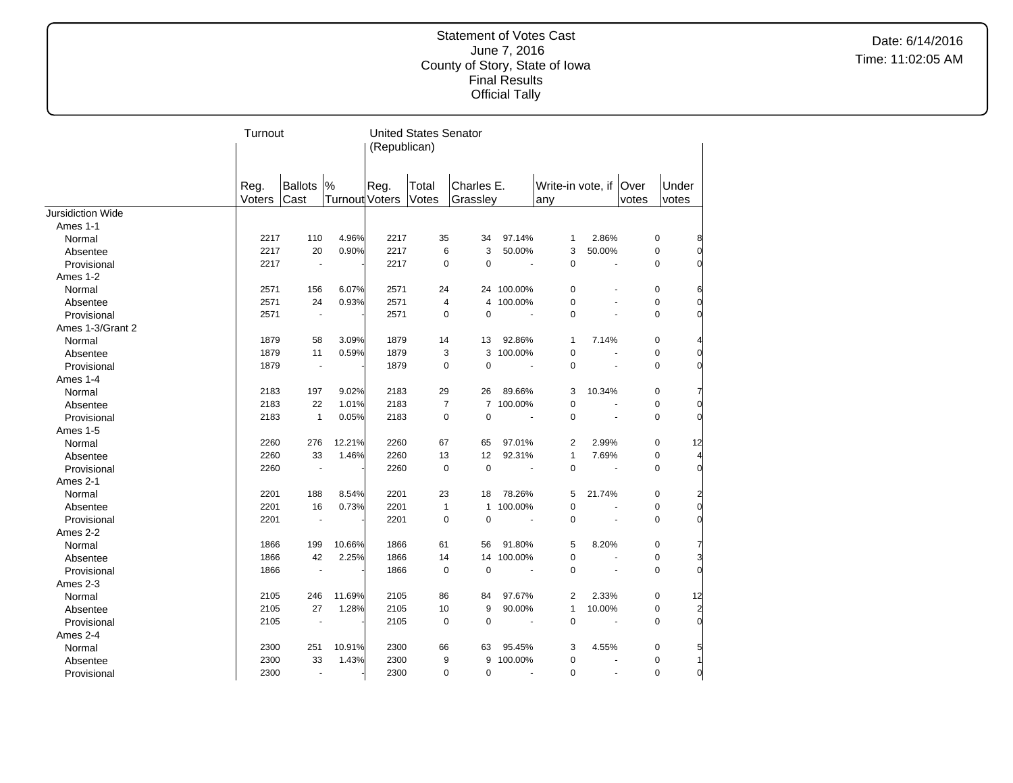Date: 6/14/2016 Time: 11:02:05 AM

|                   |                | Turnout                  |                       |      |                         | <b>United States Senator</b> |            |                        |                |       |             |                |
|-------------------|----------------|--------------------------|-----------------------|------|-------------------------|------------------------------|------------|------------------------|----------------|-------|-------------|----------------|
|                   |                |                          |                       |      | (Republican)            |                              |            |                        |                |       |             |                |
|                   |                |                          |                       |      |                         |                              |            |                        |                |       |             |                |
|                   |                | Ballots                  | %                     | Reg. | Total                   | Charles E.                   |            | Write-in vote, if Over |                |       | Under       |                |
|                   | Reg.<br>Voters | Cast                     | <b>Turnout Voters</b> |      | Votes                   | Grassley                     |            | any                    |                | votes | votes       |                |
| Jursidiction Wide |                |                          |                       |      |                         |                              |            |                        |                |       |             |                |
| Ames 1-1          |                |                          |                       |      |                         |                              |            |                        |                |       |             |                |
| Normal            | 2217           | 110                      | 4.96%                 | 2217 | 35                      | 34                           | 97.14%     | $\mathbf{1}$           | 2.86%          |       | 0           | 8              |
| Absentee          | 2217           | 20                       | 0.90%                 | 2217 | 6                       | 3                            | 50.00%     | 3                      | 50.00%         |       | $\mathbf 0$ | $\Omega$       |
| Provisional       | 2217           | $\blacksquare$           |                       | 2217 | $\mathbf 0$             | $\mathbf 0$                  |            | $\mathbf 0$            | ÷.             |       | $\Omega$    | $\Omega$       |
| Ames 1-2          |                |                          |                       |      |                         |                              |            |                        |                |       |             |                |
| Normal            | 2571           | 156                      | 6.07%                 | 2571 | 24                      |                              | 24 100.00% | $\pmb{0}$              |                |       | 0           | 6              |
| Absentee          | 2571           | 24                       | 0.93%                 | 2571 | $\overline{\mathbf{4}}$ |                              | 4 100.00%  | $\mathbf 0$            |                |       | 0           | $\overline{0}$ |
| Provisional       | 2571           | ä,                       |                       | 2571 | $\mathbf 0$             | $\pmb{0}$                    |            | $\mathbf 0$            |                |       | $\mathbf 0$ | $\Omega$       |
| Ames 1-3/Grant 2  |                |                          |                       |      |                         |                              |            |                        |                |       |             |                |
| Normal            | 1879           | 58                       | 3.09%                 | 1879 | 14                      | 13                           | 92.86%     | $\mathbf{1}$           | 7.14%          |       | 0           |                |
| Absentee          | 1879           | 11                       | 0.59%                 | 1879 | 3                       | 3                            | 100.00%    | $\mathbf 0$            | ÷.             |       | 0           | $\overline{0}$ |
| Provisional       | 1879           | $\overline{\phantom{a}}$ |                       | 1879 | $\mathbf 0$             | 0                            |            | $\mathbf 0$            |                |       | $\mathbf 0$ | $\Omega$       |
| Ames 1-4          |                |                          |                       |      |                         |                              |            |                        |                |       |             |                |
| Normal            | 2183           | 197                      | 9.02%                 | 2183 | 29                      | 26                           | 89.66%     | 3                      | 10.34%         |       | 0           |                |
| Absentee          | 2183           | 22                       | 1.01%                 | 2183 | $\overline{7}$          |                              | 7 100.00%  | $\mathbf 0$            |                |       | $\mathbf 0$ | $\overline{0}$ |
| Provisional       | 2183           | $\mathbf{1}$             | 0.05%                 | 2183 | $\pmb{0}$               | $\mathbf 0$                  |            | $\mathbf 0$            |                |       | $\mathbf 0$ | $\Omega$       |
| Ames 1-5          |                |                          |                       |      |                         |                              |            |                        |                |       |             |                |
| Normal            | 2260           | 276                      | 12.21%                | 2260 | 67                      | 65                           | 97.01%     | $\overline{2}$         | 2.99%          |       | $\mathbf 0$ | 12             |
| Absentee          | 2260           | 33                       | 1.46%                 | 2260 | 13                      | 12                           | 92.31%     | $\mathbf{1}$           | 7.69%          |       | $\mathbf 0$ |                |
| Provisional       | 2260           | $\blacksquare$           |                       | 2260 | $\mathbf 0$             | $\mathbf 0$                  |            | $\mathbf 0$            |                |       | $\mathbf 0$ | $\Omega$       |
| Ames 2-1          |                |                          |                       |      |                         |                              |            |                        |                |       |             |                |
| Normal            | 2201           | 188                      | 8.54%                 | 2201 | 23                      | 18                           | 78.26%     | 5                      | 21.74%         |       | 0           |                |
| Absentee          | 2201           | 16                       | 0.73%                 | 2201 | $\mathbf{1}$            | $\mathbf{1}$                 | 100.00%    | 0                      | $\sim$         |       | $\mathbf 0$ | $\overline{0}$ |
| Provisional       | 2201           | ÷,                       |                       | 2201 | $\mathbf 0$             | $\mathbf 0$                  |            | $\Omega$               |                |       | $\Omega$    | $\Omega$       |
| Ames 2-2          |                |                          |                       |      |                         |                              |            |                        |                |       |             |                |
| Normal            | 1866           | 199                      | 10.66%                | 1866 | 61                      | 56                           | 91.80%     | 5                      | 8.20%          |       | 0           | 7              |
| Absentee          | 1866           | 42                       | 2.25%                 | 1866 | 14                      |                              | 14 100.00% | $\mathbf 0$            | $\blacksquare$ |       | $\mathbf 0$ | 3              |
| Provisional       | 1866           | $\blacksquare$           |                       | 1866 | 0                       | $\pmb{0}$                    |            | $\mathbf 0$            |                |       | 0           | $\overline{0}$ |
| Ames 2-3          |                |                          |                       |      |                         |                              |            |                        |                |       |             |                |
| Normal            | 2105           | 246                      | 11.69%                | 2105 | 86                      | 84                           | 97.67%     | $\overline{2}$         | 2.33%          |       | 0           | 12             |
| Absentee          | 2105           | 27                       | 1.28%                 | 2105 | 10                      | 9                            | 90.00%     | $\mathbf{1}$           | 10.00%         |       | 0           | $\overline{2}$ |
| Provisional       | 2105           |                          |                       | 2105 | $\mathbf 0$             | $\mathbf 0$                  |            | $\Omega$               |                |       | $\Omega$    | $\Omega$       |
| Ames 2-4          |                |                          |                       |      |                         |                              |            |                        |                |       |             |                |
| Normal            | 2300           | 251                      | 10.91%                | 2300 | 66                      | 63                           | 95.45%     | 3                      | 4.55%          |       | 0           | 5              |
| Absentee          | 2300           | 33                       | 1.43%                 | 2300 | 9                       | 9                            | 100.00%    | $\pmb{0}$              |                |       | $\mathbf 0$ |                |
| Provisional       | 2300           | $\sim$                   |                       | 2300 | $\mathbf 0$             | $\mathbf 0$                  |            | $\mathbf 0$            |                |       | $\mathbf 0$ | $\overline{0}$ |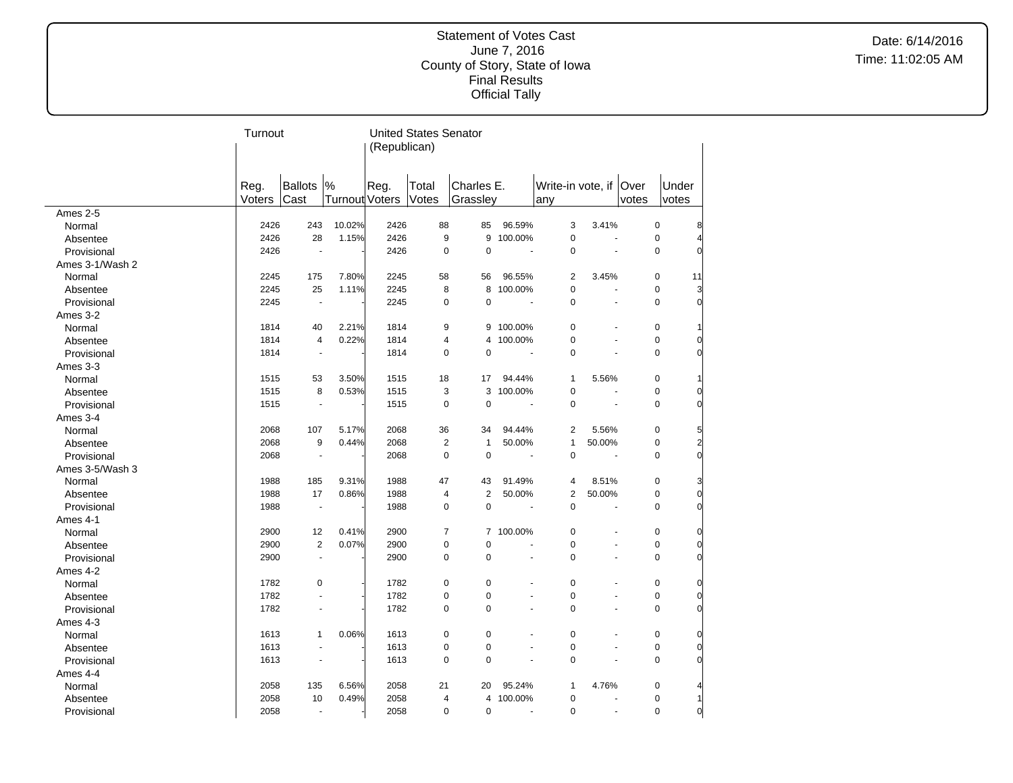Date: 6/14/2016 Time: 11:02:05 AM

|                 | Turnout |                |                       | (Republican) | <b>United States Senator</b> |                |         |                          |                |       |                         |
|-----------------|---------|----------------|-----------------------|--------------|------------------------------|----------------|---------|--------------------------|----------------|-------|-------------------------|
|                 |         |                |                       |              |                              |                |         |                          |                |       |                         |
|                 |         |                |                       |              |                              |                |         |                          |                |       |                         |
|                 | Reg.    | Ballots  %     |                       | Reg.         | Total                        | Charles E.     |         | Write-in vote, if   Over |                |       | Under                   |
|                 | Voters  | Cast           | <b>Turnout Voters</b> |              | Votes                        | Grassley       |         | any                      |                | votes | votes                   |
| Ames 2-5        |         |                |                       |              |                              |                |         |                          |                |       |                         |
| Normal          | 2426    | 243            | 10.02%                | 2426         | 88                           | 85             | 96.59%  | 3                        | 3.41%          |       | $\mathbf 0$             |
| Absentee        | 2426    | 28             | 1.15%                 | 2426         | 9                            | 9              | 100.00% | $\pmb{0}$                | L.             |       | $\pmb{0}$               |
| Provisional     | 2426    | ÷,             |                       | 2426         | 0                            | $\mathbf 0$    |         | $\mathbf 0$              | $\overline{a}$ |       | 0                       |
| Ames 3-1/Wash 2 |         |                |                       |              |                              |                |         |                          |                |       |                         |
| Normal          | 2245    | 175            | 7.80%                 | 2245         | 58                           | 56             | 96.55%  | $\overline{2}$           | 3.45%          |       | 0<br>11                 |
| Absentee        | 2245    | 25             | 1.11%                 | 2245         | 8                            | 8              | 100.00% | 0                        | ä,             |       | $\mathbf 0$<br>3        |
| Provisional     | 2245    | ÷,             |                       | 2245         | 0                            | 0              |         | $\Omega$                 |                |       | $\Omega$                |
| Ames 3-2        |         |                |                       |              |                              |                |         |                          |                |       |                         |
| Normal          | 1814    | 40             | 2.21%                 | 1814         | 9                            | 9              | 100.00% | $\pmb{0}$                |                |       | 0                       |
| Absentee        | 1814    | 4              | 0.22%                 | 1814         | 4                            | 4              | 100.00% | $\pmb{0}$                |                |       | $\pmb{0}$               |
| Provisional     | 1814    | $\sim$         |                       | 1814         | 0                            | 0              |         | $\Omega$                 |                |       | $\Omega$                |
| Ames 3-3        |         |                |                       |              |                              |                |         |                          |                |       |                         |
| Normal          | 1515    | 53             | 3.50%                 | 1515         | 18                           | 17             | 94.44%  | $\mathbf{1}$             | 5.56%          |       | 0                       |
| Absentee        | 1515    | 8              | 0.53%                 | 1515         | 3                            | 3              | 100.00% | $\mathbf 0$              | L.             |       | $\mathbf 0$             |
| Provisional     | 1515    | $\sim$         |                       | 1515         | 0                            | $\mathbf 0$    |         | $\Omega$                 |                |       | $\mathbf 0$             |
| Ames 3-4        |         |                |                       |              |                              |                |         |                          |                |       |                         |
| Normal          | 2068    | 107            | 5.17%                 | 2068         | 36                           | 34             | 94.44%  | $\overline{2}$           | 5.56%          |       | $\pmb{0}$               |
| Absentee        | 2068    | 9              | 0.44%                 | 2068         | $\overline{2}$               | $\mathbf{1}$   | 50.00%  | $\mathbf{1}$             | 50.00%         |       | $\pmb{0}$<br>2          |
| Provisional     | 2068    |                |                       | 2068         | 0                            | $\mathbf 0$    |         | $\mathbf 0$              |                |       | $\mathbf 0$             |
| Ames 3-5/Wash 3 |         |                |                       |              |                              |                |         |                          |                |       |                         |
| Normal          | 1988    | 185            | 9.31%                 | 1988         | 47                           | 43             | 91.49%  | 4                        | 8.51%          |       | $\mathbf 0$             |
| Absentee        | 1988    | 17             | 0.86%                 | 1988         | 4                            | $\overline{2}$ | 50.00%  | $\overline{2}$           | 50.00%         |       | $\mathbf 0$             |
| Provisional     | 1988    | $\blacksquare$ |                       | 1988         | 0                            | $\mathbf 0$    |         | $\mathbf 0$              | ÷,             |       | $\mathbf 0$             |
| Ames 4-1        |         |                |                       |              |                              |                |         |                          |                |       |                         |
| Normal          | 2900    | 12             | 0.41%                 | 2900         | $\overline{7}$               | $\overline{7}$ | 100.00% | $\mathbf 0$              |                |       | $\pmb{0}$               |
| Absentee        | 2900    | $\overline{2}$ | 0.07%                 | 2900         | 0                            | 0              |         | $\pmb{0}$                |                |       | 0                       |
| Provisional     | 2900    | ÷,             |                       | 2900         | 0                            | 0              |         | 0                        |                |       | $\mathbf 0$             |
|                 |         |                |                       |              |                              |                |         |                          |                |       |                         |
| Ames 4-2        |         |                |                       |              | 0                            | $\mathbf 0$    |         | $\mathbf 0$              |                |       | $\mathbf 0$             |
| Normal          | 1782    | $\pmb{0}$      |                       | 1782         |                              |                |         |                          |                |       |                         |
| Absentee        | 1782    |                |                       | 1782         | $\mathbf 0$                  | 0              |         | $\mathbf 0$<br>$\Omega$  | ÷,             |       | $\mathbf 0$             |
| Provisional     | 1782    |                |                       | 1782         | 0                            | 0              |         |                          | ä,             |       | $\pmb{0}$               |
| Ames 4-3        |         |                |                       |              |                              |                |         |                          |                |       |                         |
| Normal          | 1613    | 1              | 0.06%                 | 1613         | 0                            | 0              |         | $\pmb{0}$                |                |       | 0                       |
| Absentee        | 1613    |                |                       | 1613         | $\mathbf 0$                  | 0              |         | $\mathbf 0$              | L,             |       | $\mathbf 0$             |
| Provisional     | 1613    |                |                       | 1613         | $\Omega$                     | 0              |         | $\mathbf 0$              |                |       | $\Omega$                |
| Ames 4-4        |         |                |                       |              |                              |                |         |                          |                |       |                         |
| Normal          | 2058    | 135            | 6.56%                 | 2058         | 21                           | 20             | 95.24%  | $\mathbf{1}$             | 4.76%          |       | $\pmb{0}$               |
| Absentee        | 2058    | 10             | 0.49%                 | 2058         | 4                            | 4              | 100.00% | $\pmb{0}$                |                |       | $\mathbf 0$             |
| Provisional     | 2058    | ٠              |                       | 2058         | 0                            | 0              |         | 0                        | ä,             |       | $\mathbf 0$<br>$\Omega$ |

 $\overline{a}$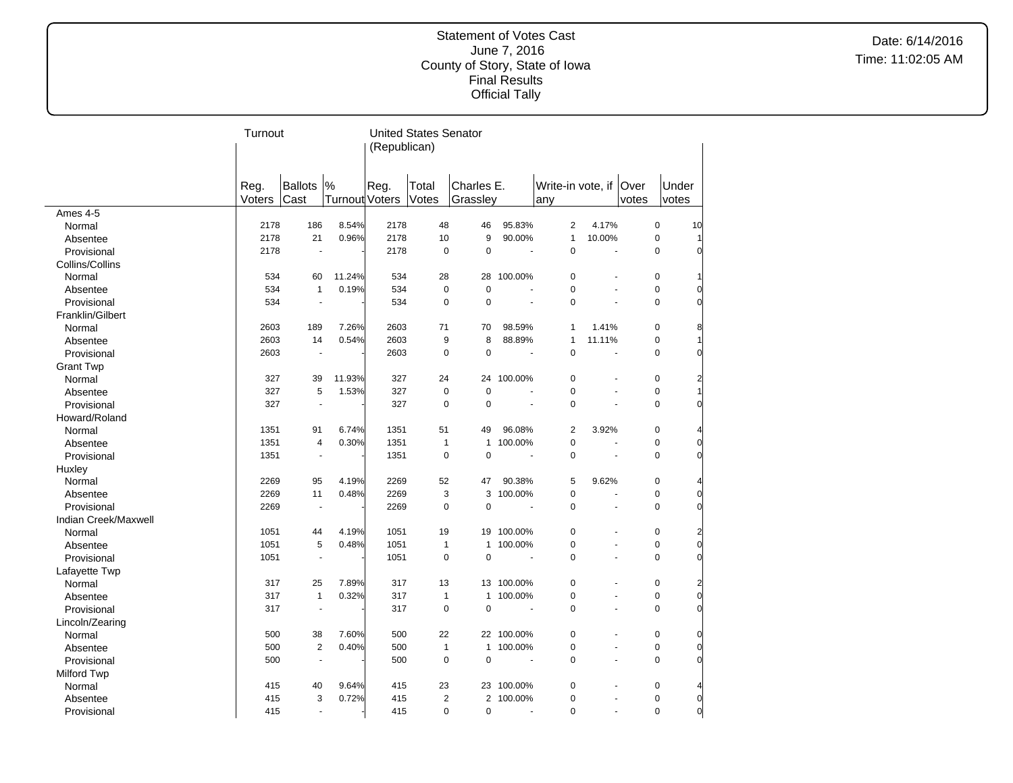Date: 6/14/2016 Time: 11:02:05 AM

|                      | Turnout        |                          |                     | (Republican) | <b>United States Senator</b> |                        |            |                                 |                |       |                |          |
|----------------------|----------------|--------------------------|---------------------|--------------|------------------------------|------------------------|------------|---------------------------------|----------------|-------|----------------|----------|
|                      |                |                          |                     |              |                              |                        |            |                                 |                |       |                |          |
|                      | Reg.<br>Voters | <b>Ballots</b><br>Cast   | %<br>Turnout Voters | Reg.         | Total<br>Votes               | Charles E.<br>Grassley |            | Write-in vote, if   Over<br>any |                | votes | Under<br>votes |          |
| Ames 4-5             |                |                          |                     |              |                              |                        |            |                                 |                |       |                |          |
| Normal               | 2178           | 186                      | 8.54%               | 2178         | 48                           | 46                     | 95.83%     | 2                               | 4.17%          |       | 0              | 10       |
| Absentee             | 2178           | 21                       | 0.96%               | 2178         | 10                           | 9                      | 90.00%     | $\mathbf{1}$                    | 10.00%         |       | $\pmb{0}$      |          |
| Provisional          | 2178           | ÷,                       |                     | 2178         | $\mathbf 0$                  | $\mathbf 0$            | ÷.         | $\Omega$                        | L.             |       | $\Omega$       |          |
| Collins/Collins      |                |                          |                     |              |                              |                        |            |                                 |                |       |                |          |
| Normal               | 534            | 60                       | 11.24%              | 534          | 28                           | 28                     | 100.00%    | $\pmb{0}$                       |                |       | 0              |          |
| Absentee             | 534            | $\mathbf{1}$             | 0.19%               | 534          | $\mathbf 0$                  | $\mathbf 0$            |            | $\mathbf 0$                     | ÷.             |       | $\mathbf 0$    |          |
| Provisional          | 534            | ä,                       |                     | 534          | $\mathbf 0$                  | $\mathbf 0$            |            | 0                               |                |       | $\mathbf 0$    |          |
| Franklin/Gilbert     |                |                          |                     |              |                              |                        |            |                                 |                |       |                |          |
| Normal               | 2603           | 189                      | 7.26%               | 2603         | 71                           | 70                     | 98.59%     | 1                               | 1.41%          |       | $\mathbf 0$    | 8        |
| Absentee             | 2603           | 14                       | 0.54%               | 2603         | 9                            | 8                      | 88.89%     | 1                               | 11.11%         |       | 0              |          |
| Provisional          | 2603           | $\blacksquare$           |                     | 2603         | $\mathbf 0$                  | $\overline{0}$         | $\sim$     | $\mathbf 0$                     | ÷,             |       | $\mathbf 0$    |          |
| <b>Grant Twp</b>     |                |                          |                     |              |                              |                        |            |                                 |                |       |                |          |
| Normal               | 327            | 39                       | 11.93%              | 327          | 24                           | 24                     | 100.00%    | $\mathbf 0$                     |                |       | $\mathbf 0$    |          |
| Absentee             | 327            | 5                        | 1.53%               | 327          | 0                            | $\mathbf 0$            |            | $\pmb{0}$                       | $\blacksquare$ |       | 0              |          |
| Provisional          | 327            | ÷,                       |                     | 327          | $\mathbf 0$                  | $\mathbf 0$            |            | $\overline{0}$                  |                |       | $\mathbf 0$    |          |
| Howard/Roland        |                |                          |                     |              |                              |                        |            |                                 |                |       |                |          |
| Normal               | 1351           | 91                       | 6.74%               | 1351         | 51                           | 49                     | 96.08%     | 2                               | 3.92%          |       | 0              |          |
| Absentee             | 1351           | $\overline{\mathbf{4}}$  | 0.30%               | 1351         | $\mathbf{1}$                 | $\mathbf{1}$           | 100.00%    | $\mathbf 0$                     | ÷.             |       | $\pmb{0}$      | $\Omega$ |
| Provisional          | 1351           | $\overline{\phantom{a}}$ |                     | 1351         | $\Omega$                     | $\Omega$               | ÷,         | $\Omega$                        | ä,             |       | $\Omega$       |          |
| Huxley               |                |                          |                     |              |                              |                        |            |                                 |                |       |                |          |
| Normal               | 2269           | 95                       | 4.19%               | 2269         | 52                           | 47                     | 90.38%     | 5                               | 9.62%          |       | $\pmb{0}$      |          |
| Absentee             | 2269           | 11                       | 0.48%               | 2269         | 3                            | 3                      | 100.00%    | 0                               | ÷.             |       | $\mathbf 0$    | $\Omega$ |
| Provisional          | 2269           | ÷,                       |                     | 2269         | $\mathbf 0$                  | $\mathbf 0$            |            | 0                               | ä,             |       | $\mathbf 0$    | $\Omega$ |
| Indian Creek/Maxwell |                |                          |                     |              |                              |                        |            |                                 |                |       |                |          |
| Normal               | 1051           | 44                       | 4.19%               | 1051         | 19                           | 19                     | 100.00%    | $\pmb{0}$                       |                |       | 0              |          |
| Absentee             | 1051           | 5                        | 0.48%               | 1051         | $\mathbf{1}$                 | $\mathbf{1}$           | 100.00%    | $\pmb{0}$                       |                |       | $\pmb{0}$      | $\Omega$ |
| Provisional          | 1051           | ÷,                       |                     | 1051         | $\mathbf 0$                  | 0                      | ÷,         | $\Omega$                        |                |       | $\mathbf 0$    |          |
| Lafayette Twp        |                |                          |                     |              |                              |                        |            |                                 |                |       |                |          |
| Normal               | 317            | 25                       | 7.89%               | 317          | 13                           |                        | 13 100.00% | $\mathbf 0$                     |                |       | $\mathbf 0$    |          |
| Absentee             | 317            | $\mathbf{1}$             | 0.32%               | 317          | $\mathbf{1}$                 | $\mathbf{1}$           | 100.00%    | $\mathbf 0$                     | ä,             |       | $\pmb{0}$      | $\Omega$ |
| Provisional          | 317            | ÷,                       |                     | 317          | $\mathbf 0$                  | $\mathbf 0$            |            | 0                               |                |       | $\mathbf 0$    | $\Omega$ |
| Lincoln/Zearing      |                |                          |                     |              |                              |                        |            |                                 |                |       |                |          |
| Normal               | 500            | 38                       | 7.60%               | 500          | 22                           |                        | 22 100.00% | $\pmb{0}$                       |                |       | 0              |          |
| Absentee             | 500            | $\overline{2}$           | 0.40%               | 500          | $\mathbf{1}$                 | $\mathbf{1}$           | 100.00%    | 0                               | ÷,             |       | $\pmb{0}$      | $\Omega$ |
| Provisional          | 500            | ÷,                       |                     | 500          | $\Omega$                     | $\mathbf 0$            | ÷,         | $\Omega$                        | ä,             |       | $\Omega$       |          |
| <b>Milford Twp</b>   |                |                          |                     |              |                              |                        |            |                                 |                |       |                |          |
| Normal               | 415            | 40                       | 9.64%               | 415          | 23                           |                        | 23 100.00% | 0                               |                |       | $\pmb{0}$      |          |
| Absentee             | 415            | 3                        | 0.72%               | 415          | $\overline{2}$               | $\mathbf{2}^{\prime}$  | 100.00%    | 0                               |                |       | $\pmb{0}$      | 0        |
| Provisional          | 415            | ÷,                       |                     | 415          | $\Omega$                     | $\Omega$               |            | $\Omega$                        |                |       | $\Omega$       | $\Omega$ |
|                      |                |                          |                     |              |                              |                        |            |                                 |                |       |                |          |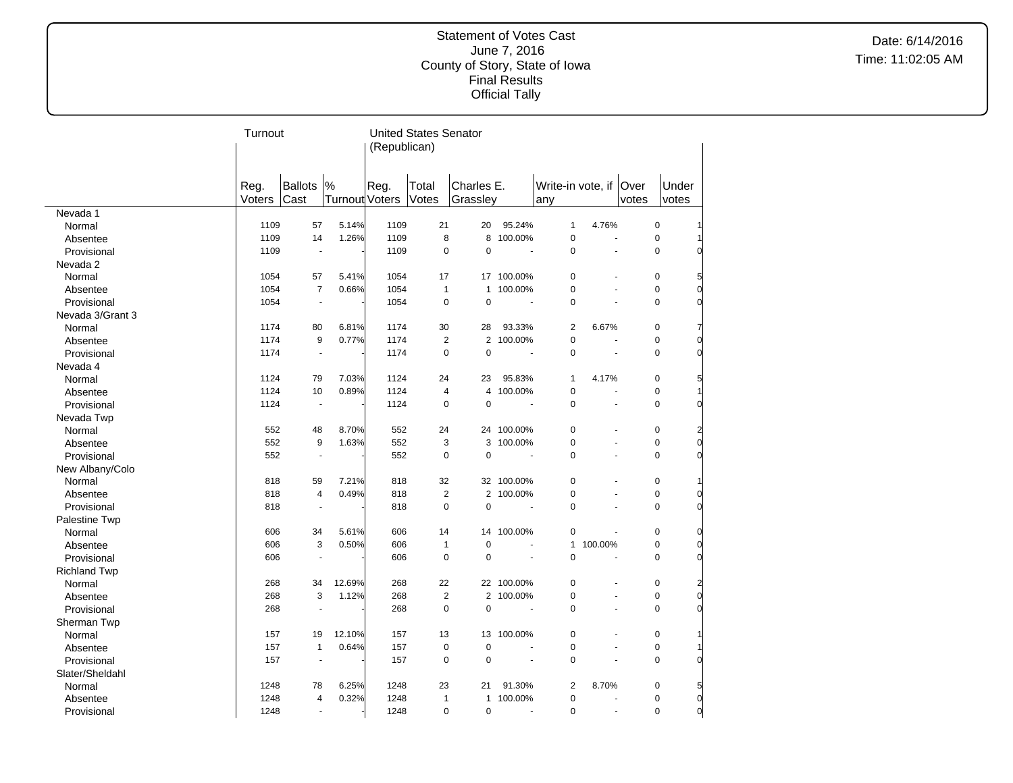Date: 6/14/2016 Time: 11:02:05 AM

|                     | Turnout |                |                       |              | <b>United States Senator</b> |              |                |                          |                          |       |             |                |
|---------------------|---------|----------------|-----------------------|--------------|------------------------------|--------------|----------------|--------------------------|--------------------------|-------|-------------|----------------|
|                     |         |                |                       | (Republican) |                              |              |                |                          |                          |       |             |                |
|                     |         |                |                       |              |                              |              |                |                          |                          |       |             |                |
|                     |         |                |                       |              |                              |              |                |                          |                          |       |             |                |
|                     | Reg.    | Ballots        | $\%$                  | Reg.         | Total                        | Charles E.   |                | Write-in vote, if   Over |                          |       | Under       |                |
|                     | Voters  | Cast           | <b>Turnout Voters</b> |              | Votes                        | Grassley     |                | any                      |                          | votes | votes       |                |
| Nevada 1            |         |                |                       |              |                              |              |                |                          |                          |       |             |                |
| Normal              | 1109    | 57             | 5.14%                 | 1109         | 21                           | 20           | 95.24%         | 1                        | 4.76%                    |       | $\pmb{0}$   |                |
| Absentee            | 1109    | 14             | 1.26%                 | 1109         | 8                            | 8            | 100.00%        | $\mathbf 0$              | ä,                       |       | $\mathbf 0$ |                |
| Provisional         | 1109    | ÷,             |                       | 1109         | 0                            | $\Omega$     | $\overline{a}$ | $\Omega$                 | ÷,                       |       | $\Omega$    |                |
| Nevada 2            |         |                |                       |              |                              |              |                |                          |                          |       |             |                |
| Normal              | 1054    | 57             | 5.41%                 | 1054         | 17                           |              | 17 100.00%     | $\mathbf 0$              |                          |       | $\pmb{0}$   | 5              |
| Absentee            | 1054    | $\overline{7}$ | 0.66%                 | 1054         | $\mathbf{1}$                 | $\mathbf{1}$ | 100.00%        | $\mathbf 0$              | ä,                       |       | $\mathbf 0$ | $\Omega$       |
| Provisional         | 1054    |                |                       | 1054         | 0                            | $\mathbf 0$  |                | $\overline{0}$           |                          |       | $\mathbf 0$ | $\Omega$       |
| Nevada 3/Grant 3    |         |                |                       |              |                              |              |                |                          |                          |       |             |                |
| Normal              | 1174    | 80             | 6.81%                 | 1174         | 30                           | 28           | 93.33%         | $\overline{\mathbf{c}}$  | 6.67%                    |       | $\pmb{0}$   |                |
| Absentee            | 1174    | 9              | 0.77%                 | 1174         | $\overline{2}$               |              | 2 100.00%      | 0                        |                          |       | $\pmb{0}$   | 0              |
| Provisional         | 1174    | ÷,             |                       | 1174         | $\mathbf 0$                  | $\mathbf 0$  |                | $\mathbf 0$              | ÷,                       |       | $\mathbf 0$ | $\Omega$       |
| Nevada 4            |         |                |                       |              |                              |              |                |                          |                          |       |             |                |
| Normal              | 1124    | 79             | 7.03%                 | 1124         | 24                           | 23           | 95.83%         | $\mathbf{1}$             | 4.17%                    |       | $\mathbf 0$ | 5              |
| Absentee            | 1124    | 10             | 0.89%                 | 1124         | $\overline{\mathbf{4}}$      | 4            | 100.00%        | 0                        | $\overline{\phantom{a}}$ |       | $\mathbf 0$ |                |
| Provisional         | 1124    | ÷,             |                       | 1124         | 0                            | $\mathbf 0$  |                | $\overline{0}$           | ÷,                       |       | $\pmb{0}$   | $\Omega$       |
| Nevada Twp          |         |                |                       |              |                              |              |                |                          |                          |       |             |                |
| Normal              | 552     | 48             | 8.70%                 | 552          | 24                           |              | 24 100.00%     | 0                        |                          |       | $\pmb{0}$   |                |
| Absentee            | 552     | 9              | 1.63%                 | 552          | 3                            | 3            | 100.00%        | $\mathbf 0$              | ä,                       |       | $\pmb{0}$   | $\overline{0}$ |
| Provisional         | 552     |                |                       | 552          | 0                            | $\mathbf 0$  |                | $\Omega$                 |                          |       | $\Omega$    | ŋ              |
| New Albany/Colo     |         |                |                       |              |                              |              |                |                          |                          |       |             |                |
| Normal              | 818     | 59             | 7.21%                 | 818          | 32                           |              | 32 100.00%     | $\mathbf 0$              |                          |       | $\pmb{0}$   |                |
| Absentee            | 818     | $\overline{4}$ | 0.49%                 | 818          | $\overline{\mathbf{c}}$      |              | 2 100.00%      | $\mathbf 0$              | ä,                       |       | $\mathbf 0$ | 0              |
| Provisional         | 818     |                |                       | 818          | $\mathbf 0$                  | $\mathbf 0$  |                | $\overline{0}$           |                          |       | $\mathbf 0$ | $\Omega$       |
| Palestine Twp       |         |                |                       |              |                              |              |                |                          |                          |       |             |                |
| Normal              | 606     | 34             | 5.61%                 | 606          | 14                           |              | 14 100.00%     | 0                        | L,                       |       | $\pmb{0}$   | $\overline{0}$ |
| Absentee            | 606     | 3              | 0.50%                 | 606          | $\mathbf{1}$                 | $\mathbf 0$  |                | $\mathbf{1}$             | 100.00%                  |       | $\mathbf 0$ | $\overline{0}$ |
| Provisional         | 606     | ÷,             |                       | 606          | 0                            | $\mathbf 0$  |                | $\Omega$                 | ä,                       |       | $\mathbf 0$ | 0              |
| <b>Richland Twp</b> |         |                |                       |              |                              |              |                |                          |                          |       |             |                |
| Normal              | 268     | 34             | 12.69%                | 268          | 22                           |              | 22 100.00%     | $\mathbf 0$              |                          |       | $\mathbf 0$ |                |
| Absentee            | 268     | 3              | 1.12%                 | 268          | $\overline{2}$               |              | 2 100.00%      | 0                        | $\overline{\phantom{a}}$ |       | $\pmb{0}$   | 0              |
| Provisional         | 268     |                |                       | 268          | $\mathbf 0$                  | $\mathbf 0$  |                | $\overline{0}$           |                          |       | $\mathbf 0$ | $\Omega$       |
| Sherman Twp         |         |                |                       |              |                              |              |                |                          |                          |       |             |                |
| Normal              | 157     | 19             | 12.10%                | 157          | 13                           | 13           | 100.00%        | 0                        |                          |       | $\pmb{0}$   |                |
| Absentee            | 157     | $\mathbf{1}$   | 0.64%                 | 157          | $\pmb{0}$                    | $\pmb{0}$    |                | $\mathbf 0$              | ÷,                       |       | $\pmb{0}$   |                |
| Provisional         | 157     |                |                       | 157          | 0                            | $\mathbf 0$  | L.             | $\Omega$                 | L.                       |       | $\Omega$    |                |
| Slater/Sheldahl     |         |                |                       |              |                              |              |                |                          |                          |       |             |                |
| Normal              | 1248    | 78             | 6.25%                 | 1248         | 23                           | 21           | 91.30%         | $\overline{2}$           | 8.70%                    |       | $\pmb{0}$   | 5              |
| Absentee            | 1248    | $\overline{4}$ | 0.32%                 | 1248         | 1                            | 1            | 100.00%        | 0                        | ä,                       |       | $\pmb{0}$   | $\overline{0}$ |
| Provisional         | 1248    | ÷,             |                       | 1248         | 0                            | $\mathbf 0$  |                | $\Omega$                 | $\overline{\phantom{a}}$ |       | $\Omega$    | $\overline{0}$ |
|                     |         |                |                       |              |                              |              |                |                          |                          |       |             |                |

 $\overline{a}$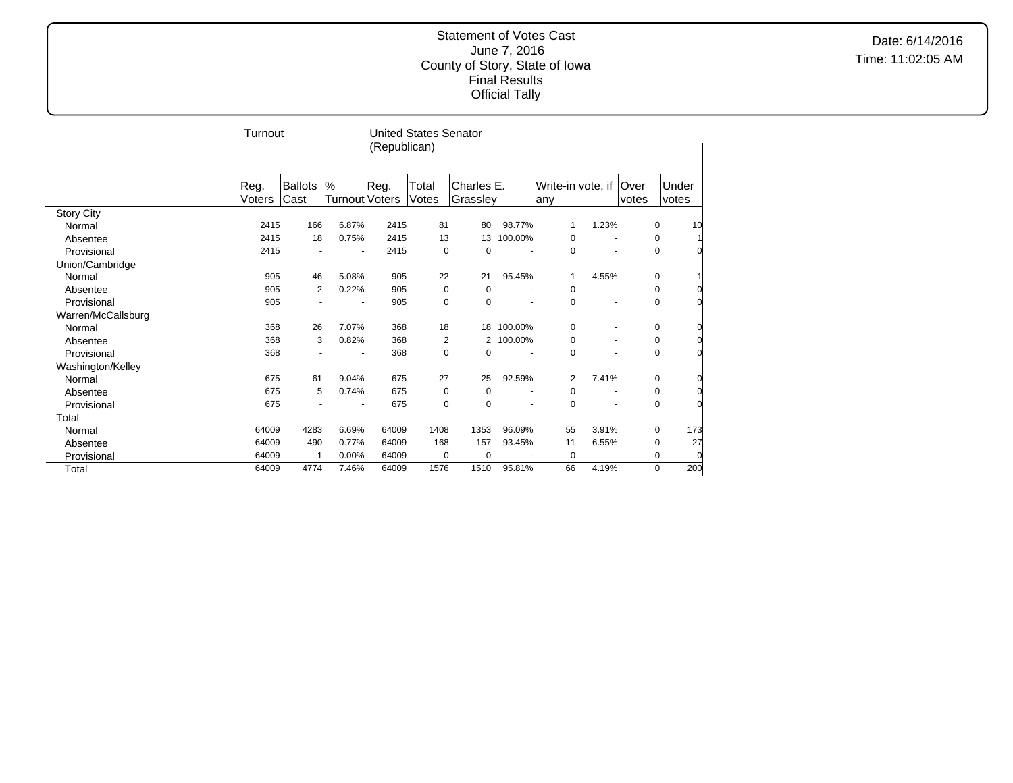Date: 6/14/2016 Time: 11:02:05 AM

|                    | Turnout |                          |                |              | <b>United States Senator</b> |                |         |                   |                          |       |             |                |
|--------------------|---------|--------------------------|----------------|--------------|------------------------------|----------------|---------|-------------------|--------------------------|-------|-------------|----------------|
|                    |         |                          |                | (Republican) |                              |                |         |                   |                          |       |             |                |
|                    |         |                          |                |              |                              |                |         |                   |                          |       |             |                |
|                    |         |                          |                |              |                              |                |         |                   |                          |       |             |                |
|                    | Reg.    | Ballots                  | $\%$           | Reg.         | Total                        | Charles E.     |         | Write-in vote, if |                          | Over  | Under       |                |
|                    | Voters  | Cast                     | Turnout Voters |              | Votes                        | Grasslev       |         | any               |                          | votes | votes       |                |
| <b>Story City</b>  |         |                          |                |              |                              |                |         |                   |                          |       |             |                |
| Normal             | 2415    | 166                      | 6.87%          | 2415         | 81                           | 80             | 98.77%  |                   | 1.23%                    |       | $\mathbf 0$ | 10             |
| Absentee           | 2415    | 18                       | 0.75%          | 2415         | 13                           | 13             | 100.00% | $\mathbf 0$       |                          |       | 0           |                |
| Provisional        | 2415    |                          |                | 2415         | 0                            | 0              |         | 0                 | $\overline{\phantom{a}}$ |       | 0           | 0              |
| Union/Cambridge    |         |                          |                |              |                              |                |         |                   |                          |       |             |                |
| Normal             | 905     | 46                       | 5.08%          | 905          | 22                           | 21             | 95.45%  |                   | 4.55%                    |       | 0           |                |
| Absentee           | 905     | $\overline{2}$           | 0.22%          | 905          | 0                            | 0              |         | 0                 |                          |       | 0           | 0              |
| Provisional        | 905     |                          |                | 905          | 0                            | $\mathbf 0$    |         | 0                 | $\blacksquare$           |       | 0           | $\Omega$       |
| Warren/McCallsburg |         |                          |                |              |                              |                |         |                   |                          |       |             |                |
| Normal             | 368     | 26                       | 7.07%          | 368          | 18                           | 18             | 100.00% | $\mathbf 0$       |                          |       | 0           | 0              |
| Absentee           | 368     | 3                        | 0.82%          | 368          | $\overline{2}$               | $\overline{2}$ | 100.00% | 0                 | $\overline{\phantom{a}}$ |       | 0           | 0l             |
| Provisional        | 368     | $\overline{\phantom{a}}$ |                | 368          | $\mathbf 0$                  | 0              |         | $\Omega$          | $\overline{\phantom{a}}$ |       | $\mathbf 0$ | 0l             |
| Washington/Kelley  |         |                          |                |              |                              |                |         |                   |                          |       |             |                |
| Normal             | 675     | 61                       | 9.04%          | 675          | 27                           | 25             | 92.59%  | $\overline{2}$    | 7.41%                    |       | $\mathbf 0$ | 0              |
| Absentee           | 675     | 5                        | 0.74%          | 675          | 0                            | 0              |         | 0                 |                          |       | 0           | 01             |
| Provisional        | 675     |                          |                | 675          | $\mathbf 0$                  | $\pmb{0}$      |         | $\mathbf 0$       |                          |       | 0           | $\Omega$       |
| Total              |         |                          |                |              |                              |                |         |                   |                          |       |             |                |
| Normal             | 64009   | 4283                     | 6.69%          | 64009        | 1408                         | 1353           | 96.09%  | 55                | 3.91%                    |       | $\mathbf 0$ | 173            |
| Absentee           | 64009   | 490                      | 0.77%          | 64009        | 168                          | 157            | 93.45%  | 11                | 6.55%                    |       | 0           | 27             |
| Provisional        | 64009   | 1                        | 0.00%          | 64009        | 0                            | 0              |         | $\mathbf 0$       |                          |       | 0           | $\overline{0}$ |
| Total              | 64009   | 4774                     | 7.46%          | 64009        | 1576                         | 1510           | 95.81%  | 66                | 4.19%                    |       | 0           | 200            |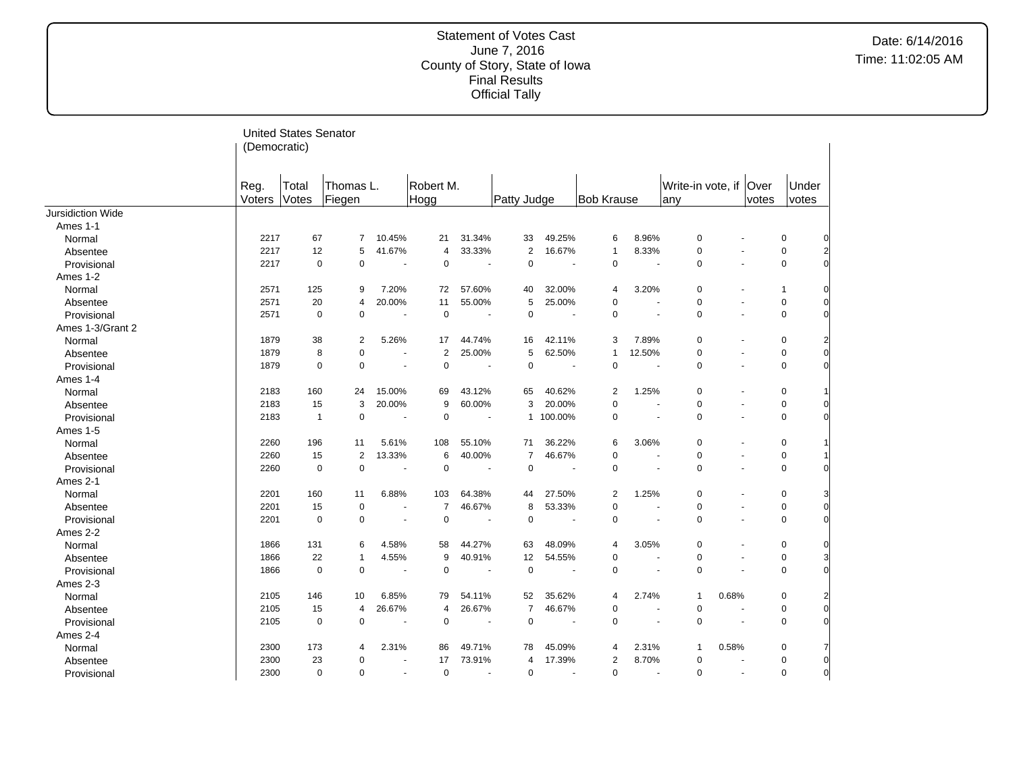|                          |              | <b>United States Senator</b> |                |                          |                |                |                |                          |                   |                |                          |                          |       |              |                         |
|--------------------------|--------------|------------------------------|----------------|--------------------------|----------------|----------------|----------------|--------------------------|-------------------|----------------|--------------------------|--------------------------|-------|--------------|-------------------------|
|                          | (Democratic) |                              |                |                          |                |                |                |                          |                   |                |                          |                          |       |              |                         |
|                          |              |                              |                |                          |                |                |                |                          |                   |                |                          |                          |       |              |                         |
|                          | Reg.         | Total                        | Thomas L.      |                          | Robert M.      |                |                |                          |                   |                | Write-in vote, if   Over |                          |       | Under        |                         |
|                          | Voters       | Votes                        | Fiegen         |                          | Hogg           |                | Patty Judge    |                          | <b>Bob Krause</b> |                | any                      |                          | votes | votes        |                         |
| <b>Jursidiction Wide</b> |              |                              |                |                          |                |                |                |                          |                   |                |                          |                          |       |              |                         |
| Ames 1-1                 |              |                              |                |                          |                |                |                |                          |                   |                |                          |                          |       |              |                         |
| Normal                   | 2217         | 67                           | 7              | 10.45%                   | 21             | 31.34%         | 33             | 49.25%                   | 6                 | 8.96%          | 0                        |                          |       | 0            |                         |
| Absentee                 | 2217         | 12                           | 5              | 41.67%                   | $\overline{4}$ | 33.33%         | $\mathbf{2}$   | 16.67%                   | 1                 | 8.33%          | 0                        | $\blacksquare$           |       | 0            |                         |
| Provisional              | 2217         | $\mathbf 0$                  | $\mathbf 0$    | $\overline{a}$           | $\mathbf 0$    | $\sim$         | $\mathbf 0$    | $\overline{\phantom{a}}$ | $\mathbf 0$       | $\overline{a}$ | 0                        | $\overline{\phantom{a}}$ |       | 0            | $\Omega$                |
| Ames 1-2                 |              |                              |                |                          |                |                |                |                          |                   |                |                          |                          |       |              |                         |
| Normal                   | 2571         | 125                          | 9              | 7.20%                    | 72             | 57.60%         | 40             | 32.00%                   | 4                 | 3.20%          | 0                        | $\ddot{\phantom{1}}$     |       | $\mathbf{1}$ | 0                       |
| Absentee                 | 2571         | 20                           | $\overline{4}$ | 20.00%                   | 11             | 55.00%         | 5              | 25.00%                   | 0                 |                | 0                        | ä,                       |       | 0            | 0                       |
| Provisional              | 2571         | $\mathbf 0$                  | $\Omega$       | $\sim$                   | $\mathbf 0$    | $\blacksquare$ | $\mathbf 0$    | $\sim$                   | $\mathbf 0$       | $\sim$         | 0                        | $\blacksquare$           |       | 0            | $\Omega$                |
| Ames 1-3/Grant 2         |              |                              |                |                          |                |                |                |                          |                   |                |                          |                          |       |              |                         |
| Normal                   | 1879         | 38                           | $\overline{2}$ | 5.26%                    | 17             | 44.74%         | 16             | 42.11%                   | 3                 | 7.89%          | 0                        | ä,                       |       | $\pmb{0}$    | $\overline{a}$          |
| Absentee                 | 1879         | 8                            | $\mathbf 0$    | $\overline{\phantom{a}}$ | $\overline{2}$ | 25.00%         | 5              | 62.50%                   | 1                 | 12.50%         | 0                        | ä,                       |       | $\pmb{0}$    | $\mathbf 0$             |
| Provisional              | 1879         | $\mathbf 0$                  | $\mathbf 0$    | $\blacksquare$           | $\mathbf 0$    | $\blacksquare$ | $\mathbf 0$    |                          | $\pmb{0}$         |                | 0                        | $\blacksquare$           |       | $\pmb{0}$    | $\overline{0}$          |
| Ames 1-4                 |              |                              |                |                          |                |                |                |                          |                   |                |                          |                          |       |              |                         |
| Normal                   | 2183         | 160                          | 24             | 15.00%                   | 69             | 43.12%         | 65             | 40.62%                   | $\overline{2}$    | 1.25%          | 0                        | $\blacksquare$           |       | 0            |                         |
| Absentee                 | 2183         | 15                           | 3              | 20.00%                   | 9              | 60.00%         | 3              | 20.00%                   | $\pmb{0}$         |                | 0                        | $\blacksquare$           |       | $\pmb{0}$    | 0                       |
| Provisional              | 2183         | $\overline{1}$               | $\mathbf 0$    | $\blacksquare$           | $\mathbf 0$    | $\blacksquare$ |                | 1 100.00%                | $\mathbf 0$       |                | 0                        | $\ddot{\phantom{1}}$     |       | $\pmb{0}$    | $\overline{0}$          |
| Ames 1-5                 |              |                              |                |                          |                |                |                |                          |                   |                |                          |                          |       |              |                         |
| Normal                   | 2260         | 196                          | 11             | 5.61%                    | 108            | 55.10%         | 71             | 36.22%                   | 6                 | 3.06%          | 0                        | $\blacksquare$           |       | 0            |                         |
| Absentee                 | 2260         | 15                           | $\overline{2}$ | 13.33%                   | 6              | 40.00%         | 7              | 46.67%                   | $\mathbf 0$       |                | 0                        | $\blacksquare$           |       | $\pmb{0}$    |                         |
| Provisional              | 2260         | $\mathbf 0$                  | $\mathbf 0$    | $\blacksquare$           | $\mathbf 0$    | $\sim$         | $\mathbf 0$    |                          | $\mathbf 0$       |                | 0                        | $\sim$                   |       | $\mathbf 0$  | $\Omega$                |
| Ames 2-1                 |              |                              |                |                          |                |                |                |                          |                   |                |                          |                          |       |              |                         |
| Normal                   | 2201         | 160                          | 11             | 6.88%                    | 103            | 64.38%         | 44             | 27.50%                   | 2                 | 1.25%          | 0                        |                          |       | 0            | 3                       |
| Absentee                 | 2201         | 15                           | $\mathbf 0$    | $\blacksquare$           | $\overline{7}$ | 46.67%         | 8              | 53.33%                   | 0                 |                | 0                        | $\blacksquare$           |       | $\pmb{0}$    | $\mathbf 0$             |
| Provisional              | 2201         | $\mathbf 0$                  | $\mathbf 0$    | ÷.                       | $\mathbf 0$    | $\sim$         | $\pmb{0}$      |                          | $\mathbf 0$       |                | 0                        |                          |       | $\mathbf 0$  | $\Omega$                |
| Ames 2-2                 |              |                              |                |                          |                |                |                |                          |                   |                |                          |                          |       |              |                         |
| Normal                   | 1866         | 131                          | 6              | 4.58%                    | 58             | 44.27%         | 63             | 48.09%                   | 4                 | 3.05%          | 0                        |                          |       | 0            | 0                       |
| Absentee                 | 1866         | 22                           |                | 4.55%                    | 9              | 40.91%         | 12             | 54.55%                   | 0                 |                | 0                        | $\blacksquare$           |       | 0            | 3                       |
| Provisional              | 1866         | $\mathbf 0$                  | $\mathbf 0$    | ÷,                       | $\mathbf 0$    | $\blacksquare$ | $\mathbf 0$    |                          | $\mathbf 0$       |                | 0                        |                          |       | $\mathbf 0$  | $\overline{0}$          |
| Ames 2-3                 |              |                              |                |                          |                |                |                |                          |                   |                |                          |                          |       |              |                         |
| Normal                   | 2105         | 146                          | 10             | 6.85%                    | 79             | 54.11%         | 52             | 35.62%                   | 4                 | 2.74%          | $\mathbf{1}$             | 0.68%                    |       | 0            | $\overline{\mathbf{c}}$ |
| Absentee                 | 2105         | 15                           | $\overline{4}$ | 26.67%                   | $\overline{4}$ | 26.67%         | $\overline{7}$ | 46.67%                   | 0                 |                | 0                        |                          |       | 0            | $\mathbf 0$             |
| Provisional              | 2105         | $\mathbf 0$                  | $\mathbf 0$    | $\overline{a}$           | $\mathbf 0$    | $\overline{a}$ | $\mathbf 0$    | $\overline{\phantom{a}}$ | $\mathbf 0$       |                | 0                        | ÷.                       |       | $\mathbf 0$  | $\Omega$                |
| Ames 2-4                 |              |                              |                |                          |                |                |                |                          |                   |                |                          |                          |       |              |                         |
| Normal                   | 2300         | 173                          | 4              | 2.31%                    | 86             | 49.71%         | 78             | 45.09%                   | 4                 | 2.31%          | $\mathbf{1}$             | 0.58%                    |       | 0            | 7                       |
| Absentee                 | 2300         | 23                           | 0              |                          | 17             | 73.91%         | $\overline{4}$ | 17.39%                   | 2                 | 8.70%          | 0                        |                          |       | 0            | $\mathbf 0$             |
| Provisional              | 2300         | $\mathbf 0$                  | $\Omega$       | $\blacksquare$           | $\mathbf 0$    | $\overline{a}$ | $\mathbf 0$    | $\overline{\phantom{a}}$ | $\mathbf 0$       |                | 0                        | $\sim$                   |       | $\Omega$     | $\mathbf 0$             |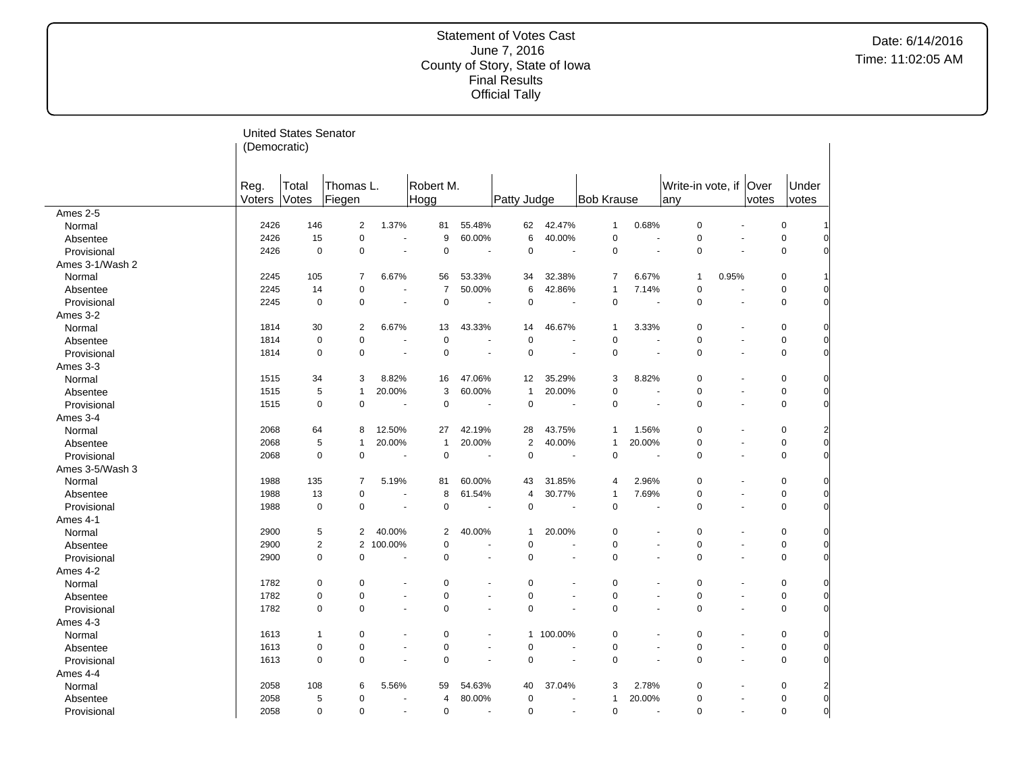|                 |                | <b>United States Senator</b> |                     |                      |                   |                          |                  |                          |                   |                          |                               |                          |       |                |                         |
|-----------------|----------------|------------------------------|---------------------|----------------------|-------------------|--------------------------|------------------|--------------------------|-------------------|--------------------------|-------------------------------|--------------------------|-------|----------------|-------------------------|
|                 | (Democratic)   |                              |                     |                      |                   |                          |                  |                          |                   |                          |                               |                          |       |                |                         |
|                 |                |                              |                     |                      |                   |                          |                  |                          |                   |                          |                               |                          |       |                |                         |
|                 | Reg.<br>Voters | Total<br>Votes               | Thomas L.<br>Fiegen |                      | Robert M.<br>Hogg |                          | Patty Judge      |                          | <b>Bob Krause</b> |                          | Write-in vote, if Over<br>any |                          | votes | Under<br>votes |                         |
| Ames 2-5        |                |                              |                     |                      |                   |                          |                  |                          |                   |                          |                               |                          |       |                |                         |
| Normal          | 2426           | 146                          | 2                   | 1.37%                | 81                | 55.48%                   | 62               | 42.47%                   | $\mathbf{1}$      | 0.68%                    | $\pmb{0}$                     | ä,                       |       | 0              |                         |
| Absentee        | 2426           | 15                           | $\pmb{0}$           | ÷                    | 9                 | 60.00%                   | 6                | 40.00%                   | 0                 | ÷.                       | $\pmb{0}$                     | ÷.                       |       | 0              |                         |
| Provisional     | 2426           | $\mathbf 0$                  | $\pmb{0}$           | $\sim$               | $\mathbf 0$       | ÷,                       | $\mathbf 0$      | ÷,                       | $\pmb{0}$         | ÷.                       | $\pmb{0}$                     | $\sim$                   |       | 0              |                         |
| Ames 3-1/Wash 2 |                |                              |                     |                      |                   |                          |                  |                          |                   |                          |                               |                          |       |                |                         |
| Normal          | 2245           | 105                          | $\overline{7}$      | 6.67%                | 56                | 53.33%                   | 34               | 32.38%                   | 7                 | 6.67%                    | $\mathbf{1}$                  | 0.95%                    |       | 0              |                         |
| Absentee        | 2245           | 14                           | $\mathbf 0$         | ÷,                   | $\overline{7}$    | 50.00%                   | 6                | 42.86%                   | $\mathbf{1}$      | 7.14%                    | $\pmb{0}$                     | ä,                       |       | 0              | 0                       |
| Provisional     | 2245           | $\mathbf 0$                  | $\pmb{0}$           |                      | $\mathbf 0$       |                          | $\mathbf 0$      |                          | $\mathbf 0$       |                          | $\pmb{0}$                     | ÷,                       |       | 0              | $\Omega$                |
| Ames 3-2        |                |                              |                     |                      |                   |                          |                  |                          |                   |                          |                               |                          |       |                |                         |
| Normal          | 1814           | 30                           | 2                   | 6.67%                | 13                | 43.33%                   | 14               | 46.67%                   | $\mathbf{1}$      | 3.33%                    | $\mathbf 0$                   | ä,                       |       | 0              |                         |
| Absentee        | 1814           | $\mathbf 0$                  | $\pmb{0}$           | ÷                    | $\pmb{0}$         | $\overline{\phantom{a}}$ | $\pmb{0}$        | $\overline{\phantom{a}}$ | 0                 | $\overline{\phantom{a}}$ | 0                             | $\ddot{\phantom{1}}$     |       | 0              | 0                       |
| Provisional     | 1814           | $\mathbf 0$                  | $\pmb{0}$           | ÷,                   | $\pmb{0}$         | $\overline{\phantom{a}}$ | $\mathbf 0$      | $\overline{\phantom{a}}$ | $\pmb{0}$         | $\overline{\phantom{a}}$ | $\pmb{0}$                     | $\overline{\phantom{a}}$ |       | 0              | $\overline{0}$          |
| Ames 3-3        |                |                              |                     |                      |                   |                          |                  |                          |                   |                          |                               |                          |       |                |                         |
| Normal          | 1515           | 34                           | 3                   | 8.82%                | 16                | 47.06%                   | 12               | 35.29%                   | 3                 | 8.82%                    | $\mathbf 0$                   | ä,                       |       | 0              | 0                       |
| Absentee        | 1515           | 5                            | $\mathbf{1}$        | 20.00%               | 3                 | 60.00%                   | $\mathbf{1}$     | 20.00%                   | 0                 | $\overline{\phantom{a}}$ | 0                             | $\blacksquare$           |       | 0              | $\overline{0}$          |
| Provisional     | 1515           | $\mathbf 0$                  | $\pmb{0}$           |                      | $\pmb{0}$         | ÷,                       | $\mathbf 0$      |                          | $\pmb{0}$         |                          | $\pmb{0}$                     | ÷,                       |       | 0              | $\Omega$                |
| Ames 3-4        |                |                              |                     |                      |                   |                          |                  |                          |                   |                          |                               |                          |       |                |                         |
| Normal          | 2068           | 64                           | 8                   | 12.50%               | 27                | 42.19%                   | 28               | 43.75%                   | 1                 | 1.56%                    | $\mathbf 0$                   | ä,                       |       | 0              |                         |
| Absentee        | 2068           | 5                            | 1                   | 20.00%               | 1                 | 20.00%                   | $\boldsymbol{2}$ | 40.00%                   | $\mathbf{1}$      | 20.00%                   | 0                             | $\blacksquare$           |       | 0              | $\frac{2}{0}$           |
| Provisional     | 2068           | $\mathbf 0$                  | $\pmb{0}$           | ÷,                   | $\pmb{0}$         | ÷,                       | $\pmb{0}$        | ÷,                       | $\pmb{0}$         | ÷,                       | $\pmb{0}$                     | $\blacksquare$           |       | 0              | $\overline{0}$          |
| Ames 3-5/Wash 3 |                |                              |                     |                      |                   |                          |                  |                          |                   |                          |                               |                          |       |                |                         |
| Normal          | 1988           | 135                          | 7                   | 5.19%                | 81                | 60.00%                   | 43               | 31.85%                   | 4                 | 2.96%                    | $\mathbf 0$                   | $\blacksquare$           |       | 0              | 0                       |
| Absentee        | 1988           | 13                           | $\pmb{0}$           | ٠.                   | 8                 | 61.54%                   | $\overline{4}$   | 30.77%                   | 1                 | 7.69%                    | $\pmb{0}$                     | $\overline{\phantom{a}}$ |       | 0              | $\overline{0}$          |
| Provisional     | 1988           | $\mathbf 0$                  | $\pmb{0}$           | ä,                   | $\mathbf 0$       |                          | $\pmb{0}$        | ÷,                       | $\pmb{0}$         |                          | $\pmb{0}$                     | ä,                       |       | 0              | $\Omega$                |
| Ames 4-1        |                |                              |                     |                      |                   |                          |                  |                          |                   |                          |                               |                          |       |                |                         |
| Normal          | 2900           | 5                            | 2                   | 40.00%               | 2                 | 40.00%                   | 1                | 20.00%                   | $\mathbf 0$       | ä,                       | $\mathbf 0$                   | ä,                       |       | 0              | 0                       |
| Absentee        | 2900           | $\overline{2}$               | $\overline{2}$      | 100.00%              | $\mathbf 0$       | ÷,                       | $\mathbf 0$      | ÷,                       | $\pmb{0}$         | $\sim$                   | $\pmb{0}$                     | $\sim$                   |       | 0              | $\overline{0}$          |
| Provisional     | 2900           | $\mathbf 0$                  | $\mathbf 0$         | ÷,                   | $\pmb{0}$         | ÷,                       | $\mathbf 0$      | $\overline{\phantom{a}}$ | $\pmb{0}$         | ÷,                       | $\pmb{0}$                     | $\overline{\phantom{a}}$ |       | 0              | $\Omega$                |
| Ames 4-2        |                |                              |                     |                      |                   |                          |                  |                          |                   |                          |                               |                          |       |                |                         |
| Normal          | 1782           | $\mathbf 0$                  | $\mathbf 0$         |                      | $\mathbf 0$       | $\blacksquare$           | $\mathbf 0$      | ä,                       | $\mathbf 0$       | ä,                       | $\mathbf 0$                   | $\blacksquare$           |       | 0              | 0                       |
| Absentee        | 1782           | $\mathbf 0$                  | $\mathbf 0$         | $\blacksquare$       | $\mathbf 0$       | $\blacksquare$           | $\mathbf 0$      | $\overline{a}$           | $\pmb{0}$         | $\blacksquare$           | $\pmb{0}$                     | $\blacksquare$           |       | 0              | $\overline{0}$          |
| Provisional     | 1782           | $\mathbf 0$                  | $\mathbf 0$         | $\ddot{\phantom{1}}$ | $\mathbf 0$       | ÷.                       | $\mathbf 0$      | ÷                        | $\mathbf 0$       | L.                       | $\mathbf 0$                   | ÷.                       |       | 0              | $\Omega$                |
| Ames 4-3        |                |                              |                     |                      |                   |                          |                  |                          |                   |                          |                               |                          |       |                |                         |
| Normal          | 1613           | 1                            | $\mathbf 0$         | ÷                    | $\mathbf 0$       | ٠                        |                  | 1 100.00%                | $\pmb{0}$         | ä,                       | $\mathbf 0$                   | ä,                       |       | 0              |                         |
| Absentee        | 1613           | $\mathbf 0$                  | $\mathbf 0$         | $\blacksquare$       | $\mathbf 0$       | $\blacksquare$           | $\mathbf 0$      | $\overline{a}$           | $\pmb{0}$         | $\blacksquare$           | $\pmb{0}$                     | ÷,                       |       | 0              | $\overline{0}$          |
| Provisional     | 1613           | $\mathbf 0$                  | $\mathbf 0$         | $\sim$               | $\mathbf 0$       | $\sim$                   | $\mathbf 0$      | $\sim$                   | $\mathbf 0$       | ÷.                       | $\mathbf 0$                   | $\sim$                   |       | 0              | $\Omega$                |
| Ames 4-4        |                |                              |                     |                      |                   |                          |                  |                          |                   |                          |                               |                          |       |                |                         |
| Normal          | 2058           | 108                          | 6                   | 5.56%                | 59                | 54.63%                   | 40               | 37.04%                   | 3                 | 2.78%                    | 0                             | $\overline{\phantom{a}}$ |       | 0              | $\overline{\mathbf{c}}$ |
| Absentee        | 2058           | 5                            | $\mathbf 0$         | $\blacksquare$       | 4                 | 80.00%                   | $\mathbf 0$      | $\blacksquare$           | 1                 | 20.00%                   | $\mathbf 0$                   | $\blacksquare$           |       | 0              | $\mathbf{0}$            |
| Provisional     | 2058           | $\Omega$                     | $\Omega$            | ÷.                   | $\mathbf 0$       | ÷.                       | $\Omega$         | ÷.                       | $\Omega$          | ÷.                       | $\Omega$                      | $\sim$                   |       | $\Omega$       | $\overline{0}$          |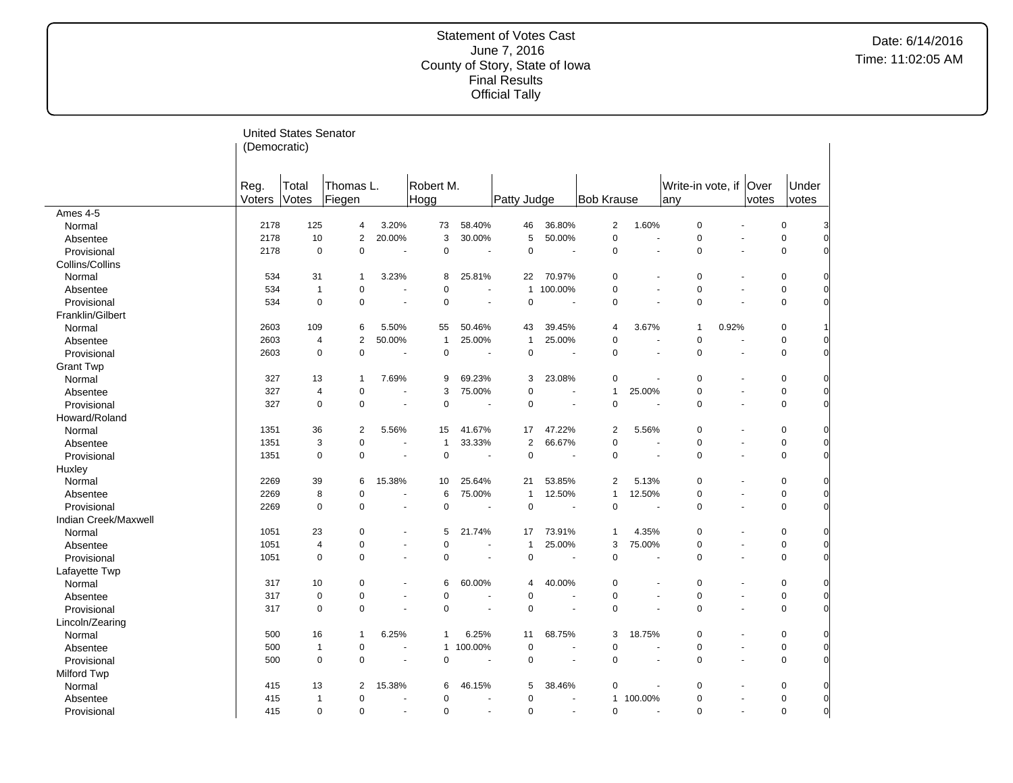|                      |              | <b>United States Senator</b> |                |                          |                |                      |                |                      |                   |                      |                   |                          |       |             |                |
|----------------------|--------------|------------------------------|----------------|--------------------------|----------------|----------------------|----------------|----------------------|-------------------|----------------------|-------------------|--------------------------|-------|-------------|----------------|
|                      | (Democratic) |                              |                |                          |                |                      |                |                      |                   |                      |                   |                          |       |             |                |
|                      |              |                              |                |                          |                |                      |                |                      |                   |                      |                   |                          |       |             |                |
|                      |              |                              |                |                          |                |                      |                |                      |                   |                      |                   |                          |       |             |                |
|                      | Reg.         | Total                        | Thomas L.      |                          | Robert M.      |                      |                |                      |                   |                      | Write-in vote, if |                          | Over  | Under       |                |
|                      | Voters       | Votes                        | Fiegen         |                          | Hogg           |                      | Patty Judge    |                      | <b>Bob Krause</b> |                      | any               |                          | votes | votes       |                |
| Ames 4-5             |              |                              |                |                          |                |                      |                |                      |                   |                      |                   |                          |       |             |                |
| Normal               | 2178         | 125                          | 4              | 3.20%                    | 73             | 58.40%               | 46             | 36.80%               | $\overline{c}$    | 1.60%                | $\pmb{0}$         |                          |       | $\pmb{0}$   |                |
| Absentee             | 2178         | 10                           | $\overline{2}$ | 20.00%                   | 3              | 30.00%               | 5              | 50.00%               | $\mathbf 0$       | $\ddot{\phantom{1}}$ | $\mathbf 0$       |                          |       | $\mathbf 0$ | $\Omega$       |
| Provisional          | 2178         | $\mathbf 0$                  | $\mathbf 0$    | $\overline{\phantom{a}}$ | $\mathbf 0$    | $\sim$               | $\mathbf 0$    | ÷,                   | $\mathbf 0$       | ÷,                   | $\pmb{0}$         | $\overline{\phantom{a}}$ |       | $\pmb{0}$   |                |
| Collins/Collins      |              |                              |                |                          |                |                      |                |                      |                   |                      |                   |                          |       |             |                |
| Normal               | 534          | 31                           | $\overline{1}$ | 3.23%                    | 8              | 25.81%               | 22             | 70.97%               | $\mathbf 0$       |                      | $\pmb{0}$         |                          |       | $\pmb{0}$   |                |
| Absentee             | 534          | $\overline{1}$               | $\mathbf 0$    | $\overline{a}$           | $\mathbf 0$    | ÷.                   | $\mathbf{1}$   | 100.00%              | $\mathbf 0$       | $\overline{a}$       | $\mathbf 0$       |                          |       | $\mathbf 0$ | 0              |
| Provisional          | 534          | $\mathbf 0$                  | $\mathbf 0$    |                          | $\mathbf 0$    |                      | $\mathbf 0$    |                      | $\mathbf 0$       |                      | $\mathbf 0$       |                          |       | $\pmb{0}$   | <sub>0</sub>   |
| Franklin/Gilbert     |              |                              |                |                          |                |                      |                |                      |                   |                      |                   |                          |       |             |                |
| Normal               | 2603         | 109                          | 6              | 5.50%                    | 55             | 50.46%               | 43             | 39.45%               | 4                 | 3.67%                | 1                 | 0.92%                    |       | $\pmb{0}$   |                |
| Absentee             | 2603         | $\overline{4}$               | $\overline{2}$ | 50.00%                   | $\mathbf{1}$   | 25.00%               | $\mathbf{1}$   | 25.00%               | $\mathbf 0$       |                      | $\mathbf 0$       |                          |       | 0           |                |
| Provisional          | 2603         | $\mathbf 0$                  | $\mathbf 0$    |                          | $\mathbf 0$    | ÷,                   | $\mathbf 0$    | ÷,                   | $\mathbf 0$       | ÷,                   | $\mathbf 0$       | $\sim$                   |       | 0           | <sub>0</sub>   |
| <b>Grant Twp</b>     |              |                              |                |                          |                |                      |                |                      |                   |                      |                   |                          |       |             |                |
| Normal               | 327          | 13                           | $\overline{1}$ | 7.69%                    | 9              | 69.23%               | 3              | 23.08%               | $\mathbf 0$       |                      | $\pmb{0}$         |                          |       | $\mathbf 0$ |                |
| Absentee             | 327          | $\overline{4}$               | $\mathbf 0$    | ÷.                       | 3              | 75.00%               | 0              | ÷.                   | $\mathbf{1}$      | 25.00%               | $\mathbf 0$       |                          |       | $\mathbf 0$ | $\Omega$       |
| Provisional          | 327          | $\mathbf 0$                  | $\mathbf 0$    |                          | $\mathbf 0$    |                      | 0              |                      | $\mathbf 0$       |                      | $\mathbf 0$       |                          |       | $\pmb{0}$   | U              |
| Howard/Roland        |              |                              |                |                          |                |                      |                |                      |                   |                      |                   |                          |       |             |                |
| Normal               | 1351         | 36                           | $\overline{c}$ | 5.56%                    | 15             | 41.67%               | 17             | 47.22%               | $\overline{2}$    | 5.56%                | $\pmb{0}$         |                          |       | $\mathbf 0$ | 0              |
| Absentee             | 1351         | 3                            | $\mathbf 0$    |                          | $\overline{1}$ | 33.33%               | $\overline{2}$ | 66.67%               | $\mathbf 0$       | ц.                   | $\mathbf 0$       |                          |       | 0           | $\Omega$       |
| Provisional          | 1351         | $\mathbf 0$                  | $\mathbf 0$    | $\sim$                   | $\mathbf 0$    | $\sim$               | $\mathbf 0$    | ÷,                   | $\mathbf 0$       | $\sim$               | 0                 | $\overline{\phantom{a}}$ |       | $\pmb{0}$   | O              |
| Huxley               |              |                              |                |                          |                |                      |                |                      |                   |                      |                   |                          |       |             |                |
| Normal               | 2269         | 39                           | 6              | 15.38%                   | 10             | 25.64%               | 21             | 53.85%               | $\overline{2}$    | 5.13%                | 0                 |                          |       | $\mathbf 0$ |                |
| Absentee             | 2269         | 8                            | $\mathbf 0$    | ÷,                       | 6              | 75.00%               | $\mathbf{1}$   | 12.50%               | $\mathbf{1}$      | 12.50%               | $\mathbf 0$       |                          |       | $\mathbf 0$ | $\Omega$       |
| Provisional          | 2269         | $\mathbf 0$                  | $\mathbf 0$    |                          | $\mathbf 0$    | ÷                    | $\mathbf 0$    |                      | $\mathbf 0$       |                      | $\mathbf 0$       |                          |       | $\mathbf 0$ | O              |
| Indian Creek/Maxwell |              |                              |                |                          |                |                      |                |                      |                   |                      |                   |                          |       |             |                |
| Normal               | 1051         | 23                           | $\mathbf 0$    |                          | 5              | 21.74%               | 17             | 73.91%               | $\mathbf{1}$      | 4.35%                | $\pmb{0}$         |                          |       | $\pmb{0}$   |                |
| Absentee             | 1051         | $\overline{4}$               | $\mathbf 0$    | ÷.                       | $\Omega$       | ÷.                   | $\mathbf{1}$   | 25.00%               | 3                 | 75.00%               | 0                 |                          |       | $\mathbf 0$ | $\Omega$       |
| Provisional          | 1051         | $\mathbf 0$                  | $\mathbf 0$    | $\overline{a}$           | $\mathbf 0$    | $\sim$               | $\mathbf 0$    | ÷,                   | $\mathbf 0$       | ÷,                   | $\mathbf 0$       | $\overline{\phantom{a}}$ |       | $\mathbf 0$ | O              |
| Lafayette Twp        |              |                              |                |                          |                |                      |                |                      |                   |                      |                   |                          |       |             |                |
| Normal               | 317          | 10                           | $\pmb{0}$      |                          | 6              | 60.00%               | 4              | 40.00%               | $\mathbf 0$       |                      | $\pmb{0}$         |                          |       | $\mathbf 0$ |                |
| Absentee             | 317          | $\mathbf 0$                  | $\pmb{0}$      | $\blacksquare$           | $\mathbf 0$    |                      | $\mathbf 0$    | $\blacksquare$       | $\mathbf 0$       | $\blacksquare$       | $\mathbf 0$       |                          |       | $\mathbf 0$ | $\Omega$       |
| Provisional          | 317          | $\mathbf 0$                  | $\mathbf 0$    |                          | $\mathbf 0$    | ÷.                   | $\mathbf 0$    |                      | $\mathbf 0$       |                      | $\mathbf 0$       |                          |       | $\mathbf 0$ |                |
| Lincoln/Zearing      |              |                              |                |                          |                |                      |                |                      |                   |                      |                   |                          |       |             |                |
| Normal               | 500          | 16                           | $\overline{1}$ | 6.25%                    | 1              | 6.25%                | 11             | 68.75%               | 3                 | 18.75%               | $\pmb{0}$         |                          |       | $\pmb{0}$   |                |
| Absentee             | 500          | $\overline{1}$               | $\pmb{0}$      |                          | $\mathbf 1$    | 100.00%              | $\Omega$       |                      | $\Omega$          |                      | 0                 |                          |       | $\pmb{0}$   | $\Omega$       |
| Provisional          | 500          | $\mathbf 0$                  | $\mathbf 0$    | $\sim$                   | $\mathbf 0$    | ٠.                   | $\mathbf 0$    | $\sim$               | $\mathbf 0$       | $\sim$               | $\mathbf 0$       | $\overline{\phantom{a}}$ |       | 0           |                |
| <b>Milford Twp</b>   |              |                              |                |                          |                |                      |                |                      |                   |                      |                   |                          |       |             |                |
| Normal               | 415          | 13                           | $\overline{2}$ | 15.38%                   | 6              | 46.15%               | 5              | 38.46%               | $\mathbf 0$       |                      | $\pmb{0}$         |                          |       | $\pmb{0}$   |                |
| Absentee             | 415          | $\overline{1}$               | $\mathbf 0$    |                          | $\mathbf 0$    |                      | $\mathbf 0$    |                      | 1                 | 100.00%              | $\pmb{0}$         |                          |       | $\pmb{0}$   | $\overline{0}$ |
| Provisional          | 415          | $\Omega$                     | $\Omega$       | $\ddot{\phantom{1}}$     | $\Omega$       | $\ddot{\phantom{1}}$ | $\Omega$       | $\ddot{\phantom{1}}$ | $\mathbf 0$       | $\ddot{\phantom{1}}$ | $\mathbf 0$       | $\sim$                   |       | 0           | $\overline{0}$ |

 $\overline{a}$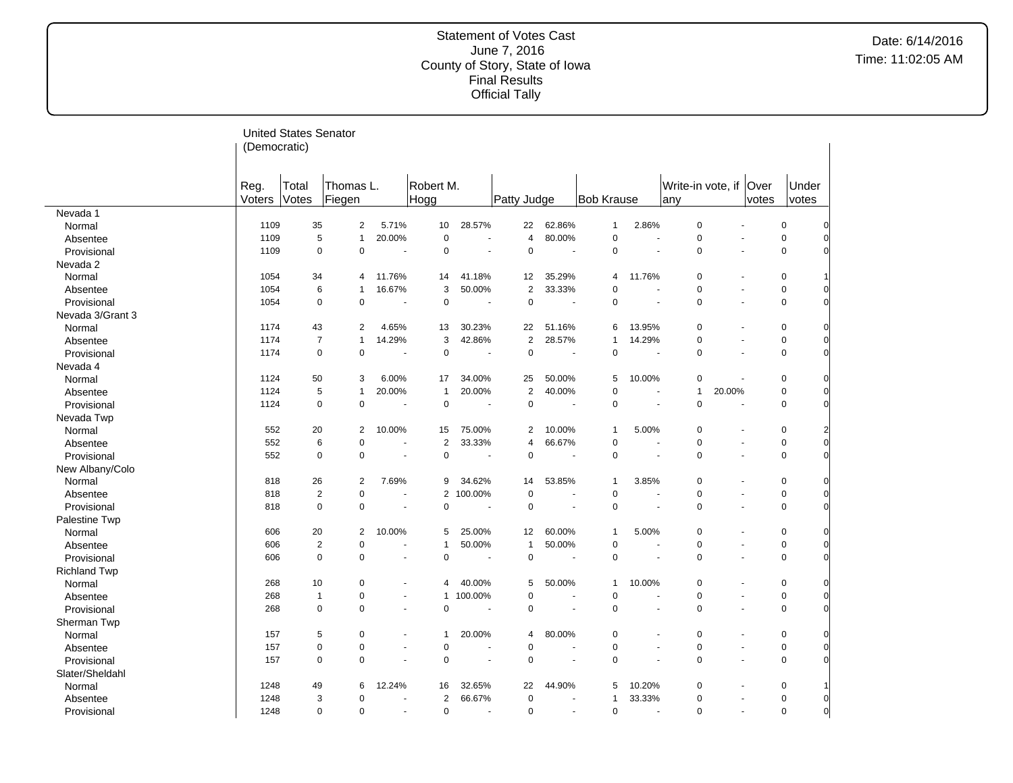|                     |                | <b>United States Senator</b> |                     |                          |                   |                          |                |                      |                   |                          |                          |                          |               |                |                |
|---------------------|----------------|------------------------------|---------------------|--------------------------|-------------------|--------------------------|----------------|----------------------|-------------------|--------------------------|--------------------------|--------------------------|---------------|----------------|----------------|
|                     | (Democratic)   |                              |                     |                          |                   |                          |                |                      |                   |                          |                          |                          |               |                |                |
|                     |                |                              |                     |                          |                   |                          |                |                      |                   |                          |                          |                          |               |                |                |
|                     | Reg.<br>Voters | Total<br>Votes               | Thomas L.<br>Fiegen |                          | Robert M.<br>Hogg |                          | Patty Judge    |                      | <b>Bob Krause</b> |                          | Write-in vote, if<br>any |                          | Over<br>votes | Under<br>votes |                |
| Nevada 1            |                |                              |                     |                          |                   |                          |                |                      |                   |                          |                          |                          |               |                |                |
| Normal              | 1109           | 35                           | 2                   | 5.71%                    | 10                | 28.57%                   | 22             | 62.86%               | 1                 | 2.86%                    | $\pmb{0}$                | ÷.                       |               | $\pmb{0}$      | 0              |
| Absentee            | 1109           | 5                            | $\mathbf{1}$        | 20.00%                   | $\mathbf 0$       |                          | $\overline{4}$ | 80.00%               | $\mathbf 0$       |                          | $\mathbf 0$              |                          |               | $\pmb{0}$      | 0              |
| Provisional         | 1109           | $\mathbf 0$                  | 0                   | $\ddot{\phantom{1}}$     | $\mathbf 0$       | ÷.                       | $\mathbf 0$    | $\blacksquare$       | $\mathbf 0$       | ÷.                       | $\mathbf 0$              | $\overline{\phantom{a}}$ |               | $\pmb{0}$      | $\overline{0}$ |
| Nevada 2            |                |                              |                     |                          |                   |                          |                |                      |                   |                          |                          |                          |               |                |                |
| Normal              | 1054           | 34                           | 4                   | 11.76%                   | 14                | 41.18%                   | 12             | 35.29%               | 4                 | 11.76%                   | $\pmb{0}$                | $\blacksquare$           |               | $\pmb{0}$      |                |
| Absentee            | 1054           | 6                            | 1                   | 16.67%                   | 3                 | 50.00%                   | $\overline{2}$ | 33.33%               | $\Omega$          |                          | $\pmb{0}$                | $\overline{\phantom{a}}$ |               | $\mathbf 0$    | $\overline{0}$ |
| Provisional         | 1054           | $\mathbf 0$                  | 0                   |                          | $\mathbf 0$       |                          | $\mathbf 0$    |                      | 0                 |                          | $\pmb{0}$                | ÷.                       |               | $\pmb{0}$      | $\overline{0}$ |
| Nevada 3/Grant 3    |                |                              |                     |                          |                   |                          |                |                      |                   |                          |                          |                          |               |                |                |
| Normal              | 1174           | 43                           | 2                   | 4.65%                    | 13                | 30.23%                   | 22             | 51.16%               | 6                 | 13.95%                   | $\pmb{0}$                | $\blacksquare$           |               | $\pmb{0}$      | 0              |
| Absentee            | 1174           | $\overline{7}$               | $\mathbf{1}$        | 14.29%                   | 3                 | 42.86%                   | $\overline{2}$ | 28.57%               | 1                 | 14.29%                   | $\mathbf 0$              | ÷.                       |               | $\pmb{0}$      | $\overline{0}$ |
| Provisional         | 1174           | $\mathbf 0$                  | $\mathbf 0$         |                          | $\mathbf 0$       |                          | $\mathbf 0$    |                      | $\mathbf 0$       |                          | $\mathbf 0$              | $\overline{\phantom{a}}$ |               | $\pmb{0}$      | $\overline{0}$ |
| Nevada 4            |                |                              |                     |                          |                   |                          |                |                      |                   |                          |                          |                          |               |                |                |
| Normal              | 1124           | 50                           | 3                   | 6.00%                    | 17                | 34.00%                   | 25             | 50.00%               | 5                 | 10.00%                   | 0                        |                          |               | $\pmb{0}$      | $\overline{0}$ |
| Absentee            | 1124           | 5                            | $\mathbf{1}$        | 20.00%                   | $\mathbf{1}$      | 20.00%                   | $\overline{2}$ | 40.00%               | $\mathbf 0$       | ÷.                       | $\mathbf{1}$             | 20.00%                   |               | $\mathbf 0$    | $\overline{0}$ |
| Provisional         | 1124           | $\mathbf 0$                  | $\mathbf 0$         |                          | $\mathbf 0$       |                          | $\mathbf 0$    |                      | $\mathbf 0$       |                          | $\mathbf 0$              | ä,                       |               | $\pmb{0}$      | $\overline{0}$ |
| Nevada Twp          |                |                              |                     |                          |                   |                          |                |                      |                   |                          |                          |                          |               |                |                |
| Normal              | 552            | 20                           | 2                   | 10.00%                   | 15                | 75.00%                   | 2              | 10.00%               | 1                 | 5.00%                    | $\pmb{0}$                | $\overline{\phantom{a}}$ |               | $\pmb{0}$      | $\overline{a}$ |
| Absentee            | 552            | 6                            | 0                   | ÷.                       | $\overline{2}$    | 33.33%                   | $\overline{4}$ | 66.67%               | $\mathbf 0$       | ÷.                       | $\mathbf 0$              | $\overline{\phantom{a}}$ |               | $\mathbf 0$    | $\mathbf{0}$   |
| Provisional         | 552            | $\mathbf 0$                  | $\mathbf 0$         | $\overline{\phantom{a}}$ | $\mathbf 0$       | ÷,                       | $\mathbf 0$    |                      | $\mathbf 0$       | ÷,                       | $\pmb{0}$                | $\sim$                   |               | $\pmb{0}$      | $\overline{0}$ |
| New Albany/Colo     |                |                              |                     |                          |                   |                          |                |                      |                   |                          |                          |                          |               |                |                |
| Normal              | 818            | 26                           | 2                   | 7.69%                    | 9                 | 34.62%                   | 14             | 53.85%               | 1                 | 3.85%                    | $\pmb{0}$                | $\overline{\phantom{a}}$ |               | $\mathbf 0$    | $\overline{0}$ |
| Absentee            | 818            | $\overline{2}$               | 0                   | $\ddot{\phantom{1}}$     | $\overline{2}$    | 100.00%                  | $\mathbf 0$    | $\ddot{\phantom{1}}$ | $\mathbf 0$       | ÷.                       | $\mathbf 0$              | $\blacksquare$           |               | $\mathbf 0$    | $\overline{0}$ |
| Provisional         | 818            | $\mathbf 0$                  | $\mathbf 0$         |                          | $\mathbf 0$       |                          | $\mathbf 0$    |                      | $\mathbf 0$       |                          | $\mathbf 0$              | ä,                       |               | $\mathbf 0$    | $\overline{0}$ |
| Palestine Twp       |                |                              |                     |                          |                   |                          |                |                      |                   |                          |                          |                          |               |                |                |
| Normal              | 606            | 20                           | $\overline{2}$      | 10.00%                   | 5                 | 25.00%                   | 12             | 60.00%               | 1                 | 5.00%                    | $\mathbf 0$              | ÷,                       |               | $\mathbf 0$    | 0              |
| Absentee            | 606            | $\overline{2}$               | 0                   | $\ddot{\phantom{1}}$     | $\mathbf{1}$      | 50.00%                   | $\mathbf{1}$   | 50.00%               | $\pmb{0}$         | ÷.                       | $\mathbf 0$              | $\ddot{\phantom{1}}$     |               | $\pmb{0}$      | 0              |
| Provisional         | 606            | $\mathbf 0$                  | 0                   | ä,                       | $\mathbf 0$       |                          | $\mathbf 0$    |                      | $\mathbf 0$       | ÷,                       | $\mathbf 0$              | $\sim$                   |               | $\mathbf 0$    | $\overline{0}$ |
| <b>Richland Twp</b> |                |                              |                     |                          |                   |                          |                |                      |                   |                          |                          |                          |               |                |                |
| Normal              | 268            | 10                           | 0                   | ä,                       | 4                 | 40.00%                   | 5              | 50.00%               | $\mathbf{1}$      | 10.00%                   | $\mathbf 0$              |                          |               | $\mathbf 0$    | 0              |
| Absentee            | 268            | $\mathbf{1}$                 | 0                   | $\blacksquare$           | $\mathbf{1}$      | 100.00%                  | $\mathbf 0$    | ÷.                   | $\mathbf 0$       | ÷.                       | $\pmb{0}$                | $\blacksquare$           |               | $\mathbf 0$    | $\mathbf 0$    |
| Provisional         | 268            | $\mathbf 0$                  | 0                   | $\ddot{\phantom{1}}$     | 0                 | ÷.                       | $\mathbf 0$    | ÷.                   | $\mathbf 0$       | ÷.                       | $\mathbf 0$              | ÷.                       |               | $\mathbf 0$    | $\Omega$       |
| Sherman Twp         |                |                              |                     |                          |                   |                          |                |                      |                   |                          |                          |                          |               |                |                |
| Normal              | 157            | 5                            | 0                   | ä,                       | $\mathbf{1}$      | 20.00%                   | 4              | 80.00%               | $\mathbf 0$       |                          | $\mathbf 0$              | ÷,                       |               | $\mathbf 0$    | $\overline{0}$ |
| Absentee            | 157            | $\mathbf 0$                  | 0                   | $\ddot{\phantom{1}}$     | 0                 | ÷                        | $\mathbf 0$    | ÷                    | $\mathbf 0$       | $\overline{\phantom{a}}$ | $\mathbf 0$              | $\overline{\phantom{a}}$ |               | $\pmb{0}$      | $\overline{0}$ |
| Provisional         | 157            | $\mathbf 0$                  | 0                   | $\overline{\phantom{a}}$ | $\mathbf 0$       | $\overline{\phantom{a}}$ | $\mathbf 0$    | $\sim$               | $\mathbf 0$       | $\sim$                   | $\mathbf 0$              | $\sim$                   |               | $\mathbf 0$    | $\overline{0}$ |
| Slater/Sheldahl     |                |                              |                     |                          |                   |                          |                |                      |                   |                          |                          |                          |               |                |                |
| Normal              | 1248           | 49                           | 6                   | 12.24%                   | 16                | 32.65%                   | 22             | 44.90%               | 5                 | 10.20%                   | 0                        | $\overline{a}$           |               | $\pmb{0}$      |                |
| Absentee            | 1248           | 3                            | 0                   | $\blacksquare$           | 2                 | 66.67%                   | $\mathbf 0$    | $\blacksquare$       | $\mathbf{1}$      | 33.33%                   | $\mathbf 0$              | $\blacksquare$           |               | $\mathbf 0$    | 0              |
| Provisional         | 1248           | $\Omega$                     | $\Omega$            | ÷                        | $\mathbf 0$       | ÷.                       | $\Omega$       | ÷                    | $\Omega$          | ÷.                       | $\Omega$                 | ÷.                       |               | $\Omega$       | $\overline{0}$ |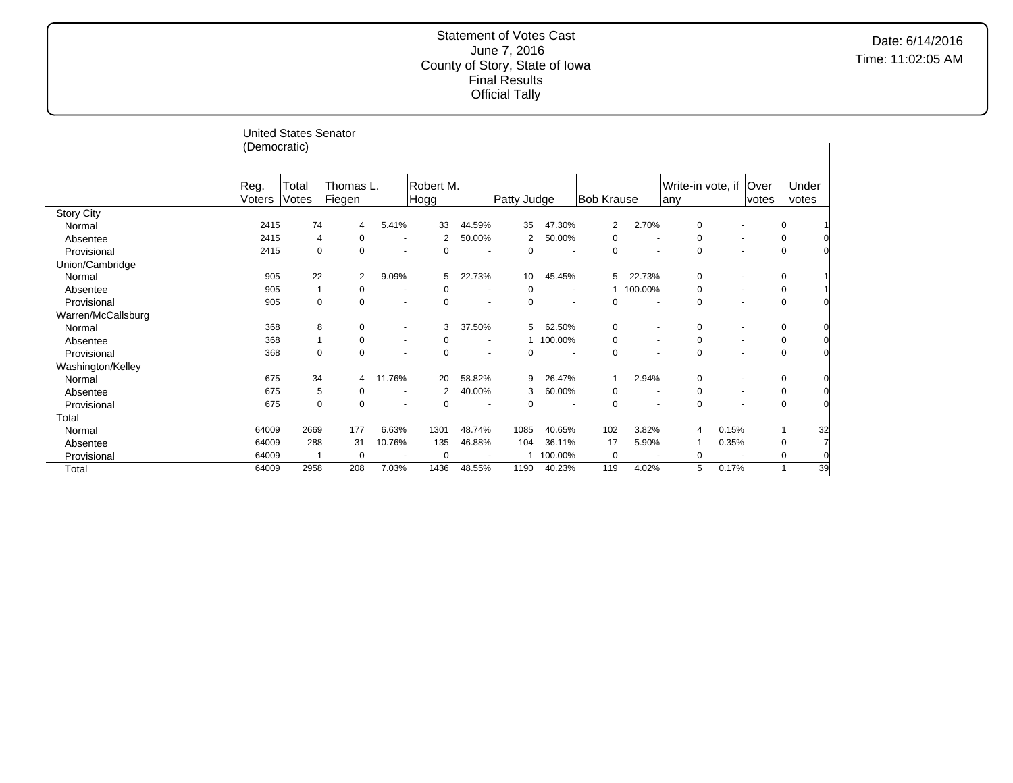|                    | (Democratic)   | <b>United States Senator</b> |                     |                          |                   |                          |             |                          |             |                          |                                  |                          |       |                |    |
|--------------------|----------------|------------------------------|---------------------|--------------------------|-------------------|--------------------------|-------------|--------------------------|-------------|--------------------------|----------------------------------|--------------------------|-------|----------------|----|
|                    |                |                              |                     |                          |                   |                          |             |                          |             |                          |                                  |                          |       |                |    |
|                    | Reg.<br>Voters | Total<br>Votes               | Thomas L.<br>Fiegen |                          | Robert M.<br>Hogg |                          | Patty Judge |                          | Bob Krause  |                          | Write-in vote, if   Over<br>lany |                          | votes | Under<br>votes |    |
| <b>Story City</b>  |                |                              |                     |                          |                   |                          |             |                          |             |                          |                                  |                          |       |                |    |
| Normal             | 2415           | 74                           | 4                   | 5.41%                    | 33                | 44.59%                   | 35          | 47.30%                   | 2           | 2.70%                    | 0                                | $\overline{\phantom{a}}$ |       | 0              |    |
| Absentee           | 2415           | 4                            | $\mathbf 0$         | $\blacksquare$           | 2                 | 50.00%                   | 2           | 50.00%                   | 0           | $\blacksquare$           | 0                                | $\overline{\phantom{a}}$ |       | 0              |    |
| Provisional        | 2415           | $\Omega$                     | $\Omega$            | $\overline{\phantom{a}}$ | 0                 |                          | 0           |                          | 0           |                          | 0                                | $\overline{\phantom{a}}$ |       | $\mathbf 0$    |    |
| Union/Cambridge    |                |                              |                     |                          |                   |                          |             |                          |             |                          |                                  |                          |       |                |    |
| Normal             | 905            | 22                           | 2                   | 9.09%                    | 5                 | 22.73%                   | 10          | 45.45%                   | 5           | 22.73%                   | 0                                | $\overline{\phantom{a}}$ |       | 0              |    |
| Absentee           | 905            | 1                            | 0                   | $\overline{\phantom{a}}$ | 0                 | $\overline{\phantom{a}}$ | 0           |                          |             | 100.00%                  | 0                                | $\overline{\phantom{a}}$ |       | 0              |    |
| Provisional        | 905            | 0                            | 0                   | $\blacksquare$           | 0                 | ٠                        | 0           |                          | 0           | $\blacksquare$           | 0                                | $\overline{\phantom{a}}$ |       | $\mathbf 0$    |    |
| Warren/McCallsburg |                |                              |                     |                          |                   |                          |             |                          |             |                          |                                  |                          |       |                |    |
| Normal             | 368            | 8                            | 0                   | $\overline{\phantom{a}}$ | 3                 | 37.50%                   | 5           | 62.50%                   | 0           | $\overline{\phantom{a}}$ | 0                                | $\overline{\phantom{a}}$ |       | 0              |    |
| Absentee           | 368            | 1                            | 0                   | $\overline{\phantom{a}}$ |                   |                          |             | 1 100.00%                | 0           | $\blacksquare$           | 0                                | $\overline{\phantom{a}}$ |       | 0              |    |
| Provisional        | 368            | $\mathbf 0$                  | 0                   | $\overline{\phantom{a}}$ | 0                 |                          | $\mathbf 0$ | $\overline{\phantom{a}}$ | 0           |                          | $\mathbf 0$                      | $\overline{\phantom{a}}$ |       | $\mathbf 0$    |    |
| Washington/Kelley  |                |                              |                     |                          |                   |                          |             |                          |             |                          |                                  |                          |       |                |    |
| Normal             | 675            | 34                           | 4                   | 11.76%                   | 20                | 58.82%                   | 9           | 26.47%                   |             | 2.94%                    | 0                                | $\overline{\phantom{a}}$ |       | 0              |    |
| Absentee           | 675            | 5                            | 0                   | $\blacksquare$           | 2                 | 40.00%                   | 3           | 60.00%                   | 0           | $\blacksquare$           | 0                                | $\overline{\phantom{a}}$ |       | 0              |    |
| Provisional        | 675            | $\mathbf 0$                  | $\mathbf 0$         | $\blacksquare$           | 0                 | $\overline{\phantom{a}}$ | 0           | $\overline{\phantom{a}}$ | 0           | $\overline{\phantom{a}}$ | 0                                | $\overline{\phantom{a}}$ |       | $\mathbf 0$    |    |
| Total              |                |                              |                     |                          |                   |                          |             |                          |             |                          |                                  |                          |       |                |    |
| Normal             | 64009          | 2669                         | 177                 | 6.63%                    | 1301              | 48.74%                   | 1085        | 40.65%                   | 102         | 3.82%                    | 4                                | 0.15%                    |       |                | 32 |
| Absentee           | 64009          | 288                          | 31                  | 10.76%                   | 135               | 46.88%                   | 104         | 36.11%                   | 17          | 5.90%                    |                                  | 0.35%                    |       | 0              |    |
| Provisional        | 64009          | -1                           | $\Omega$            |                          | $\Omega$          |                          |             | 100.00%                  | $\mathbf 0$ |                          | 0                                |                          |       | 0              |    |
| Total              | 64009          | 2958                         | 208                 | 7.03%                    | 1436              | 48.55%                   | 1190        | 40.23%                   | 119         | 4.02%                    | 5                                | 0.17%                    |       |                | 39 |

 $\overline{a}$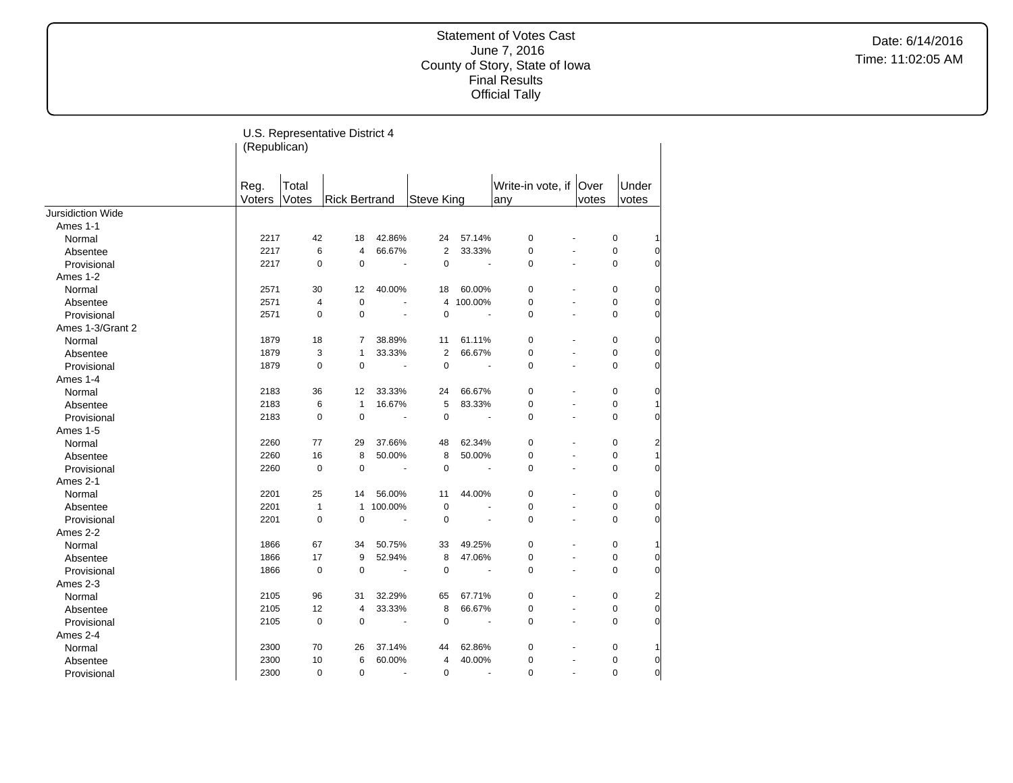Date: 6/14/2016 Time: 11:02:05 AM

|                   | (Republican)   |                | U.S. Representative District 4 |                       |                |                       |                                |       |             |                |
|-------------------|----------------|----------------|--------------------------------|-----------------------|----------------|-----------------------|--------------------------------|-------|-------------|----------------|
|                   | Reg.<br>Voters | Total<br>Votes | <b>Rick Bertrand</b>           |                       | Steve King     |                       | Write-in vote, if Over<br> any | votes |             | Under<br>votes |
| Jursidiction Wide |                |                |                                |                       |                |                       |                                |       |             |                |
| Ames 1-1          |                |                |                                |                       |                |                       |                                |       |             |                |
| Normal            | 2217           | 42             | 18                             | 42.86%                | 24             | 57.14%                | $\mathbf 0$                    |       | $\pmb{0}$   |                |
| Absentee          | 2217           | 6              | $\overline{4}$                 | 66.67%                | $\overline{2}$ | 33.33%                | 0                              | ÷,    | $\pmb{0}$   | 0              |
| Provisional       | 2217           | $\mathbf 0$    | $\mathbf 0$                    |                       | $\mathbf 0$    | $\tilde{\phantom{a}}$ | 0                              |       | $\mathbf 0$ | $\Omega$       |
| Ames 1-2          |                |                |                                |                       |                |                       |                                |       |             |                |
| Normal            | 2571           | 30             | 12                             | 40.00%                | 18             | 60.00%                | $\mathbf 0$                    |       | $\pmb{0}$   | 0              |
| Absentee          | 2571           | 4              | $\mathbf 0$                    |                       | $\overline{4}$ | 100.00%               | 0                              | Ĭ.    | 0           | $\overline{0}$ |
| Provisional       | 2571           | $\mathbf 0$    | 0                              |                       | $\mathbf 0$    |                       | 0                              | L.    | 0           | $\overline{0}$ |
| Ames 1-3/Grant 2  |                |                |                                |                       |                |                       |                                |       |             |                |
| Normal            | 1879           | 18             | 7                              | 38.89%                | 11             | 61.11%                | 0                              |       | 0           | 0              |
| Absentee          | 1879           | 3              | $\mathbf{1}$                   | 33.33%                | $\overline{2}$ | 66.67%                | 0                              |       | 0           | $\overline{0}$ |
| Provisional       | 1879           | $\mathbf 0$    | 0                              |                       | $\mathbf 0$    |                       | 0                              |       | 0           | $\Omega$       |
| Ames 1-4          |                |                |                                |                       |                |                       |                                |       |             |                |
| Normal            | 2183           | 36             | 12                             | 33.33%                | 24             | 66.67%                | 0                              |       | 0           | $\overline{0}$ |
| Absentee          | 2183           | 6              | $\mathbf{1}$                   | 16.67%                | 5              | 83.33%                | 0                              | ÷.    | 0           |                |
| Provisional       | 2183           | $\mathbf 0$    | $\mathbf 0$                    |                       | $\mathbf 0$    | ÷.                    | 0                              | L.    | 0           | $\overline{0}$ |
| Ames 1-5          |                |                |                                |                       |                |                       |                                |       |             |                |
| Normal            | 2260           | 77             | 29                             | 37.66%                | 48             | 62.34%                | 0                              |       | 0           | $\overline{2}$ |
| Absentee          | 2260           | 16             | 8                              | 50.00%                | 8              | 50.00%                | 0                              |       | 0           |                |
| Provisional       | 2260           | $\mathbf 0$    | $\mathbf 0$                    | $\tilde{\phantom{a}}$ | $\mathbf 0$    | $\sim$                | 0                              | ÷.    | $\mathbf 0$ | $\Omega$       |
| Ames 2-1          |                |                |                                |                       |                |                       |                                |       |             |                |
| Normal            | 2201           | 25             | 14                             | 56.00%                | 11             | 44.00%                | 0                              |       | 0           | $\overline{0}$ |
| Absentee          | 2201           | $\mathbf{1}$   | $\mathbf{1}$                   | 100.00%               | $\mathbf 0$    | ÷.                    | 0                              |       | 0           | $\overline{0}$ |
| Provisional       | 2201           | $\mathbf 0$    | 0                              | $\mathbf{r}$          | $\mathbf 0$    | $\tilde{\phantom{a}}$ | 0                              | Ĭ.    | 0           | $\Omega$       |
| Ames 2-2          |                |                |                                |                       |                |                       |                                |       |             |                |
| Normal            | 1866           | 67             | 34                             | 50.75%                | 33             | 49.25%                | 0                              |       | 0           |                |
| Absentee          | 1866           | 17             | 9                              | 52.94%                | 8              | 47.06%                | 0                              | ÷,    | $\pmb{0}$   | $\overline{0}$ |
| Provisional       | 1866           | $\mathbf 0$    | $\pmb{0}$                      | $\sim$                | $\mathbf 0$    | ÷,                    | 0                              | L.    | 0           | $\overline{0}$ |
| Ames 2-3          |                |                |                                |                       |                |                       |                                |       |             |                |
| Normal            | 2105           | 96             | 31                             | 32.29%                | 65             | 67.71%                | 0                              |       | 0           | $\overline{2}$ |
| Absentee          | 2105           | 12             | 4                              | 33.33%                | 8              | 66.67%                | 0                              | L.    | 0           | $\overline{0}$ |
| Provisional       | 2105           | $\mathbf 0$    | $\mathbf 0$                    | $\sim$                | $\mathbf 0$    | $\blacksquare$        | 0                              |       | 0           | $\Omega$       |
| Ames 2-4          |                |                |                                |                       |                |                       |                                |       |             |                |
| Normal            | 2300           | 70             | 26                             | 37.14%                | 44             | 62.86%                | 0                              |       | 0           |                |
| Absentee          | 2300           | 10             | 6                              | 60.00%                | $\overline{4}$ | 40.00%                | 0                              | ÷,    | 0           | $\overline{0}$ |
| Provisional       | 2300           | $\mathbf 0$    | 0                              | $\overline{a}$        | $\mathbf 0$    | ÷.                    | 0                              | ä,    | 0           | $\mathbf 0$    |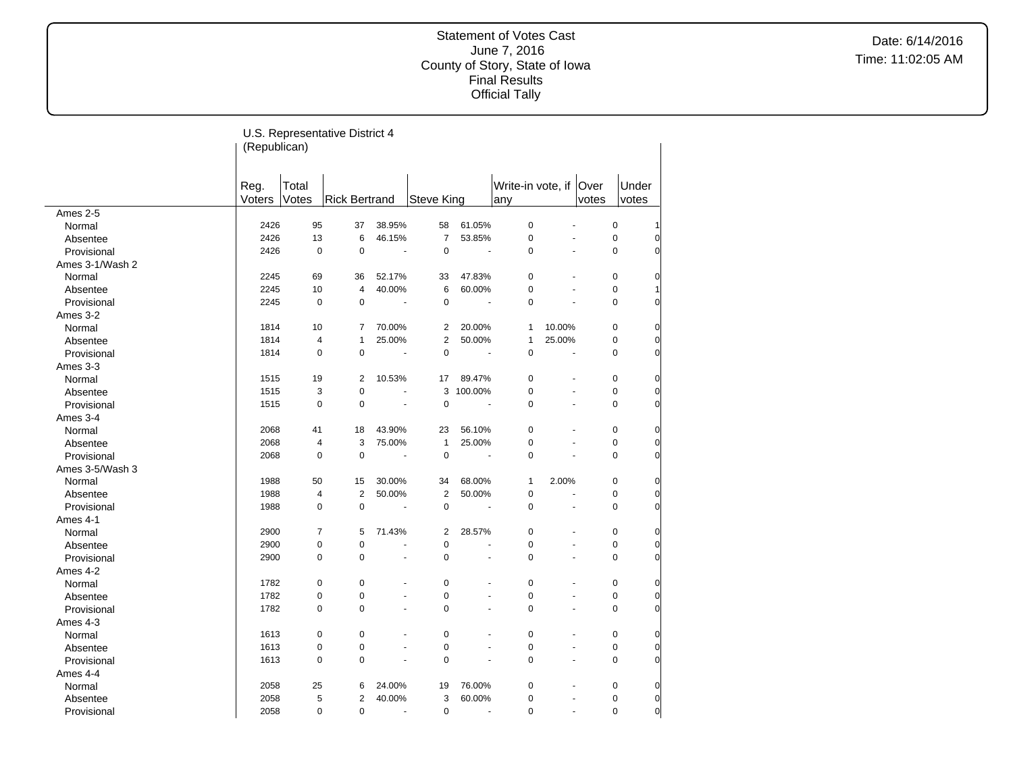|                 | (Republican)   |                | U.S. Representative District 4 |                      |                |                |                               |        |                |                |                |
|-----------------|----------------|----------------|--------------------------------|----------------------|----------------|----------------|-------------------------------|--------|----------------|----------------|----------------|
|                 | Reg.<br>Voters | Total<br>Votes | <b>Rick Bertrand</b>           |                      | Steve King     |                | Write-in vote, if Over<br>any |        | votes          | Under<br>votes |                |
| Ames 2-5        |                |                |                                |                      |                |                |                               |        |                |                |                |
| Normal          | 2426           | 95             | 37                             | 38.95%               | 58             | 61.05%         | $\mathbf 0$                   |        |                | 0              | 1              |
| Absentee        | 2426           | 13             | 6                              | 46.15%               | $\overline{7}$ | 53.85%         | $\mathbf 0$                   |        |                | $\pmb{0}$      | $\overline{0}$ |
| Provisional     | 2426           | $\pmb{0}$      | $\mathbf 0$                    | $\blacksquare$       | $\mathbf 0$    | $\overline{a}$ | $\mathbf 0$                   |        | ÷,             | 0              | $\overline{0}$ |
| Ames 3-1/Wash 2 |                |                |                                |                      |                |                |                               |        |                |                |                |
| Normal          | 2245           | 69             | 36                             | 52.17%               | 33             | 47.83%         | $\mathbf 0$                   |        |                | 0              | $\overline{0}$ |
| Absentee        | 2245           | 10             | $\overline{4}$                 | 40.00%               | 6              | 60.00%         | $\overline{0}$                |        | ä,             | 0              | 1              |
| Provisional     | 2245           | $\mathbf 0$    | $\mathbf 0$                    | $\sim$               | $\mathbf 0$    |                | $\mathbf 0$                   |        |                | 0              | 0              |
| Ames 3-2        |                |                |                                |                      |                |                |                               |        |                |                |                |
| Normal          | 1814           | 10             | 7                              | 70.00%               | $\overline{2}$ | 20.00%         | $\mathbf{1}$                  | 10.00% |                | 0              | $\overline{0}$ |
| Absentee        | 1814           | 4              | $\mathbf{1}$                   | 25.00%               | $\overline{2}$ | 50.00%         | $\mathbf{1}$                  | 25.00% |                | 0              | $\overline{0}$ |
| Provisional     | 1814           | $\mathbf 0$    | 0                              | $\blacksquare$       | $\overline{0}$ | ÷,             | $\mathbf 0$                   |        | $\overline{a}$ | $\Omega$       | $\overline{0}$ |
| Ames 3-3        |                |                |                                |                      |                |                |                               |        |                |                |                |
| Normal          | 1515           | 19             | 2                              | 10.53%               | 17             | 89.47%         | $\mathbf 0$                   |        |                | 0              | $\overline{0}$ |
| Absentee        | 1515           | 3              | $\pmb{0}$                      |                      | 3              | 100.00%        | $\pmb{0}$                     |        |                | 0              | $\overline{0}$ |
| Provisional     | 1515           | $\mathbf 0$    | $\mathbf 0$                    | $\blacksquare$       | $\mathbf 0$    | $\overline{a}$ | $\mathbf 0$                   |        | ÷.             | 0              | $\overline{0}$ |
| Ames 3-4        |                |                |                                |                      |                |                |                               |        |                |                |                |
| Normal          | 2068           | 41             | 18                             | 43.90%               | 23             | 56.10%         | $\pmb{0}$                     |        |                | 0              | $\overline{0}$ |
| Absentee        | 2068           | $\overline{4}$ | 3                              | 75.00%               | $\mathbf{1}$   | 25.00%         | $\mathbf 0$                   |        | ÷.             | 0              | $\overline{0}$ |
| Provisional     | 2068           | $\mathbf 0$    | $\mathbf 0$                    | $\blacksquare$       | $\mathbf 0$    |                | $\mathbf 0$                   |        |                | 0              | $\overline{0}$ |
| Ames 3-5/Wash 3 |                |                |                                |                      |                |                |                               |        |                |                |                |
| Normal          | 1988           | 50             | 15                             | 30.00%               | 34             | 68.00%         | $\mathbf{1}$                  | 2.00%  |                | 0              | $\overline{0}$ |
| Absentee        | 1988           | 4              | $\boldsymbol{2}$               | 50.00%               | $\overline{2}$ | 50.00%         | $\mathbf 0$                   |        | $\overline{a}$ | 0              | $\overline{0}$ |
| Provisional     | 1988           | $\pmb{0}$      | $\pmb{0}$                      | $\blacksquare$       | $\mathbf 0$    | $\blacksquare$ | $\mathbf 0$                   |        | ä,             | 0              | 0              |
| Ames 4-1        |                |                |                                |                      |                |                |                               |        |                |                |                |
| Normal          | 2900           | $\overline{7}$ | 5                              | 71.43%               | $\overline{2}$ | 28.57%         | $\pmb{0}$                     |        |                | 0              | $\overline{0}$ |
| Absentee        | 2900           | $\pmb{0}$      | $\pmb{0}$                      |                      | $\overline{0}$ |                | $\mathbf 0$                   |        | $\overline{a}$ | 0              | 0              |
| Provisional     | 2900           | $\mathbf 0$    | $\mathbf 0$                    | ÷,                   | $\Omega$       | L.             | $\Omega$                      |        |                | $\Omega$       | 0              |
| Ames 4-2        |                |                |                                |                      |                |                |                               |        |                |                |                |
| Normal          | 1782           | $\pmb{0}$      | $\pmb{0}$                      | ÷,                   | $\mathbf 0$    |                | $\pmb{0}$                     |        |                | 0              | $\overline{0}$ |
| Absentee        | 1782           | $\pmb{0}$      | $\pmb{0}$                      | $\ddot{\phantom{a}}$ | $\mathbf 0$    | L,             | $\pmb{0}$                     |        | L.             | 0              | $\overline{0}$ |
| Provisional     | 1782           | $\mathbf 0$    | $\mathbf 0$                    | $\overline{a}$       | $\overline{0}$ |                | $\Omega$                      |        | ä,             | 0              | O              |
| Ames 4-3        |                |                |                                |                      |                |                |                               |        |                |                |                |
| Normal          | 1613           | $\mathbf 0$    | $\mathbf 0$                    | $\blacksquare$       | $\mathbf 0$    | ä,             | $\mathbf 0$                   |        |                | 0              | 0              |
| Absentee        | 1613           | $\mathbf 0$    | $\mathbf 0$                    | ÷.                   | $\overline{0}$ | L.             | $\mathbf 0$                   |        | $\overline{a}$ | 0              | $\overline{0}$ |
| Provisional     | 1613           | $\pmb{0}$      | 0                              | ÷,                   | $\mathbf 0$    |                | $\overline{0}$                |        | L.             | 0              | $\overline{0}$ |
| Ames 4-4        |                |                |                                |                      |                |                |                               |        |                |                |                |
| Normal          | 2058           | 25             | 6                              | 24.00%               | 19             | 76.00%         | $\mathbf 0$                   |        |                | 0              | $\overline{0}$ |
| Absentee        | 2058           | 5              | $\overline{2}$                 | 40.00%               | 3              | 60.00%         | $\mathbf 0$                   |        |                | 0              | $\overline{0}$ |
| Provisional     | 2058           | $\Omega$       | $\mathbf 0$                    | ÷.                   | $\mathbf 0$    | ÷.             | $\Omega$                      |        | L.             | $\Omega$       | $\overline{0}$ |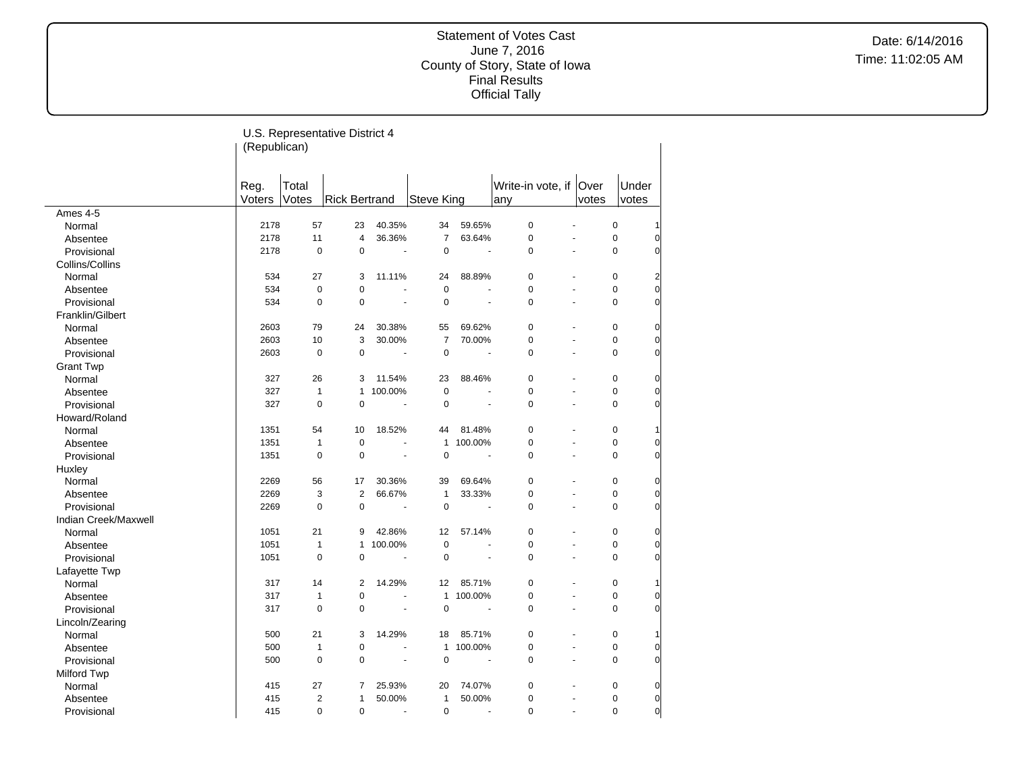|                      | (Republican) |                | U.S. Representative District 4 |                          |                |                          |                        |       |             |                |
|----------------------|--------------|----------------|--------------------------------|--------------------------|----------------|--------------------------|------------------------|-------|-------------|----------------|
|                      | Reg.         | Total          |                                |                          |                |                          | Write-in vote, if Over |       | Under       |                |
|                      | Voters       | Votes          | <b>Rick Bertrand</b>           |                          | Steve King     |                          | any                    | votes | votes       |                |
| Ames 4-5             |              |                |                                |                          |                |                          |                        |       |             |                |
| Normal               | 2178         | 57             | 23                             | 40.35%                   | 34             | 59.65%                   | $\overline{0}$         |       | $\pmb{0}$   | 1              |
| Absentee             | 2178         | 11             | 4                              | 36.36%                   | $\overline{7}$ | 63.64%                   | $\mathbf 0$            |       | $\mathbf 0$ | $\overline{0}$ |
| Provisional          | 2178         | $\mathbf 0$    | $\mathbf 0$                    | ÷,                       | $\mathbf 0$    | $\overline{a}$           | $\mathbf 0$            | ä,    | 0           | $\overline{0}$ |
| Collins/Collins      |              |                |                                |                          |                |                          |                        |       |             |                |
| Normal               | 534          | 27             | 3                              | 11.11%                   | 24             | 88.89%                   | 0                      |       | 0           | 2              |
| Absentee             | 534          | $\pmb{0}$      | $\mathbf 0$                    | L.                       | $\pmb{0}$      | L.                       | $\mathbf 0$            | ÷     | 0           | $\overline{0}$ |
| Provisional          | 534          | $\mathbf 0$    | $\mathbf 0$                    | ä,                       | $\mathbf 0$    | ÷.                       | $\mathbf 0$            |       | $\mathbf 0$ | $\overline{0}$ |
| Franklin/Gilbert     |              |                |                                |                          |                |                          |                        |       |             |                |
| Normal               | 2603         | 79             | 24                             | 30.38%                   | 55             | 69.62%                   | 0                      |       | 0           | $\overline{0}$ |
| Absentee             | 2603         | 10             | 3                              | 30.00%                   | $\overline{7}$ | 70.00%                   | $\mathbf 0$            |       | 0           | $\overline{0}$ |
| Provisional          | 2603         | $\pmb{0}$      | $\mathbf 0$                    | $\overline{\phantom{a}}$ | $\pmb{0}$      | $\overline{\phantom{a}}$ | $\mathbf 0$            |       | 0           | 0              |
| <b>Grant Twp</b>     |              |                |                                |                          |                |                          |                        |       |             |                |
| Normal               | 327          | 26             | 3                              | 11.54%                   | 23             | 88.46%                   | $\mathbf 0$            |       | 0           | 0              |
| Absentee             | 327          | $\mathbf{1}$   | $\mathbf{1}$                   | 100.00%                  | $\pmb{0}$      |                          | $\mathbf 0$            | ä,    | 0           | $\overline{0}$ |
| Provisional          | 327          | $\mathbf 0$    | $\mathbf 0$                    |                          | $\pmb{0}$      | ÷,                       | $\mathbf 0$            |       | 0           | $\overline{0}$ |
| Howard/Roland        |              |                |                                |                          |                |                          |                        |       |             |                |
| Normal               | 1351         | 54             | 10                             | 18.52%                   | 44             | 81.48%                   | 0                      |       | 0           | 1              |
| Absentee             | 1351         | $\mathbf{1}$   | $\mathbf 0$                    |                          | $\mathbf{1}$   | 100.00%                  | 0                      |       | 0           | $\overline{0}$ |
| Provisional          | 1351         | $\mathbf 0$    | $\mathbf 0$                    | ÷,                       | $\mathbf 0$    |                          | $\mathbf 0$            |       | 0           | $\overline{0}$ |
| Huxley               |              |                |                                |                          |                |                          |                        |       |             |                |
| Normal               | 2269         | 56             | 17                             | 30.36%                   | 39             | 69.64%                   | $\mathbf 0$            |       | 0           | $\overline{0}$ |
| Absentee             | 2269         | 3              | $\overline{2}$                 | 66.67%                   | $\mathbf{1}$   | 33.33%                   | $\mathbf 0$            |       | 0           | $\overline{0}$ |
| Provisional          | 2269         | $\mathbf 0$    | $\mathbf 0$                    | $\overline{\phantom{a}}$ | $\mathbf 0$    | $\sim$                   | $\mathbf 0$            | ä,    | 0           | O              |
| Indian Creek/Maxwell |              |                |                                |                          |                |                          |                        |       |             |                |
| Normal               | 1051         | 21             | 9                              | 42.86%                   | 12             | 57.14%                   | 0                      |       | 0           | 0              |
| Absentee             | 1051         | $\mathbf{1}$   | $\mathbf{1}$                   | 100.00%                  | $\pmb{0}$      |                          | $\mathbf 0$            | L,    | 0           | $\overline{0}$ |
| Provisional          | 1051         | $\mathbf 0$    | $\mathbf 0$                    | Ĭ.                       | $\mathbf 0$    | ÷,                       | $\mathbf 0$            |       | 0           | O              |
| Lafayette Twp        |              |                |                                |                          |                |                          |                        |       |             |                |
| Normal               | 317          | 14             | $\overline{2}$                 | 14.29%                   | 12             | 85.71%                   | 0                      |       | 0           | 1              |
| Absentee             | 317          | $\mathbf{1}$   | 0                              | ä,                       | $\mathbf{1}$   | 100.00%                  | $\pmb{0}$              | ä,    | 0           | $\overline{0}$ |
| Provisional          | 317          | $\mathbf 0$    | $\mathbf 0$                    | ÷,                       | $\pmb{0}$      | $\ddot{\phantom{a}}$     | $\mathbf 0$            |       | 0           | 0              |
| Lincoln/Zearing      |              |                |                                |                          |                |                          |                        |       |             |                |
| Normal               | 500          | 21             | 3                              | 14.29%                   | 18             | 85.71%                   | 0                      | ä,    | $\pmb{0}$   | 1              |
| Absentee             | 500          | $\mathbf{1}$   | $\mathbf 0$                    | ä,                       | $\mathbf{1}$   | 100.00%                  | $\pmb{0}$              | ä,    | $\mathbf 0$ | $\overline{0}$ |
| Provisional          | 500          | $\mathbf 0$    | $\mathbf 0$                    | $\blacksquare$           | $\mathbf 0$    |                          | $\mathbf 0$            | L.    | 0           | $\overline{0}$ |
| Milford Twp          |              |                |                                |                          |                |                          |                        |       |             |                |
| Normal               | 415          | 27             | 7                              | 25.93%                   | 20             | 74.07%                   | 0                      |       | 0           | $\overline{0}$ |
| Absentee             | 415          | $\overline{2}$ | $\mathbf{1}$                   | 50.00%                   | $\mathbf{1}$   | 50.00%                   | $\mathbf 0$            |       | 0           | $\overline{0}$ |
| Provisional          | 415          | $\Omega$       | $\mathbf 0$                    | ÷.                       | $\mathbf 0$    | ÷.                       | $\Omega$               | L.    | $\Omega$    | $\overline{0}$ |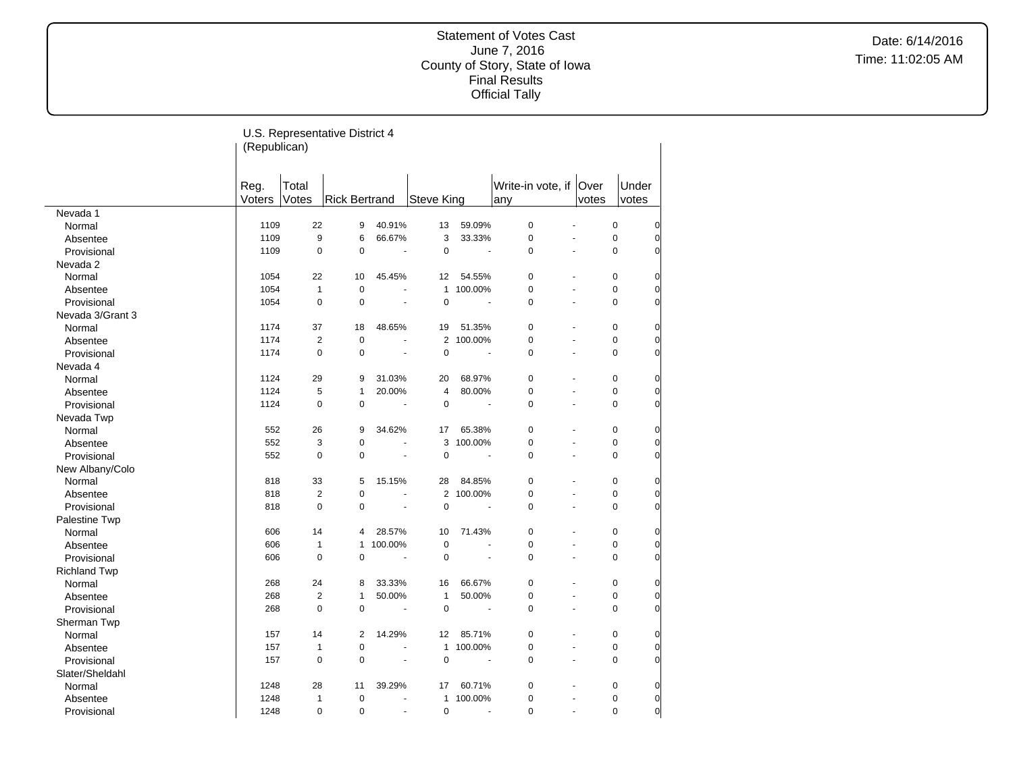|                                | (Republican)   |                    | U.S. Representative District 4 |                          |                         |                       |                          |                |                  |                            |
|--------------------------------|----------------|--------------------|--------------------------------|--------------------------|-------------------------|-----------------------|--------------------------|----------------|------------------|----------------------------|
|                                | Reg.<br>Voters | Total<br>Votes     | <b>Rick Bertrand</b>           |                          | <b>Steve King</b>       |                       | Write-in vote, if<br>any | Over<br>votes  |                  | Under<br>votes             |
| Nevada 1                       |                |                    |                                |                          |                         |                       |                          |                |                  |                            |
| Normal                         | 1109           | 22                 | 9                              | 40.91%                   | 13                      | 59.09%                | $\mathbf 0$              |                | $\mathbf 0$      | $\overline{0}$             |
| Absentee                       | 1109           | 9                  | 6                              | 66.67%                   | 3                       | 33.33%                | 0                        |                | $\mathbf 0$      | $\overline{0}$             |
| Provisional                    | 1109           | 0                  | $\mathbf 0$                    | ä,                       | $\pmb{0}$               | ÷,                    | 0                        | $\overline{a}$ | $\mathbf 0$      | $\overline{0}$             |
| Nevada 2                       |                |                    |                                |                          |                         |                       |                          |                |                  |                            |
| Normal                         | 1054           | 22                 | 10                             | 45.45%                   | 12                      | 54.55%                | 0                        |                | $\mathbf 0$      | $\overline{0}$             |
| Absentee                       | 1054           | $\mathbf{1}$       | $\mathbf 0$                    | ä,                       | $\mathbf{1}$            | 100.00%               | 0                        | $\overline{a}$ | $\mathbf 0$      | $\overline{0}$             |
| Provisional                    | 1054           | 0                  | $\pmb{0}$                      | ä,                       | $\pmb{0}$               | ÷,                    | $\Omega$                 |                | $\Omega$         | $\Omega$                   |
| Nevada 3/Grant 3               |                |                    |                                |                          |                         |                       |                          |                |                  |                            |
| Normal                         | 1174           | 37                 | 18                             | 48.65%                   | 19                      | 51.35%                | 0                        |                | $\mathbf 0$      | $\overline{0}$             |
| Absentee                       | 1174           | $\overline{2}$     | $\mathbf 0$                    |                          | $\overline{2}$          | 100.00%               | 0                        |                | $\mathbf 0$      | $\overline{0}$             |
| Provisional                    | 1174           | 0                  | $\mathbf 0$                    | $\blacksquare$           | $\pmb{0}$               | $\tilde{\phantom{a}}$ | 0                        |                | $\mathbf 0$      | $\overline{0}$             |
| Nevada 4                       |                |                    |                                |                          |                         |                       |                          |                |                  |                            |
| Normal                         | 1124           | 29                 | 9                              | 31.03%                   | 20                      | 68.97%                | 0                        |                | $\mathbf 0$      | 0                          |
| Absentee                       | 1124           | 5                  | $\mathbf{1}$                   | 20.00%                   | $\overline{\mathbf{4}}$ | 80.00%                | 0                        | ÷.             | $\mathbf 0$      | $\overline{0}$             |
| Provisional                    | 1124           | 0                  | $\mathbf 0$                    | ä,                       | $\mathbf 0$             |                       | $\overline{0}$           |                | $\mathbf 0$      | $\Omega$                   |
| Nevada Twp                     |                |                    |                                |                          |                         |                       |                          |                |                  |                            |
| Normal                         | 552            | 26                 | 9                              | 34.62%                   | 17                      | 65.38%                | 0                        |                | $\mathbf 0$      | $\overline{0}$             |
| Absentee                       | 552            | 3                  | $\pmb{0}$                      | Ĭ.                       | 3                       | 100.00%               | 0                        |                | $\mathbf 0$      | $\overline{0}$             |
| Provisional                    | 552            | 0                  | $\pmb{0}$                      | Ĭ.                       | $\pmb{0}$               |                       | 0                        |                | $\mathbf 0$      | $\overline{0}$             |
| New Albany/Colo                |                |                    |                                |                          |                         |                       |                          |                |                  |                            |
| Normal                         | 818            | 33                 | 5                              | 15.15%                   | 28                      | 84.85%                | 0                        |                | $\mathbf 0$      | $\overline{0}$             |
| Absentee                       | 818            | $\overline{c}$     | $\pmb{0}$                      | ä,                       |                         | 2 100.00%             | 0                        |                | $\mathbf 0$      | $\overline{0}$             |
| Provisional                    | 818            | 0                  | $\pmb{0}$                      | ÷,                       | $\mathbf 0$             | ÷,                    | 0                        |                | $\mathbf 0$      | $\overline{0}$             |
| Palestine Twp                  |                |                    |                                |                          |                         |                       |                          |                |                  |                            |
| Normal                         | 606<br>606     | 14<br>$\mathbf{1}$ | 4<br>$\mathbf{1}$              | 28.57%<br>100.00%        | 10<br>$\mathbf 0$       | 71.43%                | 0<br>0                   |                | 0<br>$\mathbf 0$ | $\overline{0}$<br>$\Omega$ |
| Absentee                       |                | 0                  |                                | ä,                       |                         | ÷,                    | 0                        |                | $\mathbf 0$      | $\overline{0}$             |
| Provisional                    | 606            |                    | $\pmb{0}$                      |                          | $\pmb{0}$               |                       |                          |                |                  |                            |
| <b>Richland Twp</b>            | 268            | 24                 | 8                              | 33.33%                   | 16                      | 66.67%                | 0                        |                | $\mathbf 0$      | $\overline{0}$             |
| Normal                         | 268            | $\overline{2}$     | $\mathbf{1}$                   | 50.00%                   | $\mathbf{1}$            | 50.00%                | 0                        |                | $\mathbf 0$      | $\overline{0}$             |
| Absentee                       | 268            | 0                  | $\pmb{0}$                      | $\overline{\phantom{a}}$ | $\pmb{0}$               | $\overline{a}$        | $\Omega$                 |                | $\Omega$         | $\Omega$                   |
| Provisional                    |                |                    |                                |                          |                         |                       |                          |                |                  |                            |
| Sherman Twp<br>Normal          | 157            | 14                 | $\overline{2}$                 | 14.29%                   | 12                      | 85.71%                | 0                        |                | $\mathbf 0$      | $\overline{0}$             |
| Absentee                       | 157            | $\mathbf{1}$       | $\pmb{0}$                      | L.                       | $\mathbf{1}$            | 100.00%               | 0                        | $\overline{a}$ | $\mathbf 0$      | $\overline{0}$             |
|                                | 157            | 0                  | $\pmb{0}$                      | $\mathbf{u}$             | $\pmb{0}$               | $\overline{a}$        | $\overline{0}$           |                | $\mathbf 0$      | $\Omega$                   |
| Provisional<br>Slater/Sheldahl |                |                    |                                |                          |                         |                       |                          |                |                  |                            |
| Normal                         | 1248           | 28                 | 11                             | 39.29%                   | 17                      | 60.71%                | 0                        |                | $\pmb{0}$        | $\overline{0}$             |
| Absentee                       | 1248           | 1                  | $\mathbf 0$                    | Ĭ.                       | $\mathbf{1}$            | 100.00%               | 0                        |                | $\mathbf 0$      | $\overline{0}$             |
| Provisional                    | 1248           | $\Omega$           | $\mathbf 0$                    | ÷.                       | $\mathbf 0$             | $\overline{a}$        | $\Omega$                 |                | $\Omega$         | $\overline{0}$             |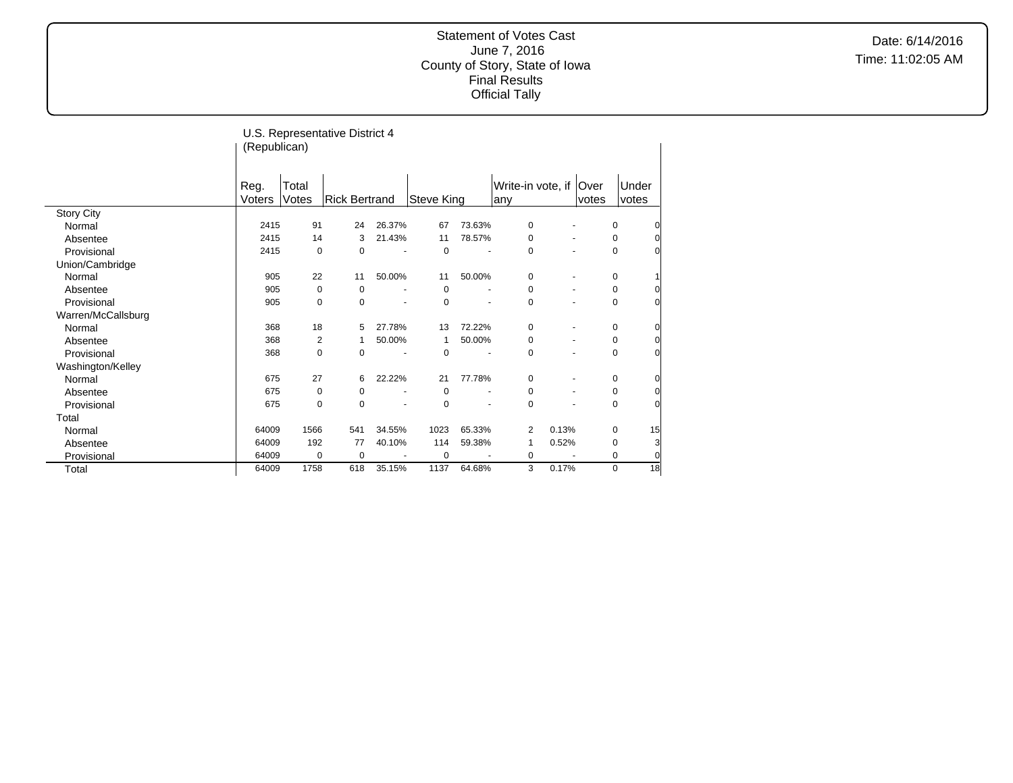|                    | (Republican) |             | U.S. Representative District 4 |        |                   |        |                   |                          |                |             |       |
|--------------------|--------------|-------------|--------------------------------|--------|-------------------|--------|-------------------|--------------------------|----------------|-------------|-------|
|                    | Reg.         | Total       |                                |        |                   |        | Write-in vote, if |                          | <b>Over</b>    |             | Under |
|                    | Voters       | Votes       | Rick Bertrand                  |        | <b>Steve King</b> |        | any               |                          | votes          |             | votes |
| <b>Story City</b>  |              |             |                                |        |                   |        |                   |                          |                |             |       |
| Normal             | 2415         | 91          | 24                             | 26.37% | 67                | 73.63% | 0                 |                          |                | 0           | 0     |
| Absentee           | 2415         | 14          | 3                              | 21.43% | 11                | 78.57% | $\mathbf 0$       | $\blacksquare$           |                | 0           | 0     |
| Provisional        | 2415         | $\mathbf 0$ | 0                              |        | 0                 |        | 0                 | $\ddot{\phantom{1}}$     |                | 0           | 0     |
| Union/Cambridge    |              |             |                                |        |                   |        |                   |                          |                |             |       |
| Normal             | 905          | 22          | 11                             | 50.00% | 11                | 50.00% | 0                 | $\overline{\phantom{a}}$ |                | $\pmb{0}$   | 1     |
| Absentee           | 905          | 0           | 0                              |        | 0                 |        | 0                 | $\blacksquare$           |                | 0           | 0     |
| Provisional        | 905          | 0           | $\mathbf 0$                    |        | $\Omega$          |        | 0                 |                          | ٠              | 0           | 0     |
| Warren/McCallsburg |              |             |                                |        |                   |        |                   |                          |                |             |       |
| Normal             | 368          | 18          | 5                              | 27.78% | 13                | 72.22% | 0                 | $\overline{\phantom{a}}$ |                | 0           | 0     |
| Absentee           | 368          | 2           | 1                              | 50.00% | 1                 | 50.00% | 0                 |                          | $\blacksquare$ | 0           | 0     |
| Provisional        | 368          | $\mathbf 0$ | $\mathbf 0$                    |        | 0                 |        | 0                 |                          |                | 0           | 0     |
| Washington/Kelley  |              |             |                                |        |                   |        |                   |                          |                |             |       |
| Normal             | 675          | 27          | 6                              | 22.22% | 21                | 77.78% | 0                 | $\blacksquare$           |                | 0           | 0     |
| Absentee           | 675          | $\mathbf 0$ | 0                              |        | 0                 | ÷      | 0                 |                          |                | 0           | 0     |
| Provisional        | 675          | 0           | 0                              |        | 0                 |        | 0                 |                          |                | 0           | 0     |
| Total              |              |             |                                |        |                   |        |                   |                          |                |             |       |
| Normal             | 64009        | 1566        | 541                            | 34.55% | 1023              | 65.33% | 2                 | 0.13%                    |                | 0           | 15    |
| Absentee           | 64009        | 192         | 77                             | 40.10% | 114               | 59.38% | 1                 | 0.52%                    |                | 0           | 3     |
| Provisional        | 64009        | 0           | 0                              |        | 0                 |        | 0                 |                          |                | 0           | 0     |
| Total              | 64009        | 1758        | 618                            | 35.15% | 1137              | 64.68% | 3                 | 0.17%                    |                | $\mathbf 0$ | 18    |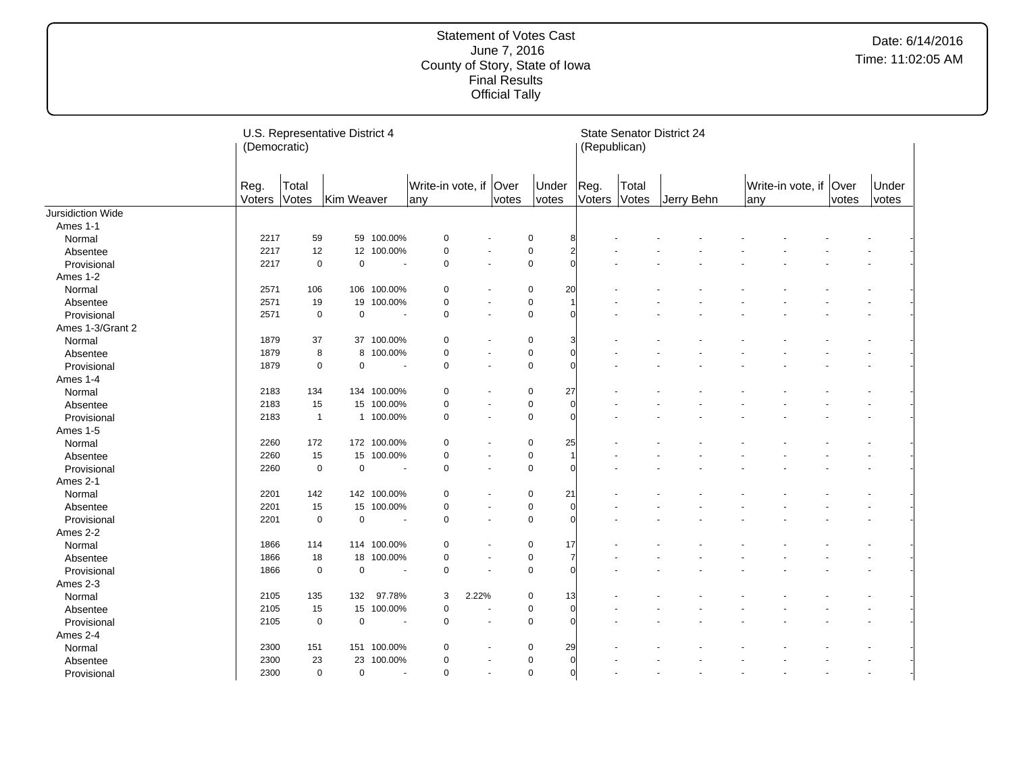|                   | (Democratic)   | U.S. Representative District 4 |             |                          |                               |                |                |                |                |        | (Republican)   | <b>State Senator District 24</b> |     |                        |       |                |  |
|-------------------|----------------|--------------------------------|-------------|--------------------------|-------------------------------|----------------|----------------|----------------|----------------|--------|----------------|----------------------------------|-----|------------------------|-------|----------------|--|
|                   | Reg.<br>Voters | Total<br>Votes                 | Kim Weaver  |                          | Write-in vote, if Over<br>any |                | votes          | Under<br>votes | Reg.           | Voters | Total<br>Votes | Jerry Behn                       | any | Write-in vote, if Over | votes | Under<br>votes |  |
| Jursidiction Wide |                |                                |             |                          |                               |                |                |                |                |        |                |                                  |     |                        |       |                |  |
| Ames 1-1          |                |                                |             |                          |                               |                |                |                |                |        |                |                                  |     |                        |       |                |  |
| Normal            | 2217           | 59                             |             | 59 100.00%               | 0                             |                |                | 0              | 8              |        |                |                                  |     |                        |       |                |  |
| Absentee          | 2217           | 12                             |             | 12 100.00%               | $\mathbf 0$                   |                |                | $\pmb{0}$      | $\overline{2}$ |        |                |                                  |     |                        |       |                |  |
| Provisional       | 2217           | $\mathbf 0$                    | $\pmb{0}$   | $\overline{\phantom{a}}$ | 0                             | $\overline{a}$ |                | $\pmb{0}$      | $\Omega$       |        |                |                                  |     |                        |       |                |  |
| Ames 1-2          |                |                                |             |                          |                               |                |                |                |                |        |                |                                  |     |                        |       |                |  |
| Normal            | 2571           | 106                            |             | 106 100.00%              | $\mathbf 0$                   |                |                | $\mathbf 0$    | 20             |        |                |                                  |     |                        |       |                |  |
| Absentee          | 2571           | 19                             | 19          | 100.00%                  | $\mathbf 0$                   | $\sim$         |                | 0              | $\overline{1}$ |        |                |                                  |     |                        |       |                |  |
| Provisional       | 2571           | $\mathbf 0$                    | $\mathbf 0$ | $\overline{\phantom{a}}$ | $\mathbf 0$                   | $\overline{a}$ |                | $\mathbf 0$    | $\Omega$       |        |                |                                  |     |                        |       |                |  |
| Ames 1-3/Grant 2  |                |                                |             |                          |                               |                |                |                |                |        |                |                                  |     |                        |       |                |  |
| Normal            | 1879           | 37                             |             | 37 100.00%               | $\mathbf 0$                   |                |                | $\mathbf 0$    | 3              |        |                |                                  |     |                        |       |                |  |
| Absentee          | 1879           | 8                              |             | 8 100.00%                | 0                             |                |                | $\pmb{0}$      | $\Omega$       |        |                |                                  |     |                        |       |                |  |
| Provisional       | 1879           | $\mathbf 0$                    | $\pmb{0}$   | $\overline{\phantom{a}}$ | $\mathbf 0$                   |                | $\blacksquare$ | $\pmb{0}$      | $\Omega$       |        |                |                                  |     |                        |       |                |  |
| Ames 1-4          |                |                                |             |                          |                               |                |                |                |                |        |                |                                  |     |                        |       |                |  |
| Normal            | 2183           | 134                            |             | 134 100.00%              | 0                             |                |                | $\pmb{0}$      | 27             |        |                |                                  |     |                        |       |                |  |
| Absentee          | 2183           | 15                             |             | 15 100.00%               | 0                             | ÷,             |                | $\pmb{0}$      | $\Omega$       |        |                |                                  |     |                        |       |                |  |
| Provisional       | 2183           | $\mathbf{1}$                   |             | 1 100.00%                | 0                             |                | $\sim$         | $\pmb{0}$      | $\Omega$       |        |                |                                  |     |                        |       |                |  |
| Ames 1-5          |                |                                |             |                          |                               |                |                |                |                |        |                |                                  |     |                        |       |                |  |
| Normal            | 2260           | 172                            |             | 172 100.00%              | 0                             |                |                | 0              | 25             |        |                |                                  |     |                        |       |                |  |
| Absentee          | 2260           | 15                             |             | 15 100.00%               | $\mathbf 0$                   | ٠              |                | 0              | $\overline{1}$ |        |                |                                  |     |                        |       |                |  |
| Provisional       | 2260           | $\mathbf 0$                    | $\mathbf 0$ | $\overline{\phantom{a}}$ | 0                             | $\sim$         |                | $\mathbf 0$    | $\Omega$       |        |                |                                  |     |                        |       |                |  |
| Ames 2-1          |                |                                |             |                          |                               |                |                |                |                |        |                |                                  |     |                        |       |                |  |
| Normal            | 2201           | 142                            |             | 142 100.00%              | $\mathbf 0$                   |                |                | 0              | 21             |        |                |                                  |     |                        |       |                |  |
| Absentee          | 2201           | 15                             |             | 15 100.00%               | 0                             | $\blacksquare$ |                | 0              | $\Omega$       |        |                |                                  |     |                        |       |                |  |
| Provisional       | 2201           | $\mathbf 0$                    | $\pmb{0}$   |                          | 0                             | $\sim$         |                | $\mathbf 0$    | $\Omega$       |        |                |                                  |     |                        |       |                |  |
| Ames 2-2          |                |                                |             |                          |                               |                |                |                |                |        |                |                                  |     |                        |       |                |  |
| Normal            | 1866           | 114                            |             | 114 100.00%              | $\mathbf 0$                   |                |                | 0              | 17             |        |                |                                  |     |                        |       |                |  |
| Absentee          | 1866           | 18                             |             | 18 100.00%               | $\mathbf 0$                   | $\sim$         |                | $\mathbf 0$    | 7              |        |                |                                  |     |                        |       |                |  |
| Provisional       | 1866           | $\mathbf 0$                    | $\pmb{0}$   |                          | $\mathbf 0$                   |                |                | $\pmb{0}$      | $\Omega$       |        |                |                                  |     |                        |       |                |  |
| Ames 2-3          |                |                                |             |                          |                               |                |                |                |                |        |                |                                  |     |                        |       |                |  |
| Normal            | 2105           | 135                            | 132         | 97.78%                   | 3                             | 2.22%          |                | $\mathbf 0$    | 13             |        |                |                                  |     |                        |       |                |  |
| Absentee          | 2105           | 15                             | 15          | 100.00%                  | 0                             |                |                | $\pmb{0}$      | $\Omega$       |        |                |                                  |     |                        |       |                |  |
| Provisional       | 2105           | $\mathbf 0$                    | $\pmb{0}$   | $\overline{\phantom{a}}$ | $\mathbf 0$                   | ÷,             |                | $\mathbf 0$    | $\Omega$       |        |                |                                  |     |                        |       |                |  |
| Ames 2-4          |                |                                |             |                          |                               |                |                |                |                |        |                |                                  |     |                        |       |                |  |
| Normal            | 2300           | 151                            |             | 151 100.00%              | $\mathbf 0$                   |                |                | 0              | 29             |        |                |                                  |     |                        |       |                |  |
| Absentee          | 2300           | 23                             | 23          | 100.00%                  | $\mathbf 0$                   | ÷              |                | $\pmb{0}$      | $\Omega$       |        |                |                                  |     |                        |       |                |  |
| Provisional       | 2300           | $\mathbf 0$                    | $\pmb{0}$   | $\blacksquare$           | 0                             |                | $\blacksquare$ | $\pmb{0}$      | $\overline{0}$ |        |                |                                  |     |                        |       |                |  |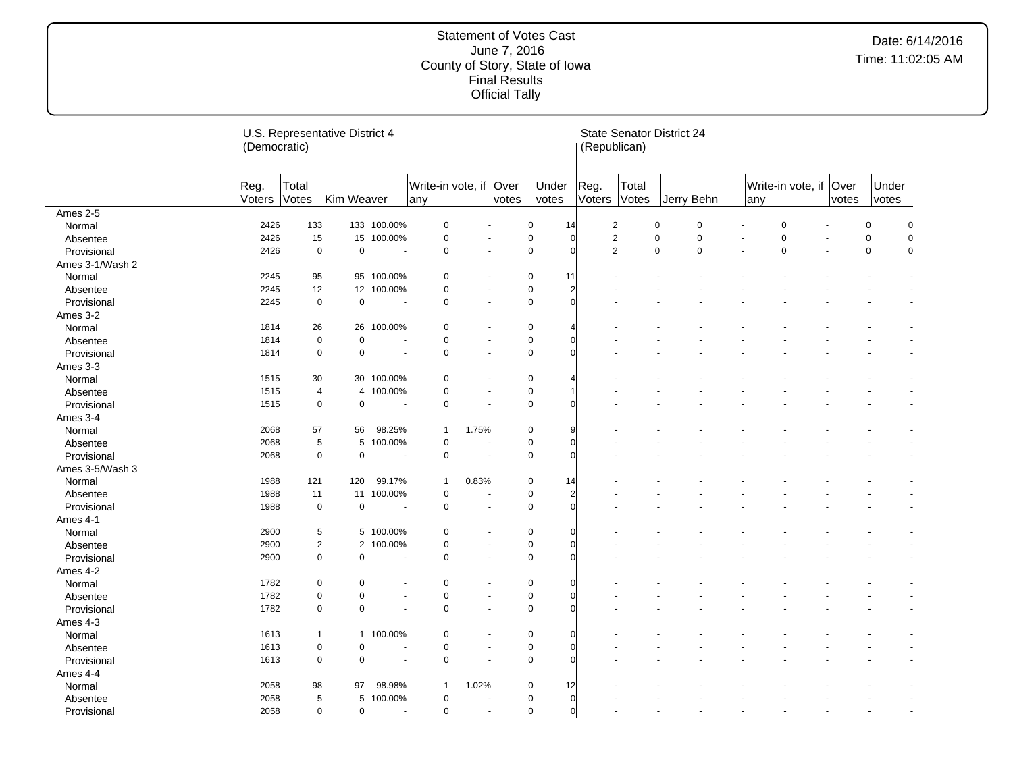|                 | (Democratic)   |                | U.S. Representative District 4 |                          |                           |       |                      |                |                | <b>State Senator District 24</b><br>(Republican) |                |             |             |     |                        |       |                |          |
|-----------------|----------------|----------------|--------------------------------|--------------------------|---------------------------|-------|----------------------|----------------|----------------|--------------------------------------------------|----------------|-------------|-------------|-----|------------------------|-------|----------------|----------|
|                 | Reg.<br>Voters | Total<br>Votes | Kim Weaver                     |                          | Write-in vote, if<br> any |       | Over<br>votes        | Under<br>votes |                | Reg.<br>Voters                                   | Total<br>Votes |             | Jerry Behn  | any | Write-in vote, if Over | votes | Under<br>votes |          |
| Ames 2-5        |                |                |                                |                          |                           |       |                      |                |                |                                                  |                |             |             |     |                        |       |                |          |
| Normal          | 2426           | 133            |                                | 133 100.00%              | $\pmb{0}$                 |       | $\ddot{\phantom{1}}$ | 0              | 14             | $\overline{2}$                                   |                | $\mathbf 0$ | $\mathbf 0$ |     | $\Omega$               |       | $\pmb{0}$      |          |
| Absentee        | 2426           | 15             |                                | 15 100.00%               | $\pmb{0}$                 |       |                      | $\pmb{0}$      | $\sqrt{ }$     | $\overline{c}$                                   |                | $\pmb{0}$   | $\mathbf 0$ |     | $\Omega$               |       | 0              | $\Omega$ |
| Provisional     | 2426           | $\mathbf 0$    | $\mathbf 0$                    | ÷                        | 0                         |       |                      | $\mathbf 0$    | $\Omega$       | $\overline{2}$                                   |                | 0           | $\mathbf 0$ |     | $\mathbf 0$            |       | 0              |          |
| Ames 3-1/Wash 2 |                |                |                                |                          |                           |       |                      |                |                |                                                  |                |             |             |     |                        |       |                |          |
| Normal          | 2245           | 95             |                                | 95 100.00%               | 0                         |       |                      | 0              | 11             |                                                  |                |             |             |     |                        |       |                |          |
| Absentee        | 2245           | 12             |                                | 12 100.00%               | 0                         |       | ä,                   | $\mathbf 0$    | $\overline{2}$ |                                                  |                |             |             |     |                        |       |                |          |
| Provisional     | 2245           | $\mathbf 0$    | $\mathbf 0$                    | $\overline{\phantom{a}}$ | 0                         |       | ä,                   | $\mathbf 0$    | $\Omega$       |                                                  |                |             |             |     |                        |       |                |          |
| Ames 3-2        |                |                |                                |                          |                           |       |                      |                |                |                                                  |                |             |             |     |                        |       |                |          |
| Normal          | 1814           | 26             |                                | 26 100.00%               | $\mathbf 0$               |       |                      | 0              |                |                                                  |                |             |             |     |                        |       |                |          |
| Absentee        | 1814           | $\mathbf 0$    | $\pmb{0}$                      |                          | 0                         |       | $\ddot{\phantom{1}}$ | 0              | $\Omega$       |                                                  |                |             |             |     |                        |       |                |          |
| Provisional     | 1814           | $\mathbf 0$    | $\mathbf 0$                    | ٠                        | $\mathbf 0$               |       | $\blacksquare$       | $\mathbf 0$    | $\Omega$       |                                                  |                |             |             |     |                        |       |                |          |
| Ames 3-3        |                |                |                                |                          |                           |       |                      |                |                |                                                  |                |             |             |     |                        |       |                |          |
| Normal          | 1515           | 30             |                                | 30 100.00%               | $\mathbf 0$               |       |                      | 0              |                |                                                  |                |             |             |     |                        |       |                |          |
| Absentee        | 1515           | $\overline{4}$ |                                | 4 100.00%                | $\pmb{0}$                 |       |                      | 0              |                |                                                  |                |             |             |     |                        |       |                |          |
| Provisional     | 1515           | $\mathbf 0$    | $\mathbf 0$                    | ÷                        | $\mathbf 0$               |       | $\ddot{\phantom{1}}$ | $\mathbf 0$    | $\Omega$       |                                                  |                |             |             |     |                        |       |                |          |
| Ames 3-4        |                |                |                                |                          |                           |       |                      |                |                |                                                  |                |             |             |     |                        |       |                |          |
| Normal          | 2068           | 57             | 56                             | 98.25%                   | $\mathbf{1}$              | 1.75% |                      | 0              | 9              |                                                  |                |             |             |     |                        |       |                |          |
| Absentee        | 2068           | 5              | 5                              | 100.00%                  | 0                         |       |                      | 0              | $\Omega$       |                                                  |                |             |             |     |                        |       |                |          |
| Provisional     | 2068           | $\mathbf 0$    | $\pmb{0}$                      |                          | $\mathbf 0$               | ÷,    |                      | 0              | $\Omega$       |                                                  |                |             |             |     |                        |       |                |          |
| Ames 3-5/Wash 3 |                |                |                                |                          |                           |       |                      |                |                |                                                  |                |             |             |     |                        |       |                |          |
| Normal          | 1988           | 121            | 120                            | 99.17%                   | $\mathbf{1}$              | 0.83% |                      | 0              | 14             |                                                  |                |             |             |     |                        |       |                |          |
| Absentee        | 1988           | 11             |                                | 11 100.00%               | $\pmb{0}$                 | ÷,    |                      | 0              | $\overline{2}$ |                                                  |                |             |             |     |                        |       |                |          |
| Provisional     | 1988           | $\mathbf 0$    | $\pmb{0}$                      |                          | $\pmb{0}$                 |       |                      | 0              | $\Omega$       |                                                  |                |             |             |     |                        |       |                |          |
| Ames 4-1        |                |                |                                |                          |                           |       |                      |                |                |                                                  |                |             |             |     |                        |       |                |          |
| Normal          | 2900           | 5              |                                | 5 100.00%                | 0                         |       |                      | 0              | $\Omega$       |                                                  |                |             |             |     |                        |       |                |          |
| Absentee        | 2900           | $\overline{c}$ | $\overline{2}$                 | 100.00%                  | $\pmb{0}$                 |       |                      | 0              | $\Omega$       |                                                  |                |             |             |     |                        |       |                |          |
| Provisional     | 2900           | 0              | $\pmb{0}$                      | ٠.                       | 0                         |       | $\blacksquare$       | $\mathbf 0$    | $\Omega$       |                                                  |                |             |             |     |                        |       |                |          |
| Ames 4-2        |                |                |                                |                          |                           |       |                      |                |                |                                                  |                |             |             |     |                        |       |                |          |
| Normal          | 1782           | $\mathbf 0$    | 0                              |                          | 0                         |       |                      | 0              | $\Omega$       |                                                  |                |             |             |     |                        |       |                |          |
| Absentee        | 1782           | 0              | $\pmb{0}$                      |                          | $\pmb{0}$                 |       | ٠                    | 0              | $\Omega$       |                                                  |                |             |             |     |                        |       |                |          |
| Provisional     | 1782           | $\mathbf 0$    | $\mathbf 0$                    |                          | $\mathbf 0$               |       | ä,                   | $\mathbf 0$    | $\Omega$       |                                                  |                |             |             |     |                        |       |                |          |
| Ames 4-3        |                |                |                                |                          |                           |       |                      |                |                |                                                  |                |             |             |     |                        |       |                |          |
| Normal          | 1613           | $\mathbf{1}$   |                                | 1 100.00%                | $\pmb{0}$                 |       |                      | 0              | $\Omega$       |                                                  |                |             |             |     |                        |       |                |          |
| Absentee        | 1613           | $\mathbf 0$    | $\overline{0}$                 |                          | $\pmb{0}$                 |       |                      | 0              | $\Omega$       |                                                  |                |             |             |     |                        |       |                |          |
| Provisional     | 1613           | $\mathbf 0$    | $\pmb{0}$                      |                          | 0                         |       | ä,                   | $\mathbf 0$    | $\Omega$       |                                                  |                |             |             |     |                        |       |                |          |
| Ames 4-4        |                |                |                                |                          |                           |       |                      |                |                |                                                  |                |             |             |     |                        |       |                |          |
| Normal          | 2058           | 98             | 97                             | 98.98%                   | $\mathbf{1}$              | 1.02% |                      | 0              | 12             |                                                  |                |             |             |     |                        |       |                |          |
| Absentee        | 2058           | 5              | 5                              | 100.00%                  | $\mathbf 0$               |       |                      | 0              | $\Omega$       |                                                  |                |             |             |     |                        |       |                |          |
| Provisional     | 2058           | 0              | $\pmb{0}$                      | $\blacksquare$           | $\pmb{0}$                 |       | $\blacksquare$       | 0              | $\overline{0}$ |                                                  |                |             |             |     |                        |       |                |          |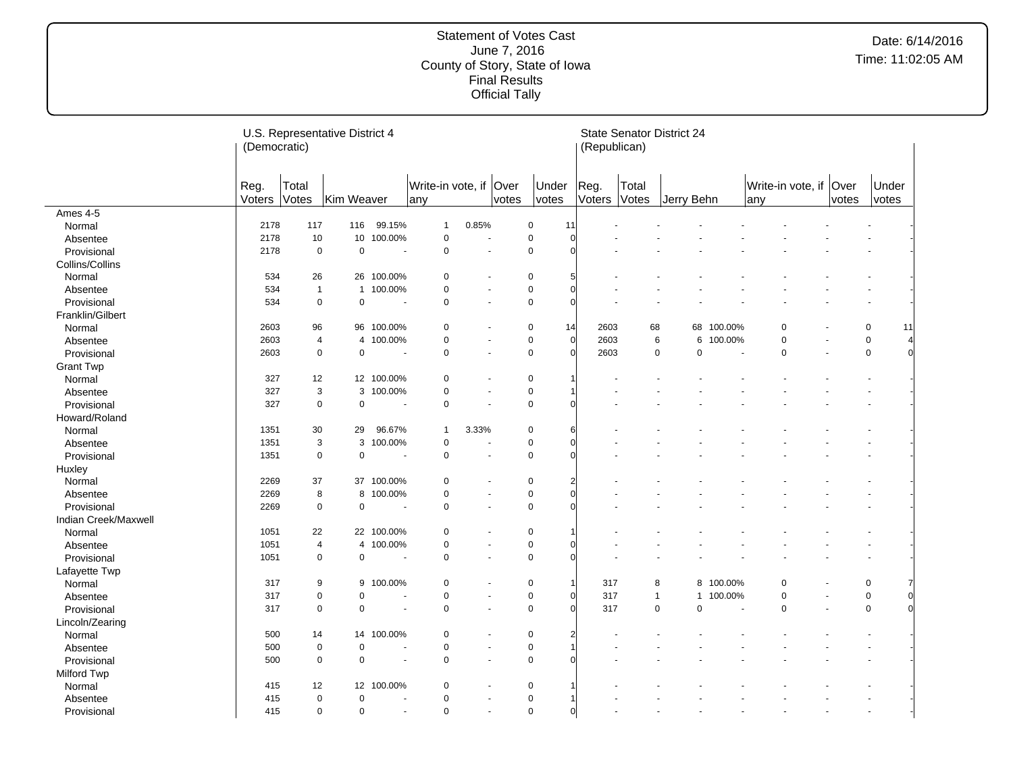|                      | (Democratic)   |                         | U.S. Representative District 4 |                          |                               |                       |       |                               | (Republican)         | <b>State Senator District 24</b> |            |                         |                |                        |       |                |    |
|----------------------|----------------|-------------------------|--------------------------------|--------------------------|-------------------------------|-----------------------|-------|-------------------------------|----------------------|----------------------------------|------------|-------------------------|----------------|------------------------|-------|----------------|----|
|                      | Reg.<br>Voters | Total<br>Votes          | Kim Weaver                     |                          | Write-in vote, if Over<br>any |                       | votes | Under<br>votes                | Reg.<br>Voters Votes | Total                            | Jerry Behn |                         | any            | Write-in vote, if Over | votes | Under<br>votes |    |
| Ames 4-5             |                |                         |                                |                          |                               |                       |       |                               |                      |                                  |            |                         |                |                        |       |                |    |
| Normal               | 2178           | 117                     | 116                            | 99.15%                   | $\mathbf{1}$                  | 0.85%                 |       | $\pmb{0}$<br>11               |                      |                                  |            |                         |                |                        |       |                |    |
| Absentee             | 2178           | 10                      |                                | 10 100.00%               | $\pmb{0}$                     | ÷,                    |       | 0<br>$\Omega$                 |                      |                                  |            |                         |                |                        |       |                |    |
| Provisional          | 2178           | $\mathbf 0$             | $\pmb{0}$                      |                          | $\pmb{0}$                     | ÷,                    |       | $\pmb{0}$<br>$\Omega$         |                      |                                  |            |                         |                |                        |       |                |    |
| Collins/Collins      |                |                         |                                |                          |                               |                       |       |                               |                      |                                  |            |                         |                |                        |       |                |    |
| Normal               | 534            | 26                      |                                | 26 100.00%               | $\mathbf 0$                   |                       |       | $\pmb{0}$<br>5                |                      |                                  |            |                         |                |                        |       |                |    |
| Absentee             | 534            | $\overline{1}$          |                                | 1 100.00%                | $\pmb{0}$                     |                       |       | 0<br>$\Omega$                 |                      |                                  |            |                         |                |                        |       |                |    |
| Provisional          | 534            | $\mathbf 0$             | $\mathbf 0$                    | $\overline{\phantom{a}}$ | $\mathbf 0$                   | $\blacksquare$        |       | 0<br>$\Omega$                 |                      |                                  |            |                         |                |                        |       |                |    |
| Franklin/Gilbert     |                |                         |                                |                          |                               |                       |       |                               |                      |                                  |            |                         |                |                        |       |                |    |
| Normal               | 2603           | 96                      |                                | 96 100.00%               | $\mathbf 0$                   | $\overline{a}$        |       | $\mathbf 0$<br>14             | 2603                 | 68                               |            | 68<br>100.00%           |                | $\mathbf 0$            |       | $\mathbf 0$    | 11 |
| Absentee             | 2603           | $\overline{4}$          |                                | 4 100.00%                | $\mathbf 0$                   | $\sim$                |       | $\overline{0}$<br>$\mathbf 0$ | 2603                 | 6                                |            | 100.00%<br>6            |                | $\mathbf 0$            |       | $\mathbf 0$    |    |
| Provisional          | 2603           | 0                       | $\mathbf 0$                    | ÷.                       | $\pmb{0}$                     | ÷.                    |       | $\pmb{0}$<br>$\Omega$         | 2603                 | $\mathbf 0$                      |            | $\mathbf 0$             | $\overline{a}$ | $\mathbf 0$            |       | $\mathbf 0$    |    |
| <b>Grant Twp</b>     |                |                         |                                |                          |                               |                       |       |                               |                      |                                  |            |                         |                |                        |       |                |    |
| Normal               | 327            | 12                      |                                | 12 100.00%               | $\mathbf 0$                   |                       |       | 0                             |                      |                                  |            |                         |                |                        |       |                |    |
| Absentee             | 327            | 3                       |                                | 3 100.00%                | $\pmb{0}$                     | $\tilde{\phantom{a}}$ |       | 0                             |                      |                                  |            |                         |                |                        |       |                |    |
| Provisional          | 327            | $\mathbf 0$             | $\mathbf 0$                    | $\tilde{\phantom{a}}$    | $\pmb{0}$                     | ÷,                    |       | $\mathbf 0$                   |                      |                                  |            |                         |                |                        |       |                |    |
| Howard/Roland        |                |                         |                                |                          |                               |                       |       |                               |                      |                                  |            |                         |                |                        |       |                |    |
| Normal               | 1351           | 30                      | 29                             | 96.67%                   | $\mathbf{1}$                  | 3.33%                 |       | $\pmb{0}$<br>6                |                      |                                  |            |                         |                |                        |       |                |    |
| Absentee             | 1351           | 3                       |                                | 3 100.00%                | $\mathbf 0$                   |                       |       | $\pmb{0}$<br>$\Omega$         |                      |                                  |            |                         |                |                        |       |                |    |
| Provisional          | 1351           | $\mathbf 0$             | $\mathbf 0$                    |                          | $\pmb{0}$                     | $\sim$                |       | $\mathbf 0$<br>$\Omega$       |                      |                                  |            |                         |                |                        |       |                |    |
| Huxley               |                |                         |                                |                          |                               |                       |       |                               |                      |                                  |            |                         |                |                        |       |                |    |
| Normal               | 2269           | 37                      |                                | 37 100.00%               | $\mathbf 0$                   |                       |       | 0<br>2                        |                      |                                  |            |                         |                |                        |       |                |    |
| Absentee             | 2269           | 8                       |                                | 8 100.00%                | $\mathbf 0$                   | $\blacksquare$        |       | $\Omega$<br>0                 |                      |                                  |            |                         |                |                        |       |                |    |
| Provisional          | 2269           | $\mathbf 0$             | $\pmb{0}$                      |                          | $\pmb{0}$                     | $\sim$                |       | $\pmb{0}$                     |                      |                                  |            |                         |                |                        |       |                |    |
| Indian Creek/Maxwell |                |                         |                                |                          |                               |                       |       |                               |                      |                                  |            |                         |                |                        |       |                |    |
| Normal               | 1051           | 22                      |                                | 22 100.00%               | $\mathbf 0$                   | $\overline{a}$        |       | 0                             |                      |                                  |            |                         |                |                        |       |                |    |
| Absentee             | 1051           | $\overline{\mathbf{4}}$ |                                | 4 100.00%                | $\pmb{0}$                     | $\sim$                |       | $\pmb{0}$                     |                      |                                  |            |                         |                |                        |       |                |    |
| Provisional          | 1051           | $\mathbf 0$             | $\mathbf 0$                    |                          | $\pmb{0}$                     | $\blacksquare$        |       | $\mathbf 0$<br>$\Omega$       |                      |                                  |            |                         |                |                        |       |                |    |
| Lafayette Twp        |                |                         |                                |                          |                               |                       |       |                               |                      |                                  |            |                         |                |                        |       |                |    |
| Normal               | 317            | 9                       | 9                              | 100.00%                  | 0                             |                       |       | $\pmb{0}$<br>$\mathbf 1$      | 317                  | 8                                |            | 8 100.00%               |                | 0                      |       | 0              |    |
| Absentee             | 317            | $\pmb{0}$               | $\mathbf 0$                    |                          | $\mathbf 0$                   | $\blacksquare$        |       | $\pmb{0}$<br>$\Omega$         | 317                  | $\mathbf{1}$                     |            | 100.00%<br>$\mathbf{1}$ |                | $\mathbf 0$            |       | $\mathbf 0$    | 0  |
| Provisional          | 317            | $\mathbf 0$             | $\Omega$                       |                          | $\mathbf 0$                   |                       |       | $\mathbf 0$<br>$\Omega$       | 317                  | $\mathbf 0$                      |            | $\mathbf 0$             |                | $\Omega$               |       | $\Omega$       |    |
| Lincoln/Zearing      |                |                         |                                |                          |                               |                       |       |                               |                      |                                  |            |                         |                |                        |       |                |    |
| Normal               | 500            | 14                      |                                | 14 100.00%               | $\mathbf 0$                   |                       |       | 0<br>$\overline{2}$           |                      |                                  |            |                         |                |                        |       |                |    |
| Absentee             | 500            | 0                       | $\mathbf 0$                    |                          | $\pmb{0}$                     | $\sim$                |       | $\pmb{0}$                     |                      |                                  |            |                         |                |                        |       |                |    |
| Provisional          | 500            | $\pmb{0}$               | $\mathbf 0$                    |                          | $\mathbf 0$                   | $\blacksquare$        |       | $\pmb{0}$                     |                      |                                  |            |                         |                |                        |       |                |    |
| Milford Twp          |                |                         |                                |                          |                               |                       |       |                               |                      |                                  |            |                         |                |                        |       |                |    |
| Normal               | 415            | 12                      |                                | 12 100.00%               | $\mathbf 0$                   |                       |       | 0                             |                      |                                  |            |                         |                |                        |       |                |    |
| Absentee             | 415            | $\pmb{0}$               | $\mathbf 0$                    |                          | $\pmb{0}$                     | $\sim$                |       | $\pmb{0}$                     |                      |                                  |            |                         |                |                        |       |                |    |
| Provisional          | 415            | 0                       | $\mathbf 0$                    | $\blacksquare$           | $\pmb{0}$                     | $\tilde{\phantom{a}}$ |       | $\pmb{0}$<br>$\overline{0}$   |                      |                                  |            |                         |                |                        |       | ÷,             |    |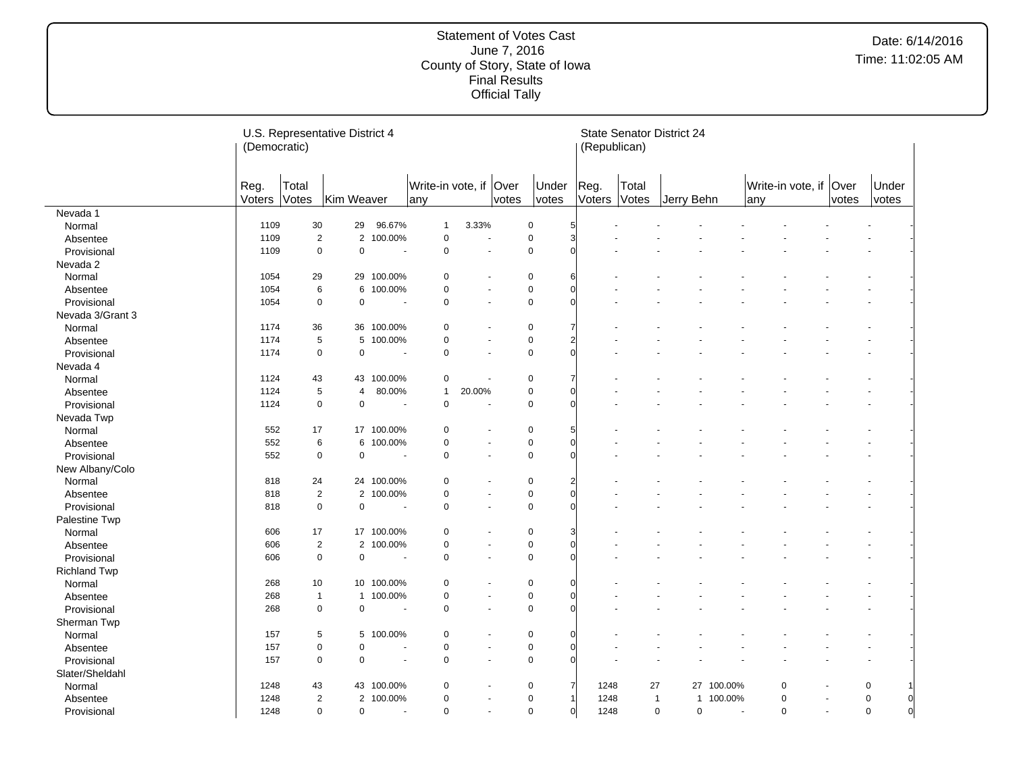|                     | (Democratic)   |                | U.S. Representative District 4 |                          |                               |        |                |                | (Republican)           |                | <b>State Senator District 24</b> |                          |                                |                          |       |                |                |
|---------------------|----------------|----------------|--------------------------------|--------------------------|-------------------------------|--------|----------------|----------------|------------------------|----------------|----------------------------------|--------------------------|--------------------------------|--------------------------|-------|----------------|----------------|
|                     | Reg.<br>Voters | Total<br>Votes | Kim Weaver                     |                          | Write-in vote, if Over<br>any |        | votes          | Under<br>votes | Reg.<br>Voters         | Total<br>Votes | Jerry Behn                       |                          | Write-in vote, if Over<br> any |                          | votes | Under<br>votes |                |
| Nevada 1            |                |                |                                |                          |                               |        |                |                |                        |                |                                  |                          |                                |                          |       |                |                |
| Normal              | 1109           | 30             | 29                             | 96.67%                   | $\mathbf{1}$                  | 3.33%  |                | $\pmb{0}$      | 5                      |                |                                  |                          |                                |                          |       |                |                |
| Absentee            | 1109           | $\overline{c}$ |                                | 2 100.00%                | $\pmb{0}$                     | ÷,     |                | 0              | $\overline{3}$         |                |                                  |                          |                                |                          |       |                |                |
| Provisional         | 1109           | $\pmb{0}$      | $\pmb{0}$                      |                          | $\pmb{0}$                     | ÷,     |                | $\pmb{0}$      | $\Omega$               |                |                                  |                          |                                |                          |       |                |                |
| Nevada 2            |                |                |                                |                          |                               |        |                |                |                        |                |                                  |                          |                                |                          |       |                |                |
| Normal              | 1054           | 29             |                                | 29 100.00%               | $\mathbf 0$                   |        |                | $\pmb{0}$      | 6                      |                |                                  |                          |                                |                          |       |                |                |
| Absentee            | 1054           | 6              |                                | 6 100.00%                | $\pmb{0}$                     |        |                | $\pmb{0}$      | $\Omega$               |                |                                  |                          |                                |                          |       |                |                |
| Provisional         | 1054           | $\mathbf 0$    | $\mathbf 0$                    | $\blacksquare$           | $\mathbf 0$                   |        | $\blacksquare$ | $\mathbf 0$    |                        |                |                                  |                          |                                |                          |       |                |                |
| Nevada 3/Grant 3    |                |                |                                |                          |                               |        |                |                |                        |                |                                  |                          |                                |                          |       |                |                |
| Normal              | 1174           | 36             |                                | 36 100.00%               | $\mathbf 0$                   |        | $\overline{a}$ | 0              |                        |                |                                  |                          |                                |                          |       |                |                |
| Absentee            | 1174           | 5              |                                | 5 100.00%                | $\mathbf 0$                   |        | $\sim$         | $\mathbf 0$    | 2                      |                |                                  |                          |                                |                          |       |                |                |
| Provisional         | 1174           | 0              | $\mathbf 0$                    | $\overline{a}$           | $\pmb{0}$                     | ÷.     |                | $\pmb{0}$      |                        |                |                                  |                          |                                |                          |       |                |                |
| Nevada 4            |                |                |                                |                          |                               |        |                |                |                        |                |                                  |                          |                                |                          |       |                |                |
| Normal              | 1124           | 43             |                                | 43 100.00%               | $\pmb{0}$                     |        |                | 0              | 7                      |                |                                  |                          |                                |                          |       |                |                |
| Absentee            | 1124           | 5              | $\overline{4}$                 | 80.00%                   | $\mathbf{1}$                  | 20.00% |                | 0              | $\Omega$               |                |                                  |                          |                                |                          |       |                |                |
| Provisional         | 1124           | $\mathbf 0$    | $\mathbf 0$                    |                          | $\pmb{0}$                     | ÷,     |                | $\mathbf 0$    |                        |                |                                  |                          |                                |                          |       |                |                |
| Nevada Twp          |                |                |                                |                          |                               |        |                |                |                        |                |                                  |                          |                                |                          |       |                |                |
| Normal              | 552            | 17             |                                | 17 100.00%               | $\pmb{0}$                     |        |                | $\pmb{0}$      | 5                      |                |                                  |                          |                                |                          |       |                |                |
| Absentee            | 552            | 6              | 6                              | 100.00%                  | $\mathbf 0$                   |        | $\blacksquare$ | $\pmb{0}$      | $\Omega$               |                |                                  |                          |                                |                          |       |                |                |
| Provisional         | 552            | $\mathbf 0$    | $\mathbf 0$                    |                          | $\pmb{0}$                     |        | $\sim$         | $\mathbf 0$    | $\Omega$               |                |                                  |                          |                                |                          |       |                |                |
| New Albany/Colo     |                |                |                                |                          |                               |        |                |                |                        |                |                                  |                          |                                |                          |       |                |                |
| Normal              | 818            | 24             |                                | 24 100.00%               | $\mathbf 0$                   |        |                | 0              | 2                      |                |                                  |                          |                                |                          |       |                |                |
| Absentee            | 818            | $\overline{2}$ |                                | 2 100.00%                | $\mathbf 0$                   |        | $\blacksquare$ | 0              | $\Omega$               |                |                                  |                          |                                |                          |       |                |                |
| Provisional         | 818            | $\mathbf 0$    | $\pmb{0}$                      |                          | $\pmb{0}$                     |        | $\sim$         | $\pmb{0}$      |                        |                |                                  |                          |                                |                          |       |                |                |
| Palestine Twp       |                |                |                                |                          |                               |        |                |                |                        |                |                                  |                          |                                |                          |       |                |                |
| Normal              | 606            | 17             |                                | 17 100.00%               | $\mathbf 0$                   |        | $\overline{a}$ | 0              | 3                      |                |                                  |                          |                                |                          |       |                |                |
| Absentee            | 606            | $\sqrt{2}$     |                                | 2 100.00%                | $\pmb{0}$                     |        | $\sim$         | $\pmb{0}$      |                        |                |                                  |                          |                                |                          |       |                |                |
| Provisional         | 606            | $\mathbf 0$    | $\mathbf 0$                    | $\overline{\phantom{a}}$ | $\pmb{0}$                     |        | $\blacksquare$ | $\mathbf 0$    |                        |                |                                  |                          |                                |                          |       |                |                |
| <b>Richland Twp</b> |                |                |                                |                          |                               |        |                |                |                        |                |                                  |                          |                                |                          |       |                |                |
| Normal              | 268            | 10             |                                | 10 100.00%               | $\pmb{0}$                     |        |                | $\pmb{0}$      | ∩                      |                |                                  |                          |                                |                          |       |                |                |
| Absentee            | 268            | $\mathbf{1}$   |                                | 1 100.00%                | $\mathbf 0$                   |        | $\blacksquare$ | $\pmb{0}$      | $\Omega$               |                |                                  |                          |                                |                          |       |                |                |
| Provisional         | 268            | $\mathbf 0$    | $\mathbf 0$                    | $\sim$                   | $\mathbf 0$                   |        | $\sim$         | $\mathbf 0$    |                        |                |                                  |                          |                                |                          |       |                |                |
| Sherman Twp         |                |                |                                |                          |                               |        |                |                |                        |                |                                  |                          |                                |                          |       |                |                |
| Normal              | 157            | 5              | 5                              | 100.00%                  | $\mathbf 0$                   |        |                | 0              | O                      |                |                                  |                          |                                |                          |       |                |                |
| Absentee            | 157            | $\pmb{0}$      | $\mathbf 0$                    |                          | $\pmb{0}$                     |        | $\sim$         | 0              | $\Omega$               |                |                                  |                          |                                |                          |       |                |                |
| Provisional         | 157            | $\pmb{0}$      | $\mathbf 0$                    |                          | $\mathbf 0$                   |        | $\blacksquare$ | $\pmb{0}$      | $\Omega$               |                |                                  |                          |                                |                          |       | $\overline{a}$ |                |
| Slater/Sheldahl     |                |                |                                |                          |                               |        |                |                |                        |                |                                  |                          |                                |                          |       |                |                |
| Normal              | 1248           | 43             |                                | 43 100.00%               | $\mathbf 0$                   |        |                | 0              | $\overline{7}$<br>1248 | 27             |                                  | 27 100.00%               | $\mathbf 0$                    |                          |       | $\mathbf 0$    |                |
| Absentee            | 1248           | $\overline{2}$ |                                | 2 100.00%                | $\mathbf 0$                   | ÷,     |                | $\pmb{0}$      | 1248<br>1              |                | $\mathbf{1}$<br>$\mathbf{1}$     | 100.00%                  | $\mathbf 0$                    |                          |       | $\mathbf 0$    | 0              |
| Provisional         | 1248           | 0              | $\mathbf 0$                    |                          | $\pmb{0}$                     |        | $\blacksquare$ | $\pmb{0}$      | $\overline{0}$<br>1248 |                | $\mathbf 0$<br>0                 | $\overline{\phantom{a}}$ | $\mathbf 0$                    | $\overline{\phantom{a}}$ |       | $\mathsf 0$    | $\overline{0}$ |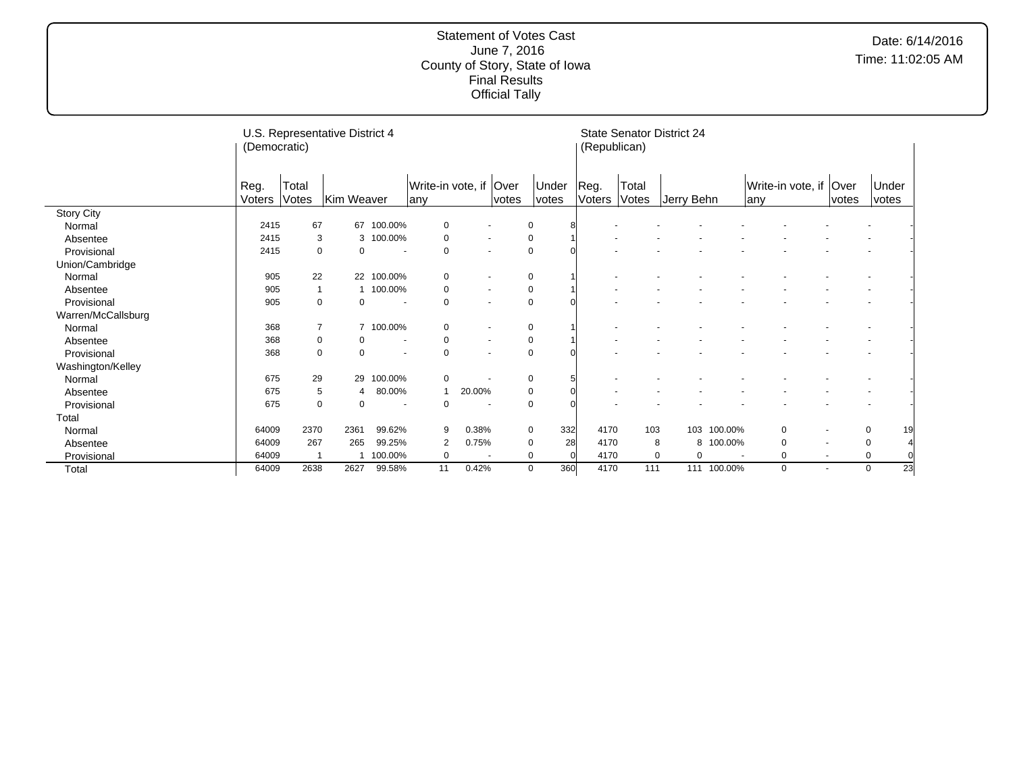|                    | (Democratic) |                | U.S. Representative District 4 |                          |                   |                          |       |             |     | (Republican)        |       | <b>State Senator District 24</b> |         |                          |                          |                          |       |    |
|--------------------|--------------|----------------|--------------------------------|--------------------------|-------------------|--------------------------|-------|-------------|-----|---------------------|-------|----------------------------------|---------|--------------------------|--------------------------|--------------------------|-------|----|
|                    | Reg.         | Total          |                                |                          | Write-in vote, if |                          | Over  | Under       |     | Reg.                | Total |                                  |         |                          | Write-in vote, if   Over |                          | Under |    |
|                    | Voters       | Votes          | Kim Weaver                     |                          | any               |                          | votes | votes       |     | Voters <sup> </sup> | Votes | Jerry Behn                       |         | lany                     |                          | votes                    | votes |    |
| <b>Story City</b>  |              |                |                                |                          |                   |                          |       |             |     |                     |       |                                  |         |                          |                          |                          |       |    |
| Normal             | 2415         | 67             |                                | 67 100.00%               | 0                 |                          |       | $\mathbf 0$ |     |                     |       |                                  |         |                          |                          |                          |       |    |
| Absentee           | 2415         |                | 3                              | 3 100.00%                | 0                 |                          |       | 0           |     |                     |       |                                  |         |                          |                          |                          |       |    |
| Provisional        | 2415         | $\mathbf 0$    | 0                              | $\sim$                   | $\mathbf 0$       | $\overline{\phantom{a}}$ |       | 0           |     |                     |       |                                  |         |                          |                          |                          |       |    |
| Union/Cambridge    |              |                |                                |                          |                   |                          |       |             |     |                     |       |                                  |         |                          |                          |                          |       |    |
| Normal             | 905          | 22             |                                | 22 100.00%               | $\mathbf 0$       |                          |       | $\mathbf 0$ |     |                     |       |                                  |         |                          |                          |                          |       |    |
| Absentee           | 905          |                |                                | 100.00%                  | 0                 | $\overline{\phantom{a}}$ |       | 0           |     |                     |       |                                  |         |                          |                          |                          |       |    |
| Provisional        | 905          | $\Omega$       | 0                              | $\overline{\phantom{a}}$ | $\mathbf 0$       | $\overline{\phantom{0}}$ |       | $\mathbf 0$ |     |                     |       |                                  |         |                          |                          |                          |       |    |
| Warren/McCallsburg |              |                |                                |                          |                   |                          |       |             |     |                     |       |                                  |         |                          |                          |                          |       |    |
| Normal             | 368          | $\overline{7}$ |                                | 7 100.00%                | 0                 |                          |       | 0           |     |                     |       |                                  |         |                          |                          |                          |       |    |
| Absentee           | 368          | 0              | 0                              | $\blacksquare$           | $\mathbf 0$       |                          |       | 0           |     |                     |       |                                  |         |                          |                          |                          |       |    |
| Provisional        | 368          | $\Omega$       | $\Omega$                       |                          | $\overline{0}$    |                          |       | 0           |     |                     |       |                                  |         |                          |                          |                          |       |    |
| Washington/Kelley  |              |                |                                |                          |                   |                          |       |             |     |                     |       |                                  |         |                          |                          |                          |       |    |
| Normal             | 675          | 29             | 29                             | 100.00%                  | 0                 |                          |       | 0           |     |                     |       |                                  |         |                          |                          |                          |       |    |
| Absentee           | 675          | 5              | 4                              | 80.00%                   |                   | 20.00%                   |       | 0           |     |                     |       |                                  |         |                          |                          |                          |       |    |
| Provisional        | 675          | 0              | 0                              | $\overline{\phantom{a}}$ | 0                 | <b>.</b>                 |       | $\mathbf 0$ |     |                     |       |                                  |         |                          |                          |                          |       |    |
| Total              |              |                |                                |                          |                   |                          |       |             |     |                     |       |                                  |         |                          |                          |                          |       |    |
| Normal             | 64009        | 2370           | 2361                           | 99.62%                   | 9                 | 0.38%                    |       | 0           | 332 | 4170                | 103   | 103                              | 100.00% |                          | $\Omega$                 |                          | 0     | 19 |
| Absentee           | 64009        | 267            | 265                            | 99.25%                   | 2                 | 0.75%                    |       | 0           | 28  | 4170                | 8     | 8                                | 100.00% |                          | 0                        |                          | 0     |    |
| Provisional        | 64009        |                |                                | 100.00%                  | 0                 | ٠.                       |       | 0           | O   | 4170                | 0     | $\mathbf 0$                      |         | $\overline{\phantom{a}}$ | 0                        | $\overline{\phantom{a}}$ | 0     |    |
| Total              | 64009        | 2638           | 2627                           | 99.58%                   | 11                | 0.42%                    |       | $\mathbf 0$ | 360 | 4170                | 111   | 111                              | 100.00% |                          | $\mathbf 0$              |                          | 0     | 23 |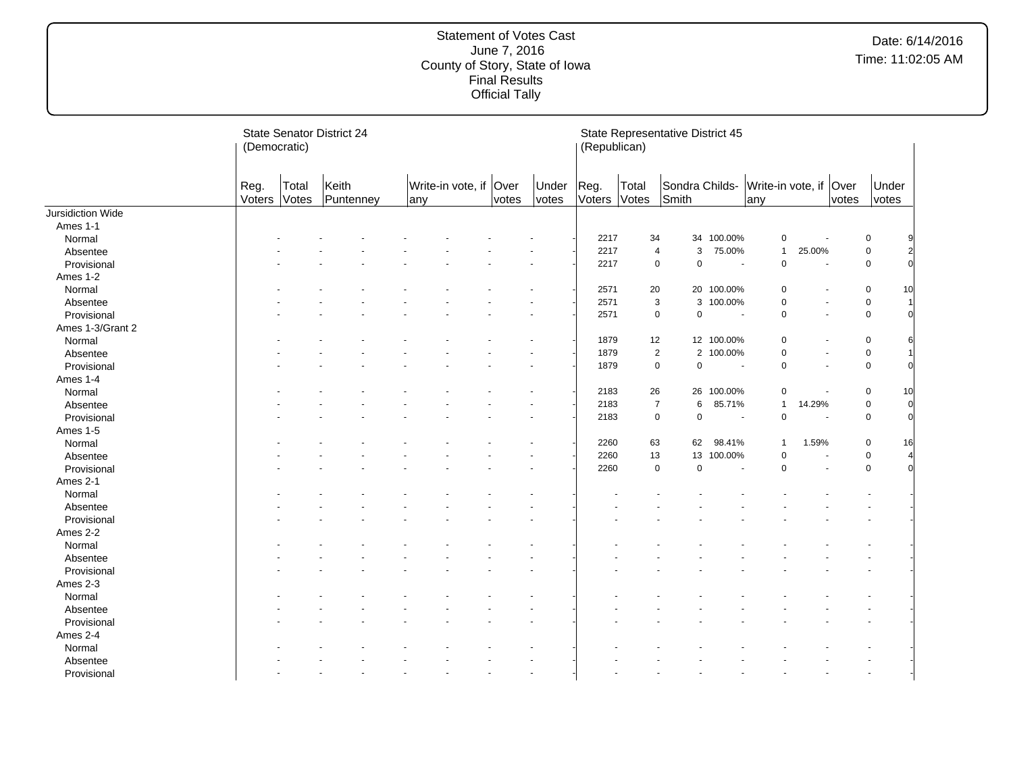|                         | (Democratic)   |                | <b>State Senator District 24</b> |     |                        |       |                | (Republican)   |                | State Representative District 45 |                          |                               |        |       |                |                |
|-------------------------|----------------|----------------|----------------------------------|-----|------------------------|-------|----------------|----------------|----------------|----------------------------------|--------------------------|-------------------------------|--------|-------|----------------|----------------|
|                         | Reg.<br>Voters | Total<br>Votes | Keith<br>Puntenney               | any | Write-in vote, if Over | votes | Under<br>votes | Reg.<br>Voters | Total<br>Votes | Sondra Childs-<br>Smith          |                          | Write-in vote, if Over<br>any |        | votes | Under<br>votes |                |
| Jursidiction Wide       |                |                |                                  |     |                        |       |                |                |                |                                  |                          |                               |        |       |                |                |
| Ames 1-1                |                |                |                                  |     |                        |       |                |                |                |                                  |                          |                               |        |       |                |                |
| Normal                  |                |                |                                  |     |                        |       |                | 2217           | 34             | 34                               | 100.00%                  | $\pmb{0}$                     |        |       | $\mathbf 0$    |                |
| Absentee                |                |                |                                  |     |                        |       |                | 2217           | 4              | 3                                | 75.00%                   | $\mathbf{1}$                  | 25.00% |       | $\mathbf 0$    | 2              |
| Provisional             |                |                |                                  |     |                        |       |                | 2217           | $\mathbf 0$    | $\mathbf 0$                      | $\overline{a}$           | $\mathbf 0$                   |        |       | $\mathbf 0$    | $\Omega$       |
| Ames 1-2                |                |                |                                  |     |                        |       |                |                |                |                                  |                          |                               |        |       |                |                |
| Normal                  |                |                |                                  |     |                        |       |                | 2571           | 20             | 20                               | 100.00%                  | $\mathbf 0$                   |        |       | $\mathbf 0$    | 10             |
| Absentee                |                |                |                                  |     |                        |       |                | 2571           | 3              | 3                                | 100.00%                  | $\mathbf 0$                   |        |       | $\mathbf 0$    |                |
| Provisional             |                |                |                                  |     |                        |       |                | 2571           | $\pmb{0}$      | $\pmb{0}$                        | $\overline{\phantom{a}}$ | $\mathbf 0$                   |        |       | $\mathsf 0$    | $\Omega$       |
| Ames 1-3/Grant 2        |                |                |                                  |     |                        |       |                |                |                |                                  |                          |                               |        |       |                |                |
| Normal                  |                |                |                                  |     |                        |       |                | 1879           | 12             |                                  | 12 100.00%               | 0                             |        |       | $\mathbf 0$    | 61             |
| Absentee                |                |                |                                  |     |                        |       |                | 1879           | $\sqrt{2}$     | $\mathbf{2}^{\prime}$            | 100.00%                  | $\mathbf 0$                   |        |       | $\mathbf 0$    |                |
| Provisional             |                |                |                                  |     |                        |       |                | 1879           | $\pmb{0}$      | $\pmb{0}$                        | $\overline{\phantom{a}}$ | $\mathbf 0$                   |        |       | $\mathsf 0$    | $\Omega$       |
| Ames 1-4                |                |                |                                  |     |                        |       |                |                |                |                                  |                          |                               |        |       |                |                |
| Normal                  |                |                |                                  |     |                        |       |                | 2183           | 26             | 26                               | 100.00%                  | $\mathbf 0$                   |        |       | 0              | 10             |
| Absentee                |                |                |                                  |     |                        |       |                | 2183           | $\overline{7}$ | $\,6$                            | 85.71%                   | $\mathbf{1}$                  | 14.29% |       | $\mathbf 0$    | $\overline{0}$ |
| Provisional             |                |                |                                  |     |                        |       |                | 2183           | $\pmb{0}$      | $\pmb{0}$                        | $\overline{\phantom{a}}$ | $\mathbf 0$                   |        |       | $\mathbf 0$    | $\overline{0}$ |
| <b>Ames 1-5</b>         |                |                |                                  |     |                        |       |                |                |                |                                  |                          |                               |        |       |                |                |
| Normal                  |                |                |                                  |     |                        |       |                | 2260           | 63             | 62                               | 98.41%                   | $\mathbf{1}$                  | 1.59%  |       | $\mathbf 0$    | 16             |
| Absentee                |                |                |                                  |     |                        |       |                | 2260           | 13             | 13                               | 100.00%                  | $\mathbf 0$                   |        |       | $\mathbf 0$    |                |
| Provisional             |                |                |                                  |     |                        |       |                | 2260           | $\pmb{0}$      | $\mathbf 0$                      | ÷.                       | $\Omega$                      |        |       | $\mathsf 0$    | $\Omega$       |
| Ames 2-1                |                |                |                                  |     |                        |       |                |                |                |                                  |                          |                               |        |       |                |                |
| Normal                  |                |                |                                  |     |                        |       |                |                |                |                                  |                          |                               |        |       |                |                |
| Absentee                |                |                |                                  |     |                        |       |                |                |                |                                  |                          |                               |        |       |                |                |
| Provisional             |                |                |                                  |     |                        |       |                |                |                |                                  |                          |                               |        |       |                |                |
| Ames 2-2                |                |                |                                  |     |                        |       |                |                |                |                                  |                          |                               |        |       |                |                |
| Normal                  |                |                |                                  |     |                        |       |                |                |                |                                  |                          |                               |        |       |                |                |
| Absentee                |                |                |                                  |     |                        |       |                |                |                |                                  |                          |                               |        |       |                |                |
| Provisional             |                |                |                                  |     |                        |       |                |                |                |                                  |                          |                               |        |       |                |                |
| Ames 2-3                |                |                |                                  |     |                        |       |                |                |                |                                  |                          |                               |        |       |                |                |
| Normal                  |                |                |                                  |     |                        |       |                |                |                |                                  |                          |                               |        |       |                |                |
| Absentee                |                |                |                                  |     |                        |       |                |                |                |                                  |                          |                               |        |       |                |                |
| Provisional             |                |                |                                  |     |                        |       |                |                |                |                                  |                          |                               |        |       |                |                |
| Ames 2-4                |                |                |                                  |     |                        |       |                |                |                |                                  |                          |                               |        |       |                |                |
| Normal                  |                |                |                                  |     |                        |       |                |                |                |                                  |                          |                               |        |       |                |                |
|                         |                |                |                                  |     |                        |       |                |                |                |                                  |                          |                               |        |       |                |                |
| Absentee<br>Provisional |                |                |                                  |     |                        |       |                |                |                |                                  |                          |                               |        |       | ä,             |                |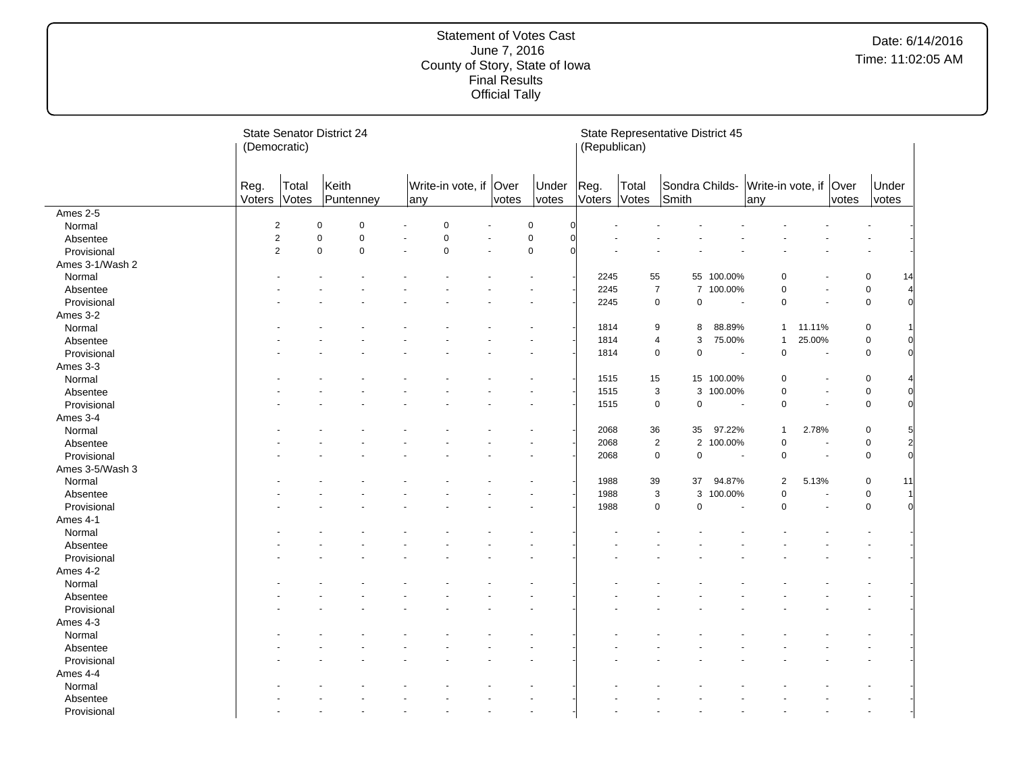|                 |                | <b>State Senator District 24</b><br>(Democratic) |                    |             |     |                        |       |                | (Republican)   |                | State Representative District 45 |                          |                               |        |       |                |                |
|-----------------|----------------|--------------------------------------------------|--------------------|-------------|-----|------------------------|-------|----------------|----------------|----------------|----------------------------------|--------------------------|-------------------------------|--------|-------|----------------|----------------|
|                 | Reg.<br>Voters | Total<br>Votes                                   | Keith<br>Puntenney |             | any | Write-in vote, if Over | votes | Under<br>votes | Reg.<br>Voters | Total<br>Votes | Sondra Childs-<br>Smith          |                          | Write-in vote, if Over<br>any |        | votes | Under<br>votes |                |
| Ames 2-5        |                |                                                  |                    |             |     |                        |       |                |                |                |                                  |                          |                               |        |       |                |                |
| Normal          |                | $\overline{c}$                                   | 0                  | $\mathbf 0$ |     | $\Omega$               |       | $\pmb{0}$      | $\Omega$       |                |                                  |                          |                               |        |       |                |                |
| Absentee        |                | $\overline{2}$                                   | 0                  | $\mathbf 0$ |     | $\pmb{0}$              |       | $\pmb{0}$      | $\Omega$       |                |                                  |                          |                               |        |       |                |                |
| Provisional     |                | $\overline{2}$                                   | $\mathbf 0$        | $\mathbf 0$ |     | $\mathbf 0$            |       | $\pmb{0}$      |                |                |                                  |                          |                               |        |       |                |                |
| Ames 3-1/Wash 2 |                |                                                  |                    |             |     |                        |       |                |                |                |                                  |                          |                               |        |       |                |                |
| Normal          |                |                                                  |                    |             |     |                        |       |                | 2245           | 55             |                                  | 55 100.00%               | 0                             |        |       | $\mathbf 0$    | 14             |
| Absentee        |                |                                                  |                    |             |     |                        |       |                | 2245           | $\overline{7}$ |                                  | 7 100.00%                | $\overline{0}$                |        |       | $\pmb{0}$      |                |
| Provisional     |                |                                                  |                    |             |     |                        |       |                | 2245           | $\mathsf 0$    | 0                                | $\overline{\phantom{a}}$ | $\mathbf 0$                   |        |       | $\mathbf 0$    | O              |
| Ames 3-2        |                |                                                  |                    |             |     |                        |       |                |                |                |                                  |                          |                               |        |       |                |                |
| Normal          |                |                                                  |                    |             |     |                        |       |                | 1814           | 9              | 8                                | 88.89%                   | $\mathbf{1}$                  | 11.11% |       | $\mathbf 0$    |                |
| Absentee        |                |                                                  |                    |             |     |                        |       |                | 1814           | 4              | 3                                | 75.00%                   | $\mathbf{1}$                  | 25.00% |       | $\mathsf 0$    |                |
| Provisional     |                |                                                  |                    |             |     |                        |       |                | 1814           | $\mathbf 0$    | 0                                |                          | $\overline{0}$                |        |       | $\mathbf 0$    |                |
| Ames 3-3        |                |                                                  |                    |             |     |                        |       |                |                |                |                                  |                          |                               |        |       |                |                |
| Normal          |                |                                                  |                    |             |     |                        |       |                | 1515           | 15             |                                  | 15 100.00%               | $\Omega$                      |        |       | $\mathbf 0$    |                |
| Absentee        |                |                                                  |                    |             |     |                        |       |                | 1515           | 3              | 3                                | 100.00%                  | $\mathbf 0$                   |        |       | $\mathbf 0$    |                |
| Provisional     |                |                                                  |                    |             |     |                        |       |                | 1515           | $\mathbf 0$    | 0                                | $\overline{\phantom{a}}$ | $\mathbf 0$                   |        |       | $\mathbf 0$    |                |
| Ames 3-4        |                |                                                  |                    |             |     |                        |       |                |                |                |                                  |                          |                               |        |       |                |                |
| Normal          |                |                                                  |                    |             |     |                        |       |                | 2068           | 36             | 35                               | 97.22%                   | $\mathbf{1}$                  | 2.78%  |       | $\mathbf 0$    |                |
| Absentee        |                |                                                  |                    |             |     |                        |       |                | 2068           | $\sqrt{2}$     | $\overline{c}$                   | 100.00%                  | $\mathbf 0$                   |        |       | $\mathbf 0$    | $\overline{2}$ |
| Provisional     |                |                                                  |                    |             |     |                        |       |                | 2068           | $\mathbf 0$    | 0                                | $\sim$                   | $\mathbf 0$                   |        |       | $\mathbf 0$    |                |
| Ames 3-5/Wash 3 |                |                                                  |                    |             |     |                        |       |                |                |                |                                  |                          |                               |        |       |                |                |
| Normal          |                |                                                  |                    |             |     |                        |       |                | 1988           | 39             | 37                               | 94.87%                   | $\overline{2}$                | 5.13%  |       | $\mathbf 0$    | 11             |
|                 |                |                                                  |                    |             |     |                        |       |                | 1988           | 3              | 3                                | 100.00%                  | $\Omega$                      |        |       | $\mathbf 0$    |                |
| Absentee        |                |                                                  |                    |             |     |                        |       |                | 1988           | $\mathbf 0$    | 0                                | $\sim$                   | $\mathbf 0$                   |        |       | $\mathsf 0$    | n              |
| Provisional     |                |                                                  |                    |             |     |                        |       |                |                |                |                                  |                          |                               |        |       |                |                |
| Ames 4-1        |                |                                                  |                    |             |     |                        |       |                |                |                |                                  |                          |                               |        |       |                |                |
| Normal          |                |                                                  |                    |             |     |                        |       |                |                |                |                                  |                          |                               |        |       |                |                |
| Absentee        |                |                                                  |                    |             |     |                        |       |                |                |                |                                  |                          |                               |        |       |                |                |
| Provisional     |                |                                                  |                    |             |     |                        |       |                |                |                |                                  |                          |                               |        |       |                |                |
| Ames 4-2        |                |                                                  |                    |             |     |                        |       |                |                |                |                                  |                          |                               |        |       |                |                |
| Normal          |                |                                                  |                    |             |     |                        |       |                |                |                |                                  |                          |                               |        |       |                |                |
| Absentee        |                |                                                  |                    |             |     |                        |       |                |                |                |                                  |                          |                               |        |       |                |                |
| Provisional     |                |                                                  |                    |             |     |                        |       |                |                |                |                                  |                          |                               |        |       |                |                |
| Ames 4-3        |                |                                                  |                    |             |     |                        |       |                |                |                |                                  |                          |                               |        |       |                |                |
| Normal          |                |                                                  |                    |             |     |                        |       |                |                |                |                                  |                          |                               |        |       |                |                |
| Absentee        |                |                                                  |                    |             |     |                        |       |                |                |                |                                  |                          |                               |        |       |                |                |
| Provisional     |                |                                                  |                    |             |     |                        |       |                |                |                |                                  |                          |                               |        |       |                |                |
| Ames 4-4        |                |                                                  |                    |             |     |                        |       |                |                |                |                                  |                          |                               |        |       |                |                |
| Normal          |                |                                                  |                    |             |     |                        |       |                |                |                |                                  |                          |                               |        |       |                |                |
| Absentee        |                |                                                  |                    |             |     |                        |       |                |                |                |                                  |                          |                               |        |       |                |                |
| Provisional     |                |                                                  |                    |             |     |                        |       |                |                |                |                                  |                          |                               |        |       |                |                |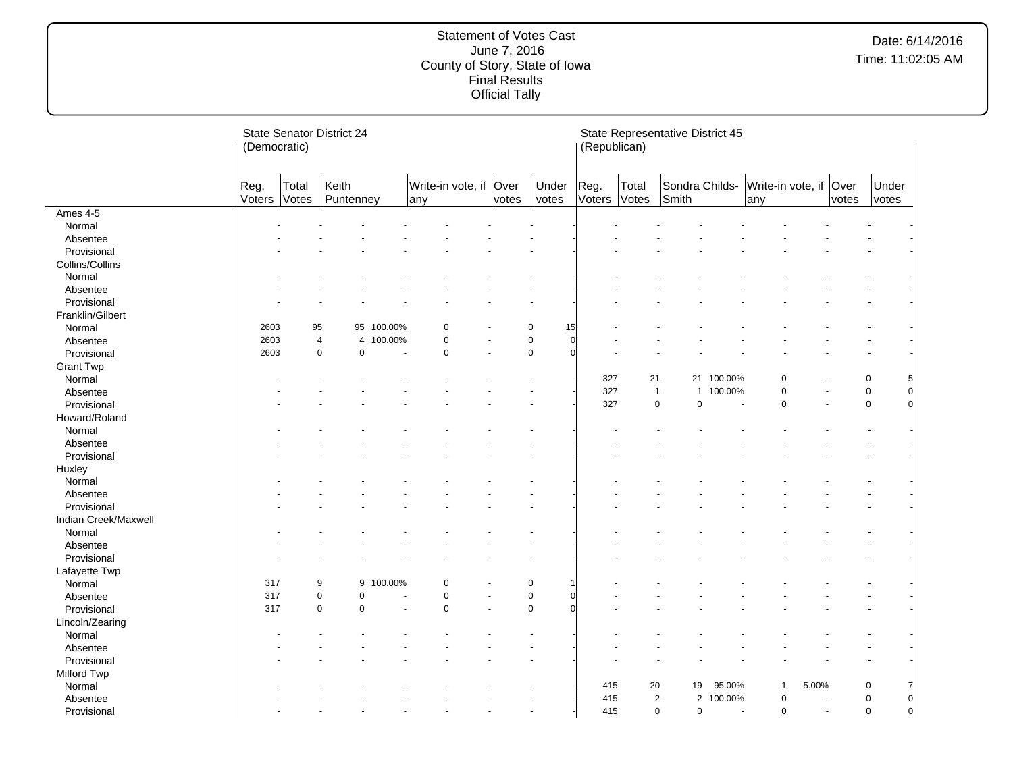|                      | (Democratic)   |                | <b>State Senator District 24</b>         |         |                               |       |                             | (Republican)   | State Representative District 45 |                         |                          |                                      |       |       |                         |
|----------------------|----------------|----------------|------------------------------------------|---------|-------------------------------|-------|-----------------------------|----------------|----------------------------------|-------------------------|--------------------------|--------------------------------------|-------|-------|-------------------------|
|                      | Reg.<br>Voters | Total<br>Votes | Keith<br>Puntenney                       |         | Write-in vote, if Over<br>any | votes | Under<br>votes              | Reg.<br>Voters | Total<br>Votes                   | Sondra Childs-<br>Smith |                          | Write-in vote, if Over<br>any        |       | votes | Under<br>votes          |
| Ames 4-5             |                |                |                                          |         |                               |       |                             |                |                                  |                         |                          |                                      |       |       |                         |
| Normal               |                |                |                                          |         |                               |       |                             |                |                                  |                         |                          |                                      |       |       |                         |
| Absentee             |                |                |                                          |         |                               |       |                             |                |                                  |                         |                          |                                      |       |       |                         |
| Provisional          |                |                |                                          |         |                               |       |                             |                |                                  |                         |                          |                                      |       |       |                         |
| Collins/Collins      |                |                |                                          |         |                               |       |                             |                |                                  |                         |                          |                                      |       |       |                         |
| Normal               |                |                |                                          |         |                               |       |                             |                |                                  |                         |                          |                                      |       |       |                         |
| Absentee             |                |                |                                          |         |                               |       |                             |                |                                  |                         |                          |                                      |       |       |                         |
| Provisional          |                |                |                                          |         |                               |       |                             |                |                                  |                         |                          |                                      |       |       |                         |
| Franklin/Gilbert     |                |                |                                          |         |                               |       |                             |                |                                  |                         |                          |                                      |       |       |                         |
| Normal               | 2603           | 95             | 95                                       | 100.00% | 0                             |       | 15<br>0                     |                |                                  |                         |                          |                                      |       |       |                         |
| Absentee             | 2603           |                | $\overline{4}$<br>$\overline{4}$         | 100.00% | $\mathbf 0$                   |       | $\pmb{0}$<br>$\overline{0}$ |                |                                  |                         |                          |                                      |       |       |                         |
| Provisional          | 2603           |                | $\mathbf 0$<br>$\mathbf 0$               |         | $\mathbf 0$                   |       | $\mathbf 0$<br>$\Omega$     |                |                                  |                         |                          |                                      |       |       |                         |
| <b>Grant Twp</b>     |                |                |                                          |         |                               |       |                             |                |                                  |                         |                          |                                      |       |       |                         |
| Normal               |                |                |                                          |         |                               |       |                             | 327            | 21                               |                         | 21 100.00%               | O                                    |       |       | 0                       |
| Absentee             |                |                |                                          |         |                               |       |                             | 327            | $\mathbf{1}$                     | $\mathbf{1}$            | 100.00%                  | $\mathbf 0$                          |       |       | $\mathbf 0$<br>$\Omega$ |
| Provisional          |                |                |                                          |         |                               |       |                             | 327            | $\mathbf 0$                      | 0                       | $\overline{\phantom{a}}$ | $\Omega$                             |       |       | $\mathbf 0$             |
| Howard/Roland        |                |                |                                          |         |                               |       |                             |                |                                  |                         |                          |                                      |       |       |                         |
| Normal               |                |                |                                          |         |                               |       |                             |                |                                  |                         |                          |                                      |       |       |                         |
| Absentee             |                |                |                                          |         |                               |       |                             |                |                                  |                         |                          |                                      |       |       |                         |
| Provisional          |                |                |                                          |         |                               |       |                             |                |                                  |                         |                          |                                      |       |       |                         |
| Huxley               |                |                |                                          |         |                               |       |                             |                |                                  |                         |                          |                                      |       |       |                         |
| Normal               |                |                |                                          |         |                               |       |                             |                |                                  |                         |                          |                                      |       |       |                         |
| Absentee             |                |                |                                          |         |                               |       |                             |                |                                  |                         |                          |                                      |       |       |                         |
| Provisional          |                |                |                                          |         |                               |       |                             |                |                                  |                         |                          |                                      |       |       |                         |
| Indian Creek/Maxwell |                |                |                                          |         |                               |       |                             |                |                                  |                         |                          |                                      |       |       |                         |
|                      |                |                |                                          |         |                               |       |                             |                |                                  |                         |                          |                                      |       |       |                         |
| Normal               |                |                |                                          |         |                               |       |                             |                |                                  |                         |                          |                                      |       |       |                         |
| Absentee             |                |                |                                          |         |                               |       |                             |                |                                  |                         |                          |                                      |       |       |                         |
| Provisional          |                |                |                                          |         |                               |       |                             |                |                                  |                         |                          |                                      |       |       |                         |
| Lafayette Twp        |                |                |                                          |         |                               |       |                             |                |                                  |                         |                          |                                      |       |       |                         |
| Normal               | 317            |                | 9<br>9                                   | 100.00% | $\mathbf 0$                   |       | $\mathbf 0$                 |                |                                  |                         |                          |                                      |       |       |                         |
| Absentee             | 317            |                | 0<br>$\mathbf 0$<br>$\Omega$<br>$\Omega$ |         | $\mathbf 0$<br>$\Omega$       |       | $\pmb{0}$<br>$\Omega$       |                |                                  |                         |                          |                                      |       |       |                         |
| Provisional          | 317            |                |                                          |         |                               |       |                             |                |                                  |                         |                          |                                      |       |       |                         |
| Lincoln/Zearing      |                |                |                                          |         |                               |       |                             |                |                                  |                         |                          |                                      |       |       |                         |
| Normal               |                |                |                                          |         |                               |       |                             |                |                                  |                         |                          |                                      |       |       |                         |
| Absentee             |                |                |                                          |         |                               |       |                             |                |                                  |                         |                          |                                      |       |       |                         |
| Provisional          |                |                |                                          |         |                               |       |                             |                |                                  |                         |                          |                                      |       |       |                         |
| Milford Twp          |                |                |                                          |         |                               |       |                             |                |                                  |                         |                          |                                      |       |       |                         |
| Normal               |                |                |                                          |         |                               |       |                             | 415            | 20                               | 19                      | 95.00%                   | -1                                   | 5.00% |       | $\mathbf 0$             |
| Absentee             |                |                |                                          |         |                               |       |                             | 415            | $\overline{2}$                   | $\overline{c}$          | 100.00%                  | 0                                    |       |       | $\mathbf 0$<br>0        |
| Provisional          |                |                |                                          |         |                               |       |                             | 415            | $\pmb{0}$                        | 0                       |                          | $\mathbf 0$<br>$\tilde{\phantom{a}}$ | ÷,    |       | $\mathsf 0$<br>$\Omega$ |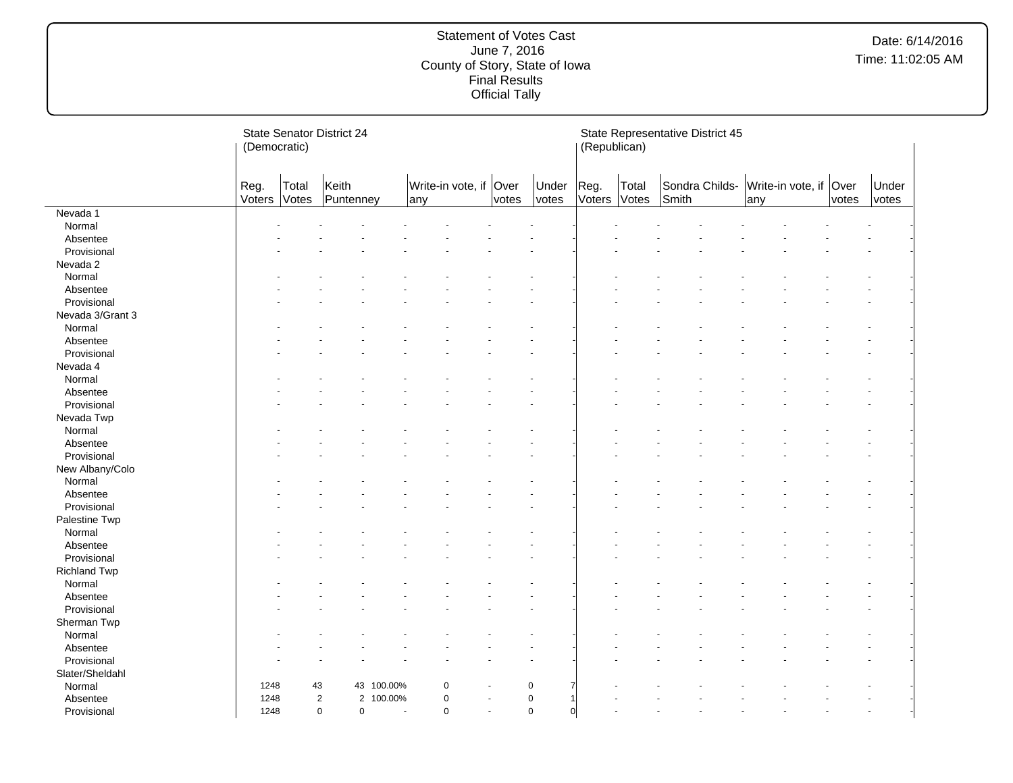|                     | (Democratic)   |                | <b>State Senator District 24</b> |            |             |                        |           |                | (Republican)   | State Representative District 45 |       |                |     |                        |       |                |
|---------------------|----------------|----------------|----------------------------------|------------|-------------|------------------------|-----------|----------------|----------------|----------------------------------|-------|----------------|-----|------------------------|-------|----------------|
|                     | Reg.<br>Voters | Total<br>Votes | Keith<br>Puntenney               |            | any         | Write-in vote, if Over | votes     | Under<br>votes | Reg.<br>Voters | Total<br>Votes                   | Smith | Sondra Childs- | any | Write-in vote, if Over | votes | Under<br>votes |
| Nevada 1            |                |                |                                  |            |             |                        |           |                |                |                                  |       |                |     |                        |       |                |
| Normal              |                |                |                                  |            |             |                        |           |                |                |                                  |       |                |     |                        |       |                |
| Absentee            |                |                |                                  |            |             |                        |           |                |                |                                  |       |                |     |                        |       |                |
| Provisional         |                |                |                                  |            |             |                        |           |                |                |                                  |       |                |     |                        |       |                |
| Nevada 2            |                |                |                                  |            |             |                        |           |                |                |                                  |       |                |     |                        |       |                |
| Normal              |                |                |                                  |            |             |                        |           |                |                |                                  |       |                |     |                        |       |                |
| Absentee            |                |                |                                  |            |             |                        |           |                |                |                                  |       |                |     |                        |       |                |
| Provisional         |                |                |                                  |            |             |                        |           |                |                |                                  |       |                |     |                        |       |                |
| Nevada 3/Grant 3    |                |                |                                  |            |             |                        |           |                |                |                                  |       |                |     |                        |       |                |
| Normal              |                |                |                                  |            |             |                        |           |                |                |                                  |       |                |     |                        |       |                |
| Absentee            |                |                |                                  |            |             |                        |           |                |                |                                  |       |                |     |                        |       |                |
| Provisional         |                |                |                                  |            |             |                        |           |                |                |                                  |       |                |     |                        |       |                |
| Nevada 4            |                |                |                                  |            |             |                        |           |                |                |                                  |       |                |     |                        |       |                |
| Normal              |                |                |                                  |            |             |                        |           |                |                |                                  |       |                |     |                        |       |                |
| Absentee            |                |                |                                  |            |             |                        |           |                |                |                                  |       |                |     |                        |       |                |
| Provisional         |                |                |                                  |            |             |                        |           |                |                |                                  |       |                |     |                        |       |                |
| Nevada Twp          |                |                |                                  |            |             |                        |           |                |                |                                  |       |                |     |                        |       |                |
| Normal              |                |                |                                  |            |             |                        |           |                |                |                                  |       |                |     |                        |       |                |
| Absentee            |                |                |                                  |            |             |                        |           |                |                |                                  |       |                |     |                        |       |                |
| Provisional         |                |                |                                  |            |             |                        |           |                |                |                                  |       |                |     |                        |       |                |
| New Albany/Colo     |                |                |                                  |            |             |                        |           |                |                |                                  |       |                |     |                        |       |                |
| Normal              |                |                |                                  |            |             |                        |           |                |                |                                  |       |                |     |                        |       |                |
| Absentee            |                |                |                                  |            |             |                        |           |                |                |                                  |       |                |     |                        |       |                |
| Provisional         |                |                |                                  |            |             |                        |           |                |                |                                  |       |                |     |                        |       |                |
| Palestine Twp       |                |                |                                  |            |             |                        |           |                |                |                                  |       |                |     |                        |       |                |
| Normal              |                |                |                                  |            |             |                        |           |                |                |                                  |       |                |     |                        |       |                |
| Absentee            |                |                |                                  |            |             |                        |           |                |                |                                  |       |                |     |                        |       |                |
| Provisional         |                |                |                                  |            |             |                        |           |                |                |                                  |       |                |     |                        |       |                |
| <b>Richland Twp</b> |                |                |                                  |            |             |                        |           |                |                |                                  |       |                |     |                        |       |                |
| Normal              |                |                |                                  |            |             |                        |           |                |                |                                  |       |                |     |                        |       |                |
| Absentee            |                |                |                                  |            |             |                        |           |                |                |                                  |       |                |     |                        |       |                |
| Provisional         |                |                |                                  |            |             |                        |           |                |                |                                  |       |                |     |                        |       |                |
| Sherman Twp         |                |                |                                  |            |             |                        |           |                |                |                                  |       |                |     |                        |       |                |
| Normal              |                |                |                                  |            |             |                        |           |                |                |                                  |       |                |     |                        |       |                |
| Absentee            |                |                |                                  |            |             |                        |           |                |                |                                  |       |                |     |                        |       |                |
| Provisional         |                |                |                                  |            |             |                        |           |                |                |                                  |       |                |     |                        |       |                |
| Slater/Sheldahl     |                |                |                                  |            |             |                        |           |                |                |                                  |       |                |     |                        |       |                |
| Normal              | 1248           | 43             |                                  | 43 100.00% | $\mathbf 0$ |                        | $\pmb{0}$ |                |                |                                  |       |                |     |                        |       |                |
| Absentee            | 1248           |                | $\overline{2}$<br>$\overline{2}$ | 100.00%    | $\pmb{0}$   |                        | $\pmb{0}$ |                |                |                                  |       |                |     |                        |       |                |
| Provisional         | 1248           |                | 0<br>$\mathbf 0$                 |            | $\mathbf 0$ |                        | $\pmb{0}$ | $\overline{0}$ |                |                                  |       |                |     |                        |       |                |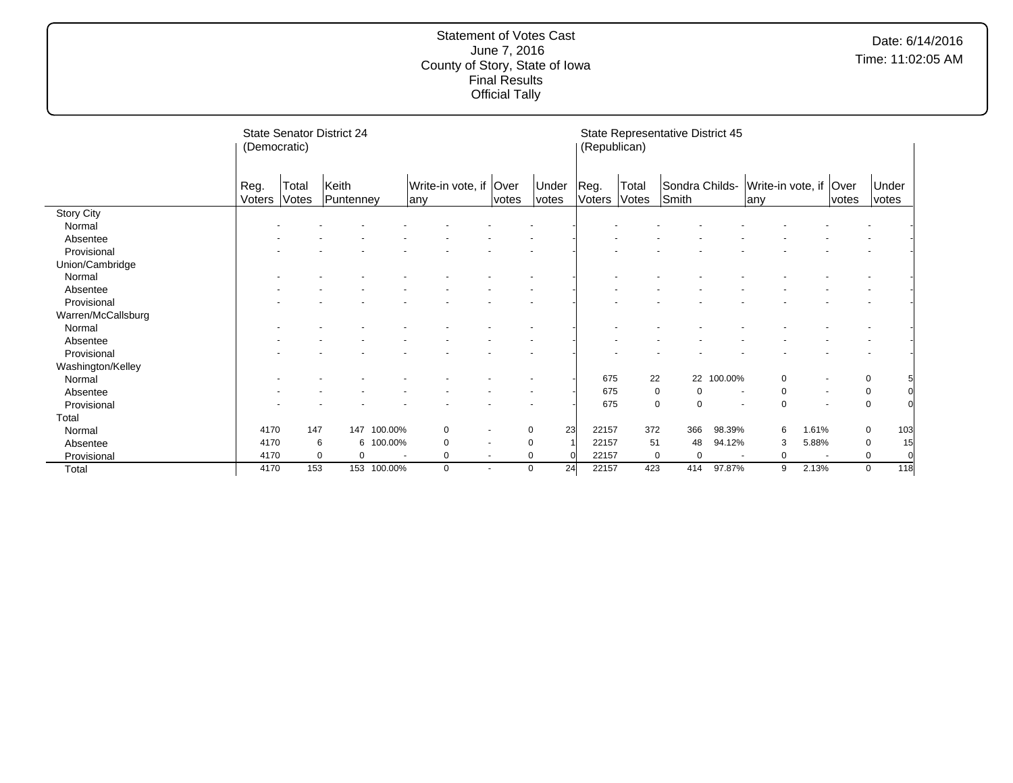|                    | (Democratic)   |                | <b>State Senator District 24</b> |                          |                           |                          |                | (Republican)   |                | State Representative District 45 |                          |                                |        |       |                |  |
|--------------------|----------------|----------------|----------------------------------|--------------------------|---------------------------|--------------------------|----------------|----------------|----------------|----------------------------------|--------------------------|--------------------------------|--------|-------|----------------|--|
|                    | Reg.<br>Voters | Total<br>Votes | Keith<br>Puntenney               |                          | Write-in vote, if<br>lanv | Over<br>votes            | Under<br>votes | Reg.<br>Voters | Total<br>Votes | Sondra Childs-<br>Smith          |                          | Write-in vote, if Over<br>lany |        | votes | Under<br>votes |  |
| <b>Story City</b>  |                |                |                                  |                          |                           |                          |                |                |                |                                  |                          |                                |        |       |                |  |
| Normal             |                |                |                                  |                          |                           |                          |                |                |                |                                  |                          |                                |        |       |                |  |
| Absentee           |                |                |                                  |                          |                           |                          |                |                |                |                                  |                          |                                |        |       |                |  |
| Provisional        |                |                |                                  |                          |                           |                          |                |                |                |                                  |                          |                                |        |       |                |  |
| Union/Cambridge    |                |                |                                  |                          |                           |                          |                |                |                |                                  |                          |                                |        |       |                |  |
| Normal             |                |                |                                  |                          |                           |                          |                |                |                |                                  |                          |                                |        |       |                |  |
| Absentee           |                |                |                                  |                          |                           |                          |                |                |                |                                  |                          |                                |        |       |                |  |
| Provisional        |                |                |                                  |                          |                           |                          |                |                |                |                                  |                          |                                |        |       |                |  |
| Warren/McCallsburg |                |                |                                  |                          |                           |                          |                |                |                |                                  |                          |                                |        |       |                |  |
| Normal             |                |                |                                  |                          |                           |                          |                |                |                |                                  |                          |                                |        |       |                |  |
| Absentee           |                |                |                                  |                          |                           |                          |                |                |                |                                  |                          |                                |        |       |                |  |
| Provisional        |                |                |                                  |                          |                           |                          |                |                |                |                                  |                          |                                |        |       |                |  |
| Washington/Kelley  |                |                |                                  |                          |                           |                          |                |                |                |                                  |                          |                                |        |       |                |  |
| Normal             |                |                |                                  |                          |                           |                          |                | 675            | 22             | 22                               | 100.00%                  | $\Omega$                       |        |       | 0              |  |
| Absentee           |                |                |                                  |                          |                           |                          |                | 675            |                | 0<br>0                           |                          | $\Omega$                       |        |       | 0              |  |
| Provisional        |                |                |                                  |                          |                           |                          |                | 675            |                | 0<br>$\Omega$                    |                          | $\Omega$                       |        |       | $\mathbf 0$    |  |
| Total              |                |                |                                  |                          |                           |                          |                |                |                |                                  |                          |                                |        |       |                |  |
| Normal             | 4170           | 147            | 147                              | 100.00%                  | 0                         |                          | 23<br>0        | 22157          | 372            | 366                              | 98.39%                   | 6                              | 1.61%  |       | 0<br>103       |  |
| Absentee           | 4170           |                | 6<br>6                           | 100.00%                  | 0                         | $\blacksquare$           | 0              | 22157          | 51             | 48                               | 94.12%                   | 3                              | 5.88%  |       | 15<br>0        |  |
| Provisional        | 4170           | $\mathbf 0$    | 0                                | $\overline{\phantom{a}}$ | 0                         | $\overline{\phantom{a}}$ | 0              | 22157          |                | 0<br>0                           | $\overline{\phantom{a}}$ | 0                              | $\sim$ |       | 0<br>$\Omega$  |  |
| Total              | 4170           | 153            |                                  | 153 100.00%              | 0                         | $\blacksquare$           | 24<br>0        | 22157          | 423            | 414                              | 97.87%                   | 9                              | 2.13%  |       | 118<br>0       |  |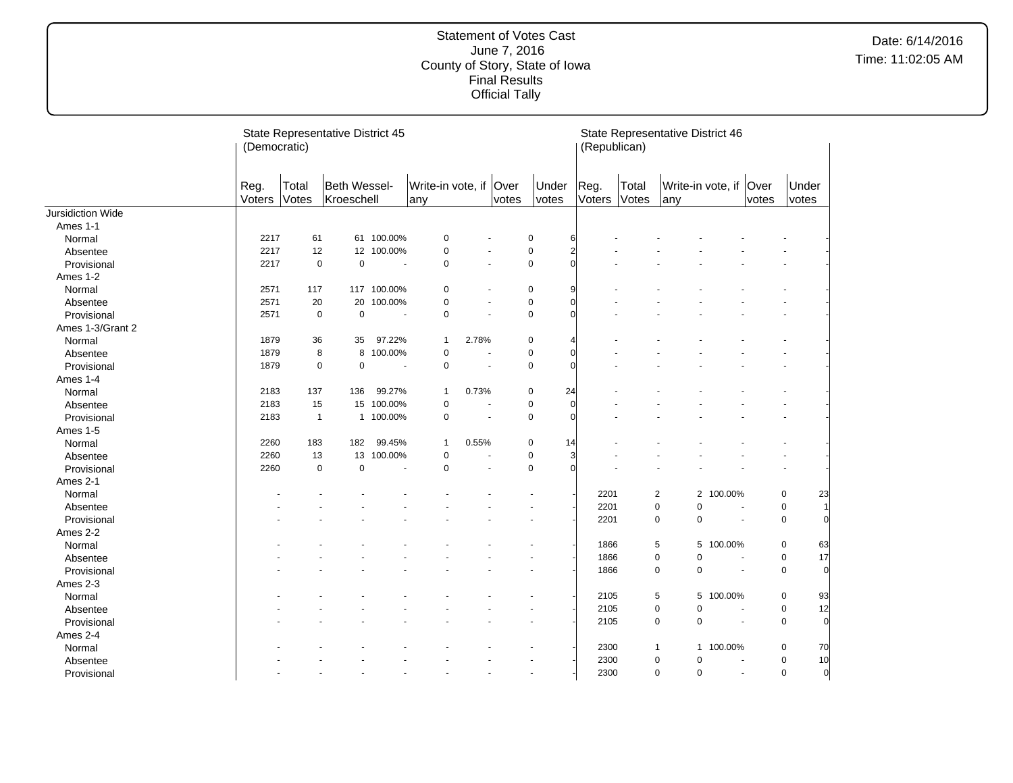|                   | (Democratic)   |                | State Representative District 45 |                          |                                |                          |       |                | (Republican)   |                | State Representative District 46 |                          |       |                               |  |
|-------------------|----------------|----------------|----------------------------------|--------------------------|--------------------------------|--------------------------|-------|----------------|----------------|----------------|----------------------------------|--------------------------|-------|-------------------------------|--|
|                   | Reg.<br>Voters | Total<br>Votes | Beth Wessel-<br>Kroeschell       |                          | Write-in vote, if Over<br>lany |                          | votes | Under<br>votes | Reg.<br>Voters | Total<br>Votes | Write-in vote, if Over<br>lany   |                          | votes | Under<br>votes                |  |
| Jursidiction Wide |                |                |                                  |                          |                                |                          |       |                |                |                |                                  |                          |       |                               |  |
| Ames 1-1          |                |                |                                  |                          |                                |                          |       |                |                |                |                                  |                          |       |                               |  |
| Normal            | 2217           | 61             |                                  | 61 100.00%               | 0                              |                          |       | 0              | 6              |                |                                  |                          |       |                               |  |
| Absentee          | 2217           | 12             |                                  | 12 100.00%               | 0                              |                          |       | $\pmb{0}$      | $\overline{2}$ |                |                                  |                          |       |                               |  |
| Provisional       | 2217           | $\mathbf 0$    | $\mathbf 0$                      | $\sim$                   | $\mathbf 0$                    |                          |       | $\mathbf 0$    | $\Omega$       |                |                                  |                          |       |                               |  |
| Ames 1-2          |                |                |                                  |                          |                                |                          |       |                |                |                |                                  |                          |       |                               |  |
| Normal            | 2571           | 117            |                                  | 117 100.00%              | 0                              |                          |       | 0              | 9              |                |                                  |                          |       |                               |  |
| Absentee          | 2571           | 20             | 20                               | 100.00%                  | 0                              |                          |       | $\mathbf 0$    | $\Omega$       |                |                                  |                          |       |                               |  |
| Provisional       | 2571           | $\pmb{0}$      | $\mathbf 0$                      | $\sim$                   | $\pmb{0}$                      |                          |       | $\pmb{0}$      | r              |                |                                  |                          |       |                               |  |
| Ames 1-3/Grant 2  |                |                |                                  |                          |                                |                          |       |                |                |                |                                  |                          |       |                               |  |
| Normal            | 1879           | 36             | 35                               | 97.22%                   | $\mathbf{1}$                   | 2.78%                    |       | 0              | 4              |                |                                  |                          |       |                               |  |
| Absentee          | 1879           | 8              | 8                                | 100.00%                  | $\pmb{0}$                      |                          |       | $\pmb{0}$      | $\cap$         |                |                                  |                          |       |                               |  |
| Provisional       | 1879           | $\mathbf 0$    | $\mathbf 0$                      | $\overline{\phantom{a}}$ | $\mathbf 0$                    | $\overline{\phantom{a}}$ |       | $\mathbf 0$    | $\Omega$       |                |                                  |                          |       |                               |  |
| Ames 1-4          |                |                |                                  |                          |                                |                          |       |                |                |                |                                  |                          |       |                               |  |
| Normal            | 2183           | 137            | 136                              | 99.27%                   | $\mathbf{1}$                   | 0.73%                    |       | 24<br>0        |                |                |                                  |                          |       |                               |  |
| Absentee          | 2183           | 15             | 15                               | 100.00%                  | $\pmb{0}$                      | $\blacksquare$           |       | 0              | $\Omega$       |                |                                  |                          |       |                               |  |
| Provisional       | 2183           | $\mathbf{1}$   |                                  | 1 100.00%                | $\mathbf 0$                    | $\blacksquare$           |       | $\mathbf 0$    | $\Omega$       |                |                                  |                          |       |                               |  |
| Ames 1-5          |                |                |                                  |                          |                                |                          |       |                |                |                |                                  |                          |       |                               |  |
| Normal            | 2260           | 183            | 182                              | 99.45%                   | $\mathbf{1}$                   | 0.55%                    |       | 0<br>14        |                |                |                                  |                          |       |                               |  |
| Absentee          | 2260           | 13             | 13                               | 100.00%                  | $\mathbf 0$                    |                          |       | $\mathbf 0$    | 3              |                |                                  |                          |       |                               |  |
| Provisional       | 2260           | $\mathbf 0$    | $\mathbf 0$                      | $\blacksquare$           | $\mathbf 0$                    | $\blacksquare$           |       | $\mathbf 0$    | $\Omega$       |                |                                  |                          |       |                               |  |
| Ames 2-1          |                |                |                                  |                          |                                |                          |       |                |                |                |                                  |                          |       |                               |  |
| Normal            |                |                |                                  |                          |                                |                          |       |                | 2201           |                | 2                                | 2 100.00%                |       | 23<br>0                       |  |
| Absentee          |                |                |                                  |                          |                                |                          |       |                | 2201           |                | 0<br>0                           | $\overline{\phantom{a}}$ |       | 0<br>1                        |  |
| Provisional       |                |                |                                  |                          |                                |                          |       |                | 2201           |                | 0<br>0                           | ÷.                       |       | $\pmb{0}$<br>$\overline{0}$   |  |
| Ames 2-2          |                |                |                                  |                          |                                |                          |       |                |                |                |                                  |                          |       |                               |  |
| Normal            |                |                |                                  |                          |                                |                          |       |                | 1866           |                | 5                                | 5 100.00%                |       | 0<br>63                       |  |
| Absentee          |                |                |                                  |                          |                                |                          |       |                | 1866           |                | 0<br>0                           | $\overline{\phantom{a}}$ |       | 17<br>0                       |  |
| Provisional       |                |                |                                  |                          |                                |                          |       |                | 1866           |                | 0<br>0                           | $\overline{\phantom{a}}$ |       | $\pmb{0}$<br>$\overline{0}$   |  |
| Ames 2-3          |                |                |                                  |                          |                                |                          |       |                |                |                |                                  |                          |       |                               |  |
| Normal            |                |                |                                  |                          |                                |                          |       |                | 2105           |                | 5                                | 5 100.00%                |       | 0<br>93                       |  |
| Absentee          |                |                |                                  |                          |                                |                          |       |                | 2105           |                | 0<br>0                           |                          |       | 12<br>$\pmb{0}$               |  |
| Provisional       |                |                |                                  |                          |                                |                          |       |                | 2105           |                | 0<br>0                           | $\overline{\phantom{a}}$ |       | $\mathbf 0$<br>$\overline{0}$ |  |
| Ames 2-4          |                |                |                                  |                          |                                |                          |       |                |                |                |                                  |                          |       |                               |  |
| Normal            |                |                |                                  |                          |                                |                          |       |                | 2300           |                | $\mathbf{1}$                     | 1 100.00%                |       | 0<br>70                       |  |
| Absentee          |                |                |                                  |                          |                                |                          |       |                | 2300           |                | 0<br>0                           | $\overline{\phantom{a}}$ |       | 10<br>0                       |  |
| Provisional       |                |                |                                  |                          |                                |                          |       |                | 2300           |                | 0<br>0                           | $\sim$                   |       | $\pmb{0}$<br>$\overline{0}$   |  |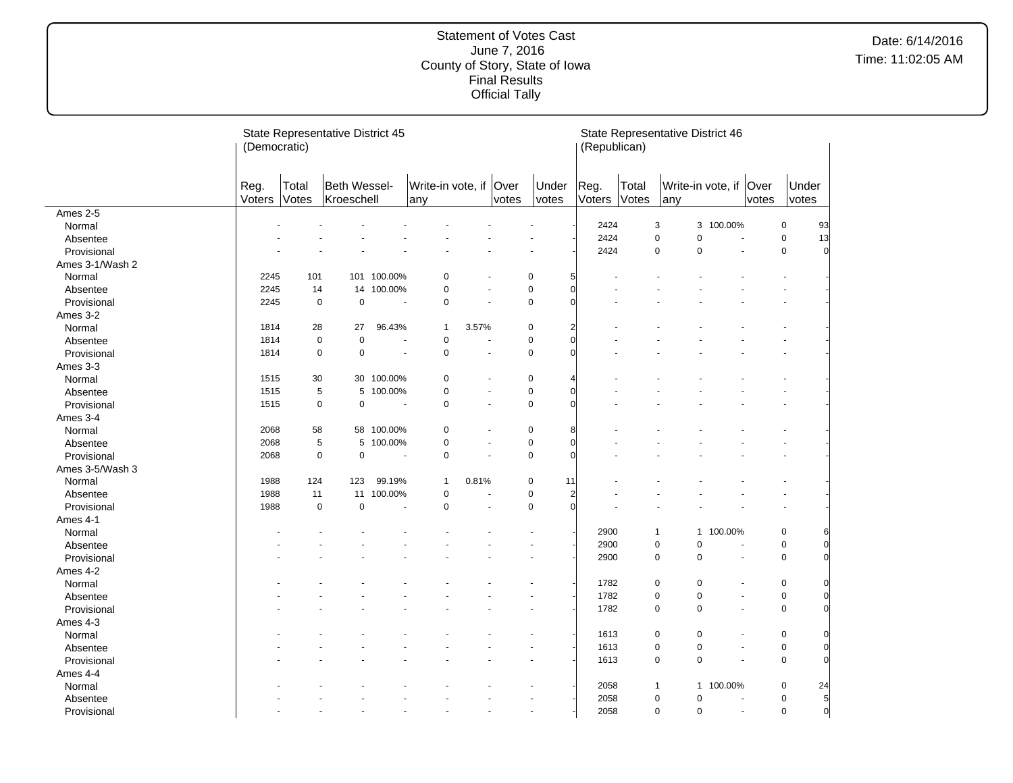|                 | (Democratic)   |                | State Representative District 45 |                       |                               |                      |       |                                               | (Republican)   |                | State Representative District 46 |                          |                      |                          |                |
|-----------------|----------------|----------------|----------------------------------|-----------------------|-------------------------------|----------------------|-------|-----------------------------------------------|----------------|----------------|----------------------------------|--------------------------|----------------------|--------------------------|----------------|
|                 | Reg.<br>Voters | Total<br>Votes | Beth Wessel-<br>Kroeschell       |                       | Write-in vote, if Over<br>any |                      | votes | Under<br>votes                                | Reg.<br>Voters | Total<br>Votes | Write-in vote, if Over<br>any    |                          | votes                | Under<br>votes           |                |
| Ames 2-5        |                |                |                                  |                       |                               |                      |       |                                               |                |                |                                  |                          |                      |                          |                |
| Normal          |                |                |                                  |                       |                               |                      |       |                                               | 2424           |                | 3                                | 3 100.00%                |                      | 0                        | 93             |
| Absentee        |                |                |                                  |                       |                               |                      |       |                                               | 2424           |                | $\pmb{0}$<br>$\pmb{0}$           | ÷,                       |                      | 0                        | 13             |
| Provisional     |                |                |                                  |                       |                               |                      |       |                                               | 2424           |                | $\pmb{0}$<br>$\pmb{0}$           | ÷,                       |                      | 0                        | $\overline{0}$ |
| Ames 3-1/Wash 2 |                |                |                                  |                       |                               |                      |       |                                               |                |                |                                  |                          |                      |                          |                |
| Normal          | 2245           | 101            |                                  | 101 100.00%           | $\mathbf 0$                   |                      |       | $\pmb{0}$<br>5                                |                |                |                                  |                          |                      | $\blacksquare$           |                |
| Absentee        | 2245           | 14             | 14                               | 100.00%               | $\pmb{0}$                     | $\overline{a}$       |       | $\mathbf 0$<br>$\mathbf 0$                    |                |                |                                  |                          |                      |                          |                |
| Provisional     | 2245           | $\mathbf 0$    | $\mathbf 0$                      | $\sim$                | $\mathbf 0$                   | $\sim$               |       | $\overline{0}$<br>$\mathbf 0$                 |                |                |                                  |                          |                      | $\overline{\phantom{a}}$ |                |
| Ames 3-2        |                |                |                                  |                       |                               |                      |       |                                               |                |                |                                  |                          |                      |                          |                |
| Normal          | 1814           | 28             | 27                               | 96.43%                | 1                             | 3.57%                |       | $\mathbf 0$<br>$\overline{a}$                 |                |                |                                  |                          |                      |                          |                |
| Absentee        | 1814           | $\mathbf 0$    | $\mathbf 0$                      | $\tilde{\phantom{a}}$ | $\mathbf 0$                   | ÷,                   |       | $\overline{0}$<br>$\mathbf 0$                 |                |                |                                  |                          |                      |                          |                |
| Provisional     | 1814           | $\pmb{0}$      | $\pmb{0}$                        | ÷.                    | $\pmb{0}$                     | $\ddot{\phantom{1}}$ |       | $\overline{0}$<br>$\pmb{0}$                   |                |                |                                  |                          |                      |                          |                |
| Ames 3-3        |                |                |                                  |                       |                               |                      |       |                                               |                |                |                                  |                          |                      |                          |                |
| Normal          | 1515           | 30             |                                  | 30 100.00%            | 0                             | ä,                   |       | $\pmb{0}$<br>4                                |                |                |                                  |                          |                      |                          |                |
| Absentee        | 1515           | 5              | 5                                | 100.00%               | $\pmb{0}$                     | $\blacksquare$       |       | $\pmb{0}$<br>$\overline{0}$                   |                |                |                                  |                          |                      |                          |                |
| Provisional     | 1515           | $\mathbf 0$    | $\pmb{0}$                        | $\sim$                | $\pmb{0}$                     | ÷,                   |       | $\overline{0}$<br>$\mathbf 0$                 |                |                |                                  |                          |                      |                          |                |
| Ames 3-4        |                |                |                                  |                       |                               |                      |       |                                               |                |                |                                  |                          |                      |                          |                |
| Normal          | 2068           | 58             |                                  | 58 100.00%            | $\pmb{0}$                     | $\blacksquare$       |       | $\pmb{0}$<br>8                                |                |                |                                  |                          |                      |                          |                |
| Absentee        | 2068           | 5              | 5                                | 100.00%               | $\pmb{0}$                     | $\sim$               |       | $\pmb{0}$<br>$\overline{0}$                   |                |                |                                  |                          |                      |                          |                |
| Provisional     | 2068           | $\mathbf 0$    | $\mathbf 0$                      | ÷,                    | $\pmb{0}$                     | ÷.                   |       | $\pmb{0}$<br>$\overline{0}$                   |                |                |                                  |                          |                      |                          |                |
| Ames 3-5/Wash 3 |                |                |                                  |                       |                               |                      |       |                                               |                |                |                                  |                          |                      |                          |                |
|                 | 1988           | 124            | 123                              | 99.19%                | 1                             | 0.81%                |       | $\pmb{0}$<br>11                               |                |                |                                  |                          |                      |                          |                |
| Normal          | 1988           | 11             | 11                               | 100.00%               | $\pmb{0}$                     | ÷.                   |       | $\pmb{0}$                                     |                |                |                                  |                          |                      |                          |                |
| Absentee        |                | $\pmb{0}$      | $\pmb{0}$                        | L.                    | $\pmb{0}$                     | L.                   |       | $\overline{a}$<br>$\overline{0}$<br>$\pmb{0}$ |                |                |                                  |                          |                      |                          |                |
| Provisional     | 1988           |                |                                  |                       |                               |                      |       |                                               |                |                |                                  |                          |                      |                          |                |
| Ames 4-1        |                |                |                                  |                       |                               |                      |       |                                               |                |                |                                  |                          |                      |                          |                |
| Normal          |                |                |                                  |                       |                               |                      |       |                                               | 2900           |                | 1                                | 1 100.00%                |                      | 0                        | 6              |
| Absentee        |                |                |                                  |                       |                               |                      |       |                                               | 2900           |                | $\pmb{0}$<br>$\pmb{0}$           | $\overline{\phantom{a}}$ |                      | 0                        | $\overline{0}$ |
| Provisional     |                |                |                                  |                       |                               |                      |       |                                               | 2900           |                | $\pmb{0}$<br>$\pmb{0}$           |                          | $\sim$               | 0                        | $\overline{0}$ |
| Ames 4-2        |                |                |                                  |                       |                               |                      |       |                                               |                |                |                                  |                          |                      |                          |                |
| Normal          |                |                |                                  |                       |                               |                      |       |                                               | 1782           |                | 0<br>0                           |                          | $\ddot{\phantom{1}}$ | 0                        | 0              |
| Absentee        |                |                |                                  |                       |                               |                      |       |                                               | 1782           |                | $\pmb{0}$<br>$\pmb{0}$           |                          | $\blacksquare$       | 0                        | $\mathbf 0$    |
| Provisional     |                |                |                                  |                       |                               |                      |       |                                               | 1782           |                | $\mathbf 0$<br>$\mathbf 0$       |                          | $\sim$               | 0                        | $\Omega$       |
| Ames 4-3        |                |                |                                  |                       |                               |                      |       |                                               |                |                |                                  |                          |                      |                          |                |
| Normal          |                |                |                                  |                       |                               |                      |       |                                               | 1613           |                | 0<br>0                           |                          |                      | 0                        | 0              |
| Absentee        |                |                |                                  |                       |                               |                      |       |                                               | 1613           |                | $\pmb{0}$<br>$\pmb{0}$           | ÷.                       |                      | 0                        | $\mathbf{0}$   |
| Provisional     |                |                |                                  |                       |                               |                      |       |                                               | 1613           |                | $\pmb{0}$<br>$\pmb{0}$           | ÷,                       |                      | 0                        | $\overline{0}$ |
| Ames 4-4        |                |                |                                  |                       |                               |                      |       |                                               |                |                |                                  |                          |                      |                          |                |
| Normal          |                |                |                                  |                       |                               |                      |       |                                               | 2058           |                | $\mathbf{1}$                     | 1 100.00%                |                      | 0                        | 24             |
| Absentee        |                |                |                                  |                       |                               |                      |       |                                               | 2058           |                | $\pmb{0}$<br>$\pmb{0}$           |                          | ä,                   | 0                        | $\overline{5}$ |
| Provisional     |                |                |                                  |                       |                               |                      |       | $\blacksquare$                                | 2058           |                | $\pmb{0}$<br>$\pmb{0}$           |                          | $\sim$               | 0                        | $\mathbf 0$    |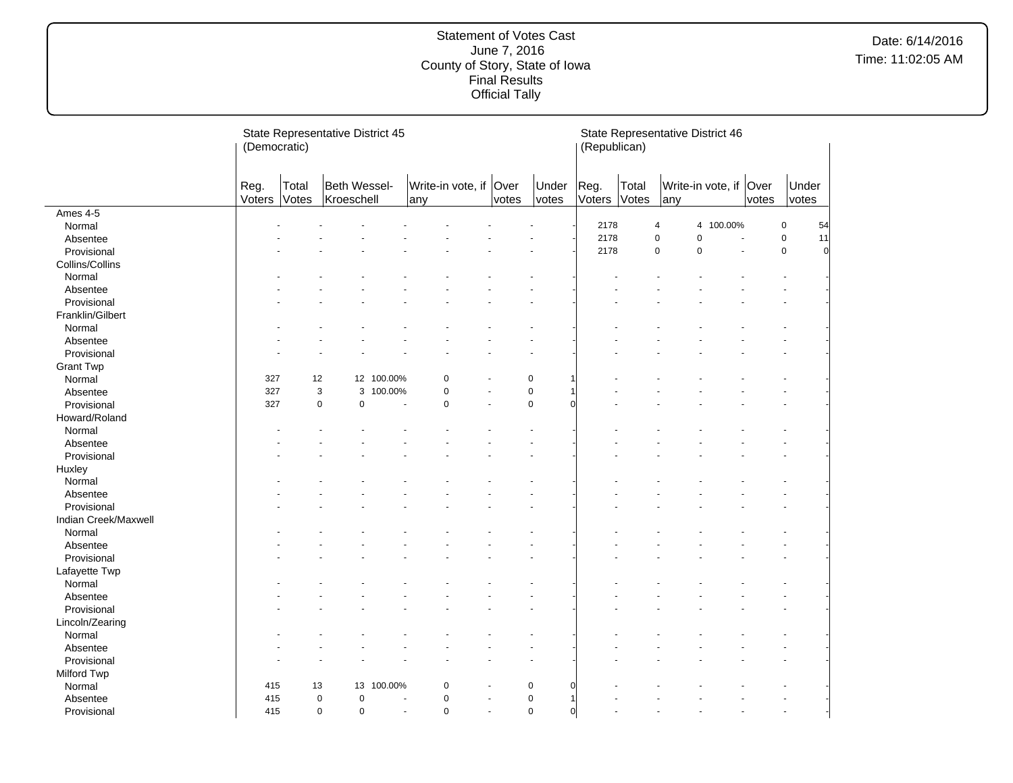|                      | (Democratic)   |                | State Representative District 45 |            |                               |                          |       |                           | (Republican)   |                | State Representative District 46 |                        |       |                               |
|----------------------|----------------|----------------|----------------------------------|------------|-------------------------------|--------------------------|-------|---------------------------|----------------|----------------|----------------------------------|------------------------|-------|-------------------------------|
|                      | Reg.<br>Voters | Total<br>Votes | Beth Wessel-<br>Kroeschell       |            | Write-in vote, if Over<br>any |                          | votes | Under<br>votes            | Reg.<br>Voters | Total<br>Votes | any                              | Write-in vote, if Over | votes | Under<br>votes                |
| Ames 4-5             |                |                |                                  |            |                               |                          |       |                           |                |                |                                  |                        |       |                               |
| Normal               |                |                |                                  |            |                               |                          |       |                           | 2178           |                | 4                                | 4 100.00%              |       | $\mathbf 0$<br>54             |
| Absentee             |                |                |                                  |            |                               |                          |       |                           | 2178           |                | $\mathbf 0$<br>$\pmb{0}$         |                        |       | $\pmb{0}$<br>11               |
| Provisional          |                |                |                                  |            |                               |                          |       |                           | 2178           |                | $\mathbf 0$<br>0                 | ä,                     |       | $\mathbf 0$<br>$\overline{0}$ |
| Collins/Collins      |                |                |                                  |            |                               |                          |       |                           |                |                |                                  |                        |       |                               |
| Normal               |                |                |                                  |            |                               |                          |       |                           |                |                |                                  |                        |       |                               |
| Absentee             |                |                |                                  |            |                               |                          |       |                           |                |                |                                  |                        |       |                               |
| Provisional          |                |                |                                  |            |                               |                          |       |                           |                |                |                                  |                        |       |                               |
| Franklin/Gilbert     |                |                |                                  |            |                               |                          |       |                           |                |                |                                  |                        |       |                               |
| Normal               |                |                |                                  |            |                               |                          |       |                           |                |                |                                  |                        |       |                               |
| Absentee             |                |                |                                  |            |                               |                          |       |                           |                |                |                                  |                        |       |                               |
| Provisional          |                |                |                                  |            |                               |                          |       |                           |                |                |                                  |                        |       |                               |
| <b>Grant Twp</b>     |                |                |                                  |            |                               |                          |       |                           |                |                |                                  |                        |       |                               |
| Normal               | 327            | 12             |                                  | 12 100.00% | 0                             |                          |       | 0                         |                |                |                                  |                        |       |                               |
| Absentee             | 327            | $\mathsf 3$    | 3                                | 100.00%    | $\mathsf 0$                   |                          |       | $\pmb{0}$                 |                |                |                                  |                        |       |                               |
| Provisional          | 327            | $\pmb{0}$      | $\pmb{0}$                        | ÷.         | $\pmb{0}$                     | $\sim$                   |       | $\pmb{0}$<br>r            |                |                |                                  |                        |       |                               |
| Howard/Roland        |                |                |                                  |            |                               |                          |       |                           |                |                |                                  |                        |       |                               |
| Normal               |                |                |                                  |            |                               |                          |       |                           |                |                |                                  |                        |       |                               |
| Absentee             |                |                |                                  |            |                               |                          |       |                           |                |                |                                  |                        |       |                               |
| Provisional          |                |                |                                  |            |                               |                          |       |                           |                |                |                                  |                        |       |                               |
| Huxley               |                |                |                                  |            |                               |                          |       |                           |                |                |                                  |                        |       |                               |
| Normal               |                |                |                                  |            |                               |                          |       |                           |                |                |                                  |                        |       |                               |
| Absentee             |                |                |                                  |            |                               |                          |       |                           |                |                |                                  |                        |       |                               |
| Provisional          |                |                |                                  |            |                               |                          |       |                           |                |                |                                  |                        |       |                               |
| Indian Creek/Maxwell |                |                |                                  |            |                               |                          |       |                           |                |                |                                  |                        |       |                               |
| Normal               |                |                |                                  |            |                               |                          |       |                           |                |                |                                  |                        |       |                               |
| Absentee             |                |                |                                  |            |                               |                          |       |                           |                |                |                                  |                        |       |                               |
| Provisional          |                |                |                                  |            |                               |                          |       |                           |                |                |                                  |                        |       |                               |
| Lafayette Twp        |                |                |                                  |            |                               |                          |       |                           |                |                |                                  |                        |       |                               |
| Normal               |                |                |                                  |            |                               |                          |       |                           |                |                |                                  |                        |       |                               |
| Absentee             |                |                |                                  |            |                               |                          |       |                           |                |                |                                  |                        |       |                               |
| Provisional          |                |                |                                  |            |                               |                          |       |                           |                |                |                                  |                        |       |                               |
| Lincoln/Zearing      |                |                |                                  |            |                               |                          |       |                           |                |                |                                  |                        |       |                               |
| Normal               |                |                |                                  |            |                               |                          |       |                           |                |                |                                  |                        |       |                               |
| Absentee             |                |                |                                  |            |                               |                          |       |                           |                |                |                                  |                        |       |                               |
| Provisional          |                |                |                                  |            |                               |                          |       |                           |                |                |                                  |                        |       |                               |
| Milford Twp          |                |                |                                  |            |                               |                          |       |                           |                |                |                                  |                        |       |                               |
| Normal               | 415            | 13             | 13                               | 100.00%    | 0                             |                          |       | 0<br>ſ                    |                |                |                                  |                        |       |                               |
| Absentee             | 415            | $\mathbf 0$    | $\mathbf 0$                      |            | $\mathbf 0$                   |                          |       | $\mathbf 0$<br>1          |                |                |                                  |                        |       |                               |
| Provisional          | 415            | $\mathbf 0$    | $\mathbf 0$                      |            | $\mathbf 0$<br>$\blacksquare$ | $\overline{\phantom{a}}$ |       | $\mathbf 0$<br>$\sqrt{ }$ |                |                |                                  |                        |       |                               |
|                      |                |                |                                  |            |                               |                          |       |                           |                |                |                                  |                        |       |                               |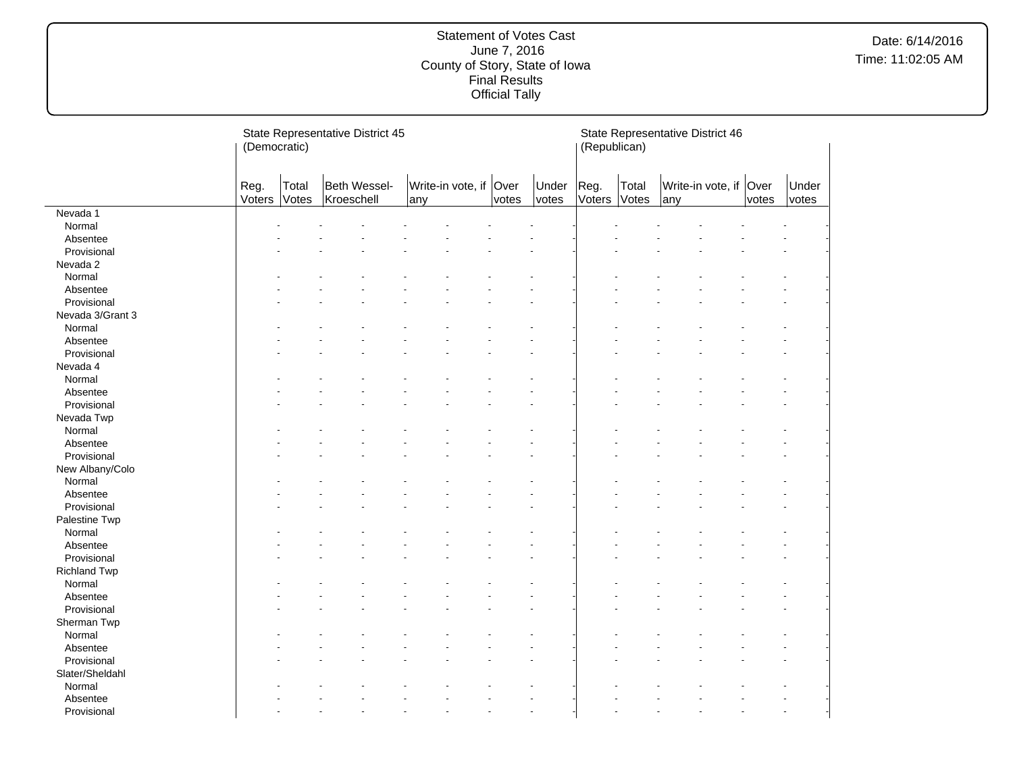|                     | (Democratic)   |                | State Representative District 45 |     |                        | (Republican) |                      |                | State Representative District 46 |     |                        |       |                |
|---------------------|----------------|----------------|----------------------------------|-----|------------------------|--------------|----------------------|----------------|----------------------------------|-----|------------------------|-------|----------------|
|                     | Reg.<br>Voters | Total<br>Votes | Beth Wessel-<br>Kroeschell       | any | Write-in vote, if Over | votes        | Under<br>votes       | Reg.<br>Voters | Total<br>Votes                   | any | Write-in vote, if Over | votes | Under<br>votes |
| Nevada 1            |                |                |                                  |     |                        |              |                      |                |                                  |     |                        |       |                |
| Normal              |                |                |                                  |     |                        |              |                      |                |                                  |     |                        |       |                |
| Absentee            |                |                |                                  |     |                        |              |                      |                |                                  |     |                        |       |                |
| Provisional         |                |                |                                  |     |                        |              |                      |                |                                  |     |                        |       |                |
| Nevada 2            |                |                |                                  |     |                        |              |                      |                |                                  |     |                        |       |                |
| Normal              |                |                |                                  |     |                        |              |                      |                |                                  |     |                        |       |                |
| Absentee            |                |                |                                  |     |                        |              |                      |                |                                  |     |                        |       |                |
| Provisional         |                |                |                                  |     |                        |              |                      |                |                                  |     |                        |       |                |
| Nevada 3/Grant 3    |                |                |                                  |     |                        |              |                      |                |                                  |     |                        |       |                |
| Normal              |                |                |                                  |     |                        |              |                      |                |                                  |     |                        |       |                |
| Absentee            |                |                |                                  |     |                        |              |                      |                |                                  |     |                        |       |                |
| Provisional         |                |                |                                  |     |                        |              |                      |                |                                  |     |                        |       |                |
| Nevada 4            |                |                |                                  |     |                        |              |                      |                |                                  |     |                        |       |                |
| Normal              |                |                |                                  |     |                        |              |                      |                |                                  |     |                        |       |                |
| Absentee            |                |                |                                  |     |                        |              |                      |                |                                  |     |                        |       |                |
| Provisional         |                |                |                                  |     |                        |              |                      |                |                                  |     |                        |       |                |
| Nevada Twp          |                |                |                                  |     |                        |              |                      |                |                                  |     |                        |       |                |
| Normal              |                |                |                                  |     |                        |              |                      |                |                                  |     |                        |       |                |
| Absentee            |                |                |                                  |     |                        |              |                      |                |                                  |     |                        |       |                |
| Provisional         |                |                |                                  |     |                        |              |                      |                |                                  |     |                        |       |                |
| New Albany/Colo     |                |                |                                  |     |                        |              |                      |                |                                  |     |                        |       |                |
| Normal              |                |                |                                  |     |                        |              |                      |                |                                  |     |                        |       |                |
| Absentee            |                |                |                                  |     |                        |              |                      |                |                                  |     |                        |       |                |
| Provisional         |                |                |                                  |     |                        |              |                      |                |                                  |     |                        |       |                |
| Palestine Twp       |                |                |                                  |     |                        |              |                      |                |                                  |     |                        |       |                |
| Normal              |                |                |                                  |     |                        |              |                      |                |                                  |     |                        |       |                |
| Absentee            |                |                |                                  |     |                        |              |                      |                |                                  |     |                        |       |                |
| Provisional         |                |                |                                  |     |                        |              |                      |                |                                  |     |                        |       |                |
| <b>Richland Twp</b> |                |                |                                  |     |                        |              |                      |                |                                  |     |                        |       |                |
| Normal              |                |                |                                  |     |                        |              |                      |                |                                  |     |                        |       |                |
| Absentee            |                |                |                                  |     |                        |              |                      |                |                                  |     |                        |       |                |
| Provisional         |                |                |                                  |     |                        |              |                      |                |                                  |     |                        |       |                |
| Sherman Twp         |                |                |                                  |     |                        |              |                      |                |                                  |     |                        |       |                |
| Normal              |                |                |                                  |     |                        |              |                      |                |                                  |     |                        |       |                |
| Absentee            |                |                |                                  |     |                        |              |                      |                |                                  |     |                        |       |                |
| Provisional         |                |                |                                  |     |                        |              |                      |                |                                  |     |                        |       |                |
| Slater/Sheldahl     |                |                |                                  |     |                        |              |                      |                |                                  |     |                        |       |                |
| Normal              |                |                |                                  |     |                        |              |                      |                |                                  |     |                        |       |                |
| Absentee            |                |                |                                  |     |                        |              |                      |                |                                  |     |                        |       |                |
| Provisional         |                |                |                                  |     |                        |              | $\ddot{\phantom{1}}$ |                |                                  |     |                        |       |                |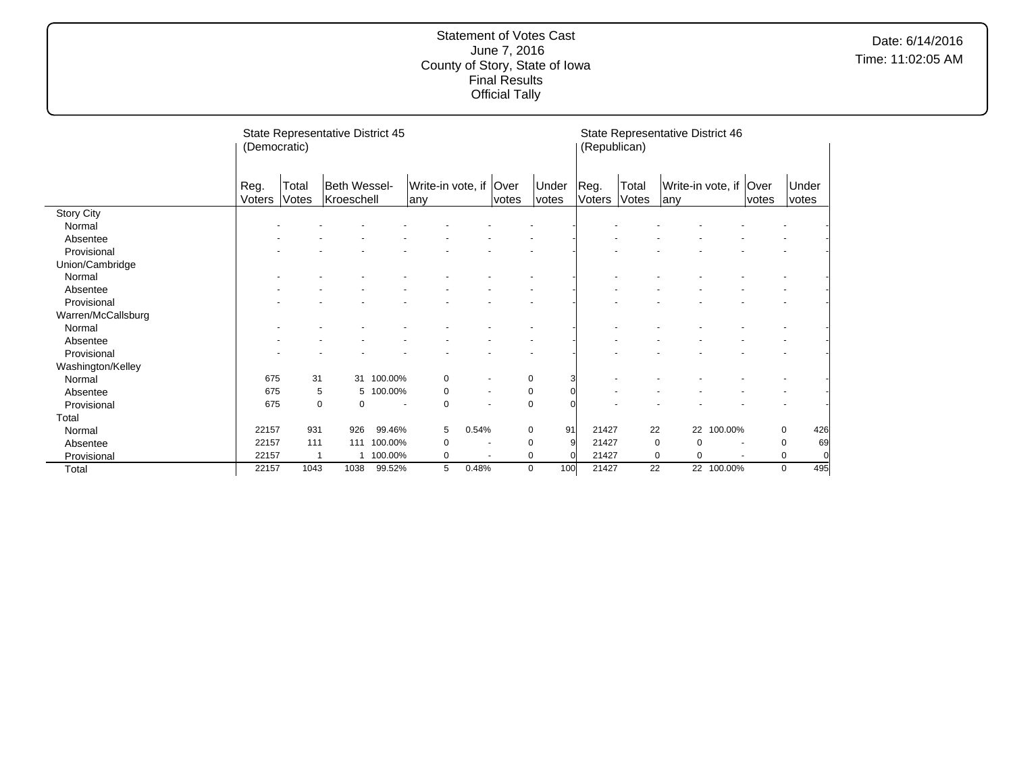|                    | (Democratic)   |                | State Representative District 45 |         |                                |                          |       |                | (Republican)   |                | State Representative District 46 |                          |       |                |    |
|--------------------|----------------|----------------|----------------------------------|---------|--------------------------------|--------------------------|-------|----------------|----------------|----------------|----------------------------------|--------------------------|-------|----------------|----|
|                    | Reg.<br>Voters | Total<br>Votes | Beth Wessel-<br>Kroeschell       |         | Write-in vote, if Over<br> any |                          | votes | Under<br>votes | Reg.<br>Voters | Total<br>Votes | Write-in vote, if   Over<br> any |                          | votes | Under<br>votes |    |
| <b>Story City</b>  |                |                |                                  |         |                                |                          |       |                |                |                |                                  |                          |       |                |    |
| Normal             |                |                |                                  |         |                                |                          |       |                |                |                |                                  |                          |       |                |    |
| Absentee           |                |                |                                  |         |                                |                          |       |                |                |                |                                  |                          |       |                |    |
| Provisional        |                |                |                                  |         |                                |                          |       |                |                |                |                                  |                          |       |                |    |
| Union/Cambridge    |                |                |                                  |         |                                |                          |       |                |                |                |                                  |                          |       |                |    |
| Normal             |                |                |                                  |         |                                |                          |       |                |                |                |                                  |                          |       |                |    |
| Absentee           |                |                |                                  |         |                                |                          |       |                |                |                |                                  |                          |       |                |    |
| Provisional        |                |                |                                  |         |                                |                          |       |                |                |                |                                  |                          |       |                |    |
| Warren/McCallsburg |                |                |                                  |         |                                |                          |       |                |                |                |                                  |                          |       |                |    |
| Normal             |                |                |                                  |         |                                |                          |       |                |                |                |                                  |                          |       |                |    |
| Absentee           |                |                |                                  |         |                                |                          |       |                |                |                |                                  |                          |       |                |    |
| Provisional        |                |                |                                  |         |                                |                          |       |                |                |                |                                  |                          |       |                |    |
| Washington/Kelley  |                |                |                                  |         |                                |                          |       |                |                |                |                                  |                          |       |                |    |
| Normal             | 675            | 31             | 31                               | 100.00% | 0                              | $\overline{\phantom{a}}$ |       | 0<br>3         |                |                |                                  |                          |       |                |    |
| Absentee           | 675            | 5              | 5                                | 100.00% | 0                              | $\overline{\phantom{a}}$ |       | 0              |                |                |                                  |                          |       |                |    |
| Provisional        | 675            | 0              | 0                                |         | $\mathbf 0$                    |                          |       | $\pmb{0}$      |                |                |                                  |                          |       |                |    |
| Total              |                |                |                                  |         |                                |                          |       |                |                |                |                                  |                          |       |                |    |
| Normal             | 22157          | 931            | 926                              | 99.46%  | 5                              | 0.54%                    |       | 91<br>0        | 21427          | 22             |                                  | 22 100.00%               |       | 0<br>426       |    |
| Absentee           | 22157          | 111            | 111                              | 100.00% | 0                              | $\blacksquare$           |       | 9<br>0         | 21427          |                | 0<br>0                           | $\blacksquare$           |       | 0              | 69 |
| Provisional        | 22157          | 1              |                                  | 100.00% | 0                              | $\overline{\phantom{a}}$ |       | 0<br>$\Omega$  | 21427          |                | 0<br>0                           | $\overline{\phantom{a}}$ |       | 0              |    |
| Total              | 22157          | 1043           | 1038                             | 99.52%  | 5                              | 0.48%                    |       | 100<br>0       | 21427          | 22             |                                  | 22 100.00%               |       | 495<br>0       |    |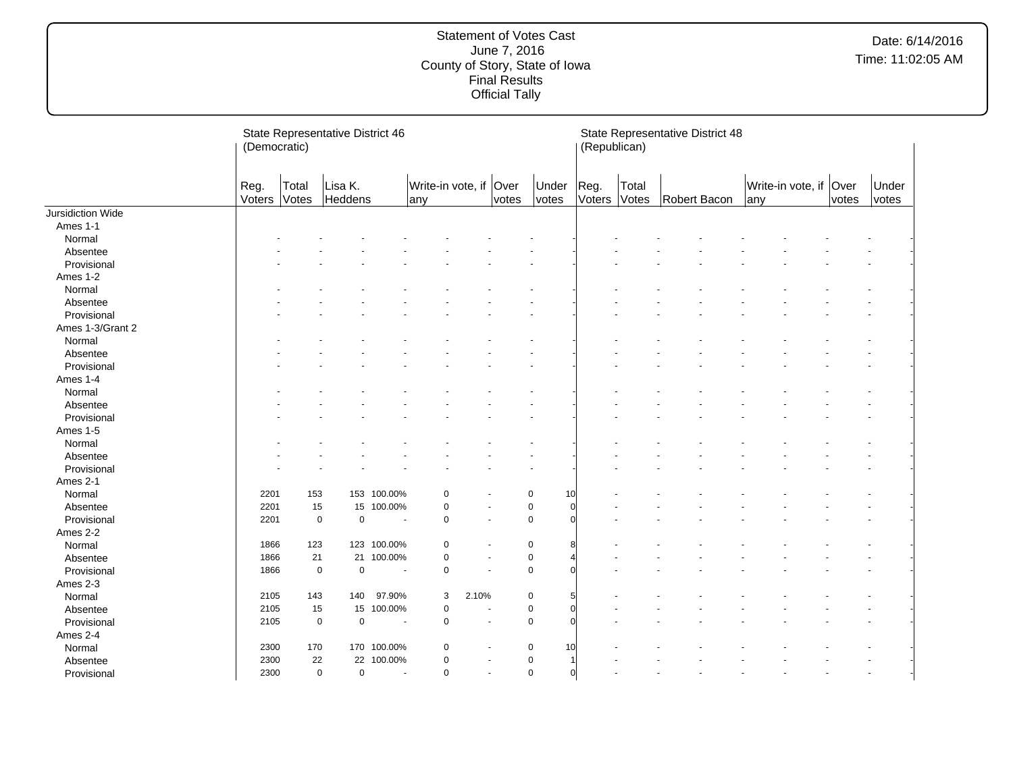|                   | (Democratic)   |                | State Representative District 46 |                          |                               |                |       |                               | (Republican)   |                | State Representative District 48 |     |                        |       |                |  |
|-------------------|----------------|----------------|----------------------------------|--------------------------|-------------------------------|----------------|-------|-------------------------------|----------------|----------------|----------------------------------|-----|------------------------|-------|----------------|--|
|                   | Reg.<br>Voters | Total<br>Votes | Lisa K.<br>Heddens               |                          | Write-in vote, if Over<br>any |                | votes | Under<br>votes                | Reg.<br>Voters | Total<br>Votes | Robert Bacon                     | any | Write-in vote, if Over | votes | Under<br>votes |  |
| Jursidiction Wide |                |                |                                  |                          |                               |                |       |                               |                |                |                                  |     |                        |       |                |  |
| Ames 1-1          |                |                |                                  |                          |                               |                |       |                               |                |                |                                  |     |                        |       |                |  |
| Normal            |                |                |                                  |                          |                               |                |       |                               |                |                |                                  |     |                        |       |                |  |
| Absentee          |                |                |                                  |                          |                               |                |       |                               |                |                |                                  |     |                        |       |                |  |
| Provisional       |                |                |                                  |                          |                               |                |       |                               |                |                |                                  |     |                        |       |                |  |
| Ames 1-2          |                |                |                                  |                          |                               |                |       |                               |                |                |                                  |     |                        |       |                |  |
| Normal            |                |                |                                  |                          |                               |                |       |                               |                |                |                                  |     |                        |       |                |  |
| Absentee          |                |                |                                  |                          |                               |                |       |                               |                |                |                                  |     |                        |       |                |  |
| Provisional       |                |                |                                  |                          |                               |                |       |                               |                |                |                                  |     |                        |       |                |  |
| Ames 1-3/Grant 2  |                |                |                                  |                          |                               |                |       |                               |                |                |                                  |     |                        |       |                |  |
| Normal            |                |                |                                  |                          |                               |                |       |                               |                |                |                                  |     |                        |       |                |  |
| Absentee          |                |                |                                  |                          |                               |                |       |                               |                |                |                                  |     |                        |       |                |  |
| Provisional       |                |                |                                  |                          |                               |                |       |                               |                |                |                                  |     |                        |       |                |  |
| Ames 1-4          |                |                |                                  |                          |                               |                |       |                               |                |                |                                  |     |                        |       |                |  |
| Normal            |                |                |                                  |                          |                               |                |       |                               |                |                |                                  |     |                        |       |                |  |
| Absentee          |                |                |                                  |                          |                               |                |       |                               |                |                |                                  |     |                        |       |                |  |
| Provisional       |                |                |                                  |                          |                               |                |       |                               |                |                |                                  |     |                        |       |                |  |
| Ames 1-5          |                |                |                                  |                          |                               |                |       |                               |                |                |                                  |     |                        |       |                |  |
| Normal            |                |                |                                  |                          |                               |                |       |                               |                |                |                                  |     |                        |       |                |  |
| Absentee          |                |                |                                  |                          |                               |                |       |                               |                |                |                                  |     |                        |       |                |  |
| Provisional       |                |                |                                  |                          |                               |                |       |                               |                |                |                                  |     |                        |       |                |  |
| Ames 2-1          |                |                |                                  |                          |                               |                |       |                               |                |                |                                  |     |                        |       |                |  |
| Normal            | 2201           | 153            |                                  | 153 100.00%              | $\mathbf 0$                   |                |       | $\mathbf 0$<br>10             |                |                |                                  |     |                        |       |                |  |
| Absentee          | 2201           |                | 15                               | 15 100.00%               | $\pmb{0}$                     |                |       | $\pmb{0}$<br>$\Omega$         |                |                |                                  |     |                        |       |                |  |
| Provisional       | 2201           |                | $\mathbf 0$<br>$\mathbf 0$       |                          | $\mathbf 0$                   | $\sim$         |       | $\mathbf 0$                   |                |                |                                  |     |                        |       |                |  |
|                   |                |                |                                  |                          |                               |                |       |                               |                |                |                                  |     |                        |       |                |  |
| Ames 2-2          | 1866           | 123            |                                  | 123 100.00%              | $\mathbf 0$                   |                |       | 0<br>8                        |                |                |                                  |     |                        |       |                |  |
| Normal            | 1866           |                |                                  |                          |                               |                |       | $\mathbf 0$                   |                |                |                                  |     |                        |       |                |  |
| Absentee          | 1866           | 21             | $\mathbf 0$                      | 21 100.00%               | $\pmb{0}$<br>$\pmb{0}$        |                |       | $\mathbf 0$                   |                |                |                                  |     |                        |       |                |  |
| Provisional       |                |                | $\mathbf 0$                      |                          |                               |                |       |                               |                |                |                                  |     |                        |       |                |  |
| Ames 2-3          |                |                |                                  |                          |                               |                |       |                               |                |                |                                  |     |                        |       |                |  |
| Normal            | 2105           | 143            | 140                              | 97.90%                   | 3                             | 2.10%          |       | 0                             |                |                |                                  |     |                        |       |                |  |
| Absentee          | 2105           | 15             |                                  | 15 100.00%               | $\mathbf 0$                   |                |       | $\pmb{0}$<br>$\Omega$         |                |                |                                  |     |                        |       |                |  |
| Provisional       | 2105           |                | $\mathbf 0$<br>$\mathsf 0$       | $\overline{\phantom{a}}$ | $\pmb{0}$                     |                |       | $\mathbf 0$<br>$\Omega$       |                |                |                                  |     |                        |       |                |  |
| Ames 2-4          |                |                |                                  |                          |                               |                |       |                               |                |                |                                  |     |                        |       |                |  |
| Normal            | 2300           | 170            |                                  | 170 100.00%              | 0                             |                |       | 0<br>10                       |                |                |                                  |     |                        |       |                |  |
| Absentee          | 2300           |                | 22                               | 22 100.00%               | $\mathbf 0$                   |                |       | $\pmb{0}$<br>$\mathbf 1$      |                |                |                                  |     |                        |       |                |  |
| Provisional       | 2300           |                | $\mathbf 0$<br>$\mathbf 0$       |                          | $\pmb{0}$                     | $\blacksquare$ |       | $\mathsf 0$<br>$\overline{0}$ |                |                |                                  |     |                        |       |                |  |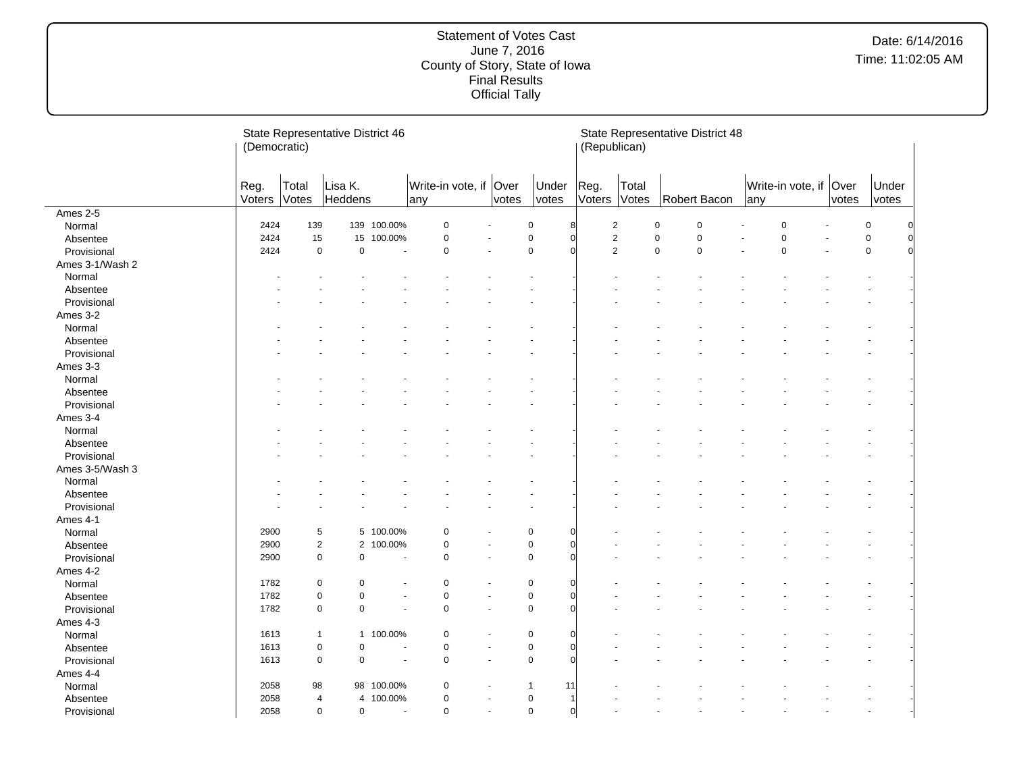|                 | (Democratic)   |                | State Representative District 46 |                |                                |                |                           | (Republican)   |                | State Representative District 48 |                          |               |                  |
|-----------------|----------------|----------------|----------------------------------|----------------|--------------------------------|----------------|---------------------------|----------------|----------------|----------------------------------|--------------------------|---------------|------------------|
|                 | Reg.<br>Voters | Total<br>Votes | Lisa K.<br>Heddens               |                | Write-in vote, if Over<br>lanv | votes          | Under<br>votes            | Reg.<br>Voters | Total<br>Votes | Robert Bacon                     | Write-in vote, if<br>any | Over<br>votes | Under<br>votes   |
| Ames 2-5        |                |                |                                  |                |                                |                |                           |                |                |                                  |                          |               |                  |
| Normal          | 2424           | 139            |                                  | 139 100.00%    | $\pmb{0}$                      |                | $\pmb{0}$                 |                | $\sqrt{2}$     | $\pmb{0}$<br>$\pmb{0}$           | $\Omega$                 |               | $\pmb{0}$        |
| Absentee        | 2424           | 15             | 15                               | 100.00%        | $\pmb{0}$                      |                | $\mathbf 0$<br>$\sqrt{ }$ |                | $\sqrt{2}$     | $\pmb{0}$<br>$\pmb{0}$           | $\mathbf 0$              |               | $\mathsf 0$<br>0 |
| Provisional     | 2424           | $\mathbf 0$    | $\mathbf 0$                      |                | $\pmb{0}$                      |                | $\mathbf 0$               |                | $\overline{2}$ | $\mathbf 0$<br>$\mathsf 0$       | $\mathbf 0$              |               | $\mathsf 0$      |
| Ames 3-1/Wash 2 |                |                |                                  |                |                                |                |                           |                |                |                                  |                          |               |                  |
| Normal          |                |                |                                  |                |                                |                |                           |                |                |                                  |                          |               |                  |
| Absentee        |                |                |                                  |                |                                |                |                           |                |                |                                  |                          |               |                  |
| Provisional     |                |                |                                  |                |                                |                |                           |                |                |                                  |                          |               |                  |
| Ames 3-2        |                |                |                                  |                |                                |                |                           |                |                |                                  |                          |               |                  |
| Normal          |                |                |                                  |                |                                |                |                           |                |                |                                  |                          |               |                  |
| Absentee        |                |                |                                  |                |                                |                |                           |                |                |                                  |                          |               |                  |
| Provisional     |                |                |                                  |                |                                |                |                           |                |                |                                  |                          |               |                  |
| Ames 3-3        |                |                |                                  |                |                                |                |                           |                |                |                                  |                          |               |                  |
| Normal          |                |                |                                  |                |                                |                |                           |                |                |                                  |                          |               |                  |
| Absentee        |                |                |                                  |                |                                |                |                           |                |                |                                  |                          |               |                  |
| Provisional     |                |                |                                  |                |                                |                |                           |                |                |                                  |                          |               |                  |
| Ames 3-4        |                |                |                                  |                |                                |                |                           |                |                |                                  |                          |               |                  |
| Normal          |                |                |                                  |                |                                |                |                           |                |                |                                  |                          |               |                  |
| Absentee        |                |                |                                  |                |                                |                |                           |                |                |                                  |                          |               |                  |
| Provisional     |                |                |                                  |                |                                |                |                           |                |                |                                  |                          |               |                  |
| Ames 3-5/Wash 3 |                |                |                                  |                |                                |                |                           |                |                |                                  |                          |               |                  |
| Normal          |                |                |                                  |                |                                |                |                           |                |                |                                  |                          |               |                  |
| Absentee        |                |                |                                  |                |                                |                |                           |                |                |                                  |                          |               |                  |
| Provisional     |                |                |                                  |                |                                |                |                           |                |                |                                  |                          |               |                  |
| Ames 4-1        |                |                |                                  |                |                                |                |                           |                |                |                                  |                          |               |                  |
| Normal          | 2900           | 5              |                                  | 5 100.00%      | $\mathbf 0$                    |                | $\mathbf 0$               |                |                |                                  |                          |               |                  |
| Absentee        | 2900           | $\mathbf 2$    | $\overline{2}$                   | 100.00%        | $\pmb{0}$                      |                | $\pmb{0}$                 |                |                |                                  |                          |               |                  |
| Provisional     | 2900           | $\mathbf 0$    | $\mathbf 0$                      |                | $\pmb{0}$                      |                | $\mathbf 0$               |                |                |                                  |                          |               |                  |
| Ames 4-2        |                |                |                                  |                |                                |                |                           |                |                |                                  |                          |               |                  |
|                 | 1782           | $\mathbf 0$    | $\mathbf 0$                      |                | $\mathbf 0$                    |                | 0                         |                |                |                                  |                          |               |                  |
| Normal          |                | $\mathbf 0$    | $\mathbf 0$                      |                |                                |                |                           |                |                |                                  |                          |               |                  |
| Absentee        | 1782           | $\mathbf 0$    | $\mathbf 0$                      |                | $\pmb{0}$<br>$\mathbf 0$       |                | $\pmb{0}$<br>$\mathbf 0$  |                |                |                                  |                          |               |                  |
| Provisional     | 1782           |                |                                  |                |                                |                |                           |                |                |                                  |                          |               |                  |
| Ames 4-3        |                |                |                                  |                |                                |                |                           |                |                |                                  |                          |               |                  |
| Normal          | 1613           | $\mathbf{1}$   |                                  | 1 100.00%      | $\pmb{0}$                      |                | $\mathbf 0$<br>$\epsilon$ |                |                |                                  |                          |               |                  |
| Absentee        | 1613           | $\mathbf 0$    | $\mathbf 0$                      |                | $\pmb{0}$                      |                | $\pmb{0}$<br>$\sqrt{2}$   |                |                |                                  |                          |               |                  |
| Provisional     | 1613           | $\mathbf 0$    | $\mathbf 0$                      |                | $\pmb{0}$                      |                | $\mathbf 0$               |                |                |                                  |                          |               |                  |
| Ames 4-4        |                |                |                                  |                |                                |                |                           |                |                |                                  |                          |               |                  |
| Normal          | 2058           | 98             |                                  | 98 100.00%     | $\mathbf 0$                    |                | $\mathbf{1}$<br>11        |                |                |                                  |                          |               |                  |
| Absentee        | 2058           | 4              | $\overline{4}$                   | 100.00%        | $\pmb{0}$                      |                | $\pmb{0}$                 |                |                |                                  |                          |               |                  |
| Provisional     | 2058           | $\mathbf 0$    | $\pmb{0}$                        | $\blacksquare$ | $\pmb{0}$                      | $\overline{a}$ | $\mathbf 0$<br>$\Omega$   |                |                |                                  |                          |               |                  |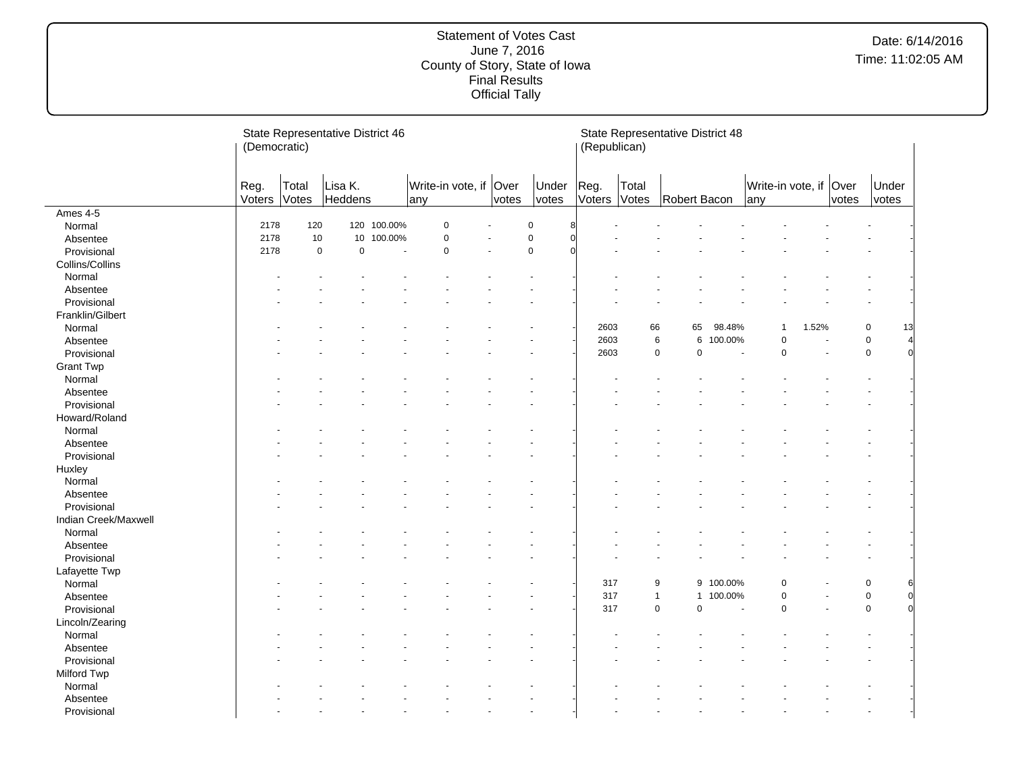|                         | (Democratic)   |                | State Representative District 46 |             |                               |             |                |      |        | (Republican)   | State Representative District 48 |           |     |                         |               |                |                            |
|-------------------------|----------------|----------------|----------------------------------|-------------|-------------------------------|-------------|----------------|------|--------|----------------|----------------------------------|-----------|-----|-------------------------|---------------|----------------|----------------------------|
|                         | Reg.<br>Voters | Total<br>Votes | Lisa K.<br>Heddens               |             | Write-in vote, if Over<br>any | votes       | Under<br>votes | Reg. | Voters | Total<br>Votes | Robert Bacon                     |           | any | Write-in vote, if       | Over<br>votes | Under<br>votes |                            |
| Ames 4-5                |                |                |                                  |             |                               |             |                |      |        |                |                                  |           |     |                         |               |                |                            |
| Normal                  | 2178           | 120            |                                  | 120 100.00% | $\pmb{0}$                     | $\mathbf 0$ | ۶              |      |        |                |                                  |           |     |                         |               |                |                            |
| Absentee                | 2178           | 10             |                                  | 10 100.00%  | $\pmb{0}$                     | $\mathbf 0$ |                |      |        |                |                                  |           |     |                         |               |                |                            |
| Provisional             | 2178           | $\mathsf 0$    | $\mathbf 0$                      |             | $\mathsf 0$                   | $\mathbf 0$ |                |      |        |                |                                  |           |     |                         |               |                |                            |
| Collins/Collins         |                |                |                                  |             |                               |             |                |      |        |                |                                  |           |     |                         |               |                |                            |
| Normal                  |                |                |                                  |             |                               |             |                |      |        |                |                                  |           |     |                         |               |                |                            |
| Absentee                |                |                |                                  |             |                               |             |                |      |        |                |                                  |           |     |                         |               |                |                            |
| Provisional             |                |                |                                  |             |                               |             |                |      |        |                |                                  |           |     |                         |               |                |                            |
| Franklin/Gilbert        |                |                |                                  |             |                               |             |                |      |        |                |                                  |           |     |                         |               |                |                            |
| Normal                  |                |                |                                  |             |                               |             |                |      | 2603   | 66             | 65                               | 98.48%    |     | 1.52%<br>$\overline{1}$ |               | 0              | 13                         |
| Absentee                |                |                |                                  |             |                               |             |                |      | 2603   |                | 6<br>6                           | 100.00%   |     | $\mathbf 0$             |               | $\mathsf 0$    | $\overline{a}$             |
| Provisional             |                |                |                                  |             |                               |             |                |      | 2603   |                | $\mathbf 0$<br>$\mathbf 0$       |           |     | $\mathbf 0$             |               | $\mathbf 0$    | $\Omega$                   |
| <b>Grant Twp</b>        |                |                |                                  |             |                               |             |                |      |        |                |                                  |           |     |                         |               |                |                            |
| Normal                  |                |                |                                  |             |                               |             |                |      |        |                |                                  |           |     |                         |               |                |                            |
| Absentee                |                |                |                                  |             |                               |             |                |      |        |                |                                  |           |     |                         |               |                |                            |
| Provisional             |                |                |                                  |             |                               |             |                |      |        |                |                                  |           |     |                         |               |                |                            |
| Howard/Roland           |                |                |                                  |             |                               |             |                |      |        |                |                                  |           |     |                         |               |                |                            |
| Normal                  |                |                |                                  |             |                               |             |                |      |        |                |                                  |           |     |                         |               |                |                            |
| Absentee                |                |                |                                  |             |                               |             |                |      |        |                |                                  |           |     |                         |               |                |                            |
| Provisional             |                |                |                                  |             |                               |             |                |      |        |                |                                  |           |     |                         |               |                |                            |
| Huxley                  |                |                |                                  |             |                               |             |                |      |        |                |                                  |           |     |                         |               |                |                            |
| Normal                  |                |                |                                  |             |                               |             |                |      |        |                |                                  |           |     |                         |               |                |                            |
| Absentee                |                |                |                                  |             |                               |             |                |      |        |                |                                  |           |     |                         |               |                |                            |
| Provisional             |                |                |                                  |             |                               |             |                |      |        |                |                                  |           |     |                         |               |                |                            |
| Indian Creek/Maxwell    |                |                |                                  |             |                               |             |                |      |        |                |                                  |           |     |                         |               |                |                            |
| Normal                  |                |                |                                  |             |                               |             |                |      |        |                |                                  |           |     |                         |               |                |                            |
|                         |                |                |                                  |             |                               |             |                |      |        |                |                                  |           |     |                         |               |                |                            |
| Absentee<br>Provisional |                |                |                                  |             |                               |             |                |      |        |                |                                  |           |     |                         |               |                |                            |
|                         |                |                |                                  |             |                               |             |                |      |        |                |                                  |           |     |                         |               |                |                            |
| Lafayette Twp           |                |                |                                  |             |                               |             |                |      | 317    |                | 9                                | 9 100.00% |     | 0                       |               |                |                            |
| Normal                  |                |                |                                  |             |                               |             |                |      |        |                |                                  |           |     |                         |               | 0              | 6                          |
| Absentee                |                |                |                                  |             |                               |             |                |      | 317    |                | $\mathbf{1}$                     | 1 100.00% |     | 0                       |               | $\mathsf 0$    | $\overline{0}$<br>$\Omega$ |
| Provisional             |                |                |                                  |             |                               |             |                |      | 317    |                | $\mathsf 0$<br>$\mathbf 0$       |           |     | $\mathbf 0$             |               | $\mathbf 0$    |                            |
| Lincoln/Zearing         |                |                |                                  |             |                               |             |                |      |        |                |                                  |           |     |                         |               |                |                            |
| Normal                  |                |                |                                  |             |                               |             |                |      |        |                |                                  |           |     |                         |               |                |                            |
| Absentee                |                |                |                                  |             |                               |             |                |      |        |                |                                  |           |     |                         |               |                |                            |
| Provisional             |                |                |                                  |             |                               |             |                |      |        |                |                                  |           |     |                         |               |                |                            |
| Milford Twp             |                |                |                                  |             |                               |             |                |      |        |                |                                  |           |     |                         |               |                |                            |
| Normal                  |                |                |                                  |             |                               |             |                |      |        |                |                                  |           |     |                         |               |                |                            |
| Absentee                |                |                |                                  |             |                               |             |                |      |        |                |                                  |           |     |                         |               |                |                            |
| Provisional             |                |                |                                  |             |                               |             |                |      |        |                |                                  |           |     |                         |               |                |                            |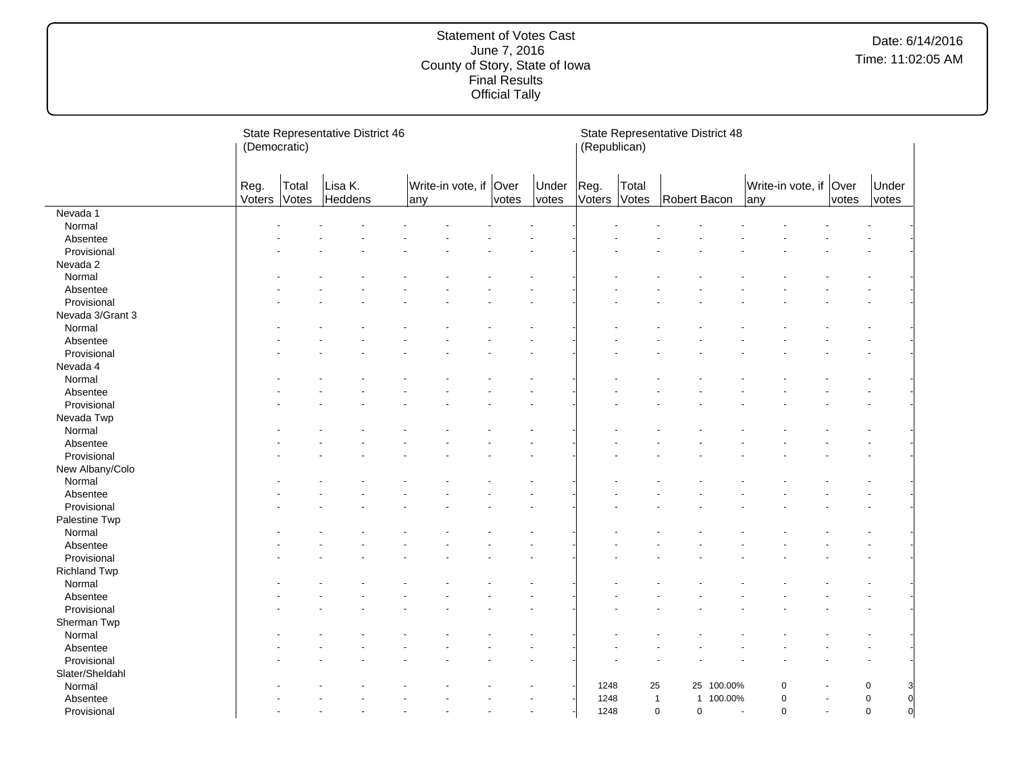|                     | (Democratic)   |                | State Representative District 46 |                               |       | (Republican)   |                | State Representative District 48 |              |            |     |                   |               |                     |
|---------------------|----------------|----------------|----------------------------------|-------------------------------|-------|----------------|----------------|----------------------------------|--------------|------------|-----|-------------------|---------------|---------------------|
|                     | Reg.<br>Voters | Total<br>Votes | Lisa K.<br>Heddens               | Write-in vote, if Over<br>any | votes | Under<br>votes | Reg.<br>Voters | Total<br>Votes                   | Robert Bacon |            | any | Write-in vote, if | Over<br>votes | Under<br>votes      |
| Nevada 1            |                |                |                                  |                               |       |                |                |                                  |              |            |     |                   |               |                     |
| Normal              |                |                |                                  |                               |       |                |                |                                  |              |            |     |                   |               |                     |
| Absentee            |                |                |                                  |                               |       |                |                |                                  |              |            |     |                   |               |                     |
| Provisional         |                |                |                                  |                               |       |                |                |                                  |              |            |     |                   |               |                     |
| Nevada 2            |                |                |                                  |                               |       |                |                |                                  |              |            |     |                   |               |                     |
| Normal              |                |                |                                  |                               |       |                |                |                                  |              |            |     |                   |               |                     |
| Absentee            |                |                |                                  |                               |       |                |                |                                  |              |            |     |                   |               |                     |
| Provisional         |                |                |                                  |                               |       |                |                |                                  |              |            |     |                   |               |                     |
| Nevada 3/Grant 3    |                |                |                                  |                               |       |                |                |                                  |              |            |     |                   |               |                     |
| Normal              |                |                |                                  |                               |       |                |                |                                  |              |            |     |                   |               |                     |
| Absentee            |                |                |                                  |                               |       |                |                |                                  |              |            |     |                   |               |                     |
| Provisional         |                |                |                                  |                               |       |                |                |                                  |              |            |     |                   |               |                     |
| Nevada 4            |                |                |                                  |                               |       |                |                |                                  |              |            |     |                   |               |                     |
| Normal              |                |                |                                  |                               |       |                |                |                                  |              |            |     |                   |               |                     |
| Absentee            |                |                |                                  |                               |       |                |                |                                  |              |            |     |                   |               |                     |
| Provisional         |                |                |                                  |                               |       |                |                |                                  |              |            |     |                   |               |                     |
| Nevada Twp          |                |                |                                  |                               |       |                |                |                                  |              |            |     |                   |               |                     |
| Normal              |                |                |                                  |                               |       |                |                |                                  |              |            |     |                   |               |                     |
| Absentee            |                |                |                                  |                               |       |                |                |                                  |              |            |     |                   |               |                     |
| Provisional         |                |                |                                  |                               |       |                |                |                                  |              |            |     |                   |               |                     |
| New Albany/Colo     |                |                |                                  |                               |       |                |                |                                  |              |            |     |                   |               |                     |
| Normal              |                |                |                                  |                               |       |                |                |                                  |              |            |     |                   |               |                     |
| Absentee            |                |                |                                  |                               |       |                |                |                                  |              |            |     |                   |               |                     |
| Provisional         |                |                |                                  |                               |       |                |                |                                  |              |            |     |                   |               |                     |
| Palestine Twp       |                |                |                                  |                               |       |                |                |                                  |              |            |     |                   |               |                     |
| Normal              |                |                |                                  |                               |       |                |                |                                  |              |            |     |                   |               |                     |
| Absentee            |                |                |                                  |                               |       |                |                |                                  |              |            |     |                   |               |                     |
| Provisional         |                |                |                                  |                               |       |                |                |                                  |              |            |     |                   |               |                     |
| <b>Richland Twp</b> |                |                |                                  |                               |       |                |                |                                  |              |            |     |                   |               |                     |
| Normal              |                |                |                                  |                               |       |                |                |                                  |              |            |     |                   |               |                     |
| Absentee            |                |                |                                  |                               |       |                |                |                                  |              |            |     |                   |               |                     |
| Provisional         |                |                |                                  |                               |       |                |                |                                  |              |            |     |                   |               |                     |
| Sherman Twp         |                |                |                                  |                               |       |                |                |                                  |              |            |     |                   |               |                     |
| Normal              |                |                |                                  |                               |       |                |                |                                  |              |            |     |                   |               |                     |
| Absentee            |                |                |                                  |                               |       |                |                |                                  |              |            |     |                   |               |                     |
| Provisional         |                |                |                                  |                               |       |                |                |                                  |              |            |     |                   |               |                     |
| Slater/Sheldahl     |                |                |                                  |                               |       |                |                |                                  |              |            |     |                   |               |                     |
| Normal              |                |                |                                  |                               |       |                | 1248           | 25                               |              | 25 100.00% |     | $\Omega$          |               | 0<br>3              |
| Absentee            |                |                |                                  |                               |       |                | 1248           | $\mathbf{1}$                     |              | 1 100.00%  |     | $\mathbf 0$       |               | $\overline{0}$<br>0 |
| Provisional         |                |                |                                  |                               |       |                | 1248           | $\mathsf 0$                      | $\mathbf 0$  |            | ÷,  | $\mathbf 0$       | ÷.            | 0<br>$\Omega$       |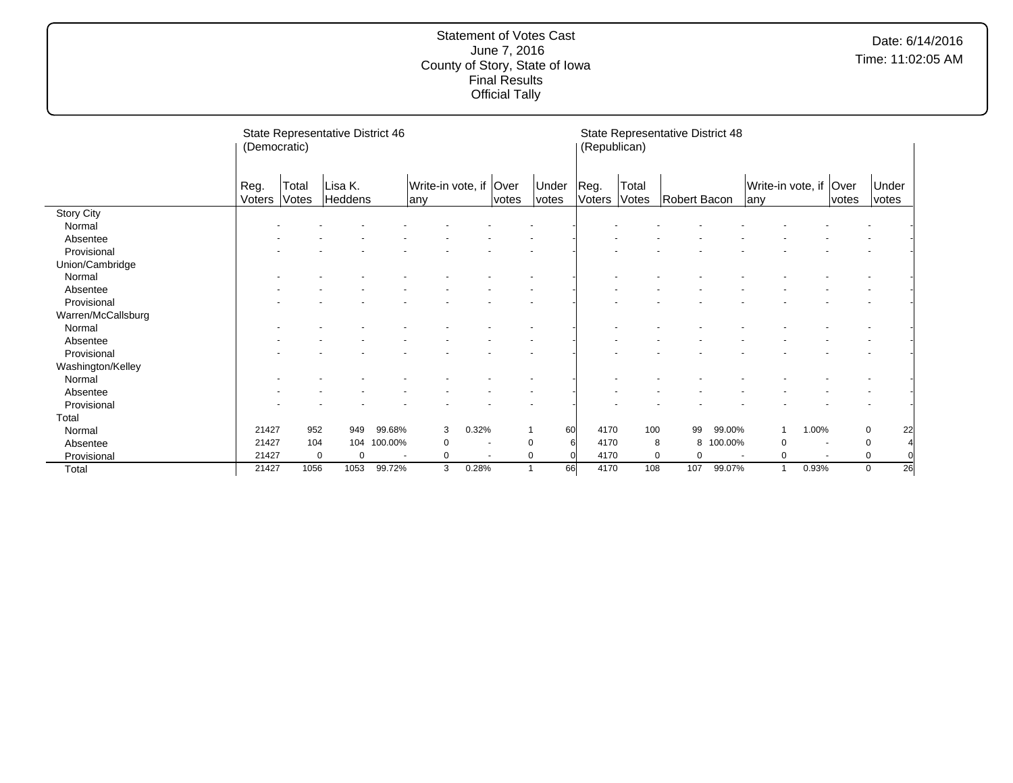|                    | (Democratic)   |                | State Representative District 46 |                          |                                 |                          |       |                | (Republican)   |                | State Representative District 48 |         |                                |       |             |                   |  |
|--------------------|----------------|----------------|----------------------------------|--------------------------|---------------------------------|--------------------------|-------|----------------|----------------|----------------|----------------------------------|---------|--------------------------------|-------|-------------|-------------------|--|
|                    | Reg.<br>Voters | Total<br>Votes | Lisa K.<br>Heddens               |                          | Write-in vote, if   Over<br>any |                          | votes | Under<br>votes | Reg.<br>Voters | Total<br>Votes | Robert Bacon                     |         | Write-in vote, if Over<br>lany |       | votes       | Under<br>votes    |  |
| <b>Story City</b>  |                |                |                                  |                          |                                 |                          |       |                |                |                |                                  |         |                                |       |             |                   |  |
| Normal             |                |                |                                  |                          |                                 |                          |       |                |                |                |                                  |         |                                |       |             |                   |  |
| Absentee           |                |                |                                  |                          |                                 |                          |       |                |                |                |                                  |         |                                |       |             |                   |  |
| Provisional        |                |                |                                  |                          |                                 |                          |       |                |                |                |                                  |         |                                |       |             |                   |  |
| Union/Cambridge    |                |                |                                  |                          |                                 |                          |       |                |                |                |                                  |         |                                |       |             |                   |  |
| Normal             |                |                |                                  |                          |                                 |                          |       |                |                |                |                                  |         |                                |       |             |                   |  |
| Absentee           |                |                |                                  |                          |                                 |                          |       |                |                |                |                                  |         |                                |       |             |                   |  |
| Provisional        |                |                |                                  |                          |                                 |                          |       |                |                |                |                                  |         |                                |       |             |                   |  |
| Warren/McCallsburg |                |                |                                  |                          |                                 |                          |       |                |                |                |                                  |         |                                |       |             |                   |  |
| Normal             |                |                |                                  |                          |                                 |                          |       |                |                |                |                                  |         |                                |       |             |                   |  |
| Absentee           |                |                |                                  |                          |                                 |                          |       |                |                |                |                                  |         |                                |       |             |                   |  |
| Provisional        |                |                |                                  |                          |                                 |                          |       |                |                |                |                                  |         |                                |       |             |                   |  |
| Washington/Kelley  |                |                |                                  |                          |                                 |                          |       |                |                |                |                                  |         |                                |       |             |                   |  |
| Normal             |                |                |                                  |                          |                                 |                          |       |                |                |                |                                  |         |                                |       |             |                   |  |
| Absentee           |                |                |                                  |                          |                                 |                          |       |                |                |                |                                  |         |                                |       |             |                   |  |
| Provisional        |                |                |                                  |                          |                                 |                          |       |                |                |                |                                  |         |                                |       |             |                   |  |
| Total              |                |                |                                  |                          |                                 |                          |       |                |                |                |                                  |         |                                |       |             |                   |  |
| Normal             | 21427          | 952            | 949                              | 99.68%                   | 3                               | 0.32%                    |       | 60             | 4170           | 100            | 99                               | 99.00%  |                                | 1.00% |             | $\mathbf 0$<br>22 |  |
| Absentee           | 21427          | 104            |                                  | 104 100.00%              | 0                               | $\overline{\phantom{a}}$ |       | $\Omega$       | 4170           |                | 8<br>8                           | 100.00% | $\Omega$                       |       | $\mathbf 0$ |                   |  |
| Provisional        | 21427          | $\Omega$       | $\mathbf 0$                      | $\overline{\phantom{a}}$ | 0                               | $\overline{\phantom{a}}$ |       |                | 4170           |                | 0<br>$\Omega$                    |         | $\Omega$                       |       | 0           |                   |  |
| Total              | 21427          | 1056           | 1053                             | 99.72%                   | 3                               | 0.28%                    |       | 66             | 4170           | 108            | 107                              | 99.07%  | 1                              | 0.93% |             | 26<br>0           |  |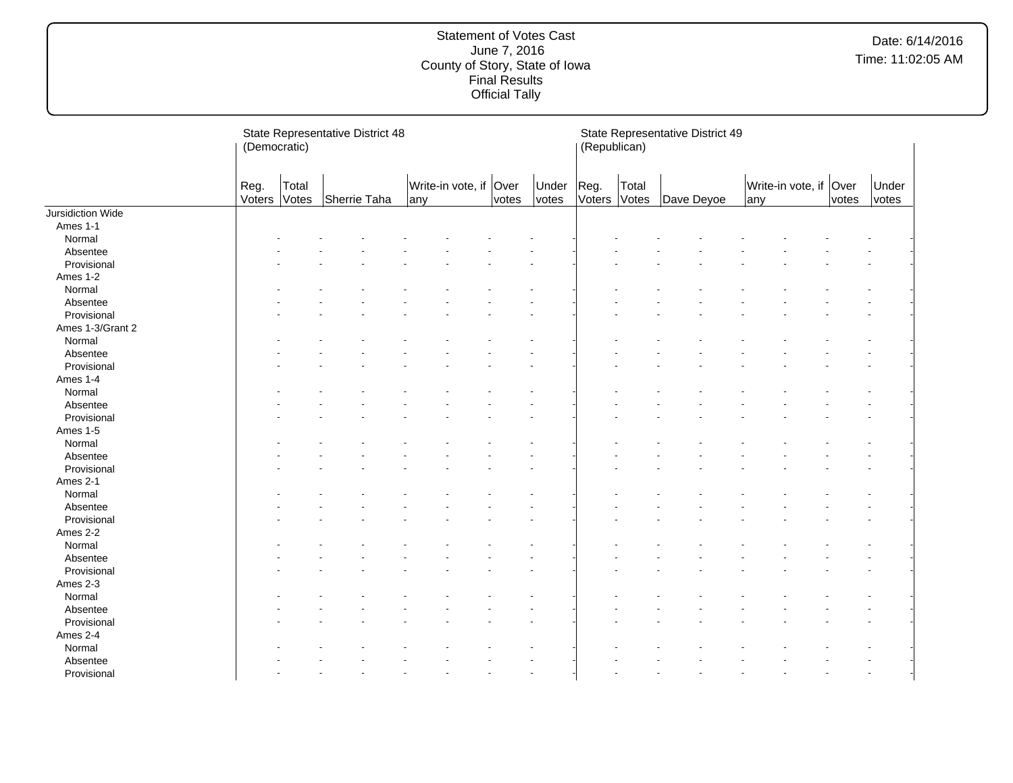|                   | (Democratic)   |                | State Representative District 48 |     |                        |       |                | (Republican)   |                | State Representative District 49 |     |                        |       |                |  |
|-------------------|----------------|----------------|----------------------------------|-----|------------------------|-------|----------------|----------------|----------------|----------------------------------|-----|------------------------|-------|----------------|--|
|                   | Reg.<br>Voters | Total<br>Votes | Sherrie Taha                     | any | Write-in vote, if Over | votes | Under<br>votes | Reg.<br>Voters | Total<br>Votes | Dave Deyoe                       | any | Write-in vote, if Over | votes | Under<br>votes |  |
| Jursidiction Wide |                |                |                                  |     |                        |       |                |                |                |                                  |     |                        |       |                |  |
| Ames 1-1          |                |                |                                  |     |                        |       |                |                |                |                                  |     |                        |       |                |  |
| Normal            |                |                |                                  |     |                        |       |                |                |                |                                  |     |                        |       |                |  |
| Absentee          |                |                |                                  |     |                        |       |                |                |                |                                  |     |                        |       |                |  |
| Provisional       |                |                |                                  |     |                        |       |                |                |                |                                  |     |                        |       |                |  |
| Ames 1-2          |                |                |                                  |     |                        |       |                |                |                |                                  |     |                        |       |                |  |
| Normal            |                |                |                                  |     |                        |       |                |                |                |                                  |     |                        |       |                |  |
| Absentee          |                |                |                                  |     |                        |       |                |                |                |                                  |     |                        |       |                |  |
| Provisional       |                |                |                                  |     |                        |       |                |                |                |                                  |     |                        |       |                |  |
| Ames 1-3/Grant 2  |                |                |                                  |     |                        |       |                |                |                |                                  |     |                        |       |                |  |
| Normal            |                |                |                                  |     |                        |       |                |                |                |                                  |     |                        |       |                |  |
| Absentee          |                |                |                                  |     |                        |       |                |                |                |                                  |     |                        |       |                |  |
| Provisional       |                |                |                                  |     |                        |       |                |                |                |                                  |     |                        |       |                |  |
| Ames 1-4          |                |                |                                  |     |                        |       |                |                |                |                                  |     |                        |       |                |  |
| Normal            |                |                |                                  |     |                        |       |                |                |                |                                  |     |                        |       |                |  |
| Absentee          |                |                |                                  |     |                        |       |                |                |                |                                  |     |                        |       |                |  |
| Provisional       |                |                |                                  |     |                        |       |                |                |                |                                  |     |                        |       |                |  |
| Ames 1-5          |                |                |                                  |     |                        |       |                |                |                |                                  |     |                        |       |                |  |
| Normal            |                |                |                                  |     |                        |       |                |                |                |                                  |     |                        |       |                |  |
| Absentee          |                |                |                                  |     |                        |       |                |                |                |                                  |     |                        |       |                |  |
| Provisional       |                |                |                                  |     |                        |       |                |                |                |                                  |     |                        |       |                |  |
| Ames 2-1          |                |                |                                  |     |                        |       |                |                |                |                                  |     |                        |       |                |  |
| Normal            |                |                |                                  |     |                        |       |                |                |                |                                  |     |                        |       |                |  |
| Absentee          |                |                |                                  |     |                        |       |                |                |                |                                  |     |                        |       |                |  |
| Provisional       |                |                |                                  |     |                        |       |                |                |                |                                  |     |                        |       |                |  |
| Ames 2-2          |                |                |                                  |     |                        |       |                |                |                |                                  |     |                        |       |                |  |
| Normal            |                |                |                                  |     |                        |       |                |                |                |                                  |     |                        |       |                |  |
| Absentee          |                |                |                                  |     |                        |       |                |                |                |                                  |     |                        |       |                |  |
| Provisional       |                |                |                                  |     |                        |       |                |                |                |                                  |     |                        |       |                |  |
| Ames 2-3          |                |                |                                  |     |                        |       |                |                |                |                                  |     |                        |       |                |  |
| Normal            |                |                |                                  |     |                        |       |                |                |                |                                  |     |                        |       |                |  |
| Absentee          |                |                |                                  |     |                        |       |                |                |                |                                  |     |                        |       |                |  |
|                   |                |                |                                  |     |                        |       |                |                |                |                                  |     |                        |       |                |  |
| Provisional       |                |                |                                  |     |                        |       |                |                |                |                                  |     |                        |       |                |  |
| Ames 2-4          |                |                |                                  |     |                        |       |                |                |                |                                  |     |                        |       |                |  |
| Normal            |                |                |                                  |     |                        |       |                |                |                |                                  |     |                        |       |                |  |
| Absentee          |                |                |                                  |     |                        |       |                |                |                |                                  |     |                        |       |                |  |
| Provisional       |                |                |                                  |     |                        |       |                |                |                |                                  |     |                        |       |                |  |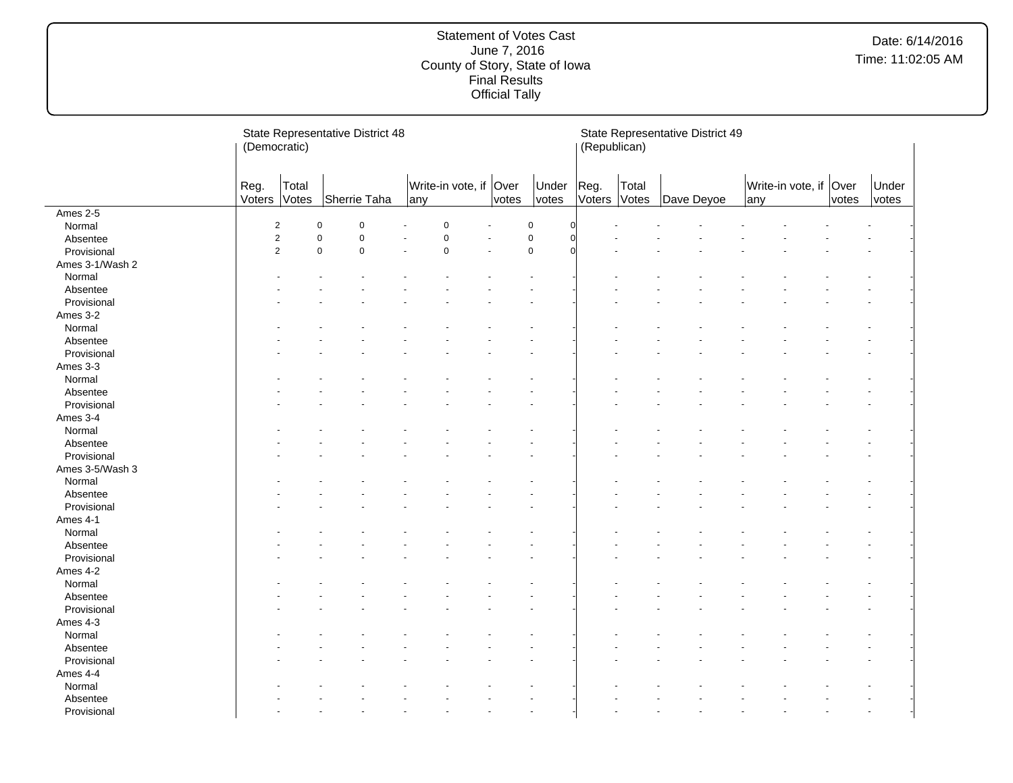|                 | (Democratic)   |                | State Representative District 48 |                |     |                        |       |                | (Republican)   | State Representative District 49 |            |     |                        |       |                |
|-----------------|----------------|----------------|----------------------------------|----------------|-----|------------------------|-------|----------------|----------------|----------------------------------|------------|-----|------------------------|-------|----------------|
|                 | Reg.<br>Voters | Total<br>Votes | Sherrie Taha                     |                | any | Write-in vote, if Over | votes | Under<br>votes | Reg.<br>Voters | Total<br>Votes                   | Dave Deyoe | any | Write-in vote, if Over | votes | Under<br>votes |
| Ames 2-5        |                |                |                                  |                |     |                        |       |                |                |                                  |            |     |                        |       |                |
| Normal          |                | $\overline{2}$ | $\mathbf 0$                      | $\mathbf 0$    |     | $\mathbf 0$            |       | $\mathbf 0$    |                |                                  |            |     |                        |       |                |
| Absentee        |                | $\overline{2}$ | $\pmb{0}$                        | $\overline{0}$ |     | $\mathbf 0$            |       | $\mathbf 0$    |                |                                  |            |     |                        |       |                |
| Provisional     |                | $\overline{2}$ | $\pmb{0}$                        | $\mathbf 0$    |     | $\mathsf 0$            |       | $\mathbf 0$    |                |                                  |            |     |                        |       |                |
| Ames 3-1/Wash 2 |                |                |                                  |                |     |                        |       |                |                |                                  |            |     |                        |       |                |
| Normal          |                |                |                                  |                |     |                        |       |                |                |                                  |            |     |                        |       |                |
| Absentee        |                |                |                                  |                |     |                        |       |                |                |                                  |            |     |                        |       |                |
| Provisional     |                |                |                                  |                |     |                        |       |                |                |                                  |            |     |                        |       |                |
| Ames 3-2        |                |                |                                  |                |     |                        |       |                |                |                                  |            |     |                        |       |                |
| Normal          |                |                |                                  |                |     |                        |       |                |                |                                  |            |     |                        |       |                |
| Absentee        |                |                |                                  |                |     |                        |       |                |                |                                  |            |     |                        |       |                |
| Provisional     |                |                |                                  |                |     |                        |       |                |                |                                  |            |     |                        |       |                |
| Ames 3-3        |                |                |                                  |                |     |                        |       |                |                |                                  |            |     |                        |       |                |
| Normal          |                |                |                                  |                |     |                        |       |                |                |                                  |            |     |                        |       |                |
| Absentee        |                |                |                                  |                |     |                        |       |                |                |                                  |            |     |                        |       |                |
| Provisional     |                |                |                                  |                |     |                        |       |                |                |                                  |            |     |                        |       |                |
| Ames 3-4        |                |                |                                  |                |     |                        |       |                |                |                                  |            |     |                        |       |                |
| Normal          |                |                |                                  |                |     |                        |       |                |                |                                  |            |     |                        |       |                |
| Absentee        |                |                |                                  |                |     |                        |       |                |                |                                  |            |     |                        |       |                |
| Provisional     |                |                |                                  |                |     |                        |       |                |                |                                  |            |     |                        |       |                |
| Ames 3-5/Wash 3 |                |                |                                  |                |     |                        |       |                |                |                                  |            |     |                        |       |                |
| Normal          |                |                |                                  |                |     |                        |       |                |                |                                  |            |     |                        |       |                |
| Absentee        |                |                |                                  |                |     |                        |       |                |                |                                  |            |     |                        |       |                |
| Provisional     |                |                |                                  |                |     |                        |       |                |                |                                  |            |     |                        |       |                |
| Ames 4-1        |                |                |                                  |                |     |                        |       |                |                |                                  |            |     |                        |       |                |
| Normal          |                |                |                                  |                |     |                        |       |                |                |                                  |            |     |                        |       |                |
| Absentee        |                |                |                                  |                |     |                        |       |                |                |                                  |            |     |                        |       |                |
| Provisional     |                |                |                                  |                |     |                        |       |                |                |                                  |            |     |                        |       |                |
| Ames 4-2        |                |                |                                  |                |     |                        |       |                |                |                                  |            |     |                        |       |                |
| Normal          |                |                |                                  |                |     |                        |       |                |                |                                  |            |     |                        |       |                |
| Absentee        |                |                |                                  |                |     |                        |       |                |                |                                  |            |     |                        |       |                |
| Provisional     |                |                |                                  |                |     |                        |       |                |                |                                  |            |     |                        |       |                |
| Ames 4-3        |                |                |                                  |                |     |                        |       |                |                |                                  |            |     |                        |       |                |
| Normal          |                |                |                                  |                |     |                        |       |                |                |                                  |            |     |                        |       |                |
| Absentee        |                |                |                                  |                |     |                        |       |                |                |                                  |            |     |                        |       |                |
| Provisional     |                |                |                                  |                |     |                        |       |                |                |                                  |            |     |                        |       |                |
| Ames 4-4        |                |                |                                  |                |     |                        |       |                |                |                                  |            |     |                        |       |                |
| Normal          |                |                |                                  |                |     |                        |       |                |                |                                  |            |     |                        |       |                |
| Absentee        |                |                |                                  |                |     |                        |       |                |                |                                  |            |     |                        |       |                |
| Provisional     |                |                |                                  |                |     |                        |       |                |                |                                  |            |     |                        |       |                |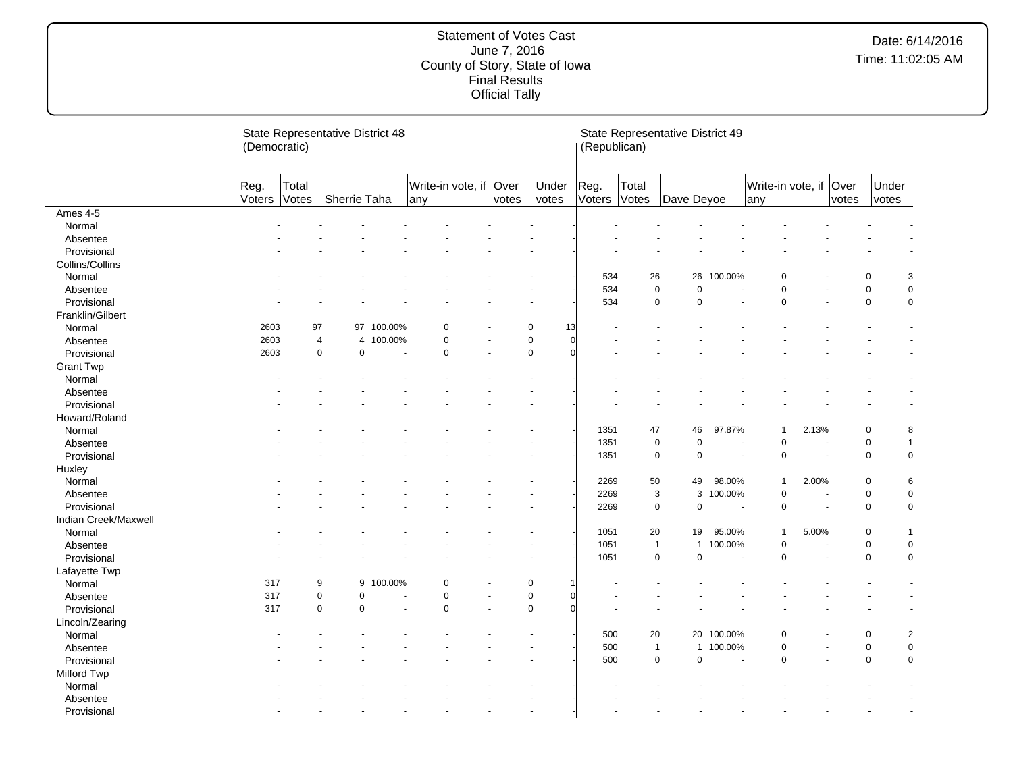|                      | (Democratic)   |                | State Representative District 48 |            |                           |               |                         | (Republican)   |                     | State Representative District 49 |                |                          |       |               |                                 |
|----------------------|----------------|----------------|----------------------------------|------------|---------------------------|---------------|-------------------------|----------------|---------------------|----------------------------------|----------------|--------------------------|-------|---------------|---------------------------------|
|                      | Reg.<br>Voters | Total<br>Votes | Sherrie Taha                     |            | Write-in vote, if<br>lany | Over<br>votes | Under<br>votes          | Reg.<br>Voters | Total<br>Votes      | Dave Deyoe                       |                | Write-in vote, if<br>any |       | Over<br>votes | Under<br>votes                  |
| Ames 4-5             |                |                |                                  |            |                           |               |                         |                |                     |                                  |                |                          |       |               |                                 |
| Normal               |                |                |                                  |            |                           |               |                         |                |                     |                                  |                |                          |       |               |                                 |
| Absentee             |                |                |                                  |            |                           |               |                         |                |                     |                                  |                |                          |       |               |                                 |
| Provisional          |                |                |                                  |            |                           |               |                         |                |                     |                                  |                |                          |       |               |                                 |
| Collins/Collins      |                |                |                                  |            |                           |               |                         |                |                     |                                  |                |                          |       |               |                                 |
| Normal               |                |                |                                  |            |                           |               |                         | 534            | 26                  |                                  | 26 100.00%     | $\mathbf 0$              |       |               | 0<br>3                          |
| Absentee             |                |                |                                  |            |                           |               |                         | 534            | $\pmb{0}$           | $\pmb{0}$                        |                | 0                        |       |               | $\overline{0}$<br>$\mathsf 0$   |
| Provisional          |                |                |                                  |            |                           |               |                         | 534            | $\mathbf 0$         | $\mathbf 0$                      | ÷.             | $\mathbf 0$              |       |               | $\mathbf 0$<br>$\Omega$         |
| Franklin/Gilbert     |                |                |                                  |            |                           |               |                         |                |                     |                                  |                |                          |       |               |                                 |
| Normal               | 2603           | 97             |                                  | 97 100.00% | 0                         |               | $\Omega$<br>13          |                |                     |                                  |                |                          |       |               |                                 |
| Absentee             | 2603           |                | $\overline{4}$<br>$\overline{4}$ | 100.00%    | $\pmb{0}$                 |               | $\mathbf 0$<br>$\Omega$ |                |                     |                                  |                |                          |       |               |                                 |
| Provisional          | 2603           |                | $\mathbf 0$<br>$\mathbf 0$       |            | $\pmb{0}$                 |               | $\Omega$                |                |                     |                                  |                |                          |       |               |                                 |
| <b>Grant Twp</b>     |                |                |                                  |            |                           |               |                         |                |                     |                                  |                |                          |       |               |                                 |
| Normal               |                |                |                                  |            |                           |               |                         |                |                     |                                  |                |                          |       |               |                                 |
| Absentee             |                |                |                                  |            |                           |               |                         |                |                     |                                  |                |                          |       |               |                                 |
| Provisional          |                |                |                                  |            |                           |               |                         |                |                     |                                  |                |                          |       |               |                                 |
| Howard/Roland        |                |                |                                  |            |                           |               |                         |                |                     |                                  |                |                          |       |               |                                 |
| Normal               |                |                |                                  |            |                           |               |                         | 1351           | 47                  | 46                               | 97.87%         | $\overline{1}$           | 2.13% |               | 0<br>8                          |
| Absentee             |                |                |                                  |            |                           |               |                         | 1351           | $\pmb{0}$           | $\mathbf 0$                      |                | $\mathbf 0$              |       |               | $\pmb{0}$                       |
| Provisional          |                |                |                                  |            |                           |               |                         | 1351           | $\mathsf 0$         | $\pmb{0}$                        |                | 0<br>$\sim$              |       |               | $\mathbf 0$                     |
|                      |                |                |                                  |            |                           |               |                         |                |                     |                                  |                |                          |       |               |                                 |
| Huxley               |                |                |                                  |            |                           |               |                         |                |                     |                                  |                | $\mathbf{1}$             |       |               |                                 |
| Normal               |                |                |                                  |            |                           |               |                         | 2269           | $50\,$              | 49                               | 98.00%         |                          | 2.00% |               | 0<br>6                          |
| Absentee             |                |                |                                  |            |                           |               |                         | 2269           | $\mathbf{3}$        | 3                                | 100.00%        | $\mathbf 0$              |       |               | $\overline{0}$<br>0<br>$\Omega$ |
| Provisional          |                |                |                                  |            |                           |               |                         | 2269           | $\mathbf 0$         | $\mathsf 0$                      | ÷,             | $\mathbf 0$              |       |               | $\mathsf 0$                     |
| Indian Creek/Maxwell |                |                |                                  |            |                           |               |                         |                |                     |                                  |                |                          |       |               |                                 |
| Normal               |                |                |                                  |            |                           |               |                         | 1051           | 20                  | 19                               | 95.00%         | $\overline{1}$           | 5.00% |               | 0                               |
| Absentee             |                |                |                                  |            |                           |               |                         | 1051           | $\overline{1}$      | $\mathbf{1}$                     | 100.00%        | 0                        |       |               | 0<br>0                          |
| Provisional          |                |                |                                  |            |                           |               |                         | 1051           | $\mathsf 0$         | $\mathbf 0$                      | ÷.             | $\mathbf 0$              |       | ÷.            | $\mathbf 0$<br>$\Omega$         |
| Lafayette Twp        |                |                |                                  |            |                           |               |                         |                |                     |                                  |                |                          |       |               |                                 |
| Normal               | 317            |                | 9<br>9                           | 100.00%    | $\mathbf 0$               |               | 0                       |                |                     |                                  |                |                          |       |               |                                 |
| Absentee             | 317            |                | $\mathbf 0$<br>$\mathbf 0$       |            | $\pmb{0}$                 |               | $\pmb{0}$               |                |                     |                                  |                |                          |       |               |                                 |
| Provisional          | 317            |                | $\mathbf 0$<br>$\mathbf 0$       |            | $\mathbf 0$               |               | $\mathbf 0$             |                |                     |                                  |                |                          |       |               |                                 |
| Lincoln/Zearing      |                |                |                                  |            |                           |               |                         |                |                     |                                  |                |                          |       |               |                                 |
| Normal               |                |                |                                  |            |                           |               |                         | 500            | 20                  |                                  | 20 100.00%     | $\Omega$                 |       |               | 0<br>$\overline{2}$             |
| Absentee             |                |                |                                  |            |                           |               |                         | 500            | $\mathbf{1}$        | $\mathbf{1}$                     | 100.00%        | $\mathbf 0$              |       |               | $\overline{0}$<br>$\pmb{0}$     |
| Provisional          |                |                |                                  |            |                           |               |                         | 500            | $\mathsf{O}\xspace$ | $\pmb{0}$                        | $\overline{a}$ | $\mathbf 0$              |       |               | 0                               |
| Milford Twp          |                |                |                                  |            |                           |               |                         |                |                     |                                  |                |                          |       |               |                                 |
| Normal               |                |                |                                  |            |                           |               |                         |                |                     |                                  |                |                          |       |               |                                 |
| Absentee             |                |                |                                  |            |                           |               |                         |                |                     |                                  |                |                          |       |               |                                 |
| Provisional          |                |                |                                  |            |                           |               |                         |                |                     |                                  |                |                          |       |               |                                 |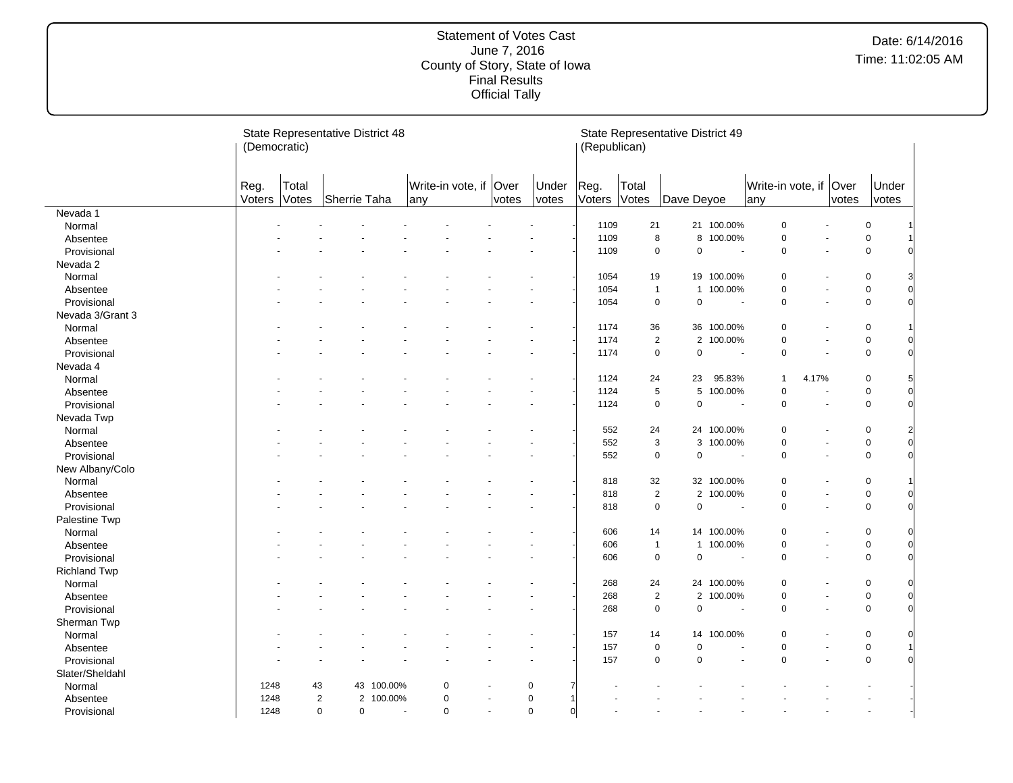|                     | (Democratic)   |                | State Representative District 48 |            |                               |                       |                         | (Republican)   |                  | State Representative District 49 |            |                           |       |               |                               |  |
|---------------------|----------------|----------------|----------------------------------|------------|-------------------------------|-----------------------|-------------------------|----------------|------------------|----------------------------------|------------|---------------------------|-------|---------------|-------------------------------|--|
|                     | Reg.<br>Voters | Total<br>Votes | Sherrie Taha                     |            | Write-in vote, if Over<br>any | votes                 | Under<br>votes          | Reg.<br>Voters | Total<br>Votes   | Dave Deyoe                       |            | Write-in vote, if<br> any |       | Over<br>votes | Under<br>votes                |  |
| Nevada 1            |                |                |                                  |            |                               |                       |                         |                |                  |                                  |            |                           |       |               |                               |  |
| Normal              |                |                |                                  |            |                               |                       |                         | 1109           | 21               |                                  | 21 100.00% | $\pmb{0}$                 |       |               | $\mathbf 0$                   |  |
| Absentee            |                |                |                                  |            |                               |                       |                         | 1109           | 8                | 8                                | 100.00%    | $\pmb{0}$                 |       |               | $\mathbf 0$                   |  |
| Provisional         |                |                |                                  |            |                               |                       |                         | 1109           | $\mathbf 0$      | $\pmb{0}$                        | $\sim$     | $\mathbf 0$               |       |               | $\mathbf 0$                   |  |
| Nevada 2            |                |                |                                  |            |                               |                       |                         |                |                  |                                  |            |                           |       |               |                               |  |
| Normal              |                |                |                                  |            |                               |                       |                         | 1054           | 19               |                                  | 19 100.00% | 0                         |       |               | $\mathbf 0$                   |  |
| Absentee            |                |                |                                  |            |                               |                       |                         | 1054           | $\mathbf{1}$     |                                  | 1 100.00%  | $\mathbf 0$               |       |               | $\overline{0}$<br>$\mathbf 0$ |  |
| Provisional         |                |                |                                  |            |                               |                       |                         | 1054           | $\mathsf 0$      | $\pmb{0}$                        | $\sim$     | $\mathbf 0$               | ÷.    |               | $\overline{0}$<br>$\mathsf 0$ |  |
| Nevada 3/Grant 3    |                |                |                                  |            |                               |                       |                         |                |                  |                                  |            |                           |       |               |                               |  |
| Normal              |                |                |                                  |            |                               |                       |                         | 1174           | 36               |                                  | 36 100.00% | $\mathbf 0$               |       |               | $\mathbf 0$                   |  |
| Absentee            |                |                |                                  |            |                               |                       |                         | 1174           | $\overline{2}$   |                                  | 2 100.00%  | $\mathbf 0$               |       |               | $\pmb{0}$                     |  |
| Provisional         |                |                |                                  |            |                               |                       |                         | 1174           | $\mathbf 0$      | $\pmb{0}$                        | ÷.         | $\mathbf 0$               |       |               | $\mathsf 0$                   |  |
| Nevada 4            |                |                |                                  |            |                               |                       |                         |                |                  |                                  |            |                           |       |               |                               |  |
| Normal              |                |                |                                  |            |                               |                       |                         | 1124           | 24               | 23                               | 95.83%     | $\mathbf{1}$              | 4.17% |               | 0<br>5                        |  |
| Absentee            |                |                |                                  |            |                               |                       |                         | 1124           | $\,$ 5 $\,$      | 5                                | 100.00%    | $\mathbf 0$               |       |               | $\mathbf 0$<br>$\mathbf 0$    |  |
| Provisional         |                |                |                                  |            |                               |                       |                         | 1124           | $\mathbf 0$      | $\pmb{0}$                        | $\sim$     | $\mathbf 0$               | L.    |               | $\Omega$<br>$\mathbf 0$       |  |
| Nevada Twp          |                |                |                                  |            |                               |                       |                         |                |                  |                                  |            |                           |       |               |                               |  |
| Normal              |                |                |                                  |            |                               |                       |                         | 552            | 24               |                                  | 24 100.00% | $\Omega$                  |       |               | $\mathbf 0$<br>2              |  |
| Absentee            |                |                |                                  |            |                               |                       |                         | 552            | 3                | 3                                | 100.00%    | $\mathbf 0$               |       |               | $\overline{0}$<br>$\mathbf 0$ |  |
| Provisional         |                |                |                                  |            |                               |                       |                         | 552            | $\mathbf 0$      | $\pmb{0}$                        | $\sim$     | $\mathbf 0$               | ÷.    |               | $\Omega$<br>$\mathbf 0$       |  |
| New Albany/Colo     |                |                |                                  |            |                               |                       |                         |                |                  |                                  |            |                           |       |               |                               |  |
| Normal              |                |                |                                  |            |                               |                       |                         | 818            | 32               |                                  | 32 100.00% | $\mathbf 0$               |       |               | $\mathbf 0$                   |  |
| Absentee            |                |                |                                  |            |                               |                       |                         | 818            | $\overline{2}$   |                                  | 2 100.00%  | $\mathbf 0$               |       |               | $\mathsf 0$<br>$\mathbf 0$    |  |
| Provisional         |                |                |                                  |            |                               |                       |                         | 818            | $\mathbf 0$      | $\pmb{0}$                        |            | 0                         |       |               | $\mathbf 0$<br>$\Omega$       |  |
| Palestine Twp       |                |                |                                  |            |                               |                       |                         |                |                  |                                  |            |                           |       |               |                               |  |
| Normal              |                |                |                                  |            |                               |                       |                         | 606            | 14               |                                  | 14 100.00% | $\mathbf 0$               |       |               | $\mathbf 0$                   |  |
| Absentee            |                |                |                                  |            |                               |                       |                         | 606            | $\overline{1}$   | $\mathbf{1}$                     | 100.00%    | 0                         |       |               | $\mathbf 0$<br>$\mathbf 0$    |  |
| Provisional         |                |                |                                  |            |                               |                       |                         | 606            | $\mathbf 0$      | $\pmb{0}$                        | ÷,         | $\mathbf 0$               |       |               | $\Omega$<br>$\mathbf 0$       |  |
| <b>Richland Twp</b> |                |                |                                  |            |                               |                       |                         |                |                  |                                  |            |                           |       |               |                               |  |
| Normal              |                |                |                                  |            |                               |                       |                         | 268            | 24               |                                  | 24 100.00% | $\mathbf 0$               |       |               | $\mathbf 0$<br>0              |  |
| Absentee            |                |                |                                  |            |                               |                       |                         | 268            | $\boldsymbol{2}$ |                                  | 2 100.00%  | $\mathbf 0$               |       |               | $\mathbf 0$<br>$\mathbf 0$    |  |
| Provisional         |                |                |                                  |            |                               |                       |                         | 268            | $\mathsf 0$      | $\pmb{0}$                        | $\sim$     | $\mathbf 0$               |       |               | $\Omega$<br>$\mathbf 0$       |  |
| Sherman Twp         |                |                |                                  |            |                               |                       |                         |                |                  |                                  |            |                           |       |               |                               |  |
| Normal              |                |                |                                  |            |                               |                       |                         | 157            | 14               | 14                               | 100.00%    | $\mathbf 0$               |       |               | $\mathbf 0$<br>0              |  |
| Absentee            |                |                |                                  |            |                               |                       |                         | 157            | $\mathsf 0$      | $\pmb{0}$                        |            | $\mathbf 0$               |       |               | $\mathbf 0$                   |  |
| Provisional         |                |                |                                  |            |                               |                       |                         | 157            | $\mathbf 0$      | $\mathbf 0$                      |            | $\Omega$                  |       |               | $\mathbf 0$                   |  |
| Slater/Sheldahl     |                |                |                                  |            |                               |                       |                         |                |                  |                                  |            |                           |       |               |                               |  |
| Normal              | 1248           | 43             |                                  | 43 100.00% | 0                             |                       | $\mathbf 0$             |                |                  |                                  |            |                           |       |               |                               |  |
| Absentee            | 1248           | $\overline{2}$ | $\overline{2}$                   | 100.00%    | 0                             |                       | $\pmb{0}$               |                |                  |                                  |            |                           |       |               |                               |  |
| Provisional         | 1248           | $\mathsf 0$    | 0                                |            | 0<br>$\tilde{\phantom{a}}$    | $\tilde{\phantom{a}}$ | $\mathbf 0$<br>$\Omega$ |                |                  |                                  |            |                           |       |               |                               |  |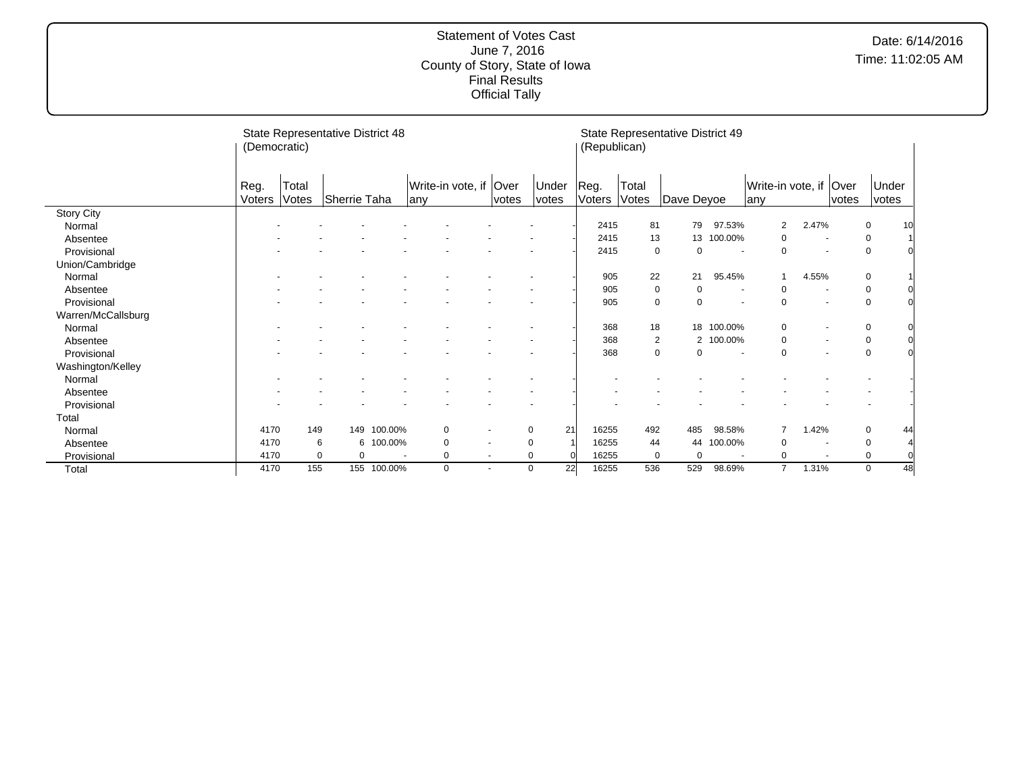|                    | (Democratic) |          | State Representative District 48 |                          |                   |                          |       |                   | (Republican) |                | State Representative District 49 |           |                        |       |       |                   |  |
|--------------------|--------------|----------|----------------------------------|--------------------------|-------------------|--------------------------|-------|-------------------|--------------|----------------|----------------------------------|-----------|------------------------|-------|-------|-------------------|--|
|                    | Reg.         | Total    |                                  |                          | Write-in vote, if |                          | Over  | Under             | Reg.         | Total          |                                  |           | Write-in vote, if Over |       |       | Under             |  |
|                    | Voters       | Votes    | Sherrie Taha                     |                          | any               |                          | votes | votes             | Voters       | Votes          | Dave Deyoe                       |           | any                    |       | votes | votes             |  |
| <b>Story City</b>  |              |          |                                  |                          |                   |                          |       |                   |              |                |                                  |           |                        |       |       |                   |  |
| Normal             |              |          |                                  |                          |                   |                          |       |                   | 2415         | 81             | 79                               | 97.53%    | 2                      | 2.47% |       | 0<br>10           |  |
| Absentee           |              |          |                                  |                          |                   |                          |       |                   | 2415         | 13             | 13                               | 100.00%   | 0                      |       |       | 0                 |  |
| Provisional        |              |          |                                  |                          |                   |                          |       |                   | 2415         | 0              | 0                                |           | $\Omega$               |       |       | $\mathbf 0$       |  |
| Union/Cambridge    |              |          |                                  |                          |                   |                          |       |                   |              |                |                                  |           |                        |       |       |                   |  |
| Normal             |              |          |                                  |                          |                   |                          |       |                   | 905          | 22             | 21                               | 95.45%    | $\mathbf{1}$           | 4.55% |       | $\mathbf 0$       |  |
| Absentee           |              |          |                                  |                          |                   |                          |       |                   | 905          | 0              | $\Omega$                         |           | $\Omega$               |       |       | $\pmb{0}$         |  |
| Provisional        |              |          |                                  |                          |                   |                          |       |                   | 905          | 0              | $\Omega$                         |           | $\Omega$               |       |       | $\mathbf 0$       |  |
| Warren/McCallsburg |              |          |                                  |                          |                   |                          |       |                   |              |                |                                  |           |                        |       |       |                   |  |
| Normal             |              |          |                                  |                          |                   |                          |       |                   | 368          | 18             | 18                               | 100.00%   | 0                      |       |       | $\mathbf 0$       |  |
| Absentee           |              |          |                                  |                          |                   |                          |       |                   | 368          | $\overline{c}$ |                                  | 2 100.00% | 0                      |       |       | $\mathbf 0$       |  |
| Provisional        |              |          |                                  |                          |                   |                          |       |                   | 368          | 0              | $\Omega$                         |           | $\Omega$               |       |       | $\mathbf 0$       |  |
| Washington/Kelley  |              |          |                                  |                          |                   |                          |       |                   |              |                |                                  |           |                        |       |       |                   |  |
| Normal             |              |          |                                  |                          |                   |                          |       |                   |              |                |                                  |           |                        |       |       |                   |  |
| Absentee           |              |          |                                  |                          |                   |                          |       |                   |              |                |                                  |           |                        |       |       |                   |  |
| Provisional        |              |          |                                  |                          |                   |                          |       |                   |              |                |                                  |           |                        |       |       |                   |  |
| Total              |              |          |                                  |                          |                   |                          |       |                   |              |                |                                  |           |                        |       |       |                   |  |
| Normal             | 4170         | 149      |                                  | 149 100.00%              | 0                 | $\overline{\phantom{a}}$ |       | 21<br>0           | 16255        | 492            | 485                              | 98.58%    |                        | 1.42% |       | $\mathbf 0$<br>44 |  |
| Absentee           | 4170         | 6        |                                  | 6 100.00%                | 0                 |                          |       | 0                 | 16255        | 44             | 44                               | 100.00%   | $\Omega$               |       |       | 0                 |  |
| Provisional        | 4170         | $\Omega$ | 0                                | $\overline{\phantom{a}}$ | 0                 | $\overline{\phantom{a}}$ |       | 0                 | 16255        | $\mathbf 0$    | $\Omega$                         |           | $\Omega$               |       |       | 0                 |  |
| Total              | 4170         | 155      |                                  | 155 100.00%              | 0                 | $\overline{\phantom{a}}$ |       | 22<br>$\mathbf 0$ | 16255        | 536            | 529                              | 98.69%    | $\overline{7}$         | 1.31% |       | $\mathbf 0$<br>48 |  |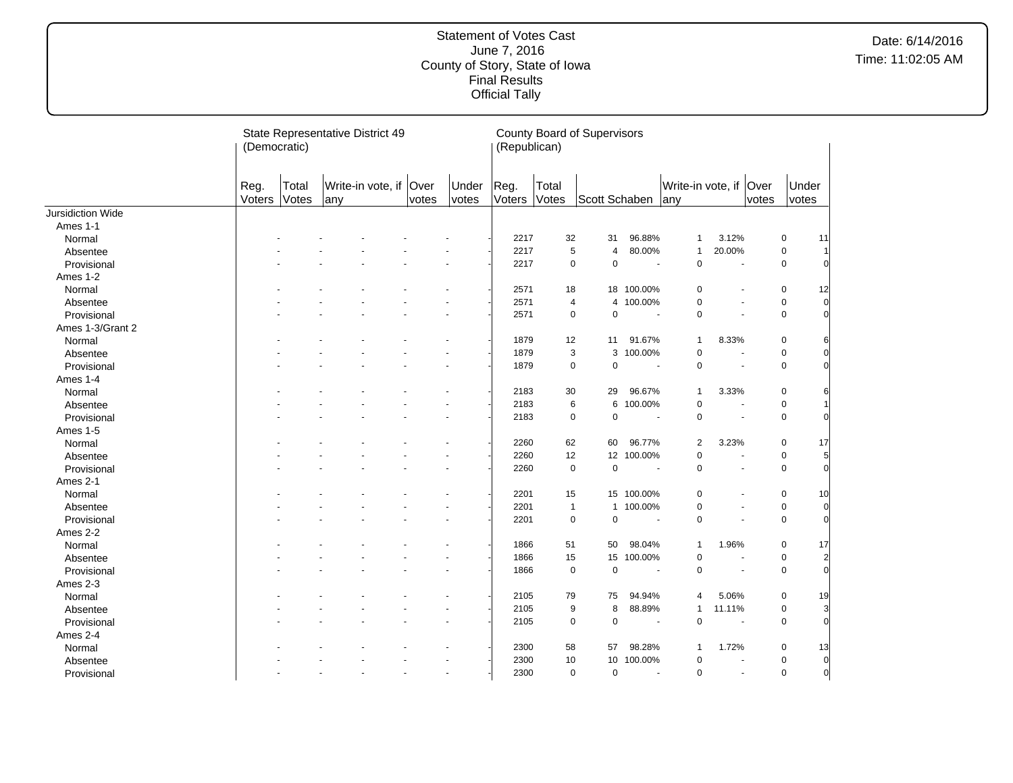|                   | (Democratic)   |                | State Representative District 49 |       |                | (Republican)   |                | <b>County Board of Supervisors</b> |            |                                |                          |       |                |                |
|-------------------|----------------|----------------|----------------------------------|-------|----------------|----------------|----------------|------------------------------------|------------|--------------------------------|--------------------------|-------|----------------|----------------|
|                   | Reg.<br>Voters | Total<br>Votes | Write-in vote, if Over<br>any    | votes | Under<br>votes | Reg.<br>Voters | Total<br>Votes | Scott Schaben                      |            | Write-in vote, if Over<br> any |                          | votes | Under<br>votes |                |
| Jursidiction Wide |                |                |                                  |       |                |                |                |                                    |            |                                |                          |       |                |                |
| Ames 1-1          |                |                |                                  |       |                |                |                |                                    |            |                                |                          |       |                |                |
| Normal            |                |                |                                  |       |                | 2217           | 32             | 31                                 | 96.88%     | $\mathbf{1}$                   | 3.12%                    |       | 0              | 11             |
| Absentee          |                |                |                                  |       |                | 2217           | 5              | $\overline{4}$                     | 80.00%     | $\mathbf{1}$                   | 20.00%                   |       | 0              | 1              |
| Provisional       |                |                |                                  |       |                | 2217           | 0              | $\mathbf 0$                        |            | $\mathbf 0$                    |                          |       | 0              | $\overline{0}$ |
| Ames 1-2          |                |                |                                  |       |                |                |                |                                    |            |                                |                          |       |                |                |
| Normal            |                |                |                                  |       |                | 2571           | 18             | 18                                 | 100.00%    | 0                              |                          |       | $\pmb{0}$      | 12             |
| Absentee          |                |                |                                  |       |                | 2571           | 4              | $\overline{4}$                     | 100.00%    | 0                              | $\blacksquare$           |       | 0              | $\overline{0}$ |
| Provisional       |                |                |                                  |       |                | 2571           | 0              | $\pmb{0}$                          |            | 0                              |                          |       | 0              | $\overline{0}$ |
| Ames 1-3/Grant 2  |                |                |                                  |       |                |                |                |                                    |            |                                |                          |       |                |                |
| Normal            |                |                |                                  |       |                | 1879           | 12             | 11                                 | 91.67%     | $\mathbf{1}$                   | 8.33%                    |       | 0              | 6              |
| Absentee          |                |                |                                  |       |                | 1879           | 3              | 3                                  | 100.00%    | $\pmb{0}$                      |                          |       | 0              | $\overline{0}$ |
| Provisional       |                |                |                                  |       |                | 1879           | $\mathbf 0$    | $\mathbf 0$                        | $\sim$     | $\mathbf 0$                    | $\blacksquare$           |       | 0              | $\overline{0}$ |
| Ames 1-4          |                |                |                                  |       |                |                |                |                                    |            |                                |                          |       |                |                |
| Normal            |                |                |                                  |       |                | 2183           | 30             | 29                                 | 96.67%     | $\mathbf{1}$                   | 3.33%                    |       | 0              | 6              |
| Absentee          |                |                |                                  |       |                | 2183           | 6              | 6                                  | 100.00%    | 0                              | ÷.                       |       | 0              | 1              |
| Provisional       |                |                |                                  |       |                | 2183           | $\mathbf 0$    | $\mathbf 0$                        | $\sim$     | $\pmb{0}$                      | $\blacksquare$           |       | $\pmb{0}$      | $\overline{0}$ |
| Ames 1-5          |                |                |                                  |       |                |                |                |                                    |            |                                |                          |       |                |                |
| Normal            |                |                |                                  |       |                | 2260           | 62             | 60                                 | 96.77%     | $\overline{\mathbf{c}}$        | 3.23%                    |       | 0              | 17             |
| Absentee          |                |                |                                  |       |                | 2260           | 12             | 12 <sup>°</sup>                    | 100.00%    | $\mathbf 0$                    | ä,                       |       | 0              | 5              |
| Provisional       |                |                |                                  |       |                | 2260           | $\mathbf 0$    | $\mathbf 0$                        | $\sim$     | $\mathbf 0$                    | $\blacksquare$           |       | $\mathbf 0$    | $\overline{O}$ |
| Ames 2-1          |                |                |                                  |       |                |                |                |                                    |            |                                |                          |       |                |                |
| Normal            |                |                |                                  |       |                | 2201           | 15             |                                    | 15 100.00% | 0                              |                          |       | 0              | 10             |
| Absentee          |                |                |                                  |       |                | 2201           | $\overline{1}$ | $\mathbf{1}$                       | 100.00%    | 0                              | $\overline{\phantom{a}}$ |       | $\pmb{0}$      | $\overline{0}$ |
| Provisional       |                |                |                                  |       |                | 2201           | $\mathbf 0$    | $\mathbf 0$                        | $\sim$     | $\mathbf 0$                    | ä,                       |       | 0              | $\overline{0}$ |
| Ames 2-2          |                |                |                                  |       |                |                |                |                                    |            |                                |                          |       |                |                |
| Normal            |                |                |                                  |       |                | 1866           | 51             | 50                                 | 98.04%     | $\mathbf{1}$                   | 1.96%                    |       | 0              | 17             |
| Absentee          |                |                |                                  |       |                | 1866           | 15             | 15                                 | 100.00%    | 0                              | $\overline{\phantom{a}}$ |       | $\mathbf 0$    | $\overline{2}$ |
| Provisional       |                |                |                                  |       |                | 1866           | $\mathbf 0$    | $\mathbf 0$                        | $\sim$     | 0                              |                          |       | 0              | $\overline{0}$ |
| Ames 2-3          |                |                |                                  |       |                |                |                |                                    |            |                                |                          |       |                |                |
| Normal            |                |                |                                  |       |                | 2105           | 79             | 75                                 | 94.94%     | 4                              | 5.06%                    |       | 0              | 19             |
| Absentee          |                |                |                                  |       |                | 2105           | 9              | 8                                  | 88.89%     | $\mathbf{1}$                   | 11.11%                   |       | 0              | 3              |
| Provisional       |                |                |                                  |       |                | 2105           | $\mathbf 0$    | $\mathbf 0$                        | ÷.         | 0                              | $\sim$                   |       | 0              | $\overline{0}$ |
| Ames 2-4          |                |                |                                  |       |                |                |                |                                    |            |                                |                          |       |                |                |
| Normal            |                |                |                                  |       |                | 2300           | 58             | 57                                 | 98.28%     | $\mathbf{1}$                   | 1.72%                    |       | 0              | 13             |
|                   |                |                |                                  |       |                | 2300           | 10             | 10                                 | 100.00%    | 0                              |                          |       | 0              | $\overline{0}$ |
| Absentee          |                |                |                                  |       |                |                |                |                                    | ÷.         |                                | $\sim$                   |       |                | $\overline{0}$ |
| Provisional       |                |                |                                  |       | $\blacksquare$ | 2300           | $\mathbf 0$    | $\mathbf 0$                        |            | 0                              |                          |       | 0              |                |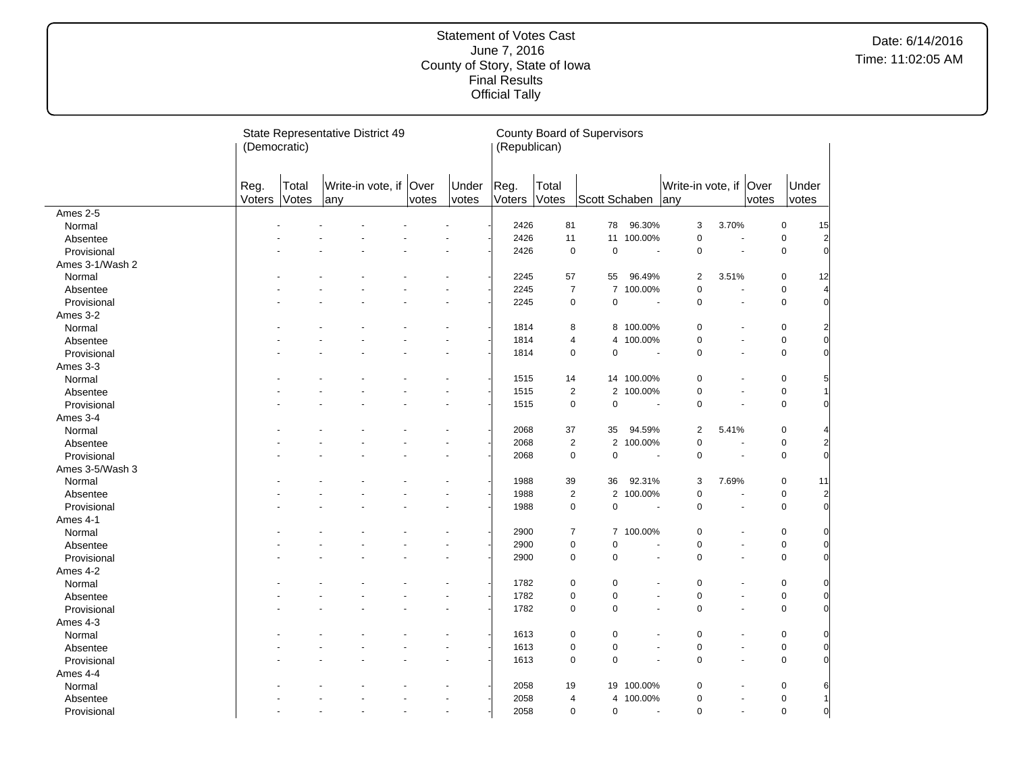|                 | (Democratic)   |                | State Representative District 49 |                          |       |                | (Republican)   |                | <b>County Board of Supervisors</b> |                          |                        |                          |       |                |                |
|-----------------|----------------|----------------|----------------------------------|--------------------------|-------|----------------|----------------|----------------|------------------------------------|--------------------------|------------------------|--------------------------|-------|----------------|----------------|
|                 | Reg.<br>Voters | Total<br>Votes | Write-in vote, if Over<br>any    |                          | votes | Under<br>votes | Reg.<br>Voters | Total<br>Votes | Scott Schaben any                  |                          | Write-in vote, if Over |                          | votes | Under<br>votes |                |
| Ames 2-5        |                |                |                                  |                          |       |                |                |                |                                    |                          |                        |                          |       |                |                |
| Normal          |                |                |                                  |                          |       |                | 2426           | 81             | 78                                 | 96.30%                   | 3                      | 3.70%                    |       | $\mathbf 0$    | 15             |
| Absentee        |                |                |                                  |                          |       |                | 2426           | 11             | 11                                 | 100.00%                  | $\pmb{0}$              |                          |       | $\mathsf 0$    | $\overline{2}$ |
| Provisional     |                |                |                                  |                          |       |                | 2426           | $\pmb{0}$      | $\mathbf 0$                        | $\sim$                   | $\mathbf 0$            |                          |       | $\mathsf 0$    | $\overline{0}$ |
| Ames 3-1/Wash 2 |                |                |                                  |                          |       |                |                |                |                                    |                          |                        |                          |       |                |                |
| Normal          |                |                |                                  |                          |       |                | 2245           | 57             | 55                                 | 96.49%                   | $\overline{2}$         | 3.51%                    |       | $\mathsf 0$    | 12             |
| Absentee        |                |                |                                  |                          |       |                | 2245           |                | $\overline{7}$<br>$\overline{7}$   | 100.00%                  | $\pmb{0}$              | $\overline{a}$           |       | $\mathbf 0$    | $\overline{4}$ |
| Provisional     |                |                |                                  |                          |       |                | 2245           |                | $\mathbf 0$<br>$\mathbf 0$         | ÷,                       | $\mathbf 0$            | ÷,                       |       | $\mathsf 0$    | $\overline{0}$ |
| Ames 3-2        |                |                |                                  |                          |       |                |                |                |                                    |                          |                        |                          |       |                |                |
| Normal          |                |                |                                  |                          |       |                | 1814           | 8              |                                    | 8 100.00%                | $\mathbf 0$            |                          |       | $\mathsf 0$    | $\overline{2}$ |
| Absentee        |                |                |                                  |                          |       |                | 1814           | $\overline{4}$ | $\overline{4}$                     | 100.00%                  | $\mathbf 0$            | $\overline{\phantom{a}}$ |       | $\mathsf 0$    | $\Omega$       |
| Provisional     |                |                |                                  |                          |       |                | 1814           |                | $\pmb{0}$<br>$\mathbf 0$           | $\blacksquare$           | $\mathbf 0$            | $\overline{a}$           |       | $\mathbf 0$    | $\Omega$       |
| Ames 3-3        |                |                |                                  |                          |       |                |                |                |                                    |                          |                        |                          |       |                |                |
| Normal          |                |                |                                  |                          |       |                | 1515           | 14             |                                    | 14 100.00%               | 0                      |                          |       | $\mathbf 0$    | 5              |
| Absentee        |                |                |                                  |                          |       |                | 1515           |                | $\overline{2}$<br>$\overline{2}$   | 100.00%                  | $\mathbf 0$            | $\sim$                   |       | $\mathsf 0$    |                |
| Provisional     |                |                |                                  |                          |       |                | 1515           |                | $\pmb{0}$<br>$\pmb{0}$             | $\overline{\phantom{a}}$ | $\mathbf 0$            | $\sim$                   |       | $\mathbf 0$    | $\Omega$       |
| Ames 3-4        |                |                |                                  |                          |       |                |                |                |                                    |                          |                        |                          |       |                |                |
| Normal          |                |                |                                  |                          |       |                | 2068           | 37             | 35                                 | 94.59%                   | $\overline{2}$         | 5.41%                    |       | $\mathbf 0$    | 4              |
| Absentee        |                |                |                                  |                          |       |                | 2068           |                | $\sqrt{2}$<br>$\overline{2}$       | 100.00%                  | $\pmb{0}$              | ٠                        |       | $\mathbf 0$    | $\overline{2}$ |
| Provisional     |                |                |                                  |                          |       |                | 2068           |                | $\pmb{0}$<br>$\pmb{0}$             | ÷,                       | $\mathbf 0$            | $\blacksquare$           |       | $\mathbf 0$    | $\overline{0}$ |
| Ames 3-5/Wash 3 |                |                |                                  |                          |       |                |                |                |                                    |                          |                        |                          |       |                |                |
| Normal          |                |                |                                  |                          |       |                | 1988           | 39             | 36                                 | 92.31%                   | 3                      | 7.69%                    |       | $\mathbf 0$    | 11             |
| Absentee        |                |                |                                  |                          |       |                | 1988           |                | $\overline{2}$                     | 2 100.00%                | $\pmb{0}$              |                          |       | $\mathsf 0$    | $\overline{2}$ |
| Provisional     |                |                |                                  |                          |       |                | 1988           |                | $\pmb{0}$<br>$\pmb{0}$             | $\blacksquare$           | $\mathbf 0$            | $\blacksquare$           |       | $\mathsf 0$    | $\overline{0}$ |
| Ames 4-1        |                |                |                                  |                          |       |                |                |                |                                    |                          |                        |                          |       |                |                |
| Normal          |                |                |                                  |                          |       |                | 2900           |                | $\overline{7}$                     | 7 100.00%                | $\mathbf 0$            | $\blacksquare$           |       | $\mathbf 0$    | $\Omega$       |
| Absentee        |                |                |                                  |                          |       |                | 2900           |                | $\pmb{0}$<br>$\mathbf 0$           | $\ddot{\phantom{1}}$     | $\mathbf 0$            | $\overline{a}$           |       | $\mathbf 0$    | $\Omega$       |
| Provisional     |                |                |                                  |                          |       |                | 2900           |                | $\pmb{0}$<br>$\pmb{0}$             | $\sim$                   | $\mathbf 0$            | $\sim$                   |       | $\mathsf 0$    | $\Omega$       |
| Ames 4-2        |                |                |                                  |                          |       |                |                |                |                                    |                          |                        |                          |       |                |                |
| Normal          |                |                |                                  |                          |       |                | 1782           |                | $\mathbf 0$<br>$\mathbf 0$         |                          | $\mathbf 0$            |                          |       | $\mathbf 0$    | $\Omega$       |
| Absentee        |                |                |                                  |                          |       |                | 1782           |                | $\pmb{0}$<br>$\pmb{0}$             | $\blacksquare$           | $\pmb{0}$              | $\blacksquare$           |       | $\mathbf 0$    | $\Omega$       |
| Provisional     |                |                |                                  |                          |       |                | 1782           |                | $\mathbf 0$<br>0                   | $\ddot{\phantom{1}}$     | $\mathbf 0$            | $\overline{a}$           |       | $\mathbf 0$    | $\Omega$       |
| Ames 4-3        |                |                |                                  |                          |       |                |                |                |                                    |                          |                        |                          |       |                |                |
| Normal          |                |                |                                  |                          |       |                | 1613           |                | $\pmb{0}$<br>$\mathbf 0$           |                          | $\mathbf 0$            |                          |       | $\mathbf 0$    | $\Omega$       |
| Absentee        |                |                |                                  |                          |       |                | 1613           |                | $\pmb{0}$<br>$\pmb{0}$             | $\blacksquare$           | $\pmb{0}$              | $\blacksquare$           |       | $\mathbf 0$    | $\Omega$       |
| Provisional     |                |                |                                  |                          |       |                | 1613           |                | $\pmb{0}$<br>$\pmb{0}$             | $\sim$                   | $\mathbf 0$            | $\blacksquare$           |       | $\mathsf 0$    | $\Omega$       |
| Ames 4-4        |                |                |                                  |                          |       |                |                |                |                                    |                          |                        |                          |       |                |                |
| Normal          |                |                |                                  |                          |       |                | 2058           | 19             |                                    | 19 100.00%               | $\mathbf 0$            |                          |       | $\mathbf 0$    | 6              |
| Absentee        |                |                |                                  |                          |       |                | 2058           | $\overline{4}$ | 4                                  | 100.00%                  | $\mathbf 0$            | $\blacksquare$           |       | $\pmb{0}$      |                |
| Provisional     |                |                | ä,                               | $\overline{\phantom{a}}$ |       | $\sim$         | 2058           |                | $\mathbf 0$<br>$\mathbf 0$         | $\sim$                   | $\mathbf 0$            | $\blacksquare$           |       | $\mathbf 0$    | $\overline{0}$ |
|                 |                |                |                                  |                          |       |                |                |                |                                    |                          |                        |                          |       |                |                |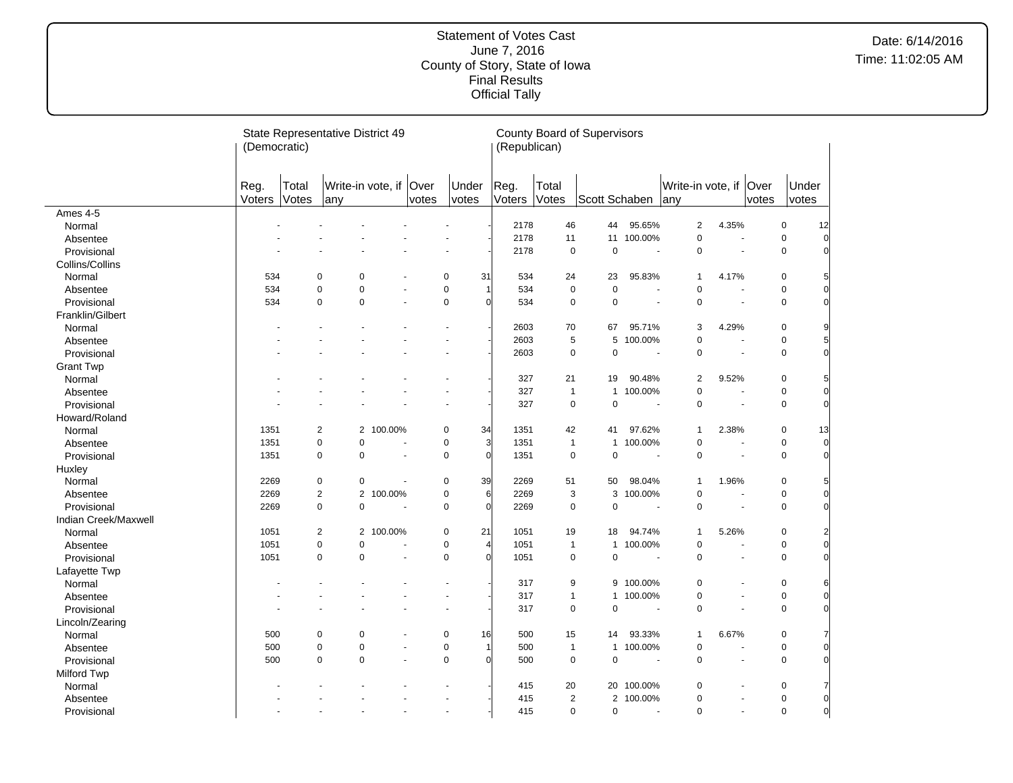#### Statement of Votes Cast June 7, 2016 County of Story, State of Iowa Final Results Official Tally

|                           | (Democratic)   |                | State Representative District 49 |                      |                |                |                | (Republican)   |                | <b>County Board of Supervisors</b> |                       |                                |                      |       |                          |                     |
|---------------------------|----------------|----------------|----------------------------------|----------------------|----------------|----------------|----------------|----------------|----------------|------------------------------------|-----------------------|--------------------------------|----------------------|-------|--------------------------|---------------------|
|                           | Reg.<br>Voters | Total<br>Votes | Write-in vote, if<br>any         |                      | Over<br>votes  | Under<br>votes |                | Reg.<br>Voters | Total<br>Votes | Scott Schaben                      |                       | Write-in vote, if Over<br> any |                      | votes | Under<br>votes           |                     |
| Ames 4-5                  |                |                |                                  |                      |                |                |                |                |                |                                    |                       |                                |                      |       |                          |                     |
| Normal                    |                |                |                                  |                      |                |                |                | 2178           | 46             | 44                                 | 95.65%                | $\overline{2}$                 | 4.35%                |       | $\pmb{0}$                | 12                  |
| Absentee                  |                |                |                                  |                      |                |                |                | 2178           | 11             | 11                                 | 100.00%               | $\pmb{0}$                      | L,                   |       | $\pmb{0}$                | 0                   |
| Provisional               |                |                |                                  |                      |                |                |                | 2178           | $\mathbf 0$    | $\mathbf 0$                        | ÷.                    | $\pmb{0}$                      | ä,                   |       | $\mathbf 0$              | 0                   |
| Collins/Collins           |                |                |                                  |                      |                |                |                |                |                |                                    |                       |                                |                      |       |                          |                     |
| Normal                    | 534            | $\mathbf 0$    | 0                                |                      |                | 0              | 31             | 534            | 24             | 23                                 | 95.83%                | $\mathbf{1}$                   | 4.17%                |       | 0                        | 5                   |
| Absentee                  | 534            | $\mathbf 0$    | $\mathbf 0$                      |                      |                | 0              | 1              | 534            | $\mathbf 0$    | $\mathsf 0$                        |                       | $\mathbf 0$                    | ä,                   |       | 0                        | 0                   |
| Provisional               | 534            | $\mathbf 0$    | $\mathbf 0$                      | ÷,                   |                | $\mathbf 0$    | $\Omega$       | 534            | $\mathbf 0$    | $\mathbf 0$                        |                       | $\mathbf 0$                    | ÷,                   |       | $\mathbf 0$              | $\mathbf 0$         |
| Franklin/Gilbert          |                |                |                                  |                      |                |                |                |                |                |                                    |                       |                                |                      |       |                          |                     |
| Normal                    |                |                |                                  |                      |                |                |                | 2603           | 70             | 67                                 | 95.71%                | 3                              | 4.29%                |       | $\mathbf 0$              | 9                   |
| Absentee                  |                |                |                                  |                      |                |                |                | 2603           | 5              | 5                                  | 100.00%               | $\pmb{0}$                      | ÷,                   |       | $\pmb{0}$                | 5                   |
| Provisional               |                |                |                                  |                      |                |                |                | 2603           | $\pmb{0}$      | $\mathsf 0$                        | $\sim$                | $\pmb{0}$                      |                      |       | 0                        | 0                   |
| <b>Grant Twp</b>          |                |                |                                  |                      |                |                |                |                |                |                                    |                       |                                |                      |       |                          |                     |
| Normal                    |                |                |                                  |                      |                |                |                | 327            | 21             | 19                                 | 90.48%                | $\overline{2}$                 | 9.52%                |       | $\pmb{0}$                | 5                   |
| Absentee                  |                |                |                                  |                      |                |                |                | 327            | $\mathbf{1}$   | $\mathbf{1}$                       | 100.00%               | $\mathbf 0$                    |                      |       | $\mathbf 0$              | 0                   |
| Provisional               |                |                |                                  |                      |                |                |                | 327            | $\mathbf 0$    | $\pmb{0}$                          | $\sim$                | $\pmb{0}$                      | ÷.                   |       | $\mathbf 0$              | $\mathbf 0$         |
| Howard/Roland             |                |                |                                  |                      |                |                |                |                |                |                                    |                       |                                |                      |       |                          |                     |
| Normal                    | 1351           | $\overline{2}$ |                                  | 2 100.00%            |                | 0              | 34             | 1351           | 42             | 41                                 | 97.62%                | $\mathbf{1}$                   | 2.38%                |       | $\mathsf 0$              | 13                  |
| Absentee                  | 1351           | $\mathbf 0$    | 0                                |                      |                | 0              | 3              | 1351           | $\mathbf{1}$   | $\mathbf{1}$                       | 100.00%               | $\pmb{0}$                      | $\ddot{\phantom{1}}$ |       | 0                        | $\mathbf 0$         |
| Provisional               | 1351           | $\mathbf 0$    | $\mathbf 0$                      | ÷,                   |                | 0              | $\Omega$       | 1351           | $\mathbf 0$    | $\mathbf 0$                        | $\overline{a}$        | $\mathbf 0$                    | ÷,                   |       | 0                        | $\overline{0}$      |
| Huxley                    |                |                |                                  |                      |                |                |                |                |                |                                    |                       |                                |                      |       |                          |                     |
| Normal                    | 2269           |                | 0<br>$\mathbf 0$                 | $\ddot{\phantom{1}}$ |                | 0              | 39             | 2269           | 51             | 50                                 | 98.04%                | $\mathbf{1}$                   | 1.96%                |       | $\pmb{0}$                | 5                   |
| Absentee                  | 2269           |                | $\overline{2}$                   | 2 100.00%            |                | 0              | 6              | 2269           | 3              | 3                                  | 100.00%               | $\pmb{0}$                      |                      |       | $\pmb{0}$                | 0                   |
| Provisional               | 2269           | $\mathbf 0$    | $\mathbf 0$                      |                      |                | 0              | $\overline{0}$ | 2269           | $\pmb{0}$      | $\mathbf 0$                        | $\sim$                | $\pmb{0}$                      | L,                   |       | $\mathbf 0$              | 0                   |
| Indian Creek/Maxwell      |                |                |                                  |                      |                |                |                |                |                |                                    |                       |                                |                      |       |                          |                     |
| Normal                    | 1051           | $\overline{2}$ |                                  | 2 100.00%            |                | 0              | 21             | 1051           | 19             | 18                                 | 94.74%                | 1                              | 5.26%                |       | $\pmb{0}$                |                     |
| Absentee                  | 1051           | $\mathbf 0$    | $\mathbf 0$                      | ÷.                   |                | 0              | $\overline{4}$ | 1051           | $\mathbf{1}$   | $\mathbf{1}$                       | 100.00%               | $\pmb{0}$                      | $\ddot{\phantom{1}}$ |       | $\mathbf 0$              |                     |
| Provisional               | 1051           | $\mathbf 0$    | $\mathbf 0$                      |                      | $\blacksquare$ | $\mathbf 0$    | $\Omega$       | 1051           | $\pmb{0}$      | $\mathbf 0$                        |                       | $\mathbf 0$                    | ÷,                   |       | $\mathsf 0$              | $\overline{0}$      |
| Lafayette Twp             |                |                |                                  |                      |                |                |                |                |                |                                    |                       |                                |                      |       |                          |                     |
| Normal                    |                |                |                                  |                      |                |                |                | 317            | 9              | 9                                  | 100.00%               | $\mathbf 0$                    |                      |       | $\mathbf 0$              | 6                   |
| Absentee                  |                |                |                                  |                      |                | ÷.             |                | 317            | $\mathbf{1}$   | $\mathbf{1}$                       | 100.00%               | $\pmb{0}$                      | ÷,                   |       | $\pmb{0}$                | 0                   |
| Provisional               |                |                |                                  |                      |                |                |                | 317            | $\mathbf 0$    | $\mathbf 0$                        |                       | $\mathbf 0$                    |                      |       | $\mathbf 0$              | $\Omega$            |
|                           |                |                |                                  |                      |                |                |                |                |                |                                    |                       |                                |                      |       |                          |                     |
| Lincoln/Zearing<br>Normal | 500            | 0              | 0                                |                      |                | 0              | 16             | 500            | 15             | 14                                 | 93.33%                | $\mathbf{1}$                   | 6.67%                |       | $\pmb{0}$                |                     |
|                           | 500            | 0              | $\mathbf 0$                      |                      | $\overline{a}$ | 0              | 1              | 500            | $\mathbf{1}$   | $\mathbf{1}$                       | 100.00%               | $\pmb{0}$                      | L.                   |       | 0                        | 0                   |
| Absentee                  | 500            | $\mathbf 0$    | $\mathbf 0$                      |                      |                | 0              | $\Omega$       | 500            | $\pmb{0}$      | $\pmb{0}$                          | $\tilde{\phantom{a}}$ | $\pmb{0}$                      | ÷,                   |       | $\mathbf 0$              | 0                   |
| Provisional               |                |                |                                  |                      |                |                |                |                |                |                                    |                       |                                |                      |       |                          |                     |
| <b>Milford Twp</b>        |                |                |                                  |                      |                |                |                | 415            | 20             |                                    | 20 100.00%            | $\mathbf 0$                    | Ĭ.                   |       | $\pmb{0}$                | 7                   |
| Normal                    |                |                |                                  |                      |                |                |                |                | $\overline{2}$ |                                    |                       |                                | ÷,                   |       |                          |                     |
| Absentee                  |                |                |                                  |                      |                |                |                | 415            |                |                                    | 2 100.00%             | $\pmb{0}$                      |                      |       | $\pmb{0}$<br>$\mathbf 0$ | 0<br>$\overline{0}$ |
| Provisional               |                |                |                                  |                      |                | $\sim$         |                | 415            | $\mathbf 0$    | $\mathbf 0$                        | $\sim$                | $\mathbf 0$                    | $\blacksquare$       |       |                          |                     |

 $\overline{a}$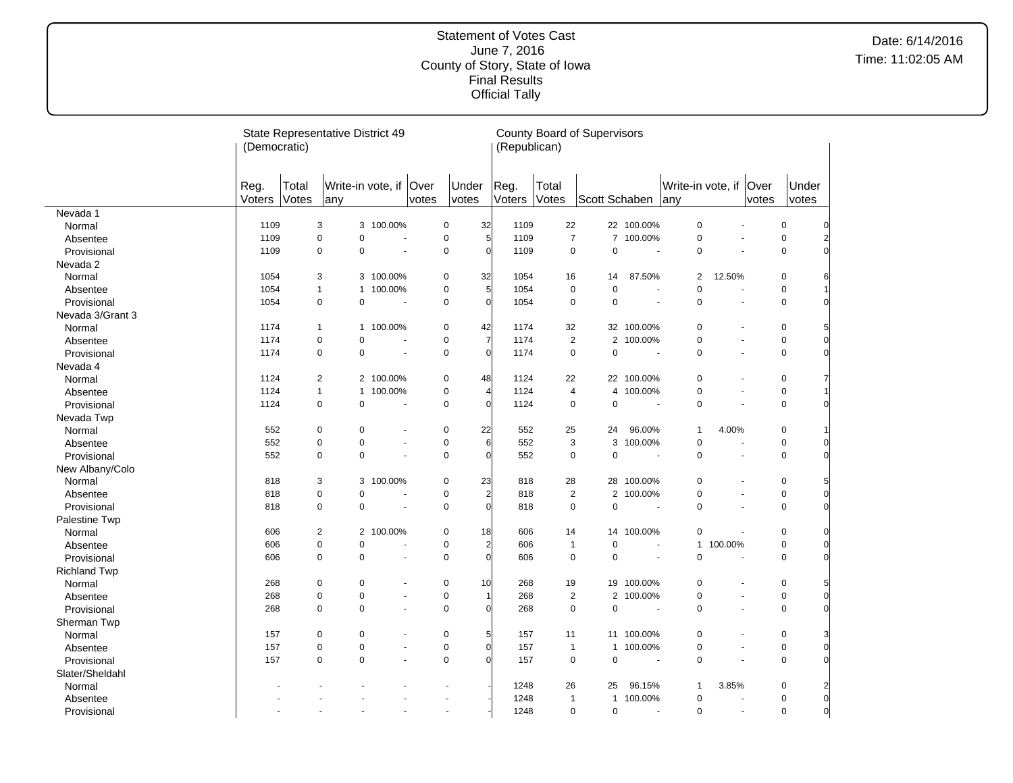|                     | (Democratic)   |                | State Representative District 49 |                          |       |                | (Republican)           |                | <b>County Board of Supervisors</b> |                          |                                |                       |                |                |                |
|---------------------|----------------|----------------|----------------------------------|--------------------------|-------|----------------|------------------------|----------------|------------------------------------|--------------------------|--------------------------------|-----------------------|----------------|----------------|----------------|
|                     | Reg.<br>Voters | Total<br>Votes | any                              | Write-in vote, if Over   | votes | Under<br>votes | Reg.<br>Voters         | Total<br>Votes | Scott Schaben                      |                          | Write-in vote, if Over<br>lany |                       | votes          | Under<br>votes |                |
| Nevada 1            |                |                |                                  |                          |       |                |                        |                |                                    |                          |                                |                       |                |                |                |
| Normal              | 1109           | 3              |                                  | 3 100.00%                |       | 0<br>32        | 1109                   | 22             |                                    | 22 100.00%               | $\mathbf 0$                    |                       |                | $\mathbf 0$    |                |
| Absentee            | 1109           | $\mathbf 0$    | $\mathbf 0$                      | $\blacksquare$           |       | 0              | $\overline{5}$<br>1109 | $\overline{7}$ |                                    | 7 100.00%                | $\mathbf 0$                    | ÷.                    |                | 0              | 2              |
| Provisional         | 1109           | $\mathbf 0$    | $\mathbf 0$                      | $\tilde{\phantom{a}}$    |       | $\mathbf 0$    | $\overline{0}$<br>1109 | $\mathbf 0$    | $\mathbf 0$                        | L.                       | $\mathbf 0$                    |                       |                | 0              | $\Omega$       |
| Nevada 2            |                |                |                                  |                          |       |                |                        |                |                                    |                          |                                |                       |                |                |                |
| Normal              | 1054           | 3              |                                  | 3 100.00%                |       | 32<br>$\Omega$ | 1054                   | 16             | 14                                 | 87.50%                   | $\overline{2}$                 | 12.50%                |                | $\pmb{0}$      |                |
| Absentee            | 1054           | 1              | $\mathbf{1}$                     | 100.00%                  |       | 0              | $\overline{5}$<br>1054 | $\mathbf 0$    | $\pmb{0}$                          |                          | $\mathbf 0$                    |                       |                | 0              |                |
| Provisional         | 1054           | $\pmb{0}$      | $\pmb{0}$                        | $\sim$                   |       | 0              | $\overline{0}$<br>1054 | $\mathbf 0$    | $\mathbf 0$                        | ÷.                       | 0                              | $\sim$                |                | 0              | 0              |
| Nevada 3/Grant 3    |                |                |                                  |                          |       |                |                        |                |                                    |                          |                                |                       |                |                |                |
| Normal              | 1174           | $\mathbf{1}$   |                                  | 1 100.00%                |       | 0<br>42        | 1174                   | 32             |                                    | 32 100.00%               | $\pmb{0}$                      |                       |                | $\pmb{0}$      | 5              |
| Absentee            | 1174           | $\pmb{0}$      | $\pmb{0}$                        |                          |       | 0              | $\overline{7}$<br>1174 | $\overline{2}$ | $\overline{2}$                     | 100.00%                  | $\mathbf 0$                    | $\blacksquare$        |                | $\mathbf 0$    | $\overline{0}$ |
| Provisional         | 1174           | $\mathbf 0$    | $\mathbf 0$                      |                          |       | 0              | $\overline{0}$<br>1174 | $\mathbf 0$    | $\pmb{0}$                          | ÷,                       | $\pmb{0}$                      |                       |                | 0              | $\overline{0}$ |
| Nevada 4            |                |                |                                  |                          |       |                |                        |                |                                    |                          |                                |                       |                |                |                |
| Normal              | 1124           | 2              |                                  | 2 100.00%                |       | 0<br>48        | 1124                   | 22             |                                    | 22 100.00%               | $\pmb{0}$                      |                       |                | $\pmb{0}$      | 7              |
| Absentee            | 1124           | $\mathbf{1}$   | $\mathbf{1}$                     | 100.00%                  |       | 0              | $\overline{4}$<br>1124 | $\overline{4}$ | 4                                  | 100.00%                  | $\pmb{0}$                      | $\sim$                |                | $\pmb{0}$      |                |
| Provisional         | 1124           | $\mathbf 0$    | $\mathbf 0$                      | ÷,                       |       | 0              | $\Omega$<br>1124       | $\mathbf 0$    | $\pmb{0}$                          | $\overline{\phantom{a}}$ | $\mathbf 0$                    | ٠                     |                | $\mathbf 0$    | $\mathbf 0$    |
| Nevada Twp          |                |                |                                  |                          |       |                |                        |                |                                    |                          |                                |                       |                |                |                |
| Normal              | 552            | $\mathbf 0$    | $\mathbf 0$                      |                          |       | 0<br>22        | 552                    | 25             | 24                                 | 96.00%                   | $\mathbf{1}$                   | 4.00%                 |                | $\pmb{0}$      |                |
| Absentee            | 552            | $\mathbf 0$    | $\mathbf 0$                      | $\blacksquare$           |       | 0              | 6<br>552               | $\sqrt{3}$     | 3                                  | 100.00%                  | 0                              |                       |                | 0              | 0              |
| Provisional         | 552            | $\mathbf 0$    | $\mathbf 0$                      | $\blacksquare$           |       | 0              | $\overline{0}$<br>552  | $\mathbf 0$    | $\mathbf 0$                        | $\blacksquare$           | 0                              | $\blacksquare$        |                | $\mathbf 0$    | $\overline{0}$ |
| New Albany/Colo     |                |                |                                  |                          |       |                |                        |                |                                    |                          |                                |                       |                |                |                |
| Normal              | 818            | 3              | 3                                | 100.00%                  |       | 0<br>23        | 818                    | 28             | 28                                 | 100.00%                  | $\pmb{0}$                      |                       |                | $\pmb{0}$      |                |
| Absentee            | 818            | $\mathbf 0$    | $\mathbf 0$                      |                          |       | 0              | $\overline{a}$<br>818  | $\overline{2}$ |                                    | 2 100.00%                | $\mathbf 0$                    | $\blacksquare$        |                | 0              | 0              |
| Provisional         | 818            | $\mathbf 0$    | $\mathbf 0$                      |                          |       | 0              | $\overline{0}$<br>818  | $\mathbf 0$    | $\pmb{0}$                          |                          | $\mathbf 0$                    | ÷,                    |                | 0              | 0              |
| Palestine Twp       |                |                |                                  |                          |       |                |                        |                |                                    |                          |                                |                       |                |                |                |
| Normal              | 606            | $\overline{2}$ |                                  | 2 100.00%                |       | 0<br>18        | 606                    | 14             |                                    | 14 100.00%               | $\mathbf 0$                    |                       |                | $\mathbf 0$    |                |
| Absentee            | 606            | $\mathbf 0$    | $\mathbf 0$                      | $\overline{a}$           |       | 0              | $\overline{a}$<br>606  | $\overline{1}$ | $\mathbf 0$                        | ÷.                       | $\mathbf{1}$                   | 100.00%               |                | 0              |                |
| Provisional         | 606            | $\mathbf 0$    | 0                                | $\blacksquare$           |       | 0              | $\overline{0}$<br>606  | $\mathsf 0$    | $\pmb{0}$                          | $\sim$                   | $\mathbf 0$                    | $\sim$                |                | 0              | 0              |
|                     |                |                |                                  |                          |       |                |                        |                |                                    |                          |                                |                       |                |                |                |
| <b>Richland Twp</b> | 268            | $\pmb{0}$      | $\pmb{0}$                        |                          |       | 0<br>10        | 268                    | 19             | 19                                 | 100.00%                  | $\pmb{0}$                      |                       |                | $\pmb{0}$      |                |
| Normal              |                | $\pmb{0}$      | $\pmb{0}$                        |                          |       | 0              |                        | $\overline{2}$ |                                    | 2 100.00%                | $\pmb{0}$                      | $\blacksquare$        |                | 0              | $\mathbf 0$    |
| Absentee            | 268<br>268     | $\mathbf 0$    | $\mathbf 0$                      | $\overline{\phantom{a}}$ |       | 0              | 268<br>$\Omega$<br>268 | $\mathbf 0$    | $\pmb{0}$                          | ÷,                       | $\pmb{0}$                      |                       |                | 0              | $\Omega$       |
| Provisional         |                |                |                                  |                          |       |                |                        |                |                                    |                          |                                |                       |                |                |                |
| Sherman Twp         |                |                |                                  |                          |       |                |                        |                |                                    |                          |                                |                       |                |                |                |
| Normal              | 157            | $\pmb{0}$      | $\pmb{0}$                        |                          |       | 0              | 5<br>157               | 11             |                                    | 11 100.00%               | $\pmb{0}$                      | ٠                     |                | $\pmb{0}$      | 3              |
| Absentee            | 157            | $\pmb{0}$      | $\mathbf 0$                      | $\blacksquare$           |       | 0              | $\overline{0}$<br>157  | $\mathbf{1}$   | $\mathbf{1}$                       | 100.00%                  | $\mathbf 0$                    | $\sim$                |                | 0              | $\overline{0}$ |
| Provisional         | 157            | $\mathbf 0$    | $\Omega$                         | $\blacksquare$           |       | $\overline{0}$ | $\Omega$<br>157        | $\mathsf 0$    | $\mathbf 0$                        | $\overline{\phantom{a}}$ | $\mathbf 0$                    | $\tilde{\phantom{a}}$ |                | $\mathbf 0$    | $\overline{0}$ |
| Slater/Sheldahl     |                |                |                                  |                          |       |                |                        |                |                                    |                          |                                |                       |                |                |                |
| Normal              |                |                |                                  |                          |       |                | 1248                   | 26             | 25                                 | 96.15%                   | $\mathbf{1}$                   | 3.85%                 |                | $\mathbf 0$    | $\overline{2}$ |
| Absentee            |                |                |                                  |                          |       |                | 1248                   | $\mathbf{1}$   | $\mathbf{1}$                       | 100.00%                  | $\pmb{0}$                      | ٠                     |                | 0              | $\overline{0}$ |
| Provisional         |                |                | $\blacksquare$                   |                          |       | $\sim$         | 1248                   | $\mathbf 0$    | $\mathbf 0$                        | $\sim$                   | $\mathbf 0$                    |                       | $\blacksquare$ | $\overline{0}$ | $\overline{0}$ |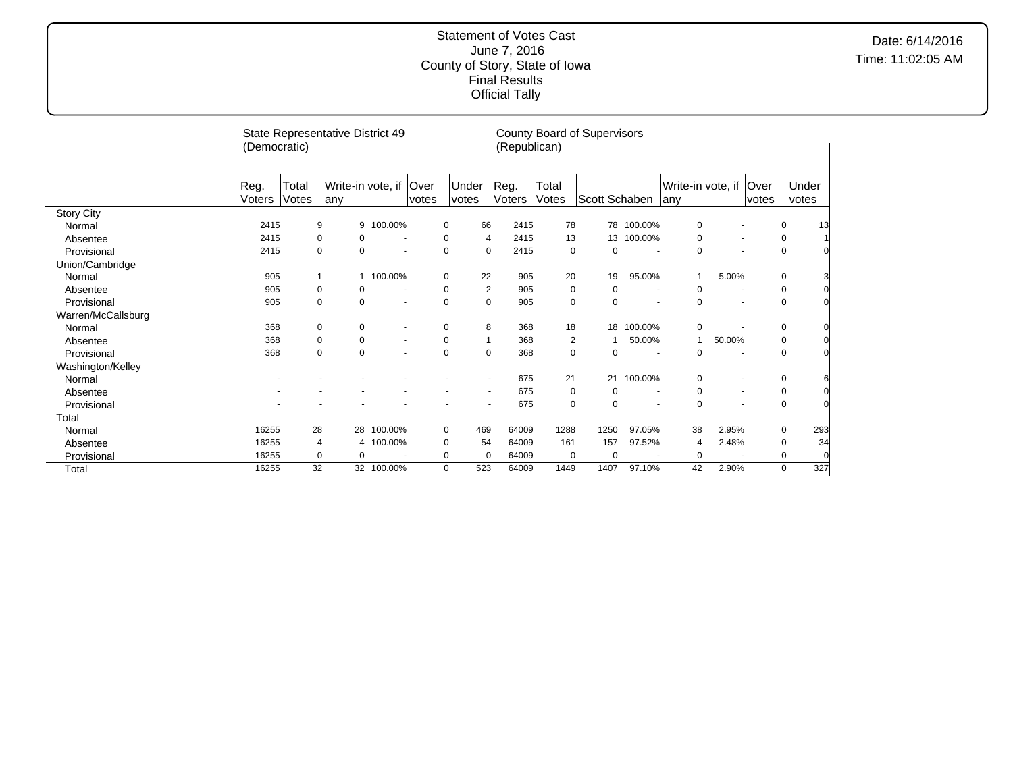|                    | (Democratic) | State Representative District 49 |              |             |                          |       |             |                | (Republican) | County Board of Supervisors |               |            |                        |        |                          |             |                |
|--------------------|--------------|----------------------------------|--------------|-------------|--------------------------|-------|-------------|----------------|--------------|-----------------------------|---------------|------------|------------------------|--------|--------------------------|-------------|----------------|
|                    | Reg.         | Total                            |              |             | Write-in vote, if Over   |       |             | Under          | Reg.         | Total                       |               |            | Write-in vote, if Over |        |                          |             | Under          |
|                    | Voters       | Votes                            | lanv         |             |                          | votes |             | votes          | Voters       | Votes                       | Scott Schaben |            | lany                   |        | votes                    |             | votes          |
| <b>Story City</b>  |              |                                  |              |             |                          |       |             |                |              |                             |               |            |                        |        |                          |             |                |
| Normal             | 2415         |                                  | 9            | 9           | 100.00%                  |       | 0           | 66             | 2415         | 78                          |               | 78 100.00% | 0                      |        |                          | 0           | 13             |
| Absentee           | 2415         |                                  | 0            | 0           |                          |       | 0           |                | 2415         | 13                          | 13            | 100.00%    | 0                      |        | $\overline{\phantom{a}}$ | 0           | $\mathbf{1}$   |
| Provisional        | 2415         |                                  | $\mathbf 0$  | $\mathbf 0$ |                          |       | $\mathbf 0$ |                | 2415         | 0                           | 0             |            | $\mathbf 0$            |        | $\blacksquare$           | 0           | $\overline{0}$ |
| Union/Cambridge    |              |                                  |              |             |                          |       |             |                |              |                             |               |            |                        |        |                          |             |                |
| Normal             | 905          |                                  | $\mathbf{1}$ | 1           | 100.00%                  |       | 0           | 22             | 905          | 20                          | 19            | 95.00%     |                        | 5.00%  |                          | 0           | 3              |
| Absentee           | 905          |                                  | 0            | 0           |                          |       | 0           | $\overline{2}$ | 905          | 0                           | 0             |            | 0                      |        |                          | 0           | $\overline{0}$ |
| Provisional        | 905          |                                  | $\mathbf 0$  | $\mathbf 0$ | $\overline{\phantom{a}}$ |       | $\mathbf 0$ |                | 905          | 0                           | 0             |            | 0<br>$\blacksquare$    |        | $\blacksquare$           | 0           | $\overline{0}$ |
| Warren/McCallsburg |              |                                  |              |             |                          |       |             |                |              |                             |               |            |                        |        |                          |             |                |
| Normal             | 368          |                                  | 0            | 0           | $\sim$                   |       | 0           |                | 368          | 18                          | 18            | 100.00%    | 0                      |        |                          | 0           | $\overline{0}$ |
| Absentee           | 368          |                                  | $\mathbf 0$  | $\mathbf 0$ | $\blacksquare$           |       | $\mathbf 0$ |                | 368          | $\overline{2}$              |               | 50.00%     | $\mathbf{1}$           | 50.00% |                          | 0           | $\mathbf{0}$   |
| Provisional        | 368          |                                  | $\mathbf 0$  | $\mathbf 0$ |                          |       | $\mathbf 0$ |                | 368          | 0                           | 0             |            | 0                      |        |                          | $\mathbf 0$ | $\overline{0}$ |
| Washington/Kelley  |              |                                  |              |             |                          |       |             |                |              |                             |               |            |                        |        |                          |             |                |
| Normal             |              |                                  |              |             |                          |       |             |                | 675          | 21                          |               | 21 100.00% | 0                      |        |                          | 0           | 6              |
| Absentee           |              |                                  |              |             |                          |       |             |                | 675          | 0                           | 0             |            | 0<br>$\blacksquare$    |        | $\blacksquare$           | 0           | $\mathbf 0$    |
| Provisional        |              |                                  |              |             |                          |       |             |                | 675          | $\mathbf 0$                 | 0             |            | $\mathbf 0$            |        |                          | $\mathbf 0$ | $\overline{0}$ |
| Total              |              |                                  |              |             |                          |       |             |                |              |                             |               |            |                        |        |                          |             |                |
| Normal             | 16255        |                                  | 28           | 28          | 100.00%                  |       | 0           | 469            | 64009        | 1288                        | 1250          | 97.05%     | 38                     | 2.95%  |                          | 0           | 293            |
| Absentee           | 16255        |                                  | 4            | 4           | 100.00%                  |       | 0           | 54             | 64009        | 161                         | 157           | 97.52%     | 4                      | 2.48%  |                          | 0           | 34             |
| Provisional        | 16255        |                                  | 0            | $\mathbf 0$ |                          |       | 0           | $\Omega$       | 64009        | 0                           | 0             |            | 0                      |        |                          | 0           | 0              |
| Total              | 16255        |                                  | 32           |             | 32 100.00%               |       | 0           | 523            | 64009        | 1449                        | 1407          | 97.10%     | 42                     | 2.90%  |                          | $\mathbf 0$ | 327            |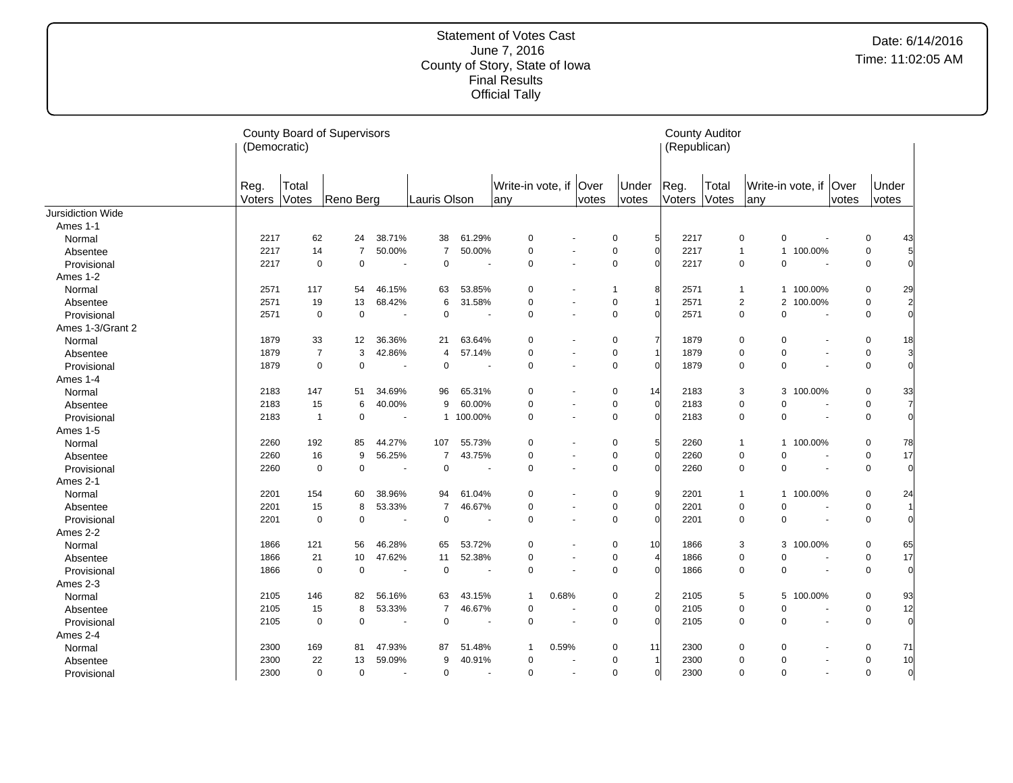|                          | (Democratic)   |                | <b>County Board of Supervisors</b> |                          |                |                |                           |       |               |                               | (Republican)   | <b>County Auditor</b> |              |             |                          |       |                |                 |
|--------------------------|----------------|----------------|------------------------------------|--------------------------|----------------|----------------|---------------------------|-------|---------------|-------------------------------|----------------|-----------------------|--------------|-------------|--------------------------|-------|----------------|-----------------|
|                          | Reg.<br>Voters | Total<br>Votes | Reno Berg                          |                          | Lauris Olson   |                | Write-in vote, if<br>lany |       | Over<br>votes | Under<br>votes                | Reg.<br>Voters | Total<br>Votes        | lany         |             | Write-in vote, if   Over | votes | Under<br>votes |                 |
| <b>Jursidiction Wide</b> |                |                |                                    |                          |                |                |                           |       |               |                               |                |                       |              |             |                          |       |                |                 |
| Ames 1-1                 |                |                |                                    |                          |                |                |                           |       |               |                               |                |                       |              |             |                          |       |                |                 |
| Normal                   | 2217           | 62             | 24                                 | 38.71%                   | 38             | 61.29%         | $\mathbf 0$               |       |               | 5<br>0                        | 2217           |                       | $\mathbf 0$  | $\pmb{0}$   | $\blacksquare$           |       | 0              | 43              |
| Absentee                 | 2217           | 14             | $\overline{7}$                     | 50.00%                   | $\overline{7}$ | 50.00%         | $\mathbf 0$               |       |               | $\mathbf 0$<br>$\Omega$       | 2217           |                       | $\mathbf{1}$ |             | 1 100.00%                |       | 0              | $5\overline{)}$ |
| Provisional              | 2217           | $\mathbf 0$    | $\pmb{0}$                          | $\overline{\phantom{a}}$ | $\mathbf 0$    |                | $\mathbf 0$               |       |               | $\mathbf 0$                   | 2217           |                       | $\mathbf 0$  | $\mathbf 0$ | $\overline{\phantom{a}}$ |       | $\pmb{0}$      | $\Omega$        |
| Ames 1-2                 |                |                |                                    |                          |                |                |                           |       |               |                               |                |                       |              |             |                          |       |                |                 |
| Normal                   | 2571           | 117            | 54                                 | 46.15%                   | 63             | 53.85%         | $\mathbf 0$               |       |               | 8<br>$\mathbf 1$              | 2571           |                       | $\mathbf{1}$ |             | 1 100.00%                |       | 0              | 29              |
| Absentee                 | 2571           | 19             | 13                                 | 68.42%                   | 6              | 31.58%         | $\mathbf 0$               |       |               | $\mathbf 0$                   | 2571           |                       | 2            |             | 2 100.00%                |       | 0              | $\overline{2}$  |
| Provisional              | 2571           | 0              | $\mathbf 0$                        | $\blacksquare$           | $\mathbf 0$    | $\sim$         | $\mathbf 0$               |       |               | $\mathbf 0$<br>$\Omega$       | 2571           |                       | $\mathbf 0$  | $\mathbf 0$ | $\blacksquare$           |       | $\mathbf 0$    | $\overline{0}$  |
| Ames 1-3/Grant 2         |                |                |                                    |                          |                |                |                           |       |               |                               |                |                       |              |             |                          |       |                |                 |
| Normal                   | 1879           | 33             | 12                                 | 36.36%                   | 21             | 63.64%         | 0                         |       |               | 7<br>0                        | 1879           |                       | $\mathbf 0$  | 0           |                          |       | 0              | 18              |
| Absentee                 | 1879           | $\overline{7}$ | 3                                  | 42.86%                   | $\overline{4}$ | 57.14%         | $\mathbf 0$               |       |               | $\mathbf 0$                   | 1879           |                       | $\Omega$     | $\mathbf 0$ |                          |       | $\mathbf 0$    | 3               |
| Provisional              | 1879           | $\mathbf 0$    | 0                                  |                          | $\overline{0}$ |                | $\mathbf 0$               |       |               | $\mathbf 0$<br>$\Omega$       | 1879           |                       | $\mathbf 0$  | $\mathbf 0$ |                          |       | $\mathbf 0$    | $\Omega$        |
| Ames 1-4                 |                |                |                                    |                          |                |                |                           |       |               |                               |                |                       |              |             |                          |       |                |                 |
| Normal                   | 2183           | 147            | 51                                 | 34.69%                   | 96             | 65.31%         | $\mathbf 0$               |       |               | $\mathbf 0$<br>14             | 2183           |                       | 3            |             | 3 100.00%                |       | 0              | 33              |
| Absentee                 | 2183           | 15             | 6                                  | 40.00%                   | 9              | 60.00%         | $\mathbf 0$               |       |               | $\pmb{0}$<br>$\overline{0}$   | 2183           |                       | $\mathbf 0$  | $\mathbf 0$ |                          |       | 0              | $\overline{7}$  |
| Provisional              | 2183           | $\mathbf{1}$   | 0                                  | $\overline{\phantom{a}}$ | $\mathbf{1}$   | 100.00%        | $\mathbf 0$               |       |               | $\mathbf 0$<br>$\Omega$       | 2183           |                       | 0            | $\pmb{0}$   | $\blacksquare$           |       | $\mathbf 0$    | $\Omega$        |
| Ames 1-5                 |                |                |                                    |                          |                |                |                           |       |               |                               |                |                       |              |             |                          |       |                |                 |
| Normal                   | 2260           | 192            | 85                                 | 44.27%                   | 107            | 55.73%         | $\mathbf 0$               |       |               | 5<br>$\mathbf 0$              | 2260           |                       | $\mathbf{1}$ |             | 1 100.00%                |       | 0              | 78              |
| Absentee                 | 2260           | 16             | 9                                  | 56.25%                   | $\overline{7}$ | 43.75%         | $\mathbf 0$               |       |               | $\mathbf 0$<br>$\Omega$       | 2260           |                       | 0            | $\mathbf 0$ |                          |       | $\mathbf 0$    | 17              |
| Provisional              | 2260           | $\mathbf 0$    | $\mathbf 0$                        | $\overline{\phantom{a}}$ | $\mathbf 0$    | $\overline{a}$ | $\Omega$                  |       |               | $\mathbf 0$<br>$\sqrt{ }$     | 2260           |                       | $\mathbf 0$  | $\Omega$    | $\overline{\phantom{a}}$ |       | $\mathbf 0$    | $\Omega$        |
| Ames 2-1                 |                |                |                                    |                          |                |                |                           |       |               |                               |                |                       |              |             |                          |       |                |                 |
| Normal                   | 2201           | 154            | 60                                 | 38.96%                   | 94             | 61.04%         | $\mathbf 0$               |       |               | 9<br>$\pmb{0}$                | 2201           |                       | $\mathbf{1}$ |             | 1 100.00%                |       | 0              | 24              |
| Absentee                 | 2201           | 15             | 8                                  | 53.33%                   | $\overline{7}$ | 46.67%         | $\mathbf 0$               |       |               | $\Omega$<br>$\pmb{0}$         | 2201           |                       | $\mathbf 0$  | $\mathbf 0$ |                          |       | $\mathbf 0$    |                 |
| Provisional              | 2201           | $\mathbf 0$    | $\mathbf 0$                        | $\blacksquare$           | $\mathbf 0$    | $\overline{a}$ | $\mathbf 0$               |       |               | $\mathbf 0$<br>$\Omega$       | 2201           |                       | $\mathbf 0$  | $\mathbf 0$ |                          |       | $\pmb{0}$      |                 |
| Ames 2-2                 |                |                |                                    |                          |                |                |                           |       |               |                               |                |                       |              |             |                          |       |                |                 |
| Normal                   | 1866           | 121            | 56                                 | 46.28%                   | 65             | 53.72%         | $\mathbf 0$               |       |               | 0<br>10                       | 1866           |                       | 3            |             | 3 100.00%                |       | 0              | 65              |
| Absentee                 | 1866           | 21             | 10                                 | 47.62%                   | 11             | 52.38%         | $\mathbf 0$               |       |               | $\mathbf 0$<br>$\Delta$       | 1866           |                       | $\Omega$     | $\mathbf 0$ |                          |       | 0              | 17              |
| Provisional              | 1866           | 0              | $\mathbf 0$                        |                          | $\mathbf 0$    |                | $\mathbf 0$               |       |               | $\mathbf 0$<br>$\sqrt{ }$     | 1866           |                       | 0            | $\mathbf 0$ |                          |       | $\mathbf 0$    | $\overline{0}$  |
| Ames 2-3                 |                |                |                                    |                          |                |                |                           |       |               |                               |                |                       |              |             |                          |       |                |                 |
| Normal                   | 2105           | 146            | 82                                 | 56.16%                   | 63             | 43.15%         | $\overline{1}$            | 0.68% |               | $\overline{2}$<br>$\mathbf 0$ | 2105           |                       | 5            |             | 5 100.00%                |       | 0              | 93              |
| Absentee                 | 2105           | 15             | 8                                  | 53.33%                   | $\overline{7}$ | 46.67%         | $\mathbf 0$               |       |               | $\Omega$<br>$\mathbf 0$       | 2105           |                       | 0            | $\mathbf 0$ |                          |       | 0              | 12              |
| Provisional              | 2105           | $\mathbf 0$    | $\mathbf 0$                        | $\overline{\phantom{a}}$ | $\mathbf 0$    |                | $\mathbf 0$               |       |               | $\mathbf 0$<br>$\Omega$       | 2105           |                       | 0            | $\Omega$    |                          |       | $\mathbf 0$    | $\overline{0}$  |
| Ames 2-4                 |                |                |                                    |                          |                |                |                           |       |               |                               |                |                       |              |             |                          |       |                |                 |
| Normal                   | 2300           | 169            | 81                                 | 47.93%                   | 87             | 51.48%         | $\mathbf{1}$              | 0.59% |               | 0<br>11                       | 2300           |                       | 0            | 0           |                          |       | 0              | 71              |
| Absentee                 | 2300           | 22             | 13                                 | 59.09%                   | 9              | 40.91%         | 0                         |       |               | $\mathbf 0$                   | 2300           |                       | 0            | $\pmb{0}$   |                          |       | 0              | 10              |
| Provisional              | 2300           | $\mathbf 0$    | 0                                  | $\sim$                   | $\mathbf 0$    | $\overline{a}$ | $\mathbf 0$               |       |               | $\mathbf 0$<br>$\Omega$       | 2300           |                       | 0            | $\mathbf 0$ | $\ddot{\phantom{1}}$     |       | 0              | $\overline{0}$  |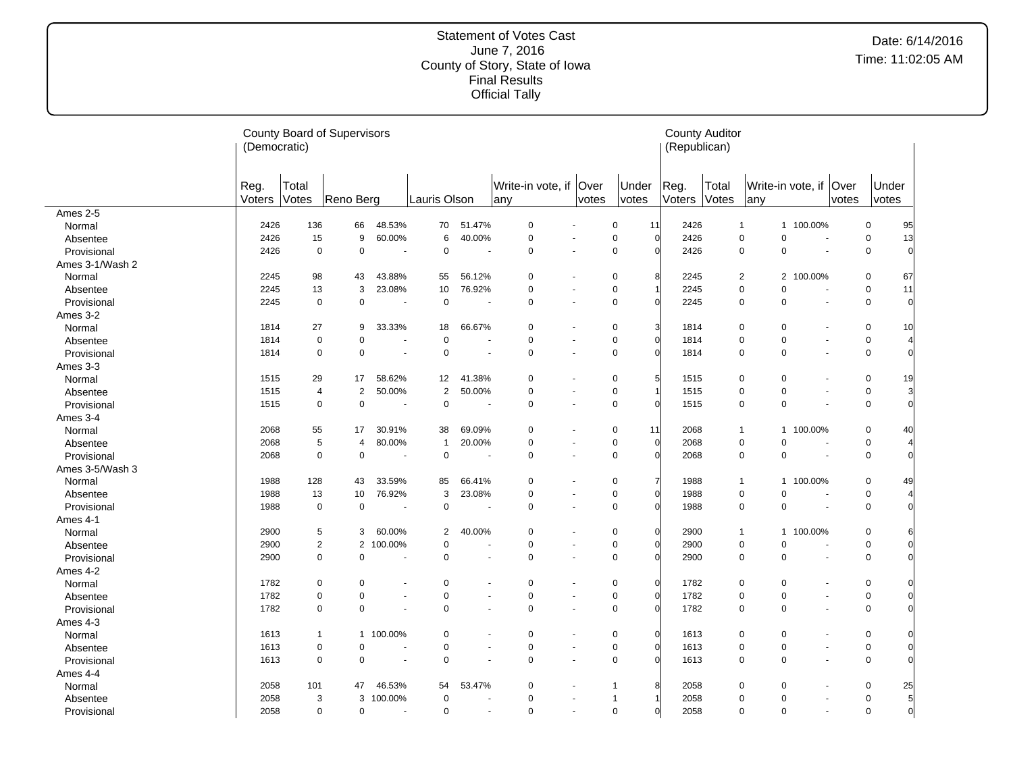|                 | (Democratic)   |                | <b>County Board of Supervisors</b> |           |                |                      |                                 |       |                               | <b>County Auditor</b><br>(Republican) |                |                              |                          |       |                                  |
|-----------------|----------------|----------------|------------------------------------|-----------|----------------|----------------------|---------------------------------|-------|-------------------------------|---------------------------------------|----------------|------------------------------|--------------------------|-------|----------------------------------|
|                 | Reg.<br>Voters | Total<br>Votes | Reno Berg                          |           | Lauris Olson   |                      | Write-in vote, if   Over<br>any | votes | Under<br>votes                | Reg.<br>Voters                        | Total<br>Votes | any                          | Write-in vote, if Over   | votes | Under<br>votes                   |
| Ames 2-5        |                |                |                                    |           |                |                      |                                 |       |                               |                                       |                |                              |                          |       |                                  |
| Normal          | 2426           | 136            | 66                                 | 48.53%    | 70             | 51.47%               | $\mathbf 0$                     |       | $\mathbf 0$<br>11             | 2426                                  | $\overline{1}$ |                              | 1 100.00%                |       | $\mathbf 0$<br>95                |
| Absentee        | 2426           | 15             | 9                                  | 60.00%    | 6              | 40.00%               | $\mathbf 0$                     |       | $\mathbf 0$<br>$\Omega$       | 2426                                  |                | $\mathbf 0$<br>0             | $\overline{\phantom{a}}$ |       | $\mathbf 0$<br>13                |
| Provisional     | 2426           | 0              | 0                                  | ÷.        | $\mathbf 0$    | $\ddot{\phantom{1}}$ | $\mathbf 0$                     |       | $\mathbf 0$<br>$\Omega$       | 2426                                  |                | 0<br>0                       | $\ddot{\phantom{1}}$     |       | $\mathbf 0$<br>$\Omega$          |
| Ames 3-1/Wash 2 |                |                |                                    |           |                |                      |                                 |       |                               |                                       |                |                              |                          |       |                                  |
| Normal          | 2245           | 98             | 43                                 | 43.88%    | 55             | 56.12%               | 0                               |       | 8<br>0                        | 2245                                  |                | 2                            | 2 100.00%                |       | 0<br>67                          |
| Absentee        | 2245           | 13             | 3                                  | 23.08%    | 10             | 76.92%               | $\mathbf 0$                     |       | $\mathbf 0$                   | 2245                                  |                | $\mathbf 0$<br>0             |                          |       | $\mathbf 0$<br>11                |
| Provisional     | 2245           | $\mathbf 0$    | $\mathbf 0$                        |           | $\mathbf 0$    |                      | $\mathbf 0$                     |       | $\mathbf 0$<br>$\Omega$       | 2245                                  |                | $\mathbf 0$<br>0             | ÷,                       |       | $\mathbf 0$<br>$\Omega$          |
| Ames 3-2        |                |                |                                    |           |                |                      |                                 |       |                               |                                       |                |                              |                          |       |                                  |
| Normal          | 1814           | 27             | 9                                  | 33.33%    | 18             | 66.67%               | $\mathbf 0$                     |       | 3<br>0                        | 1814                                  |                | $\mathbf 0$<br>0             |                          |       | $\mathbf 0$<br>10                |
| Absentee        | 1814           | $\mathbf 0$    | $\mathbf 0$                        |           | 0              |                      | $\mathbf 0$                     |       | $\mathbf 0$<br>$\Omega$       | 1814                                  |                | $\mathbf 0$<br>0             |                          |       | $\mathbf 0$                      |
| Provisional     | 1814           | $\mathbf 0$    | $\mathbf 0$                        |           | $\mathbf 0$    | $\blacksquare$       | $\mathbf 0$                     |       | $\mathbf 0$<br>$\Omega$       | 1814                                  |                | $\mathbf 0$<br>$\Omega$      | $\sim$                   |       | $\mathbf 0$<br>$\Omega$          |
| Ames 3-3        |                |                |                                    |           |                |                      |                                 |       |                               |                                       |                |                              |                          |       |                                  |
| Normal          | 1515           | 29             | 17                                 | 58.62%    | 12             | 41.38%               | 0                               |       | 5<br>0                        | 1515                                  |                | $\mathbf 0$<br>0             |                          |       | 19<br>0                          |
| Absentee        | 1515           | $\overline{4}$ | 2                                  | 50.00%    | $\overline{2}$ | 50.00%               | 0                               |       | $\mathbf 0$                   | 1515                                  |                | $\mathbf 0$<br>0             | $\blacksquare$           |       | $\mathbf 0$<br>3                 |
| Provisional     | 1515           | $\mathbf 0$    | $\mathbf 0$                        |           | $\mathbf 0$    | $\ddot{\phantom{1}}$ | $\mathbf 0$                     |       | $\mathbf 0$<br>$\Omega$       | 1515                                  |                | $\mathbf 0$<br>0             |                          |       | $\mathbf 0$<br>$\Omega$          |
| Ames 3-4        |                |                |                                    |           |                |                      |                                 |       |                               |                                       |                |                              |                          |       |                                  |
| Normal          | 2068           | 55             | 17                                 | 30.91%    | 38             | 69.09%               | $\Omega$                        |       | 0<br>11                       | 2068                                  |                | $\overline{1}$               | 1 100.00%                |       | $\mathbf 0$<br>40                |
| Absentee        | 2068           | 5              | 4                                  | 80.00%    | $\overline{1}$ | 20.00%               | 0                               |       | $\pmb{0}$<br>$\overline{0}$   | 2068                                  |                | $\mathbf 0$<br>0             |                          |       | $\mathbf 0$                      |
| Provisional     | 2068           | $\mathbf 0$    | $\pmb{0}$                          |           | $\mathbf 0$    |                      | $\Omega$                        |       | $\mathbf 0$<br>$\Omega$       | 2068                                  |                | $\mathbf 0$<br>0             | ٠.                       |       | $\mathbf 0$<br>$\Omega$          |
| Ames 3-5/Wash 3 |                |                |                                    |           |                |                      |                                 |       |                               |                                       |                |                              |                          |       |                                  |
| Normal          | 1988           | 128            | 43                                 | 33.59%    | 85             | 66.41%               | $\mathbf 0$                     |       | $\overline{7}$<br>$\mathbf 0$ | 1988                                  |                | $\mathbf{1}$<br>$\mathbf{1}$ | 100.00%                  |       | $\mathbf 0$<br>49                |
| Absentee        | 1988           | 13             | 10                                 | 76.92%    | 3              | 23.08%               | $\mathbf 0$                     |       | $\overline{0}$<br>$\pmb{0}$   | 1988                                  |                | $\mathbf 0$<br>0             | $\overline{\phantom{a}}$ |       | $\mathbf 0$                      |
| Provisional     | 1988           | $\mathbf 0$    | 0                                  |           | 0              | $\overline{a}$       | $\mathbf 0$                     |       | $\mathbf 0$<br>$\Omega$       | 1988                                  |                | $\mathbf 0$<br>0             |                          |       | $\mathbf 0$<br>$\Omega$          |
| Ames 4-1        |                |                |                                    |           |                |                      |                                 |       |                               |                                       |                |                              |                          |       |                                  |
| Normal          | 2900           | 5              | 3                                  | 60.00%    | $\overline{2}$ | 40.00%               | $\mathbf 0$                     |       | $\overline{0}$<br>$\mathbf 0$ | 2900                                  |                | $\mathbf{1}$                 | 1 100.00%                |       | $\mathbf 0$                      |
| Absentee        | 2900           | $\overline{2}$ | $\overline{2}$                     | 100.00%   | $\mathbf 0$    |                      | $\mathbf 0$                     |       | $\Omega$<br>$\pmb{0}$         | 2900                                  |                | 0<br>$\mathbf 0$             |                          |       | $\mathbf 0$<br>$\Omega$          |
| Provisional     | 2900           | $\mathbf 0$    | $\mathbf 0$                        | ÷,        | 0              |                      | $\mathbf 0$                     |       | $\mathbf 0$<br>$\Omega$       | 2900                                  |                | $\mathbf 0$<br>0             | ÷,                       |       | $\mathbf 0$<br>$\Omega$          |
| Ames 4-2        |                |                |                                    |           |                |                      |                                 |       |                               |                                       |                |                              |                          |       |                                  |
| Normal          | 1782           | 0              | $\mathbf 0$                        |           | $\mathbf 0$    |                      | $\mathbf 0$                     |       | $\overline{0}$<br>$\mathbf 0$ | 1782                                  |                | $\mathbf 0$<br>0             |                          |       | $\mathbf 0$<br>$\Omega$          |
| Absentee        | 1782           | 0              | $\mathbf 0$                        |           | $\mathbf 0$    | ٠                    | $\mathbf 0$                     |       | $\Omega$<br>$\mathbf 0$       | 1782                                  |                | 0<br>$\mathbf 0$             |                          | ä,    | $\pmb{0}$<br>$\Omega$            |
| Provisional     | 1782           | $\mathbf 0$    | $\mathbf 0$                        |           | 0              |                      | $\mathbf 0$                     |       | $\mathbf 0$<br>$\Omega$       | 1782                                  |                | $\mathbf 0$<br>0             | ÷,                       |       | $\mathbf 0$<br>$\Omega$          |
| Ames 4-3        |                |                |                                    |           |                |                      |                                 |       |                               |                                       |                |                              |                          |       |                                  |
| Normal          | 1613           | $\mathbf{1}$   |                                    | 1 100.00% | 0              |                      | $\mathbf 0$                     |       | $\overline{0}$<br>$\pmb{0}$   | 1613                                  |                | $\mathbf 0$<br>0             |                          |       | $\mathbf 0$<br>$\Omega$          |
| Absentee        | 1613           | 0              | $\mathbf 0$                        |           | $\mathbf 0$    |                      | $\mathsf 0$                     |       | $\pmb{0}$<br>$\Omega$         | 1613                                  |                | $\mathsf 0$<br>0             | ÷,                       |       | $\pmb{0}$<br>$\Omega$            |
| Provisional     | 1613           | 0              | $\mathbf 0$                        |           | $\mathbf 0$    | ä,                   | $\mathbf 0$                     |       | $\mathbf 0$<br>$\Omega$       | 1613                                  |                | $\mathbf 0$<br>0             |                          | ä,    | $\mathsf 0$<br>$\Omega$          |
| Ames 4-4        |                |                |                                    |           |                |                      |                                 |       |                               |                                       |                |                              |                          |       |                                  |
| Normal          | 2058           | 101            | 47                                 | 46.53%    | 54             | 53.47%               | $\mathbf 0$                     |       | 8<br>$\mathbf{1}$             | 2058                                  |                | $\mathbf 0$<br>0             |                          |       | $\mathbf 0$<br>25                |
| Absentee        | 2058           | 3              | 3                                  | 100.00%   | $\mathbf 0$    |                      | $\mathbf 0$                     |       | $\mathbf{1}$                  | 2058                                  |                | 0<br>$\mathbf 0$             |                          |       | 5<br>$\mathbf 0$                 |
| Provisional     | 2058           | 0              | 0                                  |           | 0              | $\blacksquare$       | $\mathbf 0$                     | ÷.    | $\mathbf 0$<br>$\Omega$       | 2058                                  |                | $\mathbf 0$<br>0             | $\blacksquare$           |       | $\overline{0}$<br>$\overline{0}$ |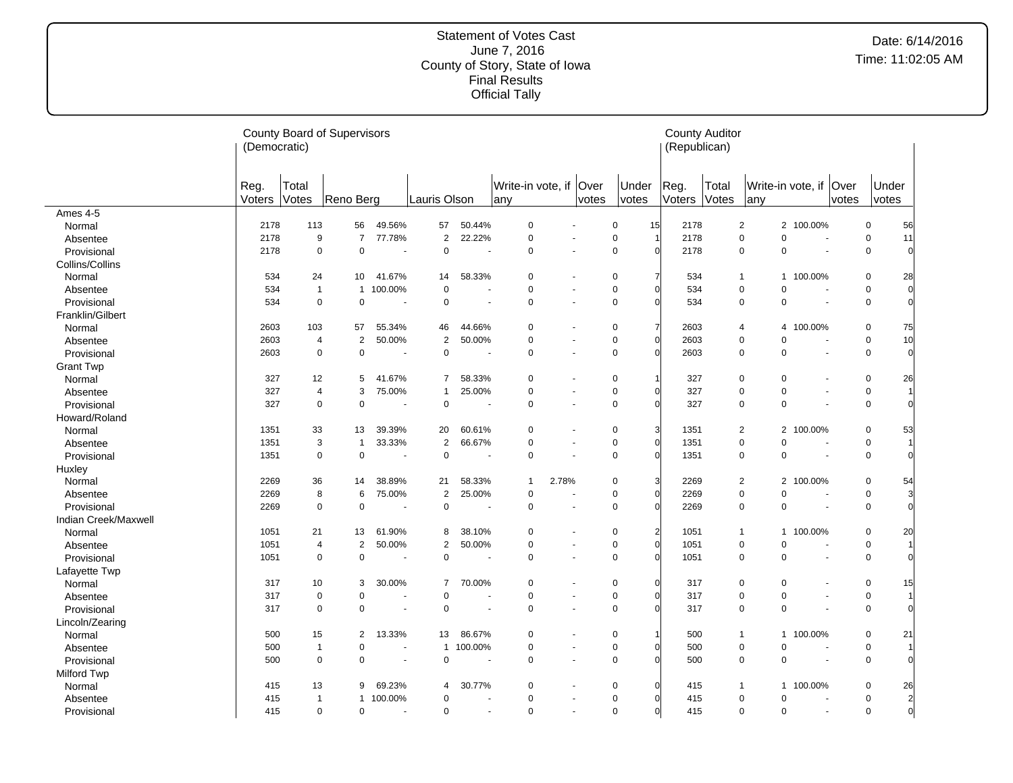|                      | (Democratic)   |                | <b>County Board of Supervisors</b> |                |                |                          |                               |                      |       |                                            | <b>County Auditor</b><br>(Republican) |                |                            |                        |       |                |                |
|----------------------|----------------|----------------|------------------------------------|----------------|----------------|--------------------------|-------------------------------|----------------------|-------|--------------------------------------------|---------------------------------------|----------------|----------------------------|------------------------|-------|----------------|----------------|
|                      | Reg.<br>Voters | Total<br>Votes | Reno Berg                          |                | Lauris Olson   |                          | Write-in vote, if Over<br>any |                      | votes | Under<br>votes                             | Reg.<br>Voters                        | Total<br>Votes | any                        | Write-in vote, if Over | votes | Under<br>votes |                |
| Ames 4-5             |                |                |                                    |                |                |                          |                               |                      |       |                                            |                                       |                |                            |                        |       |                |                |
| Normal               | 2178           | 113            | 56                                 | 49.56%         | 57             | 50.44%                   | $\pmb{0}$                     |                      |       | $\mathbf 0$<br>15                          | 2178                                  |                | $\overline{c}$             | 2 100.00%              |       | $\mathbf 0$    | 56             |
| Absentee             | 2178           | 9              | $\overline{7}$                     | 77.78%         | $\overline{2}$ | 22.22%                   | $\pmb{0}$                     | $\sim$               |       | $\mathbf 0$<br>1                           | 2178                                  |                | $\pmb{0}$<br>0             | $\sim$                 |       | $\pmb{0}$      | 11             |
| Provisional          | 2178           | $\mathbf 0$    | $\mathbf 0$                        |                | $\mathbf 0$    | $\overline{\phantom{a}}$ | $\pmb{0}$                     | $\ddot{\phantom{1}}$ |       | $\mathbf 0$<br>$\Omega$                    | 2178                                  |                | 0<br>0                     | $\sim$                 |       | $\mathbf 0$    | $\Omega$       |
| Collins/Collins      |                |                |                                    |                |                |                          |                               |                      |       |                                            |                                       |                |                            |                        |       |                |                |
| Normal               | 534            | 24             | 10                                 | 41.67%         | 14             | 58.33%                   | 0                             |                      |       | 0<br>7                                     | 534                                   |                | $\mathbf{1}$               | 1 100.00%              |       | 0              | 28             |
| Absentee             | 534            | $\mathbf{1}$   | $\mathbf{1}$                       | 100.00%        | $\mathbf 0$    |                          | $\mathbf 0$                   |                      |       | $\mathbf 0$<br>$\sqrt{ }$                  | 534                                   |                | $\mathbf 0$<br>$\mathbf 0$ |                        |       | $\mathbf 0$    | $\Omega$       |
| Provisional          | 534            | $\mathbf 0$    | $\mathbf 0$                        | ÷.             | $\mathbf 0$    | $\sim$                   | $\Omega$                      | ÷.                   |       | $\mathbf 0$                                | 534                                   |                | $\mathbf 0$<br>$\mathbf 0$ | $\sim$                 |       | $\mathbf 0$    | $\Omega$       |
| Franklin/Gilbert     |                |                |                                    |                |                |                          |                               |                      |       |                                            |                                       |                |                            |                        |       |                |                |
| Normal               | 2603           | 103            | 57                                 | 55.34%         | 46             | 44.66%                   | 0                             |                      |       | $\mathbf 0$<br>$\overline{7}$              | 2603                                  |                | 4                          | 4 100.00%              |       | $\mathbf 0$    | 75             |
| Absentee             | 2603           | $\overline{4}$ | $\overline{2}$                     | 50.00%         | $\overline{2}$ | 50.00%                   | $\pmb{0}$                     | $\blacksquare$       |       | $\mathbf 0$<br>$\Omega$                    | 2603                                  |                | $\pmb{0}$<br>0             |                        |       | $\mathbf 0$    | 10             |
| Provisional          | 2603           | $\mathbf 0$    | $\mathbf 0$                        |                | $\mathbf 0$    |                          | $\mathbf 0$                   |                      |       | $\mathbf 0$<br>$\sqrt{ }$                  | 2603                                  |                | $\mathbf 0$<br>$\mathbf 0$ | $\blacksquare$         |       | $\mathbf 0$    | $\Omega$       |
| <b>Grant Twp</b>     |                |                |                                    |                |                |                          |                               |                      |       |                                            |                                       |                |                            |                        |       |                |                |
| Normal               | 327            | 12             | 5                                  | 41.67%         | $\overline{7}$ | 58.33%                   | $\mathbf 0$                   |                      |       | $\mathbf 0$                                | 327                                   |                | 0<br>0                     |                        |       | $\mathbf 0$    | 26             |
| Absentee             | 327            | $\overline{4}$ | 3                                  | 75.00%         | $\mathbf{1}$   | 25.00%                   | $\mathbf 0$                   |                      |       | $\pmb{0}$<br>$\mathcal{C}$                 | 327                                   |                | 0<br>$\mathbf 0$           | $\sim$                 |       | $\mathbf 0$    |                |
| Provisional          | 327            | $\mathbf 0$    | $\mathbf 0$                        |                | $\mathbf 0$    |                          | $\mathbf 0$                   |                      |       | $\mathbf 0$<br>$\sqrt{ }$                  | 327                                   |                | $\mathbf 0$<br>$\mathbf 0$ |                        |       | $\mathbf 0$    | $\Omega$       |
| Howard/Roland        |                |                |                                    |                |                |                          |                               |                      |       |                                            |                                       |                |                            |                        |       |                |                |
| Normal               | 1351           | 33             | 13                                 | 39.39%         | 20             | 60.61%                   | 0                             |                      |       | $\mathbf 0$<br>3                           | 1351                                  |                | $\overline{2}$             | 2 100.00%              |       | $\mathbf 0$    | 53             |
| Absentee             | 1351           | 3              | $\mathbf{1}$                       | 33.33%         | 2              | 66.67%                   | 0                             | ÷.                   |       | $\mathbf 0$<br>$\Omega$                    | 1351                                  |                | $\pmb{0}$<br>0             |                        |       | $\pmb{0}$      |                |
| Provisional          | 1351           | $\mathbf 0$    | $\mathbf 0$                        |                | $\mathbf 0$    |                          | $\mathbf 0$                   |                      |       | $\mathbf 0$<br>$\Omega$                    | 1351                                  |                | $\mathbf 0$<br>0           | ÷,                     |       | $\mathbf 0$    | $\Omega$       |
| Huxley               |                |                |                                    |                |                |                          |                               |                      |       |                                            |                                       |                |                            |                        |       |                |                |
| Normal               | 2269           | 36             | 14                                 | 38.89%         | 21             | 58.33%                   | $\mathbf{1}$                  | 2.78%                |       | 3<br>$\pmb{0}$                             | 2269                                  |                | $\overline{2}$             | 2 100.00%              |       | $\pmb{0}$      | 54             |
| Absentee             | 2269           | 8              | 6                                  | 75.00%         | $\overline{2}$ | 25.00%                   | $\mathbf 0$                   | $\blacksquare$       |       | $\mathbf 0$<br>$\mathcal{C}_{\mathcal{C}}$ | 2269                                  |                | 0<br>$\mathbf 0$           | $\blacksquare$         |       | $\mathbf 0$    | 3              |
| Provisional          | 2269           | $\mathbf 0$    | $\mathbf 0$                        |                | $\mathbf 0$    | $\overline{\phantom{a}}$ | $\mathbf 0$                   |                      |       | $\mathbf 0$<br>$\sqrt{ }$                  | 2269                                  |                | $\mathbf 0$<br>$\mathbf 0$ | $\overline{a}$         |       | $\mathbf 0$    | $\Omega$       |
| Indian Creek/Maxwell |                |                |                                    |                |                |                          |                               |                      |       |                                            |                                       |                |                            |                        |       |                |                |
| Normal               | 1051           | 21             | 13                                 | 61.90%         | 8              | 38.10%                   | 0                             |                      |       | $\overline{2}$<br>0                        | 1051                                  |                | $\mathbf{1}$               | 1 100.00%              |       | 0              | 20             |
| Absentee             | 1051           | $\overline{4}$ | $\overline{2}$                     | 50.00%         | $\overline{2}$ | 50.00%                   | $\pmb{0}$                     |                      |       | $\mathbf 0$<br>$\Omega$                    | 1051                                  |                | 0<br>0                     |                        |       | $\mathbf 0$    |                |
| Provisional          | 1051           | $\mathbf 0$    | $\pmb{0}$                          |                | $\mathbf 0$    |                          | $\mathbf 0$                   | ÷.                   |       | $\mathbf 0$<br>$\mathcal{C}_{\mathcal{C}}$ | 1051                                  |                | 0<br>$\mathbf 0$           | ÷.                     |       | $\mathbf 0$    | $\Omega$       |
| Lafayette Twp        |                |                |                                    |                |                |                          |                               |                      |       |                                            |                                       |                |                            |                        |       |                |                |
| Normal               | 317            | 10             | 3                                  | 30.00%         | $\overline{7}$ | 70.00%                   | $\pmb{0}$                     |                      |       | $\mathbf 0$<br>$\Omega$                    | 317                                   |                | $\mathbf 0$<br>0           |                        |       | $\mathbf 0$    | 15             |
| Absentee             | 317            | $\mathbf 0$    | $\mathbf 0$                        |                | $\mathbf 0$    |                          | $\pmb{0}$                     |                      |       | $\mathbf 0$<br>$\mathcal{C}$               | 317                                   |                | 0<br>$\pmb{0}$             |                        |       | $\mathbf 0$    |                |
| Provisional          | 317            | $\mathbf 0$    | $\mathbf 0$                        | $\overline{a}$ | $\mathbf 0$    | $\overline{\phantom{a}}$ | $\mathbf 0$                   | $\overline{a}$       |       | $\mathbf 0$<br>$\sqrt{ }$                  | 317                                   |                | $\mathbf 0$<br>$\mathbf 0$ | $\overline{a}$         |       | $\mathbf 0$    | $\Omega$       |
| Lincoln/Zearing      |                |                |                                    |                |                |                          |                               |                      |       |                                            |                                       |                |                            |                        |       |                |                |
| Normal               | 500            | 15             | $\overline{2}$                     | 13.33%         | 13             | 86.67%                   | $\mathbf 0$                   | $\ddot{\phantom{1}}$ |       | $\mathbf 0$                                | 500                                   |                | $\mathbf{1}$               | 1 100.00%              |       | 0              | 21             |
| Absentee             | 500            | $\mathbf{1}$   | $\mathbf 0$                        |                | $\mathbf{1}$   | 100.00%                  | $\mathbf 0$                   | $\sim$               |       | $\mathbf 0$<br>$\epsilon$                  | 500                                   |                | $\mathbf 0$<br>$\mathbf 0$ |                        |       | $\mathbf 0$    |                |
| Provisional          | 500            | $\mathbf 0$    | $\mathbf 0$                        |                | 0              |                          | $\mathbf 0$                   |                      |       | $\mathbf 0$<br>$\Omega$                    | 500                                   |                | $\mathbf 0$<br>$\mathbf 0$ |                        |       | $\mathbf 0$    | $\Omega$       |
| Milford Twp          |                |                |                                    |                |                |                          |                               |                      |       |                                            |                                       |                |                            |                        |       |                |                |
| Normal               | 415            | 13             | 9                                  | 69.23%         | 4              | 30.77%                   | $\pmb{0}$                     |                      |       | $\mathbf 0$<br>$\mathcal{C}_{\mathcal{C}}$ | 415                                   |                | $\mathbf 1$                | 1 100.00%              |       | $\mathbf 0$    | 26             |
| Absentee             | 415            | $\mathbf{1}$   | $\mathbf{1}$                       | 100.00%        | $\mathbf 0$    |                          | $\pmb{0}$                     | $\sim$               |       | $\pmb{0}$<br>$\Omega$                      | 415                                   |                | 0<br>0                     | ÷                      |       | $\mathbf 0$    | $\overline{2}$ |
| Provisional          | 415            | $\mathbf 0$    | $\pmb{0}$                          |                | $\mathbf 0$    | $\blacksquare$           | $\mathbf 0$                   | ÷,                   |       | $\mathbf 0$<br>$\Omega$                    | 415                                   |                | $\mathbf 0$<br>$\pmb{0}$   | $\sim$                 |       | $\mathbf 0$    | $\overline{0}$ |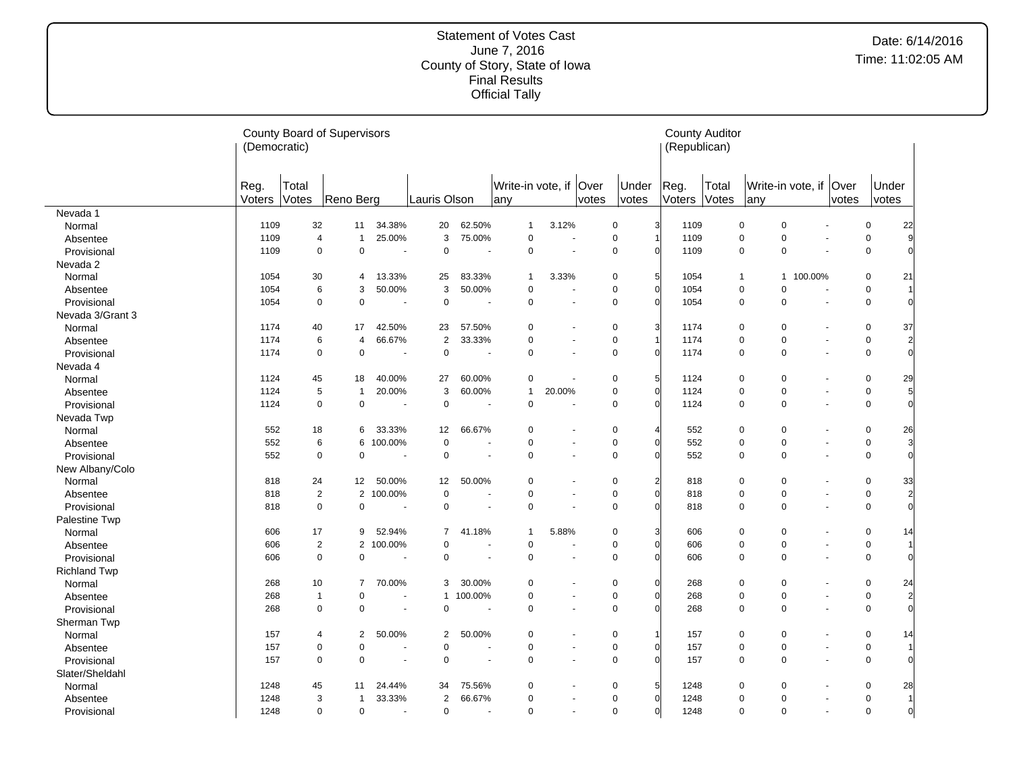|                                | (Democratic)   |                | <b>County Board of Supervisors</b> |                          |                 |         |                                 |                          |       |                         | (Republican)   | <b>County Auditor</b> |                      |                          |                |                |                |
|--------------------------------|----------------|----------------|------------------------------------|--------------------------|-----------------|---------|---------------------------------|--------------------------|-------|-------------------------|----------------|-----------------------|----------------------|--------------------------|----------------|----------------|----------------|
|                                | Reg.<br>Voters | Total<br>Votes | Reno Berg                          |                          | Lauris Olson    |         | Write-in vote, if   Over<br>any |                          | votes | Under<br>votes          | Reg.<br>Voters | Total<br>Votes        | any                  | Write-in vote, if   Over | votes          | Under<br>votes |                |
| Nevada 1                       |                |                |                                    |                          |                 |         |                                 |                          |       |                         |                |                       |                      |                          |                |                |                |
| Normal                         | 1109           | 32             | 11                                 | 34.38%                   | 20              | 62.50%  | $\mathbf{1}$                    | 3.12%                    |       | $\mathbf 0$             | 1109           |                       | 0<br>$\Omega$        |                          |                | $\mathbf 0$    | 22             |
| Absentee                       | 1109           | $\overline{4}$ | $\mathbf{1}$                       | 25.00%                   | 3               | 75.00%  | $\mathbf 0$                     | ä,                       |       | $\mathbf 0$             | 1109           |                       | $\Omega$<br>0        |                          |                | 0              | 9              |
| Provisional                    | 1109           | $\mathbf 0$    | $\mathbf 0$                        |                          | $\mathbf 0$     |         | $\mathbf 0$                     |                          |       | $\mathbf 0$             | 1109           |                       | 0<br>$\mathbf 0$     |                          |                | $\mathbf 0$    |                |
| Nevada 2                       |                |                |                                    |                          |                 |         |                                 |                          |       |                         |                |                       |                      |                          |                |                |                |
| Normal                         | 1054           | 30             | 4                                  | 13.33%                   | 25              | 83.33%  | $\mathbf{1}$                    | 3.33%                    |       | 0                       | 1054           |                       | $\mathbf{1}$         | 1 100.00%                |                | 0              | 21             |
| Absentee                       | 1054           | 6              | 3                                  | 50.00%                   | 3               | 50.00%  | $\mathbf 0$                     |                          |       | $\mathbf 0$             | 1054           |                       | 0<br>$\Omega$        |                          |                | $\mathbf 0$    |                |
| Provisional                    | 1054           | $\mathbf 0$    | $\mathbf 0$                        |                          | $\mathbf 0$     |         | $\mathbf 0$                     | ä,                       |       | $\mathbf 0$             | 1054           |                       | 0<br>$\Omega$        |                          | ÷,             | 0              | $\Omega$       |
| Nevada 3/Grant 3               |                |                |                                    |                          |                 |         |                                 |                          |       |                         |                |                       |                      |                          |                |                |                |
| Normal                         | 1174           | 40             | 17                                 | 42.50%                   | 23              | 57.50%  | $\mathbf 0$                     |                          |       | $\mathbf 0$             | 1174           |                       | 0<br>$\mathbf 0$     |                          |                | $\mathbf 0$    | 37             |
| Absentee                       | 1174           | 6              | $\overline{4}$                     | 66.67%                   | $\overline{2}$  | 33.33%  | $\mathbf 0$                     |                          |       | $\mathbf 0$             | 1174           |                       | $\pmb{0}$<br>0       |                          |                | $\mathbf 0$    | $\overline{2}$ |
| Provisional                    | 1174           | $\mathbf 0$    | $\mathbf 0$                        |                          | $\pmb{0}$       |         | $\mathbf 0$                     |                          |       | $\mathbf 0$             | 1174           |                       | 0<br>$\Omega$        |                          | ÷,             | $\mathbf 0$    | $\Omega$       |
| Nevada 4                       |                |                |                                    |                          |                 |         |                                 |                          |       |                         |                |                       |                      |                          |                |                |                |
| Normal                         | 1124           | 45             | 18                                 | 40.00%                   | 27              | 60.00%  | $\mathbf 0$                     |                          |       | 5<br>0                  | 1124           |                       | 0<br>$\mathbf 0$     |                          |                | 0              | 29             |
| Absentee                       | 1124           | 5              | $\mathbf{1}$                       | 20.00%                   | 3               | 60.00%  | $\mathbf{1}$                    | 20.00%                   |       | $\mathbf 0$             | 1124           |                       | 0<br>$\mathbf 0$     |                          |                | $\mathbf 0$    | 5              |
| Provisional                    | 1124           | $\mathbf 0$    | $\mathbf 0$                        |                          | $\mathbf 0$     |         | $\mathbf 0$                     |                          |       | $\mathbf 0$             | 1124           |                       | $\mathbf 0$<br>0     |                          |                | 0              | $\Omega$       |
| Nevada Twp                     |                |                |                                    |                          |                 |         |                                 |                          |       |                         |                |                       |                      |                          |                |                |                |
| Normal                         | 552            | 18             | 6                                  | 33.33%                   | 12              | 66.67%  | $\mathbf 0$                     |                          |       | 0                       | 552            |                       | 0<br>$\Omega$        |                          |                | 0              | 26             |
| Absentee                       | 552            | 6              | 6                                  | 100.00%                  | $\mathbf 0$     |         | $\mathbf 0$                     | $\overline{\phantom{a}}$ |       | $\mathbf 0$             | 552            |                       | 0<br>$\pmb{0}$       |                          | $\overline{a}$ | 0              | 3              |
| Provisional                    | 552            | $\mathbf 0$    | $\mathbf 0$                        | $\overline{a}$           | $\mathbf 0$     | $\sim$  | $\mathbf 0$                     | ä,                       |       | $\mathbf 0$             | 552            |                       | 0<br>$\mathbf 0$     |                          | $\blacksquare$ | $\mathbf 0$    | $\Omega$       |
| New Albany/Colo                |                |                |                                    |                          |                 |         |                                 |                          |       |                         |                |                       |                      |                          |                |                |                |
| Normal                         | 818            | 24             | 12                                 | 50.00%                   | 12 <sup>2</sup> | 50.00%  | $\mathbf 0$                     |                          |       | $\mathbf 0$             | 818            |                       | 0<br>$\Omega$        |                          |                | $\Omega$       | 33             |
| Absentee                       | 818            | $\overline{2}$ |                                    | 2 100.00%                | $\pmb{0}$       |         | $\mathbf 0$                     | $\overline{\phantom{a}}$ |       | $\mathbf 0$             | 818            |                       | $\Omega$<br>0        |                          | $\overline{a}$ | $\mathbf 0$    | $\overline{2}$ |
| Provisional                    | 818            | $\mathbf 0$    | $\mathbf 0$                        |                          | $\mathbf 0$     |         | $\mathbf 0$                     |                          |       | $\mathbf 0$             | 818            |                       | 0<br>$\mathbf 0$     |                          | $\overline{a}$ | $\mathbf 0$    |                |
| Palestine Twp                  |                |                |                                    |                          |                 |         |                                 |                          |       |                         |                |                       |                      |                          |                |                |                |
| Normal                         | 606            | 17             | 9                                  | 52.94%                   | $\overline{7}$  | 41.18%  | $\mathbf{1}$                    | 5.88%                    |       | 0                       | 606            |                       | 0<br>$\mathbf 0$     |                          |                | 0              | 14             |
| Absentee                       | 606            | $\overline{2}$ | $\overline{2}$                     | 100.00%                  | $\mathbf 0$     |         | $\mathbf 0$                     |                          |       | $\mathbf 0$             | 606            |                       | 0<br>$\Omega$        |                          | $\blacksquare$ | $\mathbf 0$    |                |
| Provisional                    | 606            | $\mathbf 0$    | $\mathbf 0$                        | $\ddot{\phantom{1}}$     | $\mathbf 0$     | $\sim$  | $\Omega$                        | ä,                       |       | $\mathbf 0$             | 606            |                       | $\Omega$<br>$\Omega$ |                          | $\blacksquare$ | $\mathbf 0$    |                |
| <b>Richland Twp</b>            |                |                |                                    |                          |                 |         |                                 |                          |       |                         |                |                       |                      |                          |                |                |                |
| Normal                         | 268            | 10             | $\overline{7}$                     | 70.00%                   | 3               | 30.00%  | $\mathbf 0$                     |                          |       | $\mathbf 0$             | 268            |                       | 0<br>$\Omega$        |                          |                | $\mathbf 0$    | 24             |
| Absentee                       | 268            | $\mathbf{1}$   | 0                                  |                          | $\mathbf{1}$    | 100.00% | $\mathbf 0$                     |                          |       | $\mathbf 0$             | 268            |                       | $\pmb{0}$<br>0       |                          |                | 0              | $\overline{2}$ |
| Provisional                    | 268            | $\mathbf 0$    | $\mathbf 0$                        | $\overline{\phantom{a}}$ | $\mathbf 0$     |         | $\mathbf 0$                     | ÷.                       |       | $\mathbf 0$             | 268            |                       | $\mathbf 0$<br>0     |                          | ÷,             | 0              | $\Omega$       |
| Sherman Twp                    |                |                |                                    |                          |                 |         |                                 |                          |       |                         |                |                       |                      |                          |                |                |                |
| Normal                         | 157            | 4              | $\overline{2}$                     | 50.00%                   | $\overline{2}$  | 50.00%  | $\mathbf 0$                     |                          |       | $\mathbf 0$             | 157            |                       | 0<br>0               |                          |                | 0              | 14             |
| Absentee                       | 157            | $\mathbf 0$    | $\mathbf 0$                        |                          | $\pmb{0}$       |         | $\mathbf 0$                     | ÷,                       |       | $\mathsf 0$             | 157            |                       | 0<br>$\pmb{0}$       |                          | ÷,             | $\mathbf 0$    |                |
|                                | 157            | $\mathbf 0$    | $\mathbf 0$                        | $\overline{\phantom{a}}$ | $\mathbf 0$     |         | $\mathbf 0$                     |                          |       | $\mathbf 0$             | 157            |                       | $\mathbf 0$<br>0     |                          |                | 0              |                |
| Provisional<br>Slater/Sheldahl |                |                |                                    |                          |                 |         |                                 |                          |       |                         |                |                       |                      |                          |                |                |                |
|                                | 1248           | 45             | 11                                 |                          | 34              |         | $\mathbf 0$                     |                          |       | 0                       |                |                       | 0<br>$\mathbf 0$     |                          |                | 0              |                |
| Normal                         | 1248           | 3              | $\overline{1}$                     | 24.44%<br>33.33%         | $\overline{2}$  | 75.56%  | 0                               |                          |       | $\mathbf 0$<br>$\Omega$ | 1248<br>1248   |                       | $\pmb{0}$<br>0       |                          |                | 0              | 28             |
| Absentee<br>Provisional        | 1248           | $\mathbf 0$    | $\mathsf 0$                        |                          | $\pmb{0}$       | 66.67%  | $\mathbf 0$                     | ÷,                       |       | $\mathbf 0$<br>$\Omega$ | 1248           |                       | 0<br>$\Omega$        |                          | $\blacksquare$ | $\mathbf 0$    | $\overline{0}$ |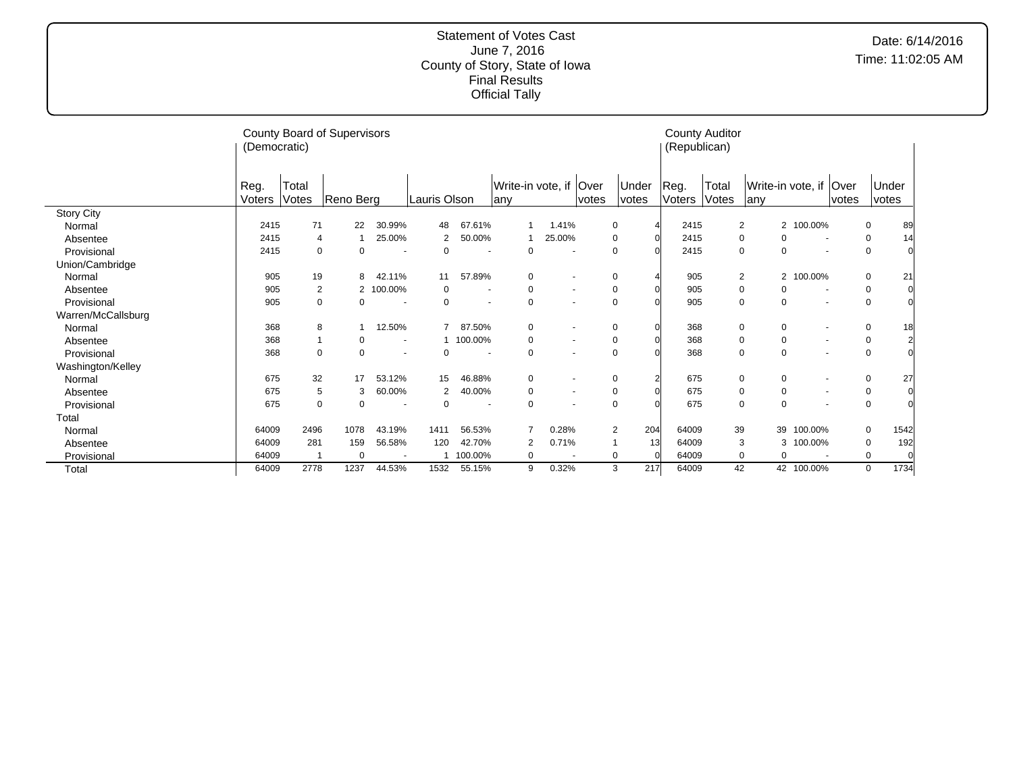|                    | (Democratic)   |                | County Board of Supervisors |                          |              |                          |                                |                          |       |                       | (Republican)   | <b>County Auditor</b> |                                  |            |                          |             |                |
|--------------------|----------------|----------------|-----------------------------|--------------------------|--------------|--------------------------|--------------------------------|--------------------------|-------|-----------------------|----------------|-----------------------|----------------------------------|------------|--------------------------|-------------|----------------|
|                    | Reg.<br>Voters | Total<br>Votes | Reno Berg                   |                          | Lauris Olson |                          | Write-in vote, if Over<br> any |                          | votes | Under<br>votes        | Reg.<br>Voters | Total<br>Votes        | Write-in vote, if<br>lany        |            | <b>Over</b><br>votes     |             | Under<br>votes |
| <b>Story City</b>  |                |                |                             |                          |              |                          |                                |                          |       |                       |                |                       |                                  |            |                          |             |                |
| Normal             | 2415           | 71             | 22                          | 30.99%                   | 48           | 67.61%                   |                                | 1.41%                    |       | 0                     | 2415           |                       | $\overline{2}$                   | 2 100.00%  |                          | 0           | 89             |
| Absentee           | 2415           | $\overline{4}$ |                             | 25.00%                   | 2            | 50.00%                   |                                | 25.00%                   |       | $\Omega$              | 2415           |                       | 0<br>$\mathbf 0$                 |            | $\overline{\phantom{a}}$ | 0           | 14             |
| Provisional        | 2415           | 0              | $\Omega$                    |                          | 0            |                          | $\mathbf 0$                    |                          |       |                       | 2415           |                       | $\mathbf 0$<br>$\Omega$          |            |                          | $\mathbf 0$ |                |
| Union/Cambridge    |                |                |                             |                          |              |                          |                                |                          |       |                       |                |                       |                                  |            |                          |             |                |
| Normal             | 905            | 19             | 8                           | 42.11%                   | 11           | 57.89%                   | 0                              | $\overline{\phantom{a}}$ |       | $\Omega$              | 905            |                       | $\overline{2}$<br>$\overline{2}$ | 100.00%    |                          | $\mathbf 0$ | 21             |
| Absentee           | 905            | 2              | 2                           | 100.00%                  | 0            | $\overline{\phantom{a}}$ | 0                              | $\overline{\phantom{a}}$ |       | 0                     | 905            |                       | 0<br>0                           |            |                          | 0           |                |
| Provisional        | 905            | $\Omega$       | $\Omega$                    |                          | 0            | $\overline{\phantom{a}}$ | $\mathbf 0$                    |                          |       | $\Omega$              | 905            |                       | $\mathbf 0$<br>$\Omega$          |            |                          | $\mathbf 0$ |                |
| Warren/McCallsburg |                |                |                             |                          |              |                          |                                |                          |       |                       |                |                       |                                  |            |                          |             |                |
| Normal             | 368            | 8              |                             | 12.50%                   | 7            | 87.50%                   | $\mathbf 0$                    |                          |       | ∩                     | 368            |                       | $\mathbf 0$<br>0                 |            |                          | $\mathbf 0$ | 18             |
| Absentee           | 368            |                | $\Omega$                    | $\overline{\phantom{a}}$ |              | 100.00%                  | $\mathbf 0$                    | $\overline{\phantom{a}}$ |       | $\Omega$              | 368            |                       | $\mathbf 0$<br>0                 |            | $\overline{\phantom{a}}$ | $\mathbf 0$ |                |
| Provisional        | 368            | $\Omega$       | $\Omega$                    |                          | 0            |                          | $\mathbf 0$                    |                          |       | $\Omega$              | 368            |                       | $\mathbf 0$<br>$\mathbf 0$       |            |                          | $\mathbf 0$ |                |
| Washington/Kelley  |                |                |                             |                          |              |                          |                                |                          |       |                       |                |                       |                                  |            |                          |             |                |
| Normal             | 675            | 32             | 17                          | 53.12%                   | 15           | 46.88%                   | 0                              |                          |       | 0                     | 675            |                       | 0<br>0                           |            |                          | 0           | 27             |
| Absentee           | 675            | 5              | 3                           | 60.00%                   | 2            | 40.00%                   | $\mathbf 0$                    |                          |       | $\Omega$              | 675            |                       | $\mathbf 0$<br>$\mathbf 0$       |            |                          | 0           |                |
| Provisional        | 675            | 0              | 0                           |                          | 0            |                          | $\mathbf 0$                    |                          |       | $\Omega$              | 675            |                       | $\mathbf 0$<br>$\mathbf 0$       |            |                          | $\mathbf 0$ |                |
| Total              |                |                |                             |                          |              |                          |                                |                          |       |                       |                |                       |                                  |            |                          |             |                |
| Normal             | 64009          | 2496           | 1078                        | 43.19%                   | 1411         | 56.53%                   |                                | 0.28%                    |       | 204<br>$\overline{2}$ | 64009          | 39                    | 39                               | 100.00%    |                          | 0           | 1542           |
| Absentee           | 64009          | 281            | 159                         | 56.58%                   | 120          | 42.70%                   | $\overline{2}$                 | 0.71%                    |       | 13<br>$\overline{1}$  | 64009          |                       | 3<br>3                           | 100.00%    |                          | 0           | 192            |
| Provisional        | 64009          |                | $\Omega$                    | $\blacksquare$           |              | 100.00%                  | $\Omega$                       |                          |       | 0                     | 64009          |                       | 0<br>0                           |            |                          | $\mathbf 0$ |                |
| Total              | 64009          | 2778           | 1237                        | 44.53%                   | 1532         | 55.15%                   | 9                              | 0.32%                    |       | 217<br>3              | 64009          | 42                    |                                  | 42 100.00% |                          | 0           | 1734           |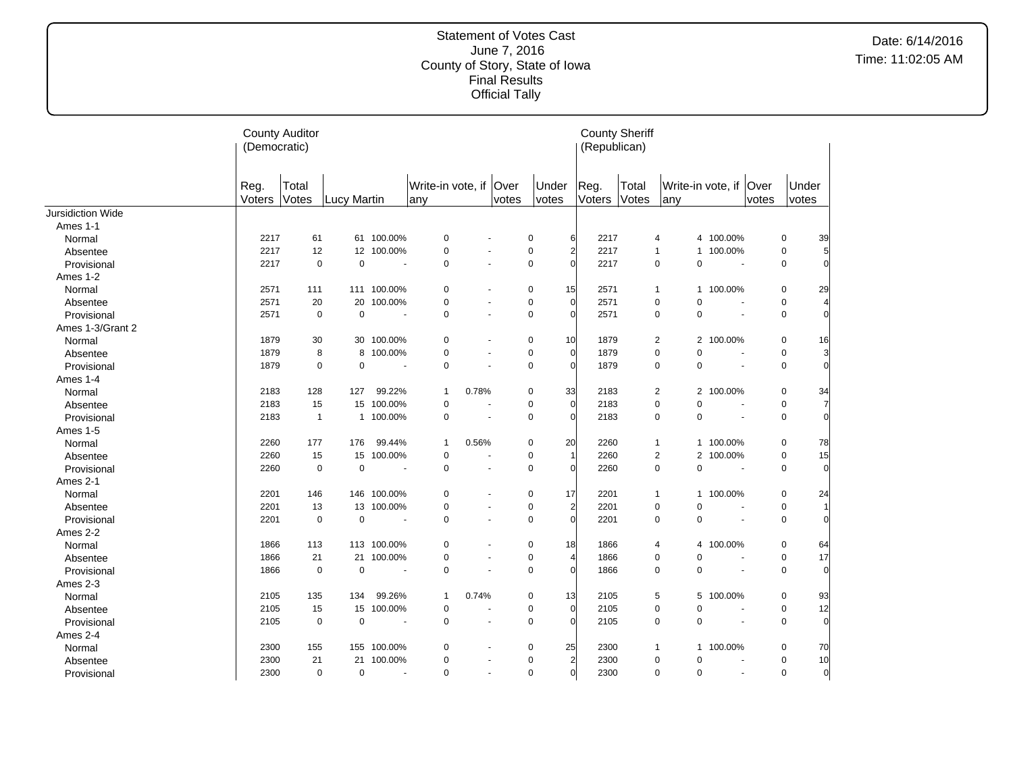|                   | <b>County Auditor</b><br>(Democratic) |                |             |                          |                                |        |       |                |                | <b>County Sheriff</b><br>(Republican) |                |                |             |                          |       |                |                |
|-------------------|---------------------------------------|----------------|-------------|--------------------------|--------------------------------|--------|-------|----------------|----------------|---------------------------------------|----------------|----------------|-------------|--------------------------|-------|----------------|----------------|
|                   | Reg.<br>Voters                        | Total<br>Votes | Lucy Martin |                          | Write-in vote, if Over<br>lany |        | votes | Under<br>votes |                | Reg.<br>Voters                        | Total<br>Votes | lanv           |             | Write-in vote, if   Over | votes | Under<br>votes |                |
| Jursidiction Wide |                                       |                |             |                          |                                |        |       |                |                |                                       |                |                |             |                          |       |                |                |
| Ames 1-1          |                                       |                |             |                          |                                |        |       |                |                |                                       |                |                |             |                          |       |                |                |
| Normal            | 2217                                  | 61             |             | 61 100.00%               | 0                              |        |       | 0              | 6              | 2217                                  |                | 4              |             | 4 100.00%                |       | 0              | 39             |
| Absentee          | 2217                                  | 12             |             | 12 100.00%               | 0                              |        |       | $\pmb{0}$      | $\overline{2}$ | 2217                                  |                | 1              |             | 1 100.00%                |       | $\mathbf 0$    | 5              |
| Provisional       | 2217                                  | $\pmb{0}$      | 0           | $\sim$                   | 0                              |        |       | $\mathbf 0$    | $\Omega$       | 2217                                  |                | $\mathbf 0$    | $\pmb{0}$   | $\overline{\phantom{a}}$ |       | $\mathbf 0$    | $\Omega$       |
| Ames 1-2          |                                       |                |             |                          |                                |        |       |                |                |                                       |                |                |             |                          |       |                |                |
| Normal            | 2571                                  | 111            |             | 111 100.00%              | 0                              |        |       | 0              | 15             | 2571                                  |                | 1              |             | 1 100.00%                |       | 0              | 29             |
| Absentee          | 2571                                  | 20             | 20          | 100.00%                  | 0                              |        |       | $\pmb{0}$      | $\overline{0}$ | 2571                                  |                | $\mathbf 0$    | $\mathbf 0$ |                          |       | $\mathbf 0$    | $\overline{4}$ |
| Provisional       | 2571                                  | $\mathbf 0$    | 0           |                          | 0                              | ÷.     |       | $\mathbf 0$    | $\Omega$       | 2571                                  |                | $\mathbf 0$    | $\mathbf 0$ | ä,                       |       | $\mathbf 0$    | $\Omega$       |
| Ames 1-3/Grant 2  |                                       |                |             |                          |                                |        |       |                |                |                                       |                |                |             |                          |       |                |                |
| Normal            | 1879                                  | 30             |             | 30 100.00%               | 0                              |        |       | 0              | 10             | 1879                                  |                | $\overline{2}$ |             | 2 100.00%                |       | 0              | 16             |
| Absentee          | 1879                                  | 8              | 8           | 100.00%                  | 0                              |        |       | $\mathbf 0$    | $\Omega$       | 1879                                  |                | $\mathbf 0$    | $\mathbf 0$ | $\ddot{\phantom{1}}$     |       | $\mathbf 0$    | 3              |
| Provisional       | 1879                                  | 0              | 0           |                          | $\pmb{0}$                      |        |       | 0              | $\Omega$       | 1879                                  |                | $\mathbf 0$    | $\mathbf 0$ | $\overline{\phantom{a}}$ |       | 0              | $\overline{0}$ |
| Ames 1-4          |                                       |                |             |                          |                                |        |       |                |                |                                       |                |                |             |                          |       |                |                |
| Normal            | 2183                                  | 128            | 127         | 99.22%                   | 1                              | 0.78%  |       | 0              | 33             | 2183                                  |                | 2              |             | 2 100.00%                |       | 0              | 34             |
| Absentee          | 2183                                  | 15             |             | 15 100.00%               | 0                              |        |       | 0              | $\Omega$       | 2183                                  |                | $\pmb{0}$      | 0           |                          |       | $\mathbf 0$    | $\overline{7}$ |
| Provisional       | 2183                                  | $\mathbf{1}$   |             | 1 100.00%                | 0                              | $\sim$ |       | $\mathbf 0$    | O              | 2183                                  |                | $\mathbf 0$    | $\mathbf 0$ | $\sim$                   |       | $\mathbf 0$    | $\overline{0}$ |
| Ames 1-5          |                                       |                |             |                          |                                |        |       |                |                |                                       |                |                |             |                          |       |                |                |
| Normal            | 2260                                  | 177            | 176         | 99.44%                   | 1                              | 0.56%  |       | 0              | 20             | 2260                                  |                | 1              |             | 1 100.00%                |       | 0              | 78             |
| Absentee          | 2260                                  | 15             |             | 15 100.00%               | $\mathbf 0$                    |        |       | 0              |                | 2260                                  |                | 2              |             | 2 100.00%                |       | $\mathbf 0$    | 15             |
| Provisional       | 2260                                  | $\mathbf 0$    | 0           |                          | $\mathbf 0$                    |        |       | $\mathbf 0$    | O              | 2260                                  |                | $\mathbf 0$    | $\mathbf 0$ | $\blacksquare$           |       | $\mathbf 0$    | $\Omega$       |
| Ames 2-1          |                                       |                |             |                          |                                |        |       |                |                |                                       |                |                |             |                          |       |                |                |
| Normal            | 2201                                  | 146            | 146         | 100.00%                  | 0                              |        |       | 0              | 17             | 2201                                  |                | $\mathbf{1}$   |             | 1 100.00%                |       | 0              | 24             |
| Absentee          | 2201                                  | 13             |             | 13 100.00%               | 0                              |        |       | $\mathbf 0$    | $\overline{a}$ | 2201                                  |                | $\mathbf 0$    | $\mathbf 0$ |                          |       | $\mathbf 0$    | 11             |
| Provisional       | 2201                                  | 0              | 0           |                          | 0                              |        |       | 0              | $\Omega$       | 2201                                  |                | 0              | 0           |                          |       | $\mathbf 0$    | $\overline{0}$ |
| Ames 2-2          |                                       |                |             |                          |                                |        |       |                |                |                                       |                |                |             |                          |       |                |                |
| Normal            | 1866                                  | 113            |             | 113 100.00%              | 0                              |        |       | $\mathbf 0$    | 18             | 1866                                  |                | 4              |             | 4 100.00%                |       | 0              | 64             |
| Absentee          | 1866                                  | 21             | 21          | 100.00%                  | 0                              |        |       | $\mathbf 0$    | 4              | 1866                                  |                | $\pmb{0}$      | 0           | ÷,                       |       | $\mathbf 0$    | 17             |
| Provisional       | 1866                                  | $\pmb{0}$      | 0           |                          | 0                              |        |       | $\mathbf 0$    | O              | 1866                                  |                | 0              | $\mathbf 0$ |                          |       | $\pmb{0}$      | $\overline{0}$ |
| Ames 2-3          |                                       |                |             |                          |                                |        |       |                |                |                                       |                |                |             |                          |       |                |                |
| Normal            | 2105                                  | 135            | 134         | 99.26%                   | 1                              | 0.74%  |       | 0              | 13             | 2105                                  |                | 5              |             | 5 100.00%                |       | 0              | 93             |
| Absentee          | 2105                                  | 15             | 15          | 100.00%                  | 0                              |        |       | $\pmb{0}$      | $\Omega$       | 2105                                  |                | $\mathbf 0$    | $\mathbf 0$ |                          |       | $\mathbf 0$    | 12             |
| Provisional       | 2105                                  | $\mathbf 0$    | 0           | $\overline{\phantom{a}}$ | $\Omega$                       |        |       | $\mathbf 0$    | $\Omega$       | 2105                                  |                | $\mathbf 0$    | $\Omega$    | ä,                       |       | $\mathbf 0$    | $\overline{0}$ |
| Ames 2-4          |                                       |                |             |                          |                                |        |       |                |                |                                       |                |                |             |                          |       |                |                |
| Normal            | 2300                                  | 155            |             | 155 100.00%              | 0                              |        |       | 0              | 25             | 2300                                  |                | 1              |             | 1 100.00%                |       | 0              | 70             |
| Absentee          | 2300                                  | 21             | 21          | 100.00%                  | 0                              |        |       | $\mathbf 0$    | $\overline{2}$ | 2300                                  |                | 0              | 0           | $\overline{\phantom{a}}$ |       | 0              | 10             |
| Provisional       | 2300                                  | $\pmb{0}$      | 0           | $\sim$                   | 0                              | $\sim$ |       | $\mathbf 0$    | $\overline{0}$ | 2300                                  |                | 0              | 0           | $\sim$                   |       | $\mathbf 0$    | $\overline{0}$ |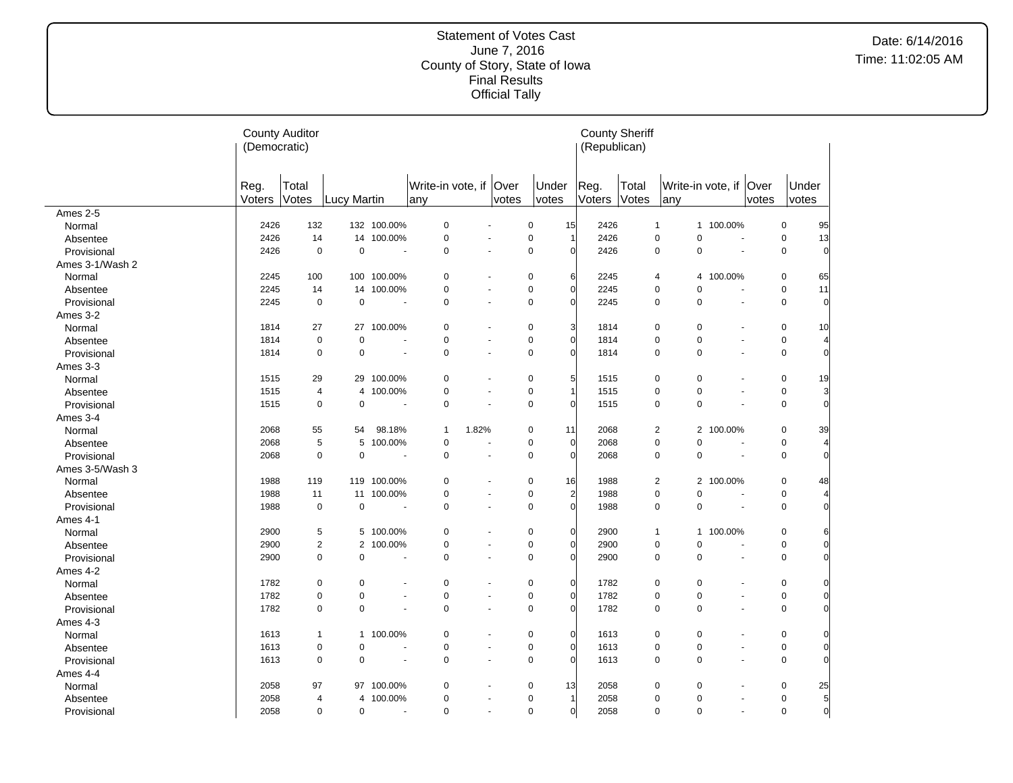|                 | (Democratic)   | <b>County Auditor</b> |                |                          |                                |                          |       |                |                | <b>County Sheriff</b><br>(Republican) |                |                               |                          |       |                |                |
|-----------------|----------------|-----------------------|----------------|--------------------------|--------------------------------|--------------------------|-------|----------------|----------------|---------------------------------------|----------------|-------------------------------|--------------------------|-------|----------------|----------------|
|                 | Reg.<br>Voters | Total<br>Votes        | Lucy Martin    |                          | Write-in vote, if Over<br> any |                          | votes | Under<br>votes | Reg.<br>Voters | Total<br>Votes                        |                | Write-in vote, if Over<br>any |                          | votes | Under<br>votes |                |
| Ames 2-5        |                |                       |                |                          |                                |                          |       |                |                |                                       |                |                               |                          |       |                |                |
| Normal          | 2426           | 132                   |                | 132 100.00%              | 0                              |                          |       | 0              | 15             | 2426                                  | $\mathbf{1}$   |                               | 1 100.00%                |       | $\mathbf 0$    | 95             |
| Absentee        | 2426           | 14                    |                | 14 100.00%               | $\pmb{0}$                      |                          |       | $\mathbf 0$    |                | 2426                                  | $\mathbf 0$    | $\mathbf 0$                   | ÷,                       |       | $\mathbf 0$    | 13             |
| Provisional     | 2426           | $\mathbf 0$           | $\mathbf 0$    | $\sim$                   | $\mathbf 0$                    |                          |       | $\mathbf 0$    | $\overline{0}$ | 2426                                  | $\mathbf 0$    | 0                             | $\sim$                   |       | $\mathbf 0$    | $\mathbf 0$    |
| Ames 3-1/Wash 2 |                |                       |                |                          |                                |                          |       |                |                |                                       |                |                               |                          |       |                |                |
| Normal          | 2245           | 100                   |                | 100 100.00%              | 0                              |                          |       | $\pmb{0}$      | 6              | 2245                                  | 4              |                               | 4 100.00%                |       | 0              | 65             |
| Absentee        | 2245           | 14                    | 14             | 100.00%                  | 0                              |                          |       | $\mathbf 0$    | $\overline{O}$ | 2245                                  | $\mathbf 0$    | $\mathbf 0$                   | ÷,                       |       | 0              | 11             |
| Provisional     | 2245           | $\mathbf 0$           | $\mathbf 0$    | $\overline{\phantom{a}}$ | 0                              |                          |       | $\mathbf 0$    | $\Omega$       | 2245                                  | $\mathbf 0$    | $\mathbf 0$                   | $\tilde{\phantom{a}}$    |       | $\mathbf 0$    |                |
| Ames 3-2        |                |                       |                |                          |                                |                          |       |                |                |                                       |                |                               |                          |       |                |                |
| Normal          | 1814           | 27                    | 27             | 100.00%                  | 0                              |                          |       | 0              | $\overline{3}$ | 1814                                  | 0              | 0                             |                          |       | 0              | 10             |
| Absentee        | 1814           | $\mathbf 0$           | $\pmb{0}$      |                          | 0                              |                          |       | 0              | $\Omega$       | 1814                                  | $\mathbf 0$    | 0                             | $\ddot{\phantom{1}}$     |       | $\pmb{0}$      |                |
| Provisional     | 1814           | 0                     | 0              |                          | $\pmb{0}$                      |                          |       | 0              | $\overline{O}$ | 1814                                  | $\mathbf 0$    | $\pmb{0}$                     | ä,                       |       | $\pmb{0}$      |                |
| Ames 3-3        |                |                       |                |                          |                                |                          |       |                |                |                                       |                |                               |                          |       |                |                |
| Normal          | 1515           | 29                    |                | 29 100.00%               | 0                              |                          |       | 0              | 5              | 1515                                  | $\mathbf 0$    | $\pmb{0}$                     |                          |       | $\mathbf 0$    | 19             |
| Absentee        | 1515           | 4                     | $\overline{4}$ | 100.00%                  | $\pmb{0}$                      |                          |       | $\mathbf 0$    |                | 1515                                  | $\pmb{0}$      | $\pmb{0}$                     | $\overline{\phantom{a}}$ |       | $\pmb{0}$      | 3              |
| Provisional     | 1515           | 0                     | 0              |                          | 0                              |                          |       | 0              | $\Omega$       | 1515                                  | $\mathbf 0$    | $\pmb{0}$                     | ÷.                       |       | $\mathbf 0$    | $\Omega$       |
| Ames 3-4        |                |                       |                |                          |                                |                          |       |                |                |                                       |                |                               |                          |       |                |                |
| Normal          | 2068           | 55                    | 54             | 98.18%                   | $\mathbf{1}$                   | 1.82%                    |       | 0              | 11             | 2068                                  | 2              |                               | 2 100.00%                |       | $\mathbf 0$    | 39             |
| Absentee        | 2068           | 5                     | 5              | 100.00%                  | $\mathbf 0$                    |                          |       | $\mathbf 0$    | $\overline{0}$ | 2068                                  | $\mathbf 0$    | $\mathbf 0$                   |                          |       | $\mathbf 0$    |                |
| Provisional     | 2068           | 0                     | 0              |                          | $\mathbf 0$                    | $\sim$                   |       | $\mathbf 0$    | $\Omega$       | 2068                                  | $\mathbf 0$    | $\mathbf 0$                   | $\sim$                   |       | $\mathbf 0$    |                |
| Ames 3-5/Wash 3 |                |                       |                |                          |                                |                          |       |                |                |                                       |                |                               |                          |       |                |                |
| Normal          | 1988           | 119                   |                | 119 100.00%              | 0                              |                          |       | $\mathbf 0$    | 16             | 1988                                  | $\overline{2}$ |                               | 2 100.00%                |       | $\mathbf 0$    | 48             |
| Absentee        | 1988           | 11                    |                | 11 100.00%               | $\mathbf 0$                    | $\sim$                   |       | $\mathbf 0$    | $\overline{2}$ | 1988                                  | $\mathbf 0$    | $\mathbf 0$                   | ÷.                       |       | $\mathbf 0$    |                |
| Provisional     | 1988           | $\mathbf 0$           | $\pmb{0}$      |                          | $\mathbf 0$                    |                          |       | $\mathbf 0$    | $\Omega$       | 1988                                  | $\mathbf 0$    | $\mathbf 0$                   | ÷,                       |       | $\mathbf 0$    |                |
| Ames 4-1        |                |                       |                |                          |                                |                          |       |                |                |                                       |                |                               |                          |       |                |                |
| Normal          | 2900           | 5                     |                | 5 100.00%                | 0                              |                          |       | $\mathbf 0$    | $\Omega$       | 2900                                  | $\mathbf{1}$   |                               | 1 100.00%                |       | $\mathbf 0$    | 6              |
| Absentee        | 2900           | $\overline{2}$        | $\overline{2}$ | 100.00%                  | 0                              |                          |       | $\mathbf 0$    | $\Omega$       | 2900                                  | $\mathbf 0$    | $\mathbf 0$                   | ÷,                       |       | $\mathbf 0$    |                |
| Provisional     | 2900           | 0                     | 0              | $\sim$                   | $\mathbf 0$                    | $\sim$                   |       | $\mathbf 0$    | $\Omega$       | 2900                                  | $\mathbf 0$    | $\mathbf 0$                   | $\blacksquare$           |       | $\mathbf 0$    |                |
| Ames 4-2        |                |                       |                |                          |                                |                          |       |                |                |                                       |                |                               |                          |       |                |                |
| Normal          | 1782           | 0                     | 0              |                          | 0                              |                          |       | 0              | $\Omega$       | 1782                                  | 0              | 0                             |                          |       | 0              |                |
| Absentee        | 1782           | 0                     | 0              |                          | $\pmb{0}$                      |                          |       | $\mathbf 0$    | $\Omega$       | 1782                                  | $\mathbf 0$    | $\mathbf 0$                   | $\overline{\phantom{a}}$ |       | $\mathbf 0$    |                |
| Provisional     | 1782           | 0                     | 0              |                          | $\mathbf 0$                    |                          |       | $\mathbf 0$    | $\Omega$       | 1782                                  | $\mathbf 0$    | $\Omega$                      |                          |       | $\mathbf 0$    |                |
| Ames 4-3        |                |                       |                |                          |                                |                          |       |                |                |                                       |                |                               |                          |       |                |                |
| Normal          | 1613           | $\mathbf{1}$          |                | 1 100.00%                | 0                              |                          |       | 0              | $\Omega$       | 1613                                  | 0              | 0                             |                          |       | 0              |                |
| Absentee        | 1613           | 0                     | 0              |                          | 0                              | $\sim$                   |       | 0              | $\Omega$       | 1613                                  | 0              | $\pmb{0}$                     | $\blacksquare$           |       | $\mathbf 0$    | $\Omega$       |
| Provisional     | 1613           | 0                     | 0              | $\sim$                   | $\mathbf 0$                    | $\overline{\phantom{a}}$ |       | $\mathbf 0$    | $\Omega$       | 1613                                  | $\mathbf 0$    | $\mathbf 0$                   | $\blacksquare$           |       | $\mathbf 0$    |                |
| Ames 4-4        |                |                       |                |                          |                                |                          |       |                |                |                                       |                |                               |                          |       |                |                |
| Normal          | 2058           | 97                    |                | 97 100.00%               | 0                              |                          |       | $\mathbf 0$    | 13             | 2058                                  | 0              | 0                             | $\overline{\phantom{a}}$ |       | 0              | 25             |
| Absentee        | 2058           | 4                     | 4              | 100.00%                  | 0                              |                          |       | 0              |                | 2058                                  | 0              | 0                             | $\blacksquare$           |       | 0              | 5              |
| Provisional     | 2058           | 0                     | 0              | $\sim$                   | $\mathbf 0$                    | $\sim$                   |       | $\mathbf 0$    | $\overline{0}$ | 2058                                  | $\mathbf 0$    | $\mathbf 0$                   | $\blacksquare$           |       | $\mathbf 0$    | $\overline{0}$ |
|                 |                |                       |                |                          |                                |                          |       |                |                |                                       |                |                               |                          |       |                |                |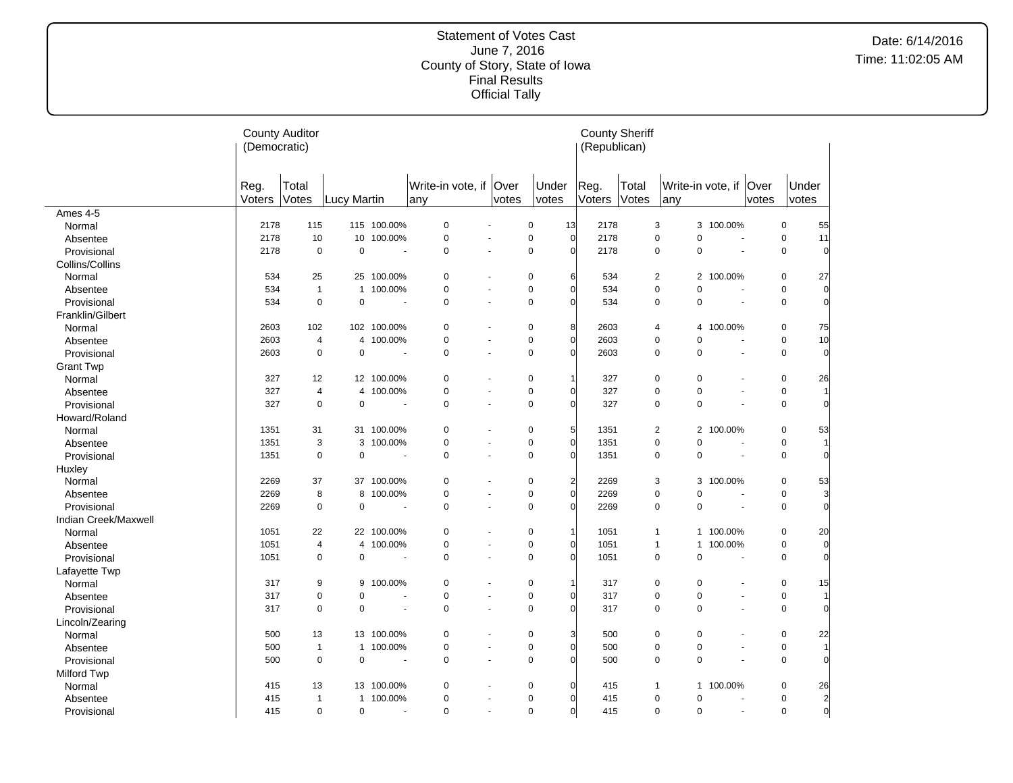#### Statement of Votes Cast June 7, 2016 County of Story, State of Iowa Final Results Official Tally

|                      | <b>County Auditor</b><br>(Democratic) |                |                |                          |                                 |                          |                                            | (Republican)   | <b>County Sheriff</b> |                               |                          |                       |                |                |
|----------------------|---------------------------------------|----------------|----------------|--------------------------|---------------------------------|--------------------------|--------------------------------------------|----------------|-----------------------|-------------------------------|--------------------------|-----------------------|----------------|----------------|
|                      | Reg.<br>Voters                        | Total<br>Votes | Lucy Martin    |                          | Write-in vote, if   Over<br>any | votes                    | Under<br>votes                             | Reg.<br>Voters | Total<br>Votes        | Write-in vote, if Over<br>any |                          | votes                 | Under<br>votes |                |
| Ames $4-5$           |                                       |                |                |                          |                                 |                          |                                            |                |                       |                               |                          |                       |                |                |
| Normal               | 2178                                  | 115            |                | 115 100.00%              | $\mathbf 0$                     |                          | $\mathbf 0$<br>13                          | 2178           |                       | 3<br>3                        | 100.00%                  |                       | $\mathbf 0$    | 55             |
| Absentee             | 2178                                  | 10             |                | 10 100.00%               | $\mathbf 0$                     | $\blacksquare$           | $\mathsf 0$<br>$\overline{0}$              | 2178           |                       | 0<br>$\pmb{0}$                |                          | $\sim$                | $\mathbf 0$    | 11             |
| Provisional          | 2178                                  | $\mathbf 0$    | $\mathbf 0$    | $\overline{\phantom{a}}$ | $\mathbf 0$                     |                          | $\mathbf 0$<br>$\mathsf{C}$                | 2178           |                       | $\mathbf 0$<br>$\mathbf 0$    | ÷.                       |                       | $\mathbf 0$    | $\Omega$       |
| Collins/Collins      |                                       |                |                |                          |                                 |                          |                                            |                |                       |                               |                          |                       |                |                |
| Normal               | 534                                   | 25             |                | 25 100.00%               | 0                               |                          | 0<br>6                                     | 534            |                       | 2<br>2                        | 100.00%                  |                       | 0              | 27             |
| Absentee             | 534                                   | $\mathbf{1}$   | $\mathbf{1}$   | 100.00%                  | $\mathbf 0$                     |                          | $\pmb{0}$<br>ſ                             | 534            |                       | 0<br>$\mathbf 0$              |                          |                       | $\mathbf 0$    | $\Omega$       |
| Provisional          | 534                                   | $\mathbf 0$    | $\overline{0}$ | $\overline{\phantom{a}}$ | $\mathbf 0$                     | $\blacksquare$           | $\mathbf 0$<br>ſ                           | 534            |                       | 0<br>$\mathbf 0$              | $\overline{\phantom{a}}$ |                       | $\mathbf 0$    | $\Omega$       |
| Franklin/Gilbert     |                                       |                |                |                          |                                 |                          |                                            |                |                       |                               |                          |                       |                |                |
| Normal               | 2603                                  | 102            |                | 102 100.00%              | 0                               |                          | 0<br>8                                     | 2603           |                       | 4<br>$\overline{4}$           | 100.00%                  |                       | 0              | 75             |
| Absentee             | 2603                                  | $\overline{4}$ | $\overline{4}$ | 100.00%                  | $\mathbf 0$                     |                          | $\mathbf 0$<br>$\sqrt{ }$                  | 2603           |                       | 0<br>$\mathbf 0$              |                          | $\blacksquare$        | $\mathbf 0$    | 10             |
| Provisional          | 2603                                  | $\mathbf 0$    | $\mathbf 0$    | $\overline{\phantom{a}}$ | $\mathbf 0$                     |                          | $\mathbf 0$<br>$\sqrt{ }$                  | 2603           |                       | 0<br>$\Omega$                 |                          | ÷,                    | $\mathbf 0$    | $\Omega$       |
| <b>Grant Twp</b>     |                                       |                |                |                          |                                 |                          |                                            |                |                       |                               |                          |                       |                |                |
| Normal               | 327                                   | 12             |                | 12 100.00%               | $\mathbf 0$                     |                          | $\mathbf 0$<br>1                           | 327            |                       | 0<br>0                        |                          |                       | $\mathbf 0$    | 26             |
| Absentee             | 327                                   | $\overline{4}$ | $\overline{4}$ | 100.00%                  | $\mathbf 0$                     |                          | $\pmb{0}$<br>C                             | 327            |                       | 0<br>$\mathbf 0$              |                          | $\sim$                | $\pmb{0}$      |                |
| Provisional          | 327                                   | $\mathbf 0$    | $\mathbf 0$    | $\overline{\phantom{a}}$ | $\mathbf 0$                     |                          | $\mathbf 0$<br>$\sqrt{ }$                  | 327            |                       | $\mathbf 0$<br>$\Omega$       |                          | ä,                    | $\mathbf 0$    | $\Omega$       |
| Howard/Roland        |                                       |                |                |                          |                                 |                          |                                            |                |                       |                               |                          |                       |                |                |
| Normal               | 1351                                  | 31             |                | 31 100.00%               | $\mathbf 0$                     |                          | $\mathbf 0$<br>5                           | 1351           |                       | 2                             | 2 100.00%                |                       | $\pmb{0}$      | 53             |
| Absentee             | 1351                                  | 3              | 3              | 100.00%                  | $\pmb{0}$                       |                          | $\pmb{0}$<br>$\sqrt{ }$                    | 1351           |                       | 0<br>$\pmb{0}$                |                          |                       | $\pmb{0}$      |                |
| Provisional          | 1351                                  | $\mathbf 0$    | $\mathbf 0$    |                          | $\mathbf 0$                     | ÷.                       | $\mathbf 0$<br>$\sqrt{ }$                  | 1351           |                       | 0<br>$\pmb{0}$                |                          | $\sim$                | $\pmb{0}$      |                |
| Huxley               |                                       |                |                |                          |                                 |                          |                                            |                |                       |                               |                          |                       |                |                |
| Normal               | 2269                                  | 37             | 37             | 100.00%                  | $\mathbf 0$                     |                          | $\pmb{0}$<br>2                             | 2269           |                       | 3<br>3                        | 100.00%                  |                       | 0              | 53             |
| Absentee             | 2269                                  | 8              | 8              | 100.00%                  | $\mathbf 0$                     | $\overline{\phantom{a}}$ | $\mathbf 0$<br>$\mathsf{C}$                | 2269           |                       | 0<br>$\pmb{0}$                |                          |                       | $\pmb{0}$      | 3              |
| Provisional          | 2269                                  | $\mathbf 0$    | $\mathbf 0$    |                          | $\mathbf 0$                     |                          | $\mathsf 0$<br>$\mathsf{C}$                | 2269           |                       | $\pmb{0}$<br>0                | $\overline{\phantom{a}}$ |                       | $\mathbf 0$    |                |
| Indian Creek/Maxwell |                                       |                |                |                          |                                 |                          |                                            |                |                       |                               |                          |                       |                |                |
| Normal               | 1051                                  | 22             |                | 22 100.00%               | $\mathbf 0$                     |                          | $\mathbf 0$<br>$\overline{1}$              | 1051           |                       | $\mathbf{1}$                  | 1 100.00%                |                       | $\pmb{0}$      | 20             |
| Absentee             | 1051                                  | 4              | $\overline{4}$ | 100.00%                  | $\pmb{0}$                       |                          | $\pmb{0}$<br>$\mathsf{C}$                  | 1051           | $\mathbf{1}$          | $\mathbf{1}$                  | 100.00%                  |                       | $\pmb{0}$      | $\overline{0}$ |
| Provisional          | 1051                                  | $\pmb{0}$      | $\mathbf 0$    | $\overline{\phantom{a}}$ | $\mathbf 0$                     | $\blacksquare$           | $\mathbf 0$<br>$\sqrt{ }$                  | 1051           |                       | $\pmb{0}$<br>$\mathbf 0$      | $\overline{\phantom{a}}$ |                       | $\pmb{0}$      | $\overline{0}$ |
| Lafayette Twp        |                                       |                |                |                          |                                 |                          |                                            |                |                       |                               |                          |                       |                |                |
| Normal               | 317                                   | 9              | 9              | 100.00%                  | $\mathbf 0$                     |                          | $\mathbf 0$                                | 317            |                       | 0<br>$\pmb{0}$                |                          |                       | $\pmb{0}$      | 15             |
| Absentee             | 317                                   | $\mathbf 0$    | $\mathbf 0$    |                          | $\mathbf 0$                     |                          | $\pmb{0}$<br>$\mathcal{C}$                 | 317            |                       | 0<br>$\pmb{0}$                |                          | ä,                    | $\pmb{0}$      |                |
| Provisional          | 317                                   | $\mathbf 0$    | $\mathbf 0$    | $\overline{\phantom{a}}$ | $\mathbf 0$                     |                          | $\mathbf 0$<br>$\sqrt{ }$                  | 317            |                       | $\mathbf 0$<br>$\mathbf 0$    |                          |                       | $\mathbf 0$    |                |
| Lincoln/Zearing      |                                       |                |                |                          |                                 |                          |                                            |                |                       |                               |                          |                       |                |                |
| Normal               | 500                                   | 13             | 13             | 100.00%                  | $\mathbf 0$                     |                          | $\mathbf 0$<br>З                           | 500            |                       | $\pmb{0}$<br>$\pmb{0}$        |                          |                       | $\pmb{0}$      | 22             |
| Absentee             | 500                                   | $\mathbf{1}$   | $\mathbf{1}$   | 100.00%                  | $\mathbf 0$                     | $\sim$                   | $\mathsf 0$<br>$\sqrt{ }$                  | 500            |                       | 0<br>0                        |                          | $\tilde{\phantom{a}}$ | $\pmb{0}$      |                |
| Provisional          | 500                                   | $\mathbf 0$    | $\mathbf 0$    | $\overline{\phantom{a}}$ | $\mathbf 0$                     | $\blacksquare$           | $\mathbf 0$<br>$\mathcal{C}_{\mathcal{C}}$ | 500            |                       | 0<br>$\mathbf 0$              |                          | $\tilde{\phantom{a}}$ | $\mathbf 0$    |                |
| Milford Twp          |                                       |                |                |                          |                                 |                          |                                            |                |                       |                               |                          |                       |                |                |
| Normal               | 415                                   | 13             |                | 13 100.00%               | $\mathbf 0$                     |                          | $\mathbf 0$<br>$\sqrt{ }$                  | 415            | $\overline{1}$        |                               | 1 100.00%                |                       | $\pmb{0}$      | 26             |
| Absentee             | 415                                   | $\mathbf{1}$   | $\mathbf{1}$   | 100.00%                  | $\mathbf 0$                     |                          | $\mathbf 0$<br>$\sqrt{ }$                  | 415            |                       | $\pmb{0}$<br>$\mathbf 0$      |                          |                       | $\pmb{0}$      | $\overline{2}$ |
| Provisional          | 415                                   | $\mathbf 0$    | $\mathbf 0$    | $\sim$                   | $\mathbf 0$                     | $\sim$                   | $\mathbf 0$<br>$\sqrt{ }$                  | 415            |                       | 0<br>0                        |                          | $\sim$                | $\mathbf 0$    | $\overline{0}$ |

 $\overline{a}$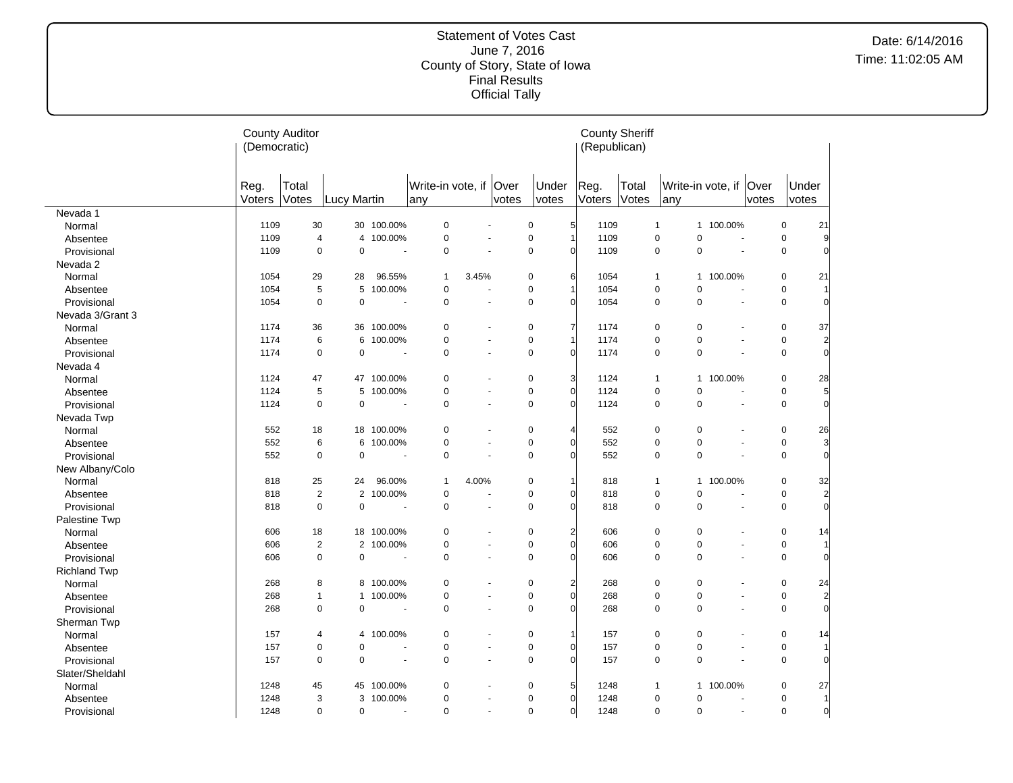#### Statement of Votes Cast June 7, 2016 County of Story, State of Iowa Final Results Official Tally

|                     | <b>County Auditor</b><br>(Democratic) |                       |                |         |                                 |                          |       |                               | (Republican)           | <b>County Sheriff</b> |                                  |                        |                       |                |                |
|---------------------|---------------------------------------|-----------------------|----------------|---------|---------------------------------|--------------------------|-------|-------------------------------|------------------------|-----------------------|----------------------------------|------------------------|-----------------------|----------------|----------------|
|                     | Reg.<br>Voters                        | Total<br><b>Votes</b> | Lucy Martin    |         | Write-in vote, if   Over<br>any |                          | votes | Under<br>votes                | Reg.<br>Voters         | Total<br>Votes        | lany                             | Write-in vote, if Over | votes                 | Under<br>votes |                |
| Nevada 1            |                                       |                       |                |         |                                 |                          |       |                               |                        |                       |                                  |                        |                       |                |                |
| Normal              | 1109                                  | 30                    | 30             | 100.00% | $\mathbf 0$                     |                          |       | $\mathbf 0$                   | 5 <sup>1</sup><br>1109 |                       | $\overline{1}$<br>$\mathbf{1}$   | 100.00%                |                       | 0              | 21             |
| Absentee            | 1109                                  | 4                     | 4              | 100.00% | $\pmb{0}$                       | $\sim$                   |       | $\mathbf 0$                   | 1109                   |                       | $\mathbf 0$<br>$\mathbf 0$       |                        | $\sim$                | $\mathbf 0$    | 9              |
| Provisional         | 1109                                  | $\mathbf 0$           | 0              | ÷.      | $\mathbf 0$                     |                          |       | $\mathbf 0$<br>$\Omega$       | 1109                   |                       | $\mathbf 0$<br>$\pmb{0}$         |                        | $\overline{a}$        | $\mathbf 0$    | $\Omega$       |
| Nevada 2            |                                       |                       |                |         |                                 |                          |       |                               |                        |                       |                                  |                        |                       |                |                |
| Normal              | 1054                                  | 29                    | 28             | 96.55%  | $\mathbf{1}$                    | 3.45%                    |       | $\mathbf 0$<br>6              | 1054                   |                       | $\overline{1}$                   | 1 100.00%              |                       | 0              | 21             |
| Absentee            | 1054                                  | 5                     | 5              | 100.00% | $\mathbf 0$                     |                          |       | $\mathbf 0$                   | 1054                   |                       | $\pmb{0}$<br>$\pmb{0}$           |                        | $\blacksquare$        | 0              |                |
| Provisional         | 1054                                  | $\mathbf 0$           | $\mathbf 0$    | ÷,      | $\mathbf 0$                     | $\tilde{\phantom{a}}$    |       | $\mathbf 0$<br>$\sqrt{ }$     | 1054                   |                       | $\mathbf 0$<br>$\mathbf 0$       |                        | $\tilde{\phantom{a}}$ | $\pmb{0}$      | $\Omega$       |
| Nevada 3/Grant 3    |                                       |                       |                |         |                                 |                          |       |                               |                        |                       |                                  |                        |                       |                |                |
| Normal              | 1174                                  | 36                    | 36             | 100.00% | $\mathbf 0$                     |                          |       | $\mathbf 0$<br>7              | 1174                   |                       | $\mathbf 0$<br>$\mathbf 0$       |                        |                       | $\mathbf 0$    | 37             |
| Absentee            | 1174                                  | 6                     | 6              | 100.00% | $\mathbf 0$                     | $\blacksquare$           |       | $\mathbf 0$                   | 1174                   |                       | $\pmb{0}$<br>$\pmb{0}$           |                        |                       | 0              | $\overline{2}$ |
| Provisional         | 1174                                  | $\mathbf 0$           | $\mathbf 0$    | ÷,      | $\mathbf 0$                     | ÷,                       |       | $\mathbf 0$<br>$\Omega$       | 1174                   |                       | $\mathbf 0$<br>$\mathbf 0$       |                        | $\overline{a}$        | 0              | $\Omega$       |
| Nevada 4            |                                       |                       |                |         |                                 |                          |       |                               |                        |                       |                                  |                        |                       |                |                |
| Normal              | 1124                                  | 47                    | 47             | 100.00% | 0                               |                          |       | 3<br>0                        | 1124                   |                       | $\overline{1}$<br>$\mathbf{1}$   | 100.00%                |                       | 0              | 28             |
| Absentee            | 1124                                  | 5                     | 5              | 100.00% | $\mathbf 0$                     | ÷,                       |       | $\mathbf 0$<br>$\Omega$       | 1124                   |                       | $\mathbf 0$<br>$\mathbf 0$       |                        |                       | 0              | 5              |
| Provisional         | 1124                                  | $\mathbf 0$           | $\mathbf 0$    |         | $\mathbf 0$                     | $\overline{a}$           |       | $\mathbf 0$<br>$\Omega$       | 1124                   |                       | $\mathbf 0$<br>$\mathbf 0$       |                        |                       | $\mathbf 0$    | $\Omega$       |
| Nevada Twp          |                                       |                       |                |         |                                 |                          |       |                               |                        |                       |                                  |                        |                       |                |                |
| Normal              | 552                                   | 18                    | 18             | 100.00% | $\mathbf 0$                     | $\blacksquare$           |       | $\mathbf 0$<br>$\Delta$       | 552                    |                       | 0<br>0                           |                        |                       | $\mathbf 0$    | 26             |
| Absentee            | 552                                   | 6                     | 6              | 100.00% | $\pmb{0}$                       | ÷.                       |       | $\mathbf 0$<br>$\Omega$       | 552                    |                       | $\mathbf 0$<br>$\pmb{0}$         |                        | $\overline{a}$        | 0              | $\overline{3}$ |
| Provisional         | 552                                   | $\mathbf 0$           | $\pmb{0}$      |         | $\mathbf 0$                     | ÷,                       |       | $\mathbf 0$<br>$\sqrt{ }$     | 552                    |                       | $\pmb{0}$<br>$\mathbf 0$         |                        | $\blacksquare$        | 0              | $\overline{0}$ |
| New Albany/Colo     |                                       |                       |                |         |                                 |                          |       |                               |                        |                       |                                  |                        |                       |                |                |
| Normal              | 818                                   | 25                    | 24             | 96.00%  | $\mathbf{1}$                    | 4.00%                    |       | $\mathbf 0$                   | 818                    |                       | $\overline{1}$<br>$\overline{1}$ | 100.00%                |                       | 0              | 32             |
| Absentee            | 818                                   | $\overline{2}$        | $\overline{2}$ | 100.00% | $\pmb{0}$                       | $\blacksquare$           |       | $\mathbf 0$<br>$\sqrt{ }$     | 818                    |                       | $\mathsf 0$<br>$\mathbf 0$       |                        | $\sim$                | 0              | $\overline{2}$ |
| Provisional         | 818                                   | $\pmb{0}$             | $\mathbf 0$    | ÷.      | $\mathbf 0$                     | ÷,                       |       | $\mathbf 0$<br>$\Omega$       | 818                    |                       | $\pmb{0}$<br>$\mathbf 0$         |                        |                       | 0              | $\overline{0}$ |
| Palestine Twp       |                                       |                       |                |         |                                 |                          |       |                               |                        |                       |                                  |                        |                       |                |                |
| Normal              | 606                                   | 18                    | 18             | 100.00% | $\mathbf 0$                     |                          |       | $\mathbf 0$<br>$\overline{2}$ | 606                    |                       | $\mathbf 0$<br>$\mathbf 0$       |                        |                       | $\mathbf 0$    | 14             |
| Absentee            | 606                                   | $\overline{2}$        | $\overline{2}$ | 100.00% | $\mathbf 0$                     | $\overline{a}$           |       | $\mathbf 0$<br>$\Omega$       | 606                    |                       | $\pmb{0}$<br>$\mathbf 0$         |                        | $\blacksquare$        | 0              |                |
| Provisional         | 606                                   | $\mathbf 0$           | $\mathbf 0$    | ٠.      | $\mathbf 0$                     | $\sim$                   |       | $\mathbf 0$<br>$\sqrt{ }$     | 606                    |                       | $\mathbf 0$<br>0                 |                        | ÷.                    | 0              | $\Omega$       |
| <b>Richland Twp</b> |                                       |                       |                |         |                                 |                          |       |                               |                        |                       |                                  |                        |                       |                |                |
| Normal              | 268                                   | 8                     | 8              | 100.00% | $\mathbf 0$                     |                          |       | $\overline{2}$<br>$\mathbf 0$ | 268                    |                       | $\mathbf 0$<br>0                 |                        |                       | $\mathbf 0$    | 24             |
| Absentee            | 268                                   | $\mathbf{1}$          | $\mathbf{1}$   | 100.00% | $\mathbf 0$                     | $\overline{a}$           |       | $\mathbf 0$<br>$\Omega$       | 268                    |                       | $\mathbf 0$<br>$\mathbf 0$       |                        |                       | 0              | $\overline{2}$ |
| Provisional         | 268                                   | $\mathbf 0$           | $\mathbf 0$    | ÷,      | $\mathbf 0$                     | $\sim$                   |       | $\mathbf 0$<br>$\Omega$       | 268                    |                       | $\mathbf 0$<br>$\mathbf 0$       |                        | $\ddot{\phantom{1}}$  | 0              | $\Omega$       |
| Sherman Twp         |                                       |                       |                |         |                                 |                          |       |                               |                        |                       |                                  |                        |                       |                |                |
| Normal              | 157                                   | 4                     | 4              | 100.00% | $\mathbf 0$                     | $\overline{\phantom{a}}$ |       | $\mathbf 0$                   | 157                    |                       | $\mathbf 0$<br>$\pmb{0}$         |                        |                       | $\mathbf 0$    | 14             |
| Absentee            | 157                                   | $\mathbf 0$           | $\mathbf 0$    |         | $\pmb{0}$                       | ÷,                       |       | $\pmb{0}$<br>$\mathcal{C}$    | 157                    |                       | $\pmb{0}$<br>$\pmb{0}$           |                        |                       | $\pmb{0}$      |                |
| Provisional         | 157                                   | $\mathbf 0$           | $\mathbf 0$    |         | $\mathbf 0$                     |                          |       | $\mathbf 0$<br>$\Omega$       | 157                    |                       | $\mathbf 0$<br>$\mathbf 0$       |                        |                       | 0              | $\Omega$       |
| Slater/Sheldahl     |                                       |                       |                |         |                                 |                          |       |                               |                        |                       |                                  |                        |                       |                |                |
| Normal              | 1248                                  | 45                    | 45             | 100.00% | $\mathbf 0$                     | $\overline{\phantom{a}}$ |       | 5<br>$\mathbf 0$              | 1248                   |                       | $\overline{1}$<br>$\mathbf{1}$   | 100.00%                |                       | 0              | 27             |
| Absentee            | 1248                                  | 3                     | 3              | 100.00% | $\mathbf 0$                     | ÷.                       |       | $\mathbf 0$<br>$\overline{0}$ | 1248                   |                       | $\mathbf 0$<br>$\mathbf 0$       |                        |                       | 0              | $\overline{1}$ |
| Provisional         | 1248                                  | $\mathbf 0$           | $\mathbf 0$    | ÷,      | $\mathbf 0$                     | $\tilde{\phantom{a}}$    |       | $\mathbf 0$<br>$\overline{0}$ | 1248                   |                       | $\pmb{0}$<br>$\pmb{0}$           |                        | $\tilde{\phantom{a}}$ | 0              | $\overline{0}$ |

 $\overline{a}$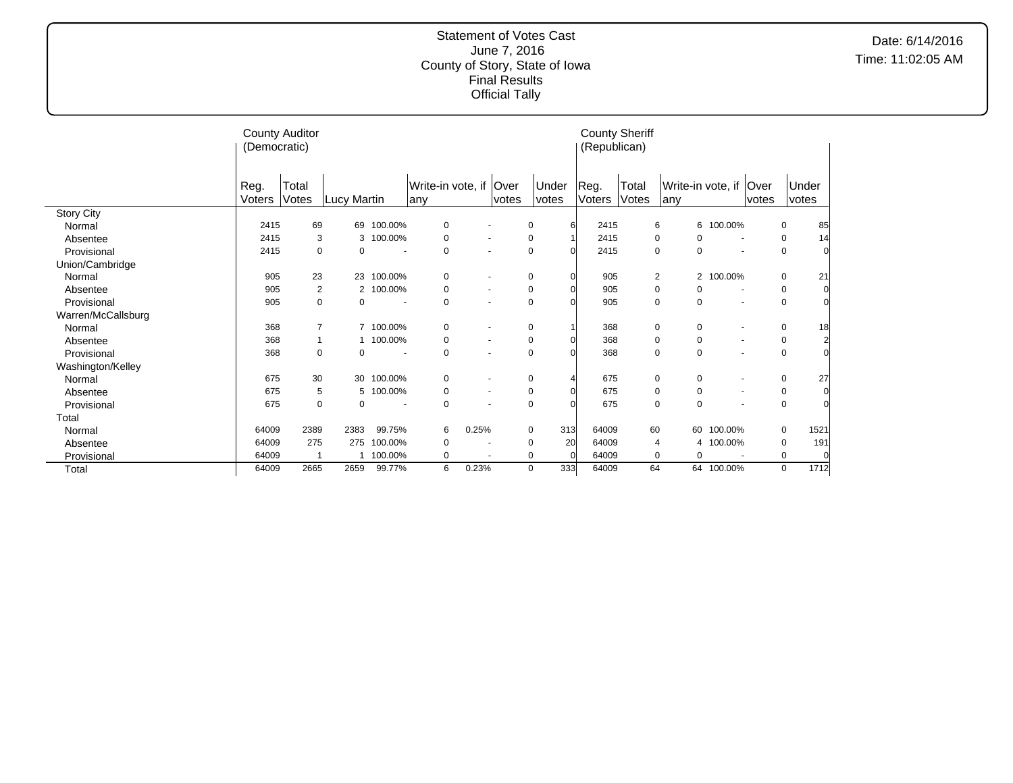|                    | (Democratic) | <b>County Auditor</b> |             |                     |                        |                          |       |          | (Republican) | <b>County Sheriff</b> |                   |                          |                |             |      |
|--------------------|--------------|-----------------------|-------------|---------------------|------------------------|--------------------------|-------|----------|--------------|-----------------------|-------------------|--------------------------|----------------|-------------|------|
|                    | Reg.         | Total                 |             |                     | Write-in vote, if Over |                          |       | Under    | Reg.         | Total                 | Write-in vote, if |                          | <b>Over</b>    | Under       |      |
|                    | Voters       | Votes                 | Lucy Martin |                     | lanv                   |                          | votes | votes    | Voters       | Votes                 | any               |                          | votes          | votes       |      |
| <b>Story City</b>  |              |                       |             |                     |                        |                          |       |          |              |                       |                   |                          |                |             |      |
| Normal             | 2415         | 69                    | 69          | 100.00%             | 0                      |                          |       | 0<br>61  | 2415         |                       | 6                 | 6 100.00%                |                | 0           | 85   |
| Absentee           | 2415         | 3                     |             | 100.00%<br>3        | 0                      | $\blacksquare$           |       | 0        | 2415         |                       | 0<br>0            | $\overline{\phantom{a}}$ |                | 0           | 14   |
| Provisional        | 2415         | 0                     |             | 0                   | 0                      | $\overline{\phantom{a}}$ |       | 0        | 2415         |                       | 0<br>0            |                          |                | $\mathbf 0$ |      |
| Union/Cambridge    |              |                       |             |                     |                        |                          |       |          |              |                       |                   |                          |                |             |      |
| Normal             | 905          | 23                    | 23          | 100.00%             | 0                      | $\blacksquare$           |       | 0        | 905          |                       | $\overline{2}$    | 2 100.00%                |                | 0           | 21   |
| Absentee           | 905          | 2                     |             | 100.00%<br>2        | 0                      | $\overline{\phantom{a}}$ |       | 0        | 905          |                       | 0<br>0            |                          |                | 0           |      |
| Provisional        | 905          | 0                     |             | $\Omega$            | 0                      | $\overline{\phantom{a}}$ |       | 0        | 905          |                       | 0<br>0            |                          |                | 0           |      |
| Warren/McCallsburg |              |                       |             |                     |                        |                          |       |          |              |                       |                   |                          |                |             |      |
| Normal             | 368          | 7                     |             | 100.00%             | 0                      | $\overline{\phantom{a}}$ |       | 0        | 368          |                       | 0<br>0            |                          |                | 0           | 18   |
| Absentee           | 368          | 1                     |             | 1 100.00%           | 0                      | $\blacksquare$           |       | 0        | 368          |                       | 0<br>0            |                          | $\blacksquare$ | 0           |      |
| Provisional        | 368          | 0                     |             | $\Omega$            | 0                      | $\ddot{\phantom{1}}$     |       | 0        | 368          |                       | 0<br>0            |                          |                | 0           |      |
| Washington/Kelley  |              |                       |             |                     |                        |                          |       |          |              |                       |                   |                          |                |             |      |
| Normal             | 675          | 30                    | 30          | 100.00%             | 0                      |                          |       | 0        | 675          |                       | 0<br>0            |                          |                | 0           | 27   |
| Absentee           | 675          | 5                     |             | 100.00%<br>5        | 0                      | $\sim$                   |       | 0        | 675          |                       | 0<br>0            |                          |                | 0           |      |
| Provisional        | 675          | 0                     |             | 0<br>$\blacksquare$ | 0                      | ٠                        |       | 0        | 675          |                       | 0<br>0            |                          |                | $\mathbf 0$ |      |
| Total              |              |                       |             |                     |                        |                          |       |          |              |                       |                   |                          |                |             |      |
| Normal             | 64009        | 2389                  | 2383        | 99.75%              | 6                      | 0.25%                    |       | 313<br>0 | 64009        | 60                    | 60                | 100.00%                  |                | 0           | 1521 |
| Absentee           | 64009        | 275                   | 275         | 100.00%             | 0                      | $\overline{\phantom{a}}$ |       | 20<br>0  | 64009        |                       | 4                 | 4 100.00%                |                | 0           | 191  |
| Provisional        | 64009        | 1                     |             | 1 100.00%           | 0                      | $\overline{\phantom{a}}$ |       | 0<br>∩   | 64009        |                       | 0<br>$\Omega$     |                          |                | 0           |      |
| Total              | 64009        | 2665                  | 2659        | 99.77%              | 6                      | 0.23%                    |       | 333<br>0 | 64009        | 64                    |                   | 64 100.00%               |                | 0           | 1712 |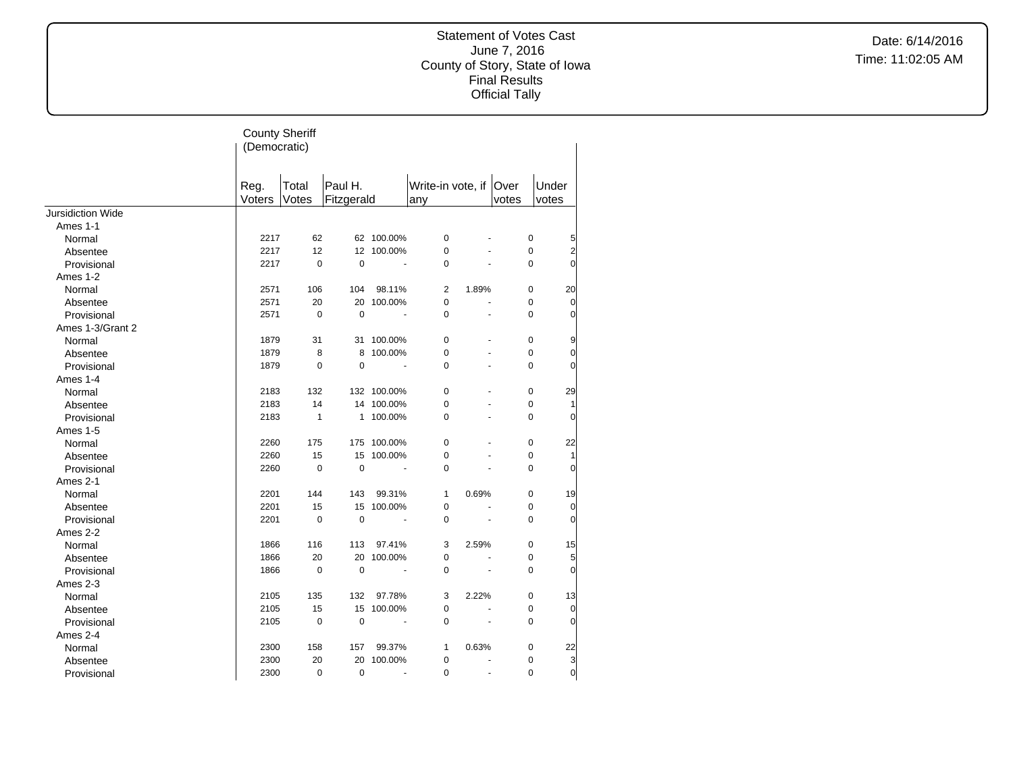|                          | <b>County Sheriff</b><br>(Democratic) |                |                       |             |                               |                      |       |                                |  |
|--------------------------|---------------------------------------|----------------|-----------------------|-------------|-------------------------------|----------------------|-------|--------------------------------|--|
|                          | Reg.<br>Voters                        | Total<br>Votes | Paul H.<br>Fitzgerald |             | Write-in vote, if Over<br>any |                      | votes | Under<br>votes                 |  |
| <b>Jursidiction Wide</b> |                                       |                |                       |             |                               |                      |       |                                |  |
| Ames 1-1                 |                                       |                |                       |             |                               |                      |       |                                |  |
| Normal                   | 2217                                  | 62             |                       | 62 100.00%  | $\mathbf 0$                   |                      |       | $\pmb{0}$<br>5                 |  |
| Absentee                 | 2217                                  | 12             | 12                    | 100.00%     | $\mathbf 0$                   |                      |       | $\overline{a}$<br>$\pmb{0}$    |  |
| Provisional              | 2217                                  | $\Omega$       | $\Omega$              |             | $\Omega$                      |                      |       | $\Omega$<br>$\Omega$           |  |
| Ames 1-2                 |                                       |                |                       |             |                               |                      |       |                                |  |
| Normal                   | 2571                                  | 106            | 104                   | 98.11%      | 2                             | 1.89%                |       | $\mathbf 0$<br>20              |  |
| Absentee                 | 2571                                  | 20             | 20                    | 100.00%     | 0                             | $\ddot{\phantom{1}}$ |       | 0<br>$\overline{0}$            |  |
| Provisional              | 2571                                  | $\pmb{0}$      | $\mathbf 0$           |             | $\mathbf 0$                   | ÷,                   |       | O<br>0                         |  |
| Ames 1-3/Grant 2         |                                       |                |                       |             |                               |                      |       |                                |  |
| Normal                   | 1879                                  | 31             | 31                    | 100.00%     | $\mathbf 0$                   |                      |       | $\pmb{0}$<br>9                 |  |
| Absentee                 | 1879                                  | 8              | 8                     | 100.00%     | 0                             |                      |       | 0<br>$\pmb{0}$                 |  |
| Provisional              | 1879                                  | $\mathbf 0$    | $\mathbf 0$           |             | $\Omega$                      | ÷,                   |       | O<br>$\mathbf 0$               |  |
| Ames 1-4                 |                                       |                |                       |             |                               |                      |       |                                |  |
| Normal                   | 2183                                  | 132            |                       | 132 100.00% | $\mathbf 0$                   |                      |       | $\mathbf 0$<br>29              |  |
| Absentee                 | 2183                                  | 14             |                       | 14 100.00%  | 0                             |                      |       | $\pmb{0}$<br>1                 |  |
| Provisional              | 2183                                  | $\mathbf{1}$   |                       | 1 100.00%   | $\mathbf 0$                   |                      |       | $\mathbf 0$<br>$\overline{0}$  |  |
| Ames 1-5                 |                                       |                |                       |             |                               |                      |       |                                |  |
| Normal                   | 2260                                  | 175            | 175                   | 100.00%     | $\mathbf 0$                   |                      |       | 22<br>$\pmb{0}$                |  |
| Absentee                 | 2260                                  | 15             | 15                    | 100.00%     | $\mathbf 0$                   |                      |       | $\mathbf 0$<br>1               |  |
| Provisional              | 2260                                  | $\mathbf 0$    | $\mathbf 0$           | ÷,          | $\mathbf 0$                   |                      |       | $\overline{0}$<br>$\mathbf 0$  |  |
| Ames 2-1                 |                                       |                |                       |             |                               |                      |       |                                |  |
| Normal                   | 2201                                  | 144            | 143                   | 99.31%      | $\mathbf{1}$                  | 0.69%                |       | 0<br>19                        |  |
| Absentee                 | 2201                                  | 15             | 15                    | 100.00%     | $\mathbf 0$                   |                      |       | $\mathbf 0$<br>$\overline{0}$  |  |
| Provisional              | 2201                                  | $\mathbf 0$    | $\mathbf 0$           |             | $\Omega$                      |                      |       | $\Omega$<br>$\Omega$           |  |
| Ames 2-2                 |                                       |                |                       |             |                               |                      |       |                                |  |
| Normal                   | 1866                                  | 116            | 113                   | 97.41%      | 3                             | 2.59%                |       | $\mathbf 0$<br>15              |  |
| Absentee                 | 1866                                  | 20             | 20                    | 100.00%     | $\pmb{0}$                     |                      |       | $5\overline{a}$<br>$\mathbf 0$ |  |
| Provisional              | 1866                                  | $\mathbf 0$    | $\mathbf 0$           |             | 0                             |                      |       | $\overline{0}$<br>0            |  |
| Ames 2-3                 |                                       |                |                       |             |                               |                      |       |                                |  |
| Normal                   | 2105                                  | 135            | 132                   | 97.78%      | 3                             | 2.22%                |       | 0<br>13                        |  |
| Absentee                 | 2105                                  | 15             | 15                    | 100.00%     | $\pmb{0}$                     |                      |       | $\overline{0}$<br>$\pmb{0}$    |  |
| Provisional              | 2105                                  | $\pmb{0}$      | $\mathbf 0$           |             | $\mathbf 0$                   |                      |       | $\overline{0}$<br>$\mathbf 0$  |  |
| Ames 2-4                 |                                       |                |                       |             |                               |                      |       |                                |  |
| Normal                   | 2300                                  | 158            | 157                   | 99.37%      | 1                             | 0.63%                |       | $\mathbf 0$<br>22              |  |
| Absentee                 | 2300                                  | 20             | 20                    | 100.00%     | $\pmb{0}$                     |                      |       | 3<br>0                         |  |
| Provisional              | 2300                                  | 0              | $\mathbf 0$           | ä,          | $\mathbf 0$                   | ÷,                   |       | $\mathbf 0$<br>$\mathbf 0$     |  |
|                          |                                       |                |                       |             |                               |                      |       |                                |  |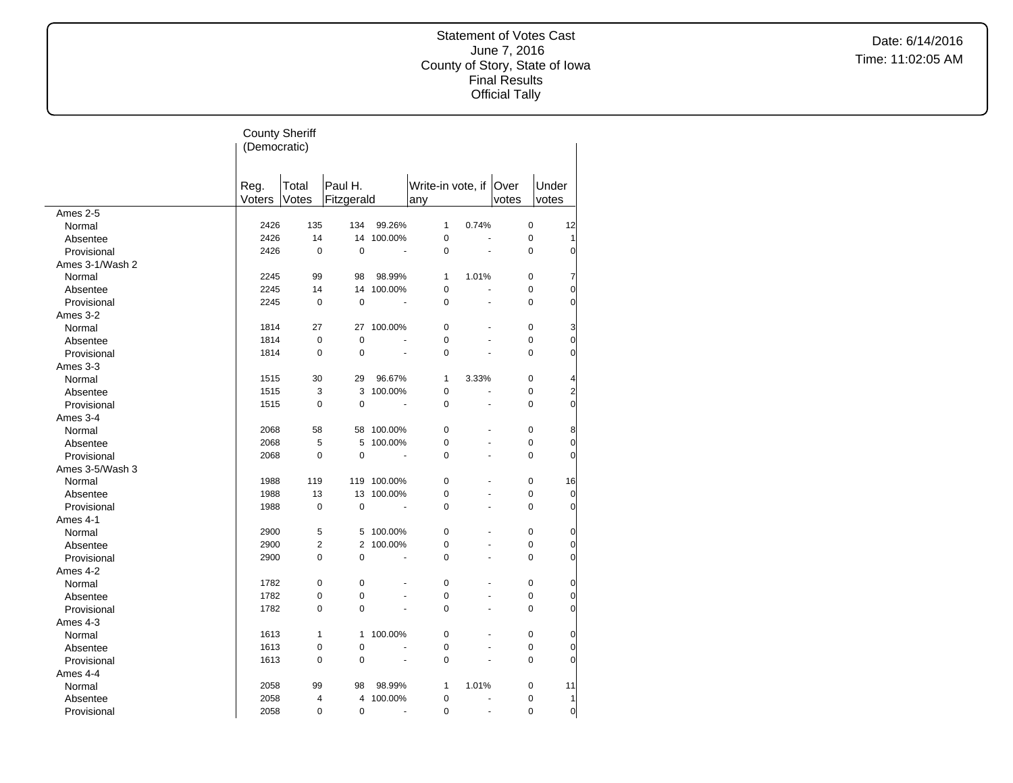|                 | (Democratic)   | <b>County Sheriff</b> |                       |                          |                               |       |                               |                |
|-----------------|----------------|-----------------------|-----------------------|--------------------------|-------------------------------|-------|-------------------------------|----------------|
|                 | Reg.<br>Voters | Total<br>Votes        | Paul H.<br>Fitzgerald |                          | Write-in vote, if Over<br>any |       | votes                         | Under<br>votes |
| Ames 2-5        |                |                       |                       |                          |                               |       |                               |                |
| Normal          | 2426           | 135                   | 134                   | 99.26%                   | 1                             | 0.74% | $\mathbf 0$                   | 12             |
| Absentee        | 2426           | 14                    |                       | 14 100.00%               | 0                             |       | 0<br>÷,                       | 1              |
| Provisional     | 2426           | $\mathbf 0$           | $\mathbf 0$           | $\blacksquare$           | 0                             |       | 0<br>÷,                       | $\Omega$       |
| Ames 3-1/Wash 2 |                |                       |                       |                          |                               |       |                               |                |
| Normal          | 2245           | 99                    | 98                    | 98.99%                   | $\mathbf{1}$                  | 1.01% | 0                             | 7              |
| Absentee        | 2245           | 14                    |                       | 14 100.00%               | 0                             | L.    | 0                             | 0              |
| Provisional     | 2245           | $\mathbf 0$           | $\mathbf 0$           | $\sim$                   | 0                             |       | 0<br>ä,                       | 0              |
| Ames 3-2        |                |                       |                       |                          |                               |       |                               |                |
| Normal          | 1814           | 27                    | 27                    | 100.00%                  | $\mathbf 0$                   |       | 0                             | 3              |
| Absentee        | 1814           | $\mathbf 0$           | $\mathbf 0$           |                          | 0                             |       | 0<br>÷,                       | 0              |
| Provisional     | 1814           | $\mathbf 0$           | $\Omega$              |                          | $\Omega$                      |       | 0                             | 0              |
| Ames 3-3        |                |                       |                       |                          |                               |       |                               |                |
| Normal          | 1515           | 30                    | 29                    | 96.67%                   | 1                             | 3.33% | 0                             |                |
| Absentee        | 1515           | 3                     | 3                     | 100.00%                  | $\mathbf 0$                   |       | 0<br>$\overline{a}$           | $\overline{c}$ |
| Provisional     | 1515           | $\Omega$              | $\Omega$              | $\sim$                   | $\Omega$                      |       | $\Omega$<br>÷,                | $\Omega$       |
| Ames 3-4        |                |                       |                       |                          |                               |       |                               |                |
| Normal          | 2068           | 58                    | 58                    | 100.00%                  | 0                             |       | $\pmb{0}$<br>$\overline{a}$   | 8              |
| Absentee        | 2068           | 5                     | 5                     | 100.00%                  | 0                             |       | 0<br>$\overline{a}$           | 0              |
| Provisional     | 2068           | $\pmb{0}$             | $\pmb{0}$             | ÷.                       | 0                             |       | 0<br>$\overline{a}$           | 0              |
| Ames 3-5/Wash 3 |                |                       |                       |                          |                               |       |                               |                |
| Normal          | 1988           | 119                   |                       | 119 100.00%              | 0                             |       | 0                             | 16             |
|                 | 1988           | 13                    |                       | 13 100.00%               | 0                             |       | 0<br>$\blacksquare$           | $\overline{0}$ |
| Absentee        | 1988           | $\mathbf 0$           | $\mathbf 0$           | $\tilde{\phantom{a}}$    | 0                             |       | $\mathbf 0$<br>÷,             | $\overline{0}$ |
| Provisional     |                |                       |                       |                          |                               |       |                               |                |
| Ames 4-1        | 2900           | 5                     | 5                     | 100.00%                  | 0                             |       | $\mathbf 0$                   | 0              |
| Normal          |                | $\overline{2}$        | $\overline{2}$        |                          | 0                             |       | 0                             |                |
| Absentee        | 2900           |                       |                       | 100.00%                  |                               |       |                               | 0              |
| Provisional     | 2900           | $\mathbf 0$           | $\mathbf 0$           | $\blacksquare$           | 0                             |       | $\mathbf 0$<br>$\overline{a}$ | 0              |
| Ames 4-2        |                |                       |                       |                          |                               |       |                               |                |
| Normal          | 1782           | $\pmb{0}$             | $\pmb{0}$             |                          | 0                             |       | 0                             | 0              |
| Absentee        | 1782           | $\mathbf 0$           | $\mathbf 0$           | $\overline{\phantom{a}}$ | 0                             |       | $\mathbf 0$<br>$\overline{a}$ | 0              |
| Provisional     | 1782           | $\mathbf 0$           | $\mathbf 0$           |                          | 0                             |       | 0                             | 0              |
| Ames 4-3        |                |                       |                       |                          |                               |       |                               |                |
| Normal          | 1613           | $\mathbf{1}$          | $\mathbf{1}$          | 100.00%                  | 0                             |       | $\pmb{0}$                     | 0              |
| Absentee        | 1613           | $\pmb{0}$             | $\mathbf 0$           |                          | 0                             |       | 0<br>$\overline{a}$           | 0              |
| Provisional     | 1613           | $\Omega$              | $\mathbf 0$           | $\overline{\phantom{a}}$ | 0                             |       | $\overline{0}$<br>ä,          | 0              |
| Ames 4-4        |                |                       |                       |                          |                               |       |                               |                |
| Normal          | 2058           | 99                    | 98                    | 98.99%                   | 1                             | 1.01% | $\mathbf 0$                   | 11             |
| Absentee        | 2058           | 4                     | 4                     | 100.00%                  | 0                             | ä,    | 0                             | 1              |
| Provisional     | 2058           | $\mathbf 0$           | $\mathbf 0$           | $\sim$                   | 0                             |       | 0<br>÷,                       | 0              |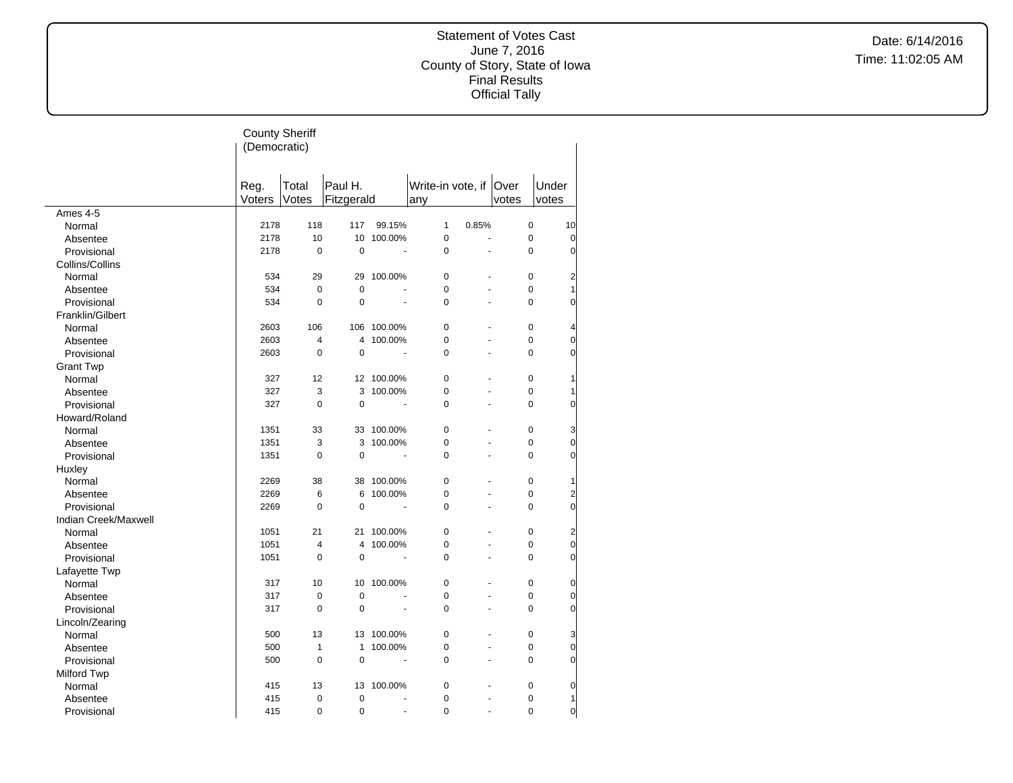|                      | <b>County Sheriff</b><br>(Democratic) |                |                       |                          |                               |                      |             |                                  |
|----------------------|---------------------------------------|----------------|-----------------------|--------------------------|-------------------------------|----------------------|-------------|----------------------------------|
|                      | Reg.<br>Voters                        | Total<br>Votes | Paul H.<br>Fitzgerald |                          | Write-in vote, if Over<br>any |                      | votes       | Under<br>votes                   |
| Ames 4-5             |                                       |                |                       |                          |                               |                      |             |                                  |
| Normal               | 2178                                  | 118            | 117                   | 99.15%                   | $\mathbf{1}$                  | 0.85%                | $\mathbf 0$ | 10                               |
| Absentee             | 2178                                  | 10             |                       | 10 100.00%               | $\pmb{0}$                     | ÷,                   | $\mathbf 0$ | $\overline{0}$                   |
| Provisional          | 2178                                  | $\mathbf 0$    | $\mathbf 0$           |                          | $\mathbf 0$                   |                      | 0           | $\overline{0}$                   |
| Collins/Collins      |                                       |                |                       |                          |                               |                      |             |                                  |
| Normal               | 534                                   | 29             |                       | 29 100.00%               | $\mathbf 0$                   | ä,                   | 0           | $\overline{a}$                   |
| Absentee             | 534                                   | $\pmb{0}$      | $\mathbf 0$           |                          | $\mathbf 0$                   |                      | 0           | 1                                |
| Provisional          | 534                                   | $\mathbf 0$    | 0                     | ÷.                       | $\mathbf 0$                   | ä,                   | 0           | $\overline{0}$                   |
| Franklin/Gilbert     |                                       |                |                       |                          |                               |                      |             |                                  |
| Normal               | 2603                                  | 106            |                       | 106 100.00%              | $\mathbf 0$                   |                      | 0           | $\overline{4}$                   |
| Absentee             | 2603                                  | $\overline{4}$ | 4                     | 100.00%                  | $\mathbf 0$                   | L.                   | 0           | $\overline{0}$                   |
| Provisional          | 2603                                  | $\mathbf 0$    | 0                     |                          | $\mathbf 0$                   |                      | 0           | $\overline{0}$                   |
| <b>Grant Twp</b>     |                                       |                |                       |                          |                               |                      |             |                                  |
| Normal               | 327                                   | 12             |                       | 12 100.00%               | $\mathbf 0$                   |                      | 0           | 1                                |
| Absentee             | 327                                   | 3              | 3                     | 100.00%                  | $\mathbf 0$                   | L,                   | 0           | 1                                |
| Provisional          | 327                                   | $\mathbf 0$    | $\mathbf 0$           | $\blacksquare$           | $\mathbf 0$                   |                      | 0           | $\overline{0}$                   |
| Howard/Roland        |                                       |                |                       |                          |                               |                      |             |                                  |
| Normal               | 1351                                  | 33             |                       | 33 100.00%               | $\mathbf 0$                   | $\ddot{\phantom{1}}$ | $\pmb{0}$   | 3                                |
| Absentee             | 1351                                  | 3              | 3                     | 100.00%                  | $\mathbf 0$                   |                      | 0           | $\overline{0}$                   |
| Provisional          | 1351                                  | $\mathbf 0$    | $\mathbf 0$           |                          | $\Omega$                      | L.                   | 0           | $\overline{0}$                   |
|                      |                                       |                |                       |                          |                               |                      |             |                                  |
| Huxley               | 2269                                  | 38             |                       | 38 100.00%               | $\Omega$                      |                      | 0           | 1                                |
| Normal               | 2269                                  | 6              | 6                     | 100.00%                  | $\mathbf 0$                   | ÷.                   | 0           |                                  |
| Absentee             | 2269                                  | $\mathbf 0$    | 0                     | $\ddot{\phantom{1}}$     | $\mathbf 0$                   |                      | $\mathbf 0$ | $\overline{2}$<br>$\overline{0}$ |
| Provisional          |                                       |                |                       |                          |                               |                      |             |                                  |
| Indian Creek/Maxwell |                                       |                |                       |                          |                               | L.                   |             |                                  |
| Normal               | 1051                                  | 21             |                       | 21 100.00%               | $\mathbf 0$                   |                      | $\pmb{0}$   | $\overline{2}$                   |
| Absentee             | 1051                                  | $\overline{4}$ | 4                     | 100.00%                  | $\mathbf 0$                   |                      | 0           | $\overline{0}$                   |
| Provisional          | 1051                                  | $\mathbf 0$    | $\overline{0}$        | $\overline{\phantom{a}}$ | $\mathbf 0$                   | ä,                   | 0           | $\overline{0}$                   |
| Lafayette Twp        |                                       |                |                       |                          |                               |                      |             |                                  |
| Normal               | 317                                   | 10             | 10                    | 100.00%                  | $\mathbf 0$                   |                      | 0           | 0                                |
| Absentee             | 317                                   | $\mathbf 0$    | $\mathbf 0$           |                          | $\mathbf 0$                   | ä,                   | 0           | $\overline{0}$                   |
| Provisional          | 317                                   | $\mathbf 0$    | $\Omega$              |                          | $\Omega$                      |                      | $\Omega$    | $\overline{0}$                   |
| Lincoln/Zearing      |                                       |                |                       |                          |                               |                      |             |                                  |
| Normal               | 500                                   | 13             | 13                    | 100.00%                  | $\Omega$                      |                      | $\mathbf 0$ | 3                                |
| Absentee             | 500                                   | $\mathbf{1}$   | $\mathbf{1}$          | 100.00%                  | $\mathbf 0$                   | L.                   | 0           | $\overline{0}$                   |
| Provisional          | 500                                   | $\mathbf 0$    | $\mathbf 0$           | $\overline{a}$           | $\mathbf 0$                   | L.                   | 0           | $\overline{0}$                   |
| <b>Milford Twp</b>   |                                       |                |                       |                          |                               |                      |             |                                  |
| Normal               | 415                                   | 13             |                       | 13 100.00%               | $\pmb{0}$                     | ä,                   | $\pmb{0}$   | $\overline{0}$                   |
| Absentee             | 415                                   | $\mathbf 0$    | 0                     | ä,                       | $\mathbf 0$                   |                      | $\mathbf 0$ | 1                                |
| Provisional          | 415                                   | $\mathbf 0$    | $\mathbf 0$           | $\overline{a}$           | $\mathbf 0$                   | L.                   | 0           | $\overline{0}$                   |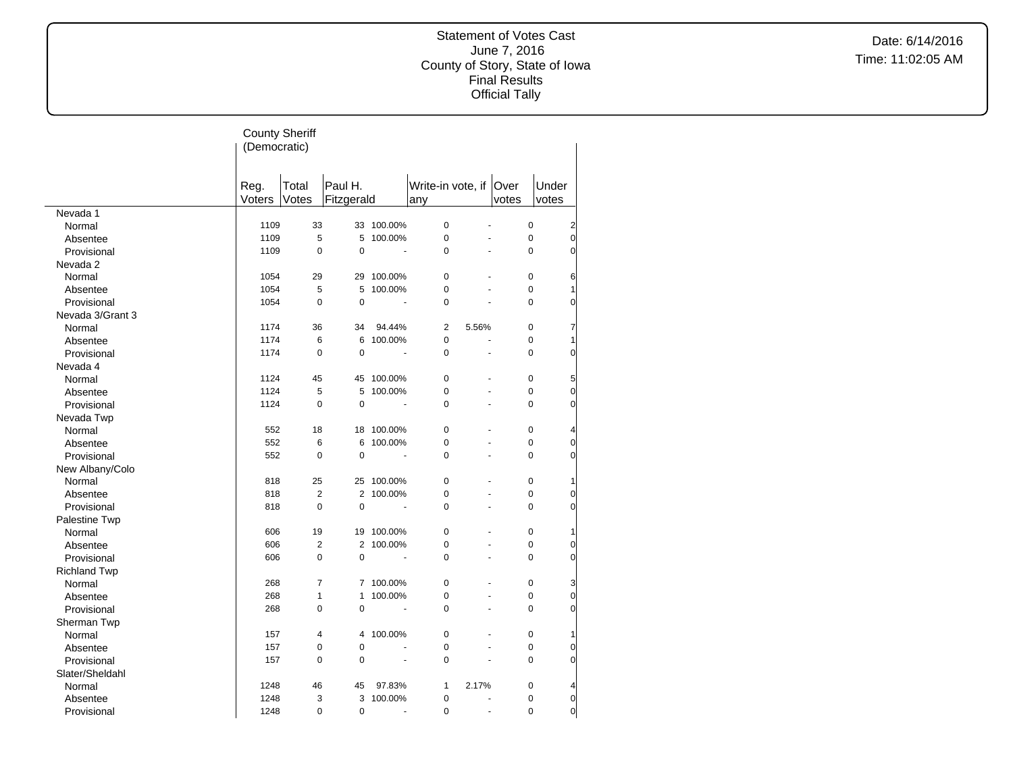|                     | <b>County Sheriff</b><br>(Democratic) |                |                       |                          |                               |                |             |                |
|---------------------|---------------------------------------|----------------|-----------------------|--------------------------|-------------------------------|----------------|-------------|----------------|
|                     | Reg.<br>Voters                        | Total<br>Votes | Paul H.<br>Fitzgerald |                          | Write-in vote, if Over<br>any |                | votes       | Under<br>votes |
| Nevada 1            |                                       |                |                       |                          |                               |                |             |                |
| Normal              | 1109                                  | 33             |                       | 33 100.00%               | $\mathbf 0$                   |                | 0           | $\overline{2}$ |
| Absentee            | 1109                                  | 5              | 5                     | 100.00%                  | $\mathbf 0$                   | $\overline{a}$ | 0           | $\overline{0}$ |
| Provisional         | 1109                                  | $\mathbf 0$    | $\Omega$              |                          | $\Omega$                      |                | $\Omega$    | $\Omega$       |
| Nevada 2            |                                       |                |                       |                          |                               |                |             |                |
| Normal              | 1054                                  | 29             |                       | 29 100.00%               | $\Omega$                      |                | $\Omega$    | 6              |
| Absentee            | 1054                                  | 5              | 5                     | 100.00%                  | $\pmb{0}$                     |                | 0           | $\mathbf{1}$   |
| Provisional         | 1054                                  | 0              | $\mathbf 0$           | $\overline{a}$           | $\mathbf 0$                   | $\overline{a}$ | 0           | 0              |
| Nevada 3/Grant 3    |                                       |                |                       |                          |                               |                |             |                |
| Normal              | 1174                                  | 36             | 34                    | 94.44%                   | $\overline{2}$                | 5.56%          | 0           | 7              |
| Absentee            | 1174                                  | 6              | 6                     | 100.00%                  | $\mathbf 0$                   | ÷,             | 0           | 1              |
| Provisional         | 1174                                  | $\mathbf 0$    | $\mathbf 0$           |                          | $\mathbf 0$                   | L.             | 0           | 0              |
| Nevada 4            |                                       |                |                       |                          |                               |                |             |                |
| Normal              | 1124                                  | 45             | 45                    | 100.00%                  | $\mathbf 0$                   |                | 0           | 5              |
| Absentee            | 1124                                  | 5              | 5                     | 100.00%                  | $\mathbf 0$                   | ÷,             | 0           | 0              |
| Provisional         | 1124                                  | $\mathbf 0$    | $\Omega$              |                          | $\Omega$                      | ÷,             | $\Omega$    | O              |
|                     |                                       |                |                       |                          |                               |                |             |                |
| Nevada Twp          | 552                                   | 18             | 18                    | 100.00%                  | $\mathbf 0$                   | ÷.             | 0           |                |
| Normal              |                                       |                |                       |                          |                               | ÷,             |             | 4              |
| Absentee            | 552                                   | 6              | 6                     | 100.00%                  | $\mathbf 0$                   | $\overline{a}$ | $\mathbf 0$ | 0              |
| Provisional         | 552                                   | $\mathbf 0$    | $\mathbf 0$           |                          | $\mathbf 0$                   |                | 0           | 0              |
| New Albany/Colo     |                                       |                |                       |                          |                               |                |             |                |
| Normal              | 818                                   | 25             | 25                    | 100.00%                  | $\mathbf 0$                   | $\overline{a}$ | 0           | 1              |
| Absentee            | 818                                   | 2              |                       | 2 100.00%                | $\mathbf 0$                   | $\overline{a}$ | 0           | 0              |
| Provisional         | 818                                   | $\mathbf 0$    | 0                     |                          | $\Omega$                      |                | $\Omega$    | $\Omega$       |
| Palestine Twp       |                                       |                |                       |                          |                               |                |             |                |
| Normal              | 606                                   | 19             |                       | 19 100.00%               | $\Omega$                      |                | 0           | 1              |
| Absentee            | 606                                   | $\overline{2}$ | 2                     | 100.00%                  | $\mathbf 0$                   |                | 0           | 0              |
| Provisional         | 606                                   | $\mathbf 0$    | $\mathbf 0$           |                          | $\mathbf 0$                   | $\overline{a}$ | 0           | 0              |
| <b>Richland Twp</b> |                                       |                |                       |                          |                               |                |             |                |
| Normal              | 268                                   | $\overline{7}$ | $\overline{7}$        | 100.00%                  | $\mathbf 0$                   |                | 0           | 3              |
| Absentee            | 268                                   | $\mathbf{1}$   | 1                     | 100.00%                  | $\mathbf 0$                   | ÷,             | 0           | 0              |
| Provisional         | 268                                   | 0              | $\mathbf 0$           |                          | $\mathbf 0$                   |                | 0           | 0              |
| Sherman Twp         |                                       |                |                       |                          |                               |                |             |                |
| Normal              | 157                                   | 4              | 4                     | 100.00%                  | $\pmb{0}$                     |                | 0           | $\mathbf{1}$   |
| Absentee            | 157                                   | 0              | $\mathbf 0$           |                          | $\mathbf 0$                   | ÷.             | 0           | 0              |
| Provisional         | 157                                   | $\overline{0}$ | $\mathbf 0$           | $\overline{\phantom{a}}$ | $\Omega$                      | ÷,             | $\Omega$    | 0              |
| Slater/Sheldahl     |                                       |                |                       |                          |                               |                |             |                |
| Normal              | 1248                                  | 46             | 45                    | 97.83%                   | $\mathbf{1}$                  | 2.17%          | 0           | 4              |
| Absentee            | 1248                                  | 3              | 3                     | 100.00%                  | $\pmb{0}$                     |                | 0           | 0              |
| Provisional         | 1248                                  | $\overline{0}$ | $\mathbf 0$           | $\blacksquare$           | $\mathbf 0$                   | ÷,             | 0           | $\overline{0}$ |